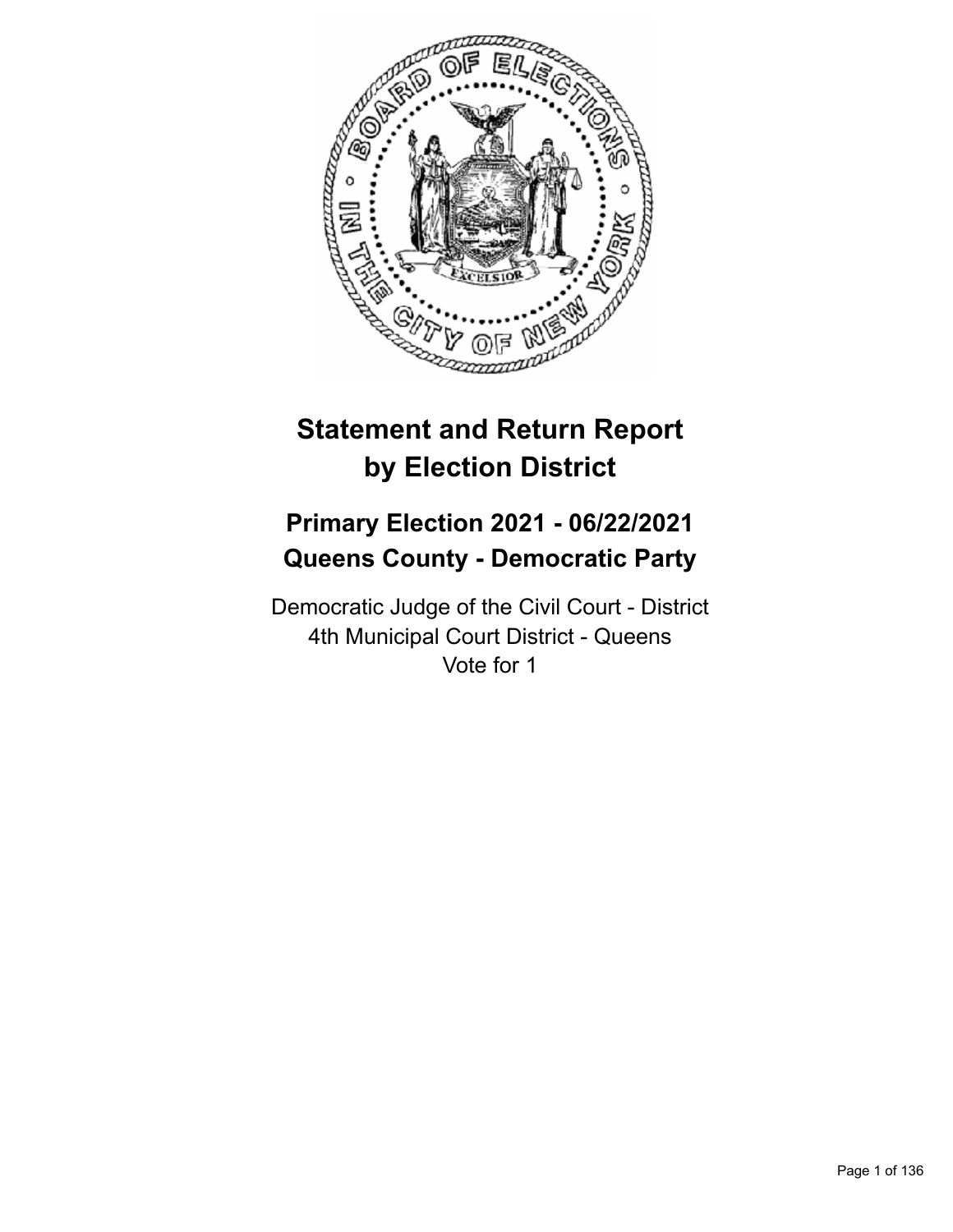

# **Statement and Return Report by Election District**

# **Primary Election 2021 - 06/22/2021 Queens County - Democratic Party**

Democratic Judge of the Civil Court - District 4th Municipal Court District - Queens Vote for 1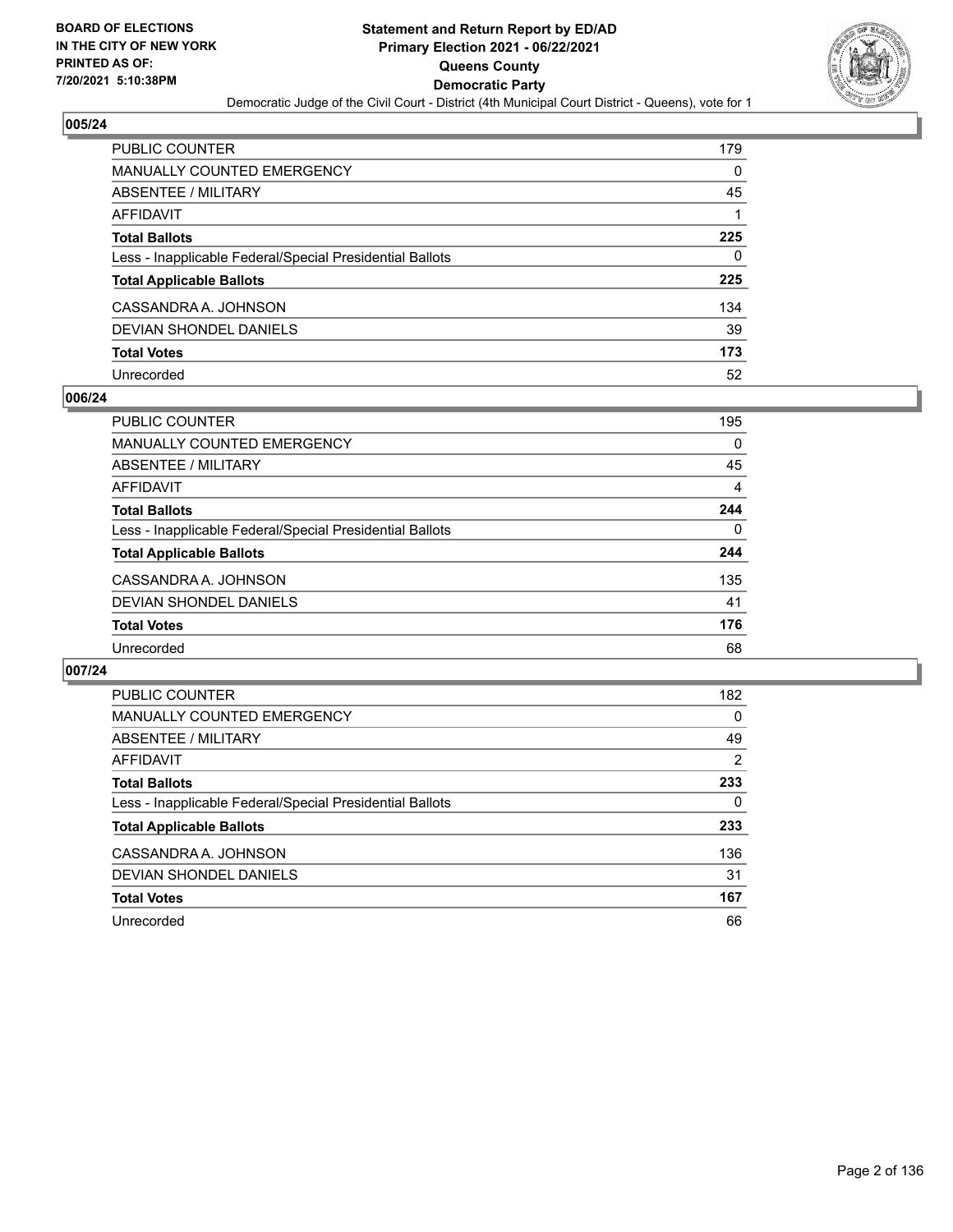

| PUBLIC COUNTER                                           | 179      |
|----------------------------------------------------------|----------|
| <b>MANUALLY COUNTED EMERGENCY</b>                        | $\Omega$ |
| ABSENTEE / MILITARY                                      | 45       |
| <b>AFFIDAVIT</b>                                         |          |
| <b>Total Ballots</b>                                     | 225      |
| Less - Inapplicable Federal/Special Presidential Ballots | 0        |
| <b>Total Applicable Ballots</b>                          | 225      |
| CASSANDRA A. JOHNSON                                     | 134      |
| DEVIAN SHONDEL DANIELS                                   | 39       |
| <b>Total Votes</b>                                       | 173      |
| Unrecorded                                               | 52       |

## **006/24**

| PUBLIC COUNTER                                           | 195 |
|----------------------------------------------------------|-----|
| <b>MANUALLY COUNTED EMERGENCY</b>                        | 0   |
| ABSENTEE / MILITARY                                      | 45  |
| AFFIDAVIT                                                | 4   |
| <b>Total Ballots</b>                                     | 244 |
| Less - Inapplicable Federal/Special Presidential Ballots | 0   |
| <b>Total Applicable Ballots</b>                          | 244 |
| CASSANDRA A. JOHNSON                                     | 135 |
| DEVIAN SHONDEL DANIELS                                   | 41  |
| <b>Total Votes</b>                                       | 176 |
| Unrecorded                                               | 68  |

| PUBLIC COUNTER                                           | 182      |
|----------------------------------------------------------|----------|
| <b>MANUALLY COUNTED EMERGENCY</b>                        | $\Omega$ |
| ABSENTEE / MILITARY                                      | 49       |
| <b>AFFIDAVIT</b>                                         | 2        |
| <b>Total Ballots</b>                                     | 233      |
| Less - Inapplicable Federal/Special Presidential Ballots | 0        |
| <b>Total Applicable Ballots</b>                          | 233      |
| CASSANDRA A. JOHNSON                                     | 136      |
| DEVIAN SHONDEL DANIELS                                   | 31       |
| <b>Total Votes</b>                                       | 167      |
| Unrecorded                                               | 66       |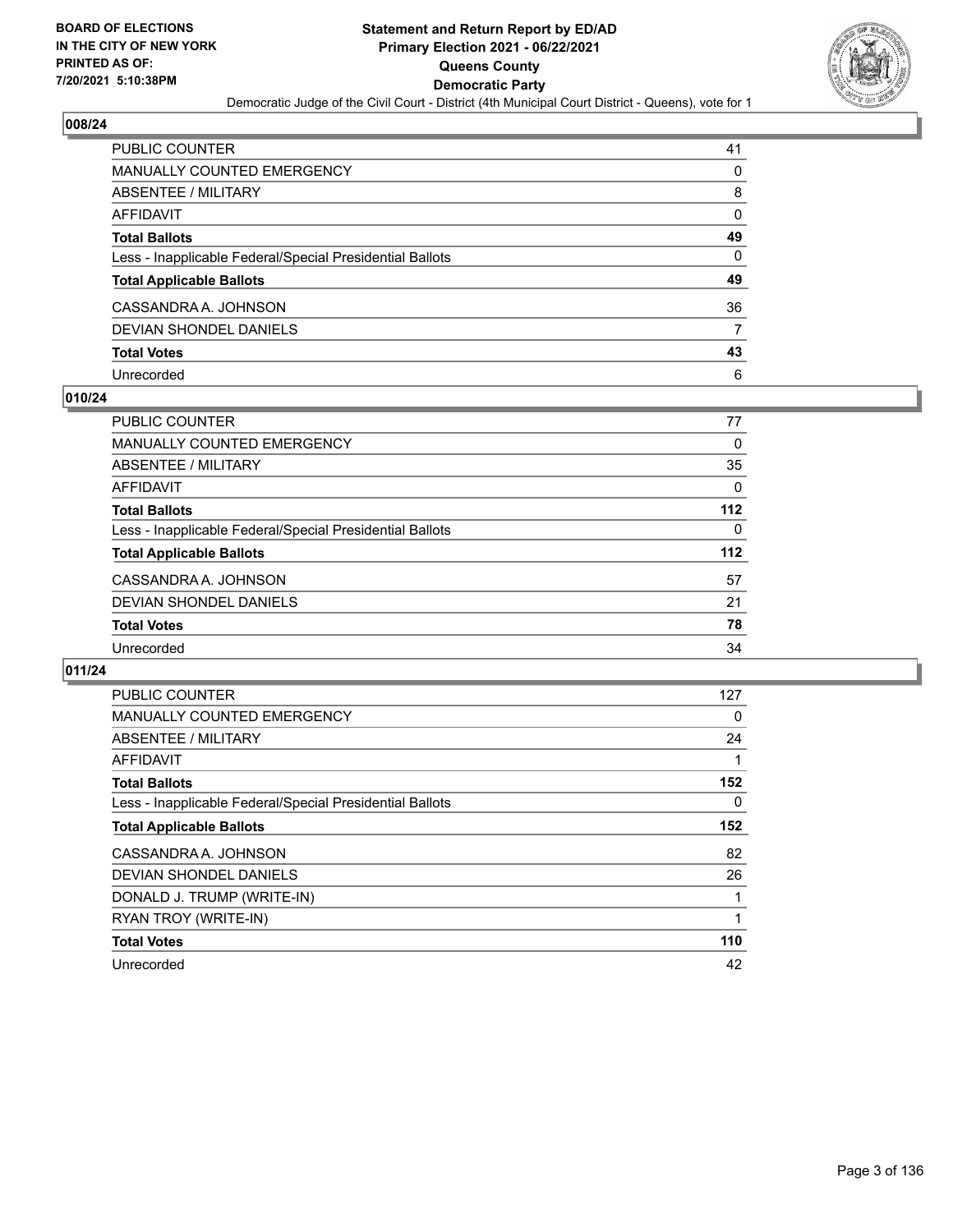

| PUBLIC COUNTER                                           | 41       |
|----------------------------------------------------------|----------|
| <b>MANUALLY COUNTED EMERGENCY</b>                        | 0        |
| <b>ABSENTEE / MILITARY</b>                               | 8        |
| <b>AFFIDAVIT</b>                                         | 0        |
| <b>Total Ballots</b>                                     | 49       |
| Less - Inapplicable Federal/Special Presidential Ballots | $\Omega$ |
| <b>Total Applicable Ballots</b>                          | 49       |
| CASSANDRA A. JOHNSON                                     | 36       |
| <b>DEVIAN SHONDEL DANIELS</b>                            | 7        |
| <b>Total Votes</b>                                       | 43       |
| Unrecorded                                               | 6        |

## **010/24**

| <b>PUBLIC COUNTER</b>                                    | 77       |
|----------------------------------------------------------|----------|
| <b>MANUALLY COUNTED EMERGENCY</b>                        | 0        |
| ABSENTEE / MILITARY                                      | 35       |
| AFFIDAVIT                                                | $\Omega$ |
| <b>Total Ballots</b>                                     | $112$    |
| Less - Inapplicable Federal/Special Presidential Ballots | $\Omega$ |
| <b>Total Applicable Ballots</b>                          | $112$    |
| CASSANDRA A. JOHNSON                                     | 57       |
| DEVIAN SHONDEL DANIELS                                   | 21       |
| <b>Total Votes</b>                                       | 78       |
| Unrecorded                                               | 34       |
|                                                          |          |

| PUBLIC COUNTER                                           | 127      |
|----------------------------------------------------------|----------|
| <b>MANUALLY COUNTED EMERGENCY</b>                        | 0        |
| ABSENTEE / MILITARY                                      | 24       |
| <b>AFFIDAVIT</b>                                         |          |
| <b>Total Ballots</b>                                     | 152      |
| Less - Inapplicable Federal/Special Presidential Ballots | $\Omega$ |
| <b>Total Applicable Ballots</b>                          | 152      |
| CASSANDRA A. JOHNSON                                     | 82       |
| <b>DEVIAN SHONDEL DANIELS</b>                            | 26       |
| DONALD J. TRUMP (WRITE-IN)                               |          |
| RYAN TROY (WRITE-IN)                                     |          |
| <b>Total Votes</b>                                       | 110      |
| Unrecorded                                               | 42       |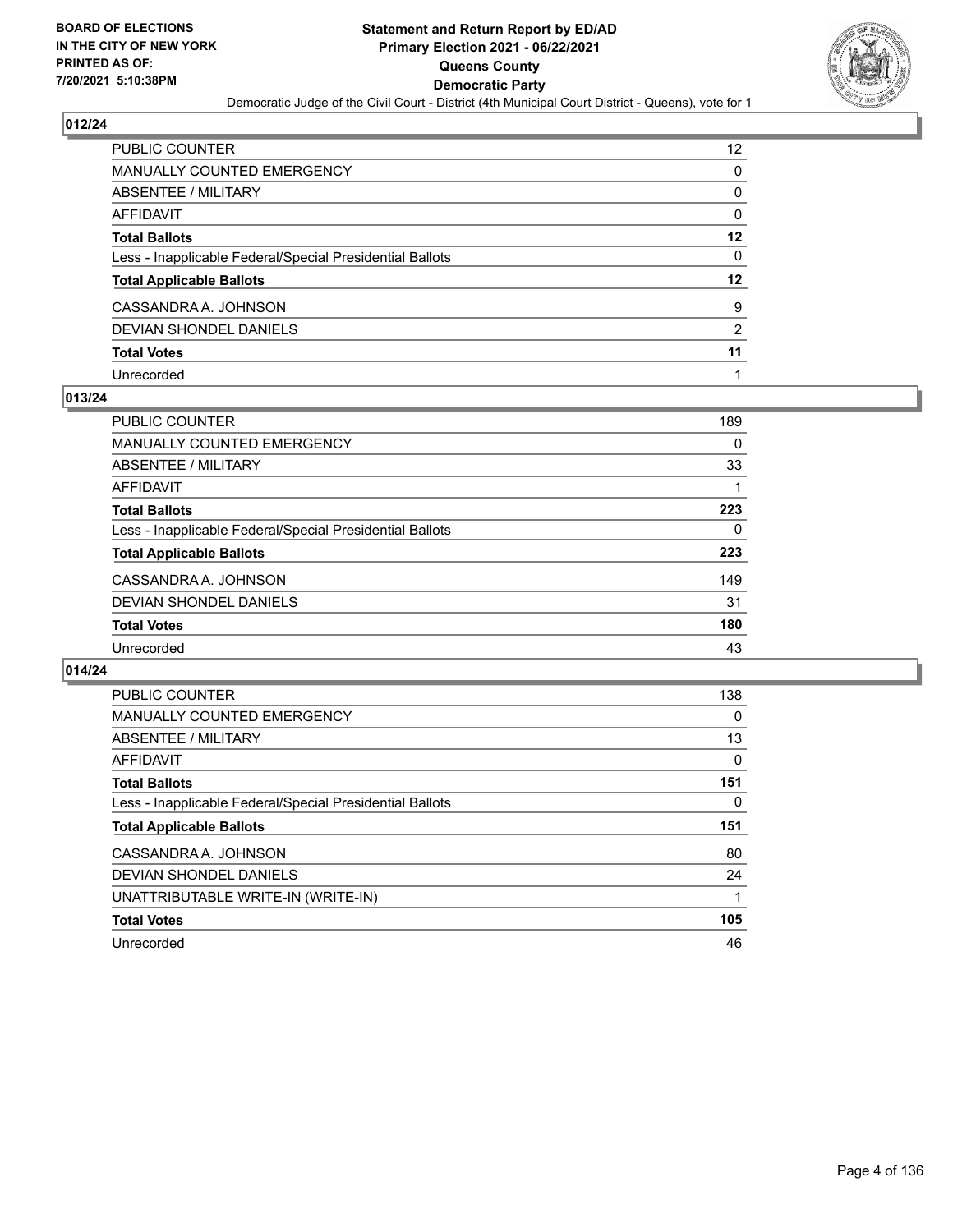

| PUBLIC COUNTER                                           | 12             |
|----------------------------------------------------------|----------------|
| MANUALLY COUNTED EMERGENCY                               | 0              |
| ABSENTEE / MILITARY                                      | 0              |
| <b>AFFIDAVIT</b>                                         | 0              |
| <b>Total Ballots</b>                                     | 12             |
| Less - Inapplicable Federal/Special Presidential Ballots | 0              |
| <b>Total Applicable Ballots</b>                          | 12             |
| CASSANDRA A. JOHNSON                                     | 9              |
| DEVIAN SHONDEL DANIELS                                   | $\mathfrak{p}$ |
| <b>Total Votes</b>                                       | 11             |
| Unrecorded                                               |                |

## **013/24**

| <b>PUBLIC COUNTER</b>                                    | 189 |
|----------------------------------------------------------|-----|
| <b>MANUALLY COUNTED EMERGENCY</b>                        | 0   |
| ABSENTEE / MILITARY                                      | 33  |
| AFFIDAVIT                                                |     |
| <b>Total Ballots</b>                                     | 223 |
| Less - Inapplicable Federal/Special Presidential Ballots | 0   |
| <b>Total Applicable Ballots</b>                          | 223 |
| CASSANDRA A. JOHNSON                                     | 149 |
| DEVIAN SHONDEL DANIELS                                   | 31  |
| <b>Total Votes</b>                                       | 180 |
| Unrecorded                                               | 43  |

| PUBLIC COUNTER                                           | 138 |
|----------------------------------------------------------|-----|
| <b>MANUALLY COUNTED EMERGENCY</b>                        | 0   |
| ABSENTEE / MILITARY                                      | 13  |
| AFFIDAVIT                                                | 0   |
| <b>Total Ballots</b>                                     | 151 |
| Less - Inapplicable Federal/Special Presidential Ballots | 0   |
| <b>Total Applicable Ballots</b>                          | 151 |
| CASSANDRA A. JOHNSON                                     | 80  |
| DEVIAN SHONDEL DANIELS                                   | 24  |
| UNATTRIBUTABLE WRITE-IN (WRITE-IN)                       |     |
| <b>Total Votes</b>                                       | 105 |
| Unrecorded                                               | 46  |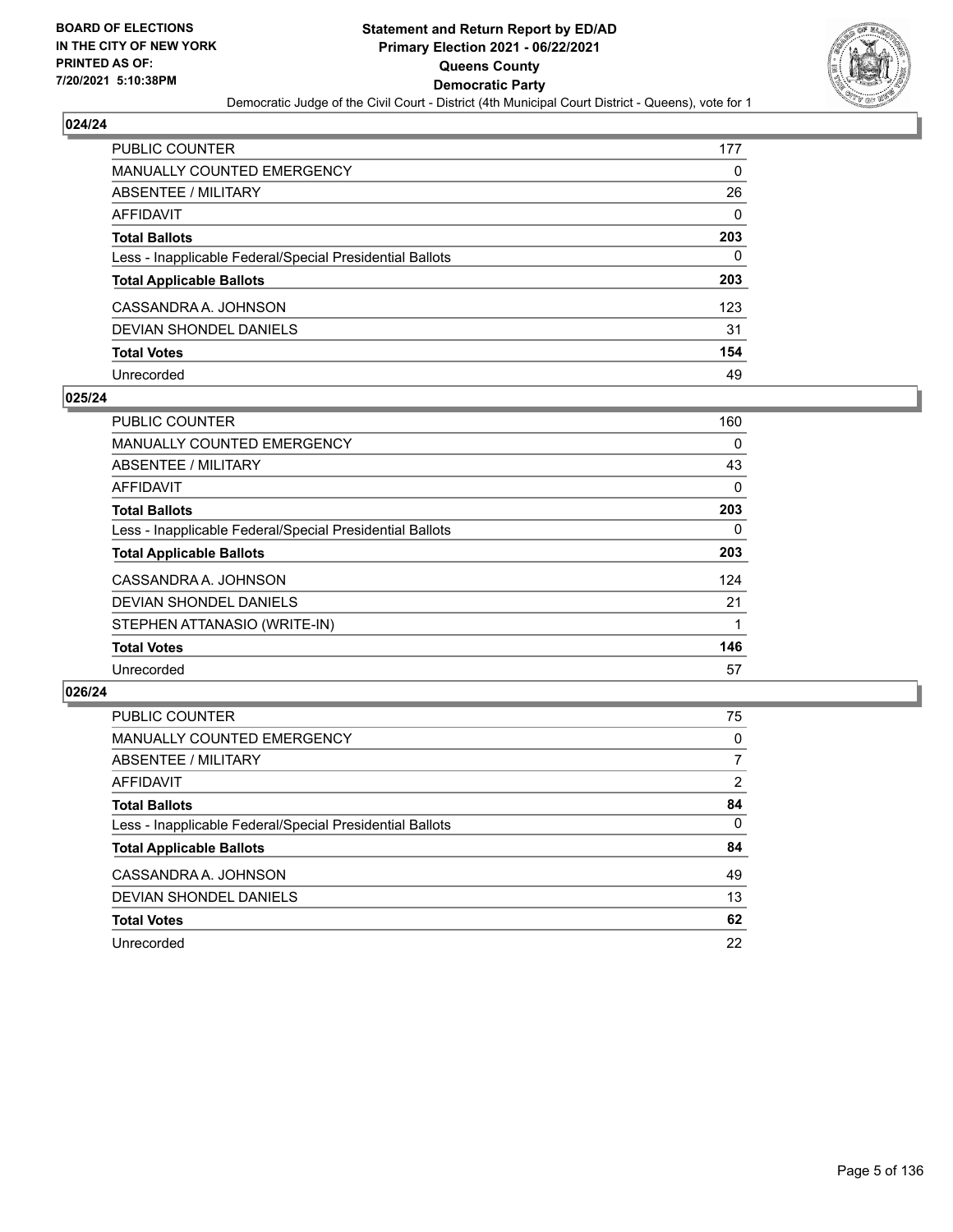

| PUBLIC COUNTER                                           | 177      |
|----------------------------------------------------------|----------|
| <b>MANUALLY COUNTED EMERGENCY</b>                        | 0        |
| ABSENTEE / MILITARY                                      | 26       |
| AFFIDAVIT                                                | $\Omega$ |
| <b>Total Ballots</b>                                     | 203      |
| Less - Inapplicable Federal/Special Presidential Ballots | 0        |
| <b>Total Applicable Ballots</b>                          | 203      |
| CASSANDRA A. JOHNSON                                     | 123      |
| DEVIAN SHONDEL DANIELS                                   | 31       |
| <b>Total Votes</b>                                       | 154      |
| Unrecorded                                               | 49       |

## **025/24**

| <b>PUBLIC COUNTER</b>                                    | 160 |
|----------------------------------------------------------|-----|
| MANUALLY COUNTED EMERGENCY                               | 0   |
| ABSENTEE / MILITARY                                      | 43  |
| <b>AFFIDAVIT</b>                                         | 0   |
| <b>Total Ballots</b>                                     | 203 |
| Less - Inapplicable Federal/Special Presidential Ballots | 0   |
| <b>Total Applicable Ballots</b>                          | 203 |
| CASSANDRA A. JOHNSON                                     | 124 |
| DEVIAN SHONDEL DANIELS                                   | 21  |
| STEPHEN ATTANASIO (WRITE-IN)                             |     |
| <b>Total Votes</b>                                       | 146 |
| Unrecorded                                               | 57  |

| <b>PUBLIC COUNTER</b>                                    | 75       |
|----------------------------------------------------------|----------|
| MANUALLY COUNTED EMERGENCY                               | $\Omega$ |
| ABSENTEE / MILITARY                                      | 7        |
| AFFIDAVIT                                                | 2        |
| <b>Total Ballots</b>                                     | 84       |
| Less - Inapplicable Federal/Special Presidential Ballots | $\Omega$ |
| <b>Total Applicable Ballots</b>                          | 84       |
| CASSANDRA A. JOHNSON                                     | 49       |
| DEVIAN SHONDEL DANIELS                                   | 13       |
| <b>Total Votes</b>                                       | 62       |
| Unrecorded                                               | 22       |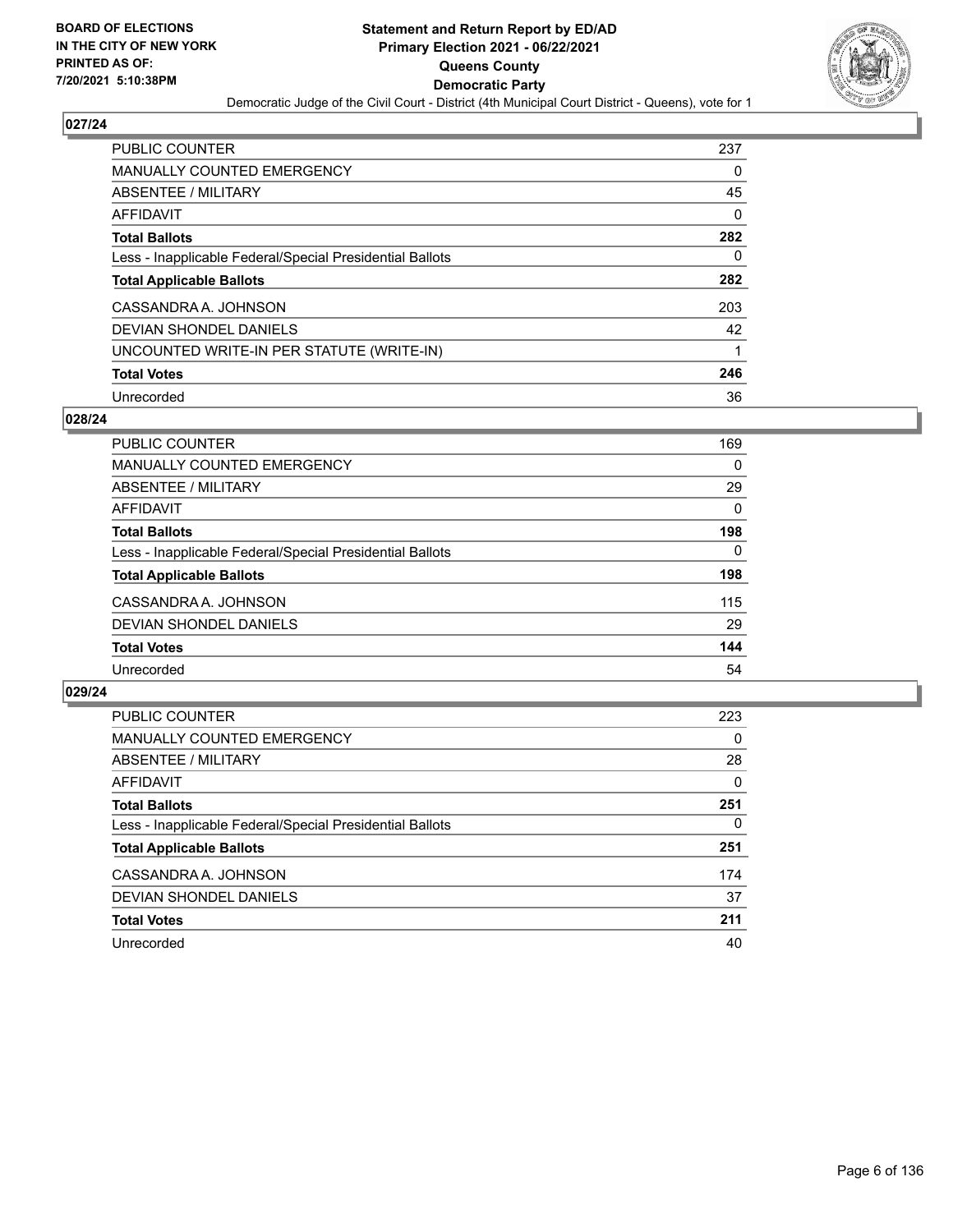

| <b>PUBLIC COUNTER</b>                                    | 237 |
|----------------------------------------------------------|-----|
| <b>MANUALLY COUNTED EMERGENCY</b>                        | 0   |
| ABSENTEE / MILITARY                                      | 45  |
| AFFIDAVIT                                                | 0   |
| <b>Total Ballots</b>                                     | 282 |
| Less - Inapplicable Federal/Special Presidential Ballots | 0   |
| <b>Total Applicable Ballots</b>                          | 282 |
| CASSANDRA A. JOHNSON                                     | 203 |
| DEVIAN SHONDEL DANIELS                                   | 42  |
| UNCOUNTED WRITE-IN PER STATUTE (WRITE-IN)                |     |
| <b>Total Votes</b>                                       | 246 |
| Unrecorded                                               | 36  |

## **028/24**

| PUBLIC COUNTER                                           | 169      |
|----------------------------------------------------------|----------|
| <b>MANUALLY COUNTED EMERGENCY</b>                        | 0        |
| ABSENTEE / MILITARY                                      | 29       |
| AFFIDAVIT                                                | 0        |
| <b>Total Ballots</b>                                     | 198      |
| Less - Inapplicable Federal/Special Presidential Ballots | $\Omega$ |
| <b>Total Applicable Ballots</b>                          | 198      |
| CASSANDRA A. JOHNSON                                     | 115      |
| DEVIAN SHONDEL DANIELS                                   | 29       |
| <b>Total Votes</b>                                       | 144      |
| Unrecorded                                               | 54       |

| <b>PUBLIC COUNTER</b>                                    | 223      |
|----------------------------------------------------------|----------|
| <b>MANUALLY COUNTED EMERGENCY</b>                        | $\Omega$ |
| ABSENTEE / MILITARY                                      | 28       |
| AFFIDAVIT                                                | $\Omega$ |
| <b>Total Ballots</b>                                     | 251      |
| Less - Inapplicable Federal/Special Presidential Ballots | 0        |
| <b>Total Applicable Ballots</b>                          | 251      |
| CASSANDRA A. JOHNSON                                     | 174      |
| DEVIAN SHONDEL DANIELS                                   | 37       |
| <b>Total Votes</b>                                       | 211      |
| Unrecorded                                               | 40       |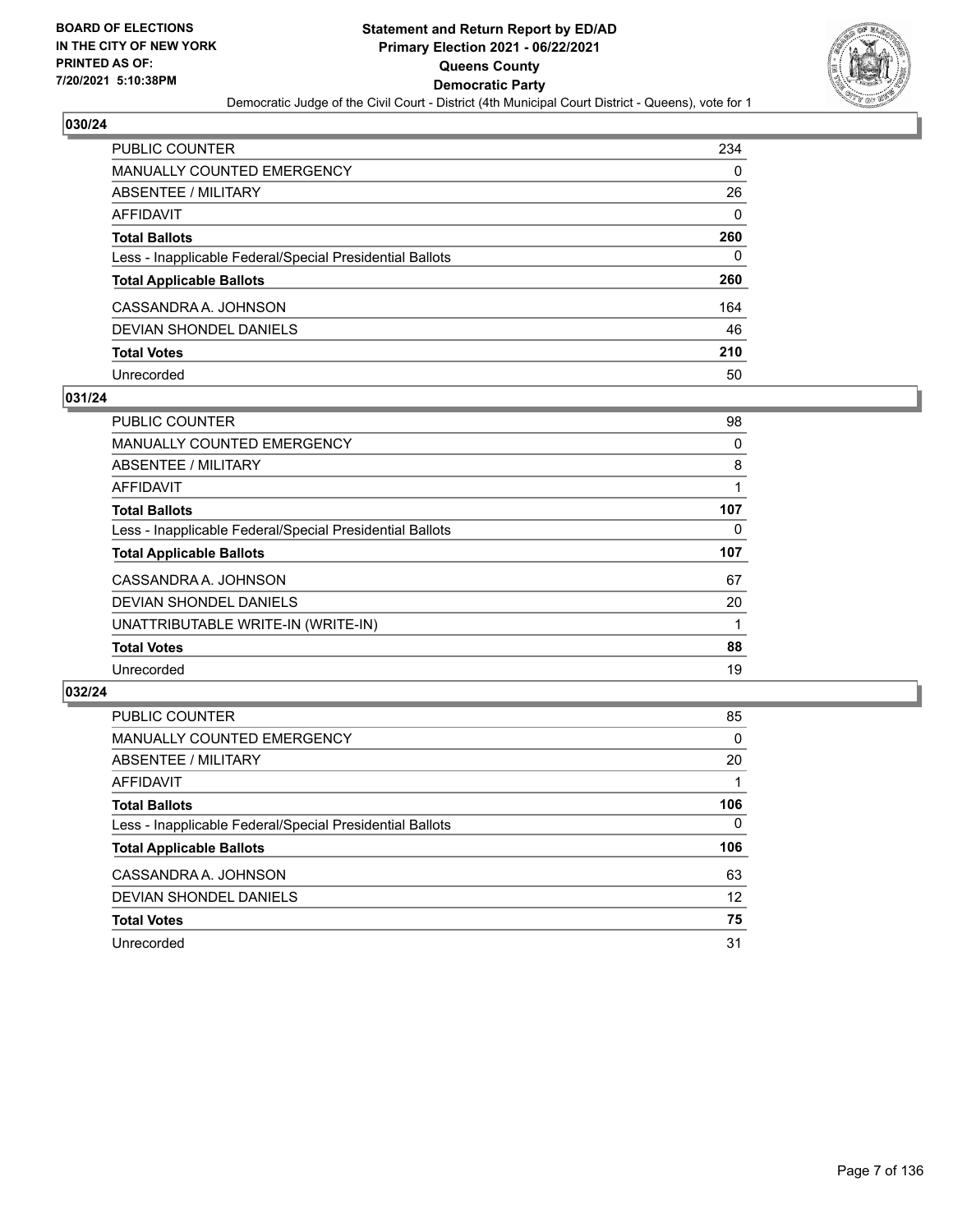

| PUBLIC COUNTER                                           | 234      |
|----------------------------------------------------------|----------|
| <b>MANUALLY COUNTED EMERGENCY</b>                        | 0        |
| ABSENTEE / MILITARY                                      | 26       |
| AFFIDAVIT                                                | $\Omega$ |
| <b>Total Ballots</b>                                     | 260      |
| Less - Inapplicable Federal/Special Presidential Ballots | 0        |
| <b>Total Applicable Ballots</b>                          | 260      |
| CASSANDRA A. JOHNSON                                     | 164      |
| DEVIAN SHONDEL DANIELS                                   | 46       |
| <b>Total Votes</b>                                       | 210      |
| Unrecorded                                               | 50       |

## **031/24**

| <b>PUBLIC COUNTER</b>                                    | 98  |
|----------------------------------------------------------|-----|
| <b>MANUALLY COUNTED EMERGENCY</b>                        | 0   |
| ABSENTEE / MILITARY                                      | 8   |
| AFFIDAVIT                                                |     |
| <b>Total Ballots</b>                                     | 107 |
| Less - Inapplicable Federal/Special Presidential Ballots | 0   |
| <b>Total Applicable Ballots</b>                          | 107 |
| CASSANDRA A. JOHNSON                                     | 67  |
| DEVIAN SHONDEL DANIELS                                   | 20  |
| UNATTRIBUTABLE WRITE-IN (WRITE-IN)                       |     |
| <b>Total Votes</b>                                       | 88  |
| Unrecorded                                               | 19  |
|                                                          |     |

| <b>PUBLIC COUNTER</b>                                    | 85       |
|----------------------------------------------------------|----------|
| MANUALLY COUNTED EMERGENCY                               | $\Omega$ |
| ABSENTEE / MILITARY                                      | 20       |
| AFFIDAVIT                                                |          |
| <b>Total Ballots</b>                                     | 106      |
| Less - Inapplicable Federal/Special Presidential Ballots | $\Omega$ |
| <b>Total Applicable Ballots</b>                          | 106      |
| CASSANDRA A. JOHNSON                                     | 63       |
| DEVIAN SHONDEL DANIELS                                   | 12       |
| <b>Total Votes</b>                                       | 75       |
| Unrecorded                                               | 31       |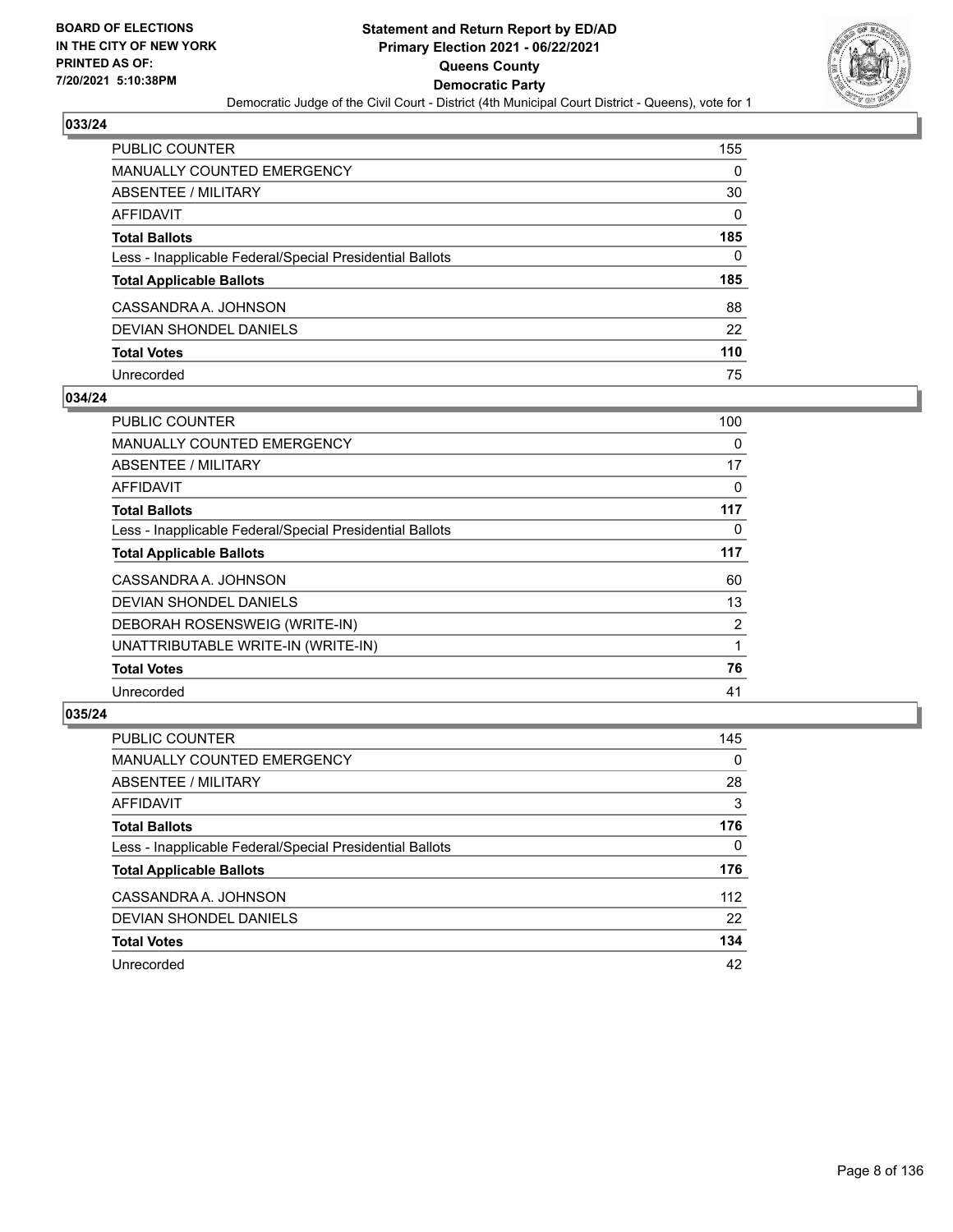

| PUBLIC COUNTER                                           | 155          |
|----------------------------------------------------------|--------------|
| <b>MANUALLY COUNTED EMERGENCY</b>                        | 0            |
| <b>ABSENTEE / MILITARY</b>                               | 30           |
| AFFIDAVIT                                                | $\mathbf{0}$ |
| <b>Total Ballots</b>                                     | 185          |
| Less - Inapplicable Federal/Special Presidential Ballots | 0            |
| <b>Total Applicable Ballots</b>                          | 185          |
| CASSANDRA A. JOHNSON                                     | 88           |
| <b>DEVIAN SHONDEL DANIELS</b>                            | 22           |
| <b>Total Votes</b>                                       | 110          |
| Unrecorded                                               | 75           |

## **034/24**

| <b>PUBLIC COUNTER</b>                                    | 100 |
|----------------------------------------------------------|-----|
| <b>MANUALLY COUNTED EMERGENCY</b>                        | 0   |
| ABSENTEE / MILITARY                                      | 17  |
| AFFIDAVIT                                                | 0   |
| <b>Total Ballots</b>                                     | 117 |
| Less - Inapplicable Federal/Special Presidential Ballots | 0   |
| <b>Total Applicable Ballots</b>                          | 117 |
| CASSANDRA A. JOHNSON                                     | 60  |
| <b>DEVIAN SHONDEL DANIELS</b>                            | 13  |
| DEBORAH ROSENSWEIG (WRITE-IN)                            | 2   |
| UNATTRIBUTABLE WRITE-IN (WRITE-IN)                       |     |
| <b>Total Votes</b>                                       | 76  |
| Unrecorded                                               | 41  |

| <b>PUBLIC COUNTER</b>                                    | 145      |
|----------------------------------------------------------|----------|
| <b>MANUALLY COUNTED EMERGENCY</b>                        | $\Omega$ |
| ABSENTEE / MILITARY                                      | 28       |
| AFFIDAVIT                                                | 3        |
| <b>Total Ballots</b>                                     | 176      |
| Less - Inapplicable Federal/Special Presidential Ballots | 0        |
| <b>Total Applicable Ballots</b>                          | 176      |
| CASSANDRA A. JOHNSON                                     | 112      |
| DEVIAN SHONDEL DANIELS                                   | 22       |
| <b>Total Votes</b>                                       | 134      |
| Unrecorded                                               | 42       |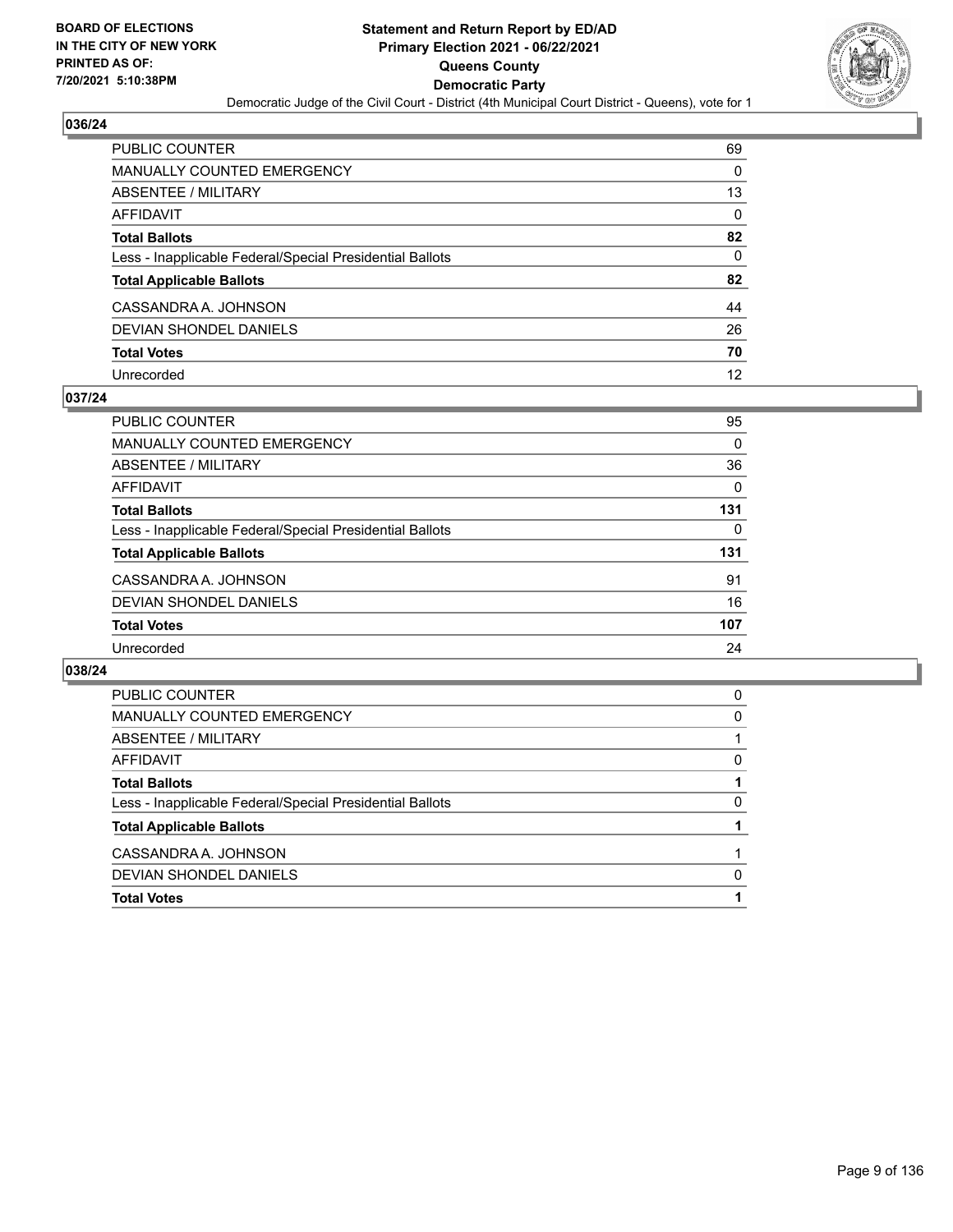

| PUBLIC COUNTER                                           | 69       |
|----------------------------------------------------------|----------|
| MANUALLY COUNTED EMERGENCY                               | $\Omega$ |
| <b>ABSENTEE / MILITARY</b>                               | 13       |
| <b>AFFIDAVIT</b>                                         | 0        |
| <b>Total Ballots</b>                                     | 82       |
| Less - Inapplicable Federal/Special Presidential Ballots | $\Omega$ |
| <b>Total Applicable Ballots</b>                          | 82       |
| CASSANDRA A. JOHNSON                                     | 44       |
| <b>DEVIAN SHONDEL DANIELS</b>                            | 26       |
| <b>Total Votes</b>                                       | 70       |
| Unrecorded                                               | 12       |

## **037/24**

| <b>PUBLIC COUNTER</b>                                    | 95       |
|----------------------------------------------------------|----------|
| <b>MANUALLY COUNTED EMERGENCY</b>                        | 0        |
| ABSENTEE / MILITARY                                      | 36       |
| AFFIDAVIT                                                | $\Omega$ |
| <b>Total Ballots</b>                                     | 131      |
| Less - Inapplicable Federal/Special Presidential Ballots | $\Omega$ |
| <b>Total Applicable Ballots</b>                          | 131      |
| CASSANDRA A. JOHNSON                                     | 91       |
| DEVIAN SHONDEL DANIELS                                   | 16       |
| <b>Total Votes</b>                                       | 107      |
| Unrecorded                                               | 24       |

| <b>Total Votes</b>                                       |   |
|----------------------------------------------------------|---|
| DEVIAN SHONDEL DANIELS                                   | 0 |
| CASSANDRA A. JOHNSON                                     |   |
| <b>Total Applicable Ballots</b>                          |   |
| Less - Inapplicable Federal/Special Presidential Ballots | 0 |
| <b>Total Ballots</b>                                     |   |
| AFFIDAVIT                                                | 0 |
| ABSENTEE / MILITARY                                      |   |
| <b>MANUALLY COUNTED EMERGENCY</b>                        | 0 |
| <b>PUBLIC COUNTER</b>                                    | 0 |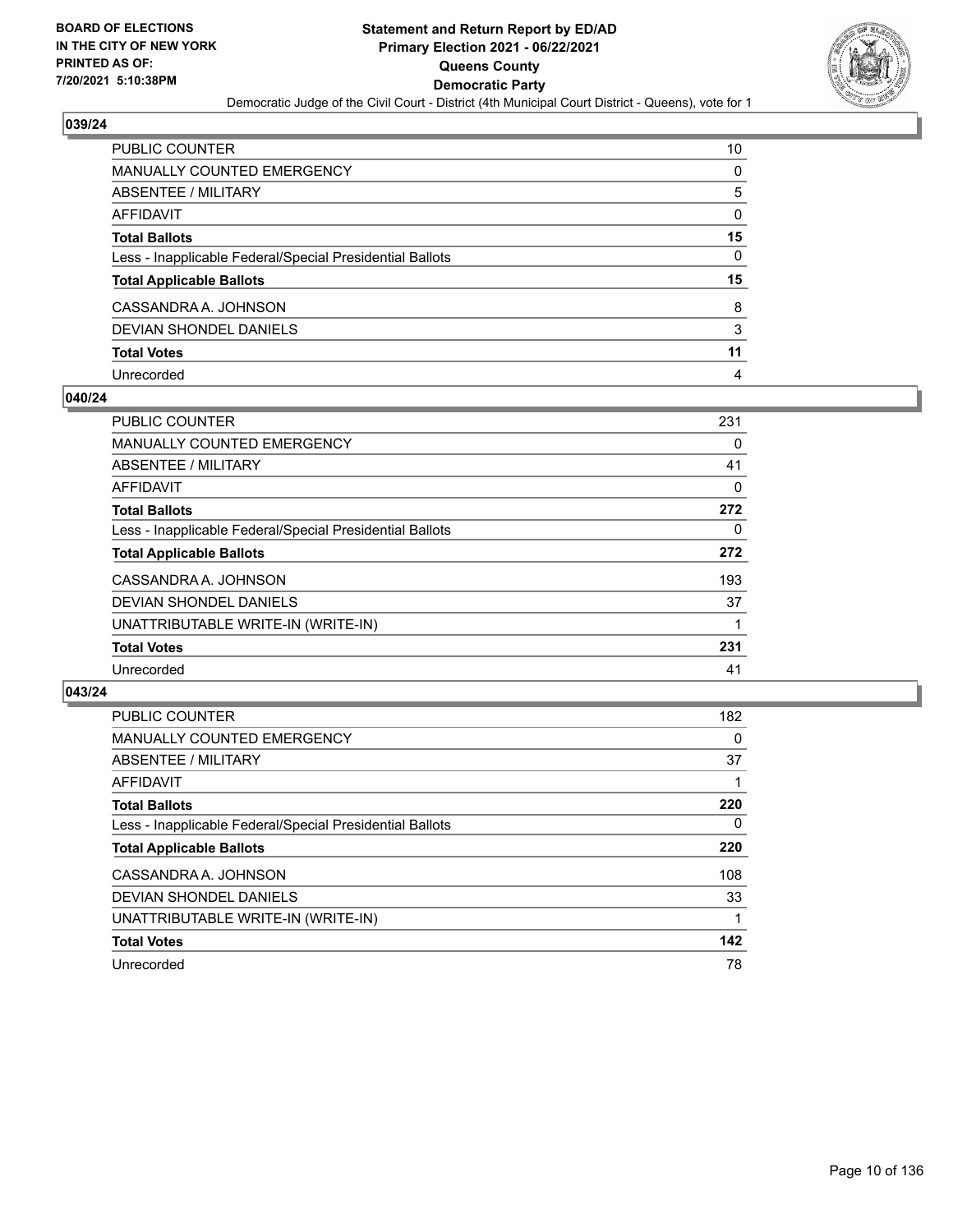

| PUBLIC COUNTER                                           | 10       |
|----------------------------------------------------------|----------|
| <b>MANUALLY COUNTED EMERGENCY</b>                        | 0        |
| <b>ABSENTEE / MILITARY</b>                               | 5        |
| <b>AFFIDAVIT</b>                                         | 0        |
| <b>Total Ballots</b>                                     | 15       |
| Less - Inapplicable Federal/Special Presidential Ballots | $\Omega$ |
| <b>Total Applicable Ballots</b>                          | 15       |
| CASSANDRA A. JOHNSON                                     | 8        |
| <b>DEVIAN SHONDEL DANIELS</b>                            | 3        |
| <b>Total Votes</b>                                       | 11       |
| Unrecorded                                               | 4        |

## **040/24**

| <b>PUBLIC COUNTER</b>                                    | 231 |
|----------------------------------------------------------|-----|
| <b>MANUALLY COUNTED EMERGENCY</b>                        | 0   |
| ABSENTEE / MILITARY                                      | 41  |
| AFFIDAVIT                                                | 0   |
| <b>Total Ballots</b>                                     | 272 |
| Less - Inapplicable Federal/Special Presidential Ballots | 0   |
| <b>Total Applicable Ballots</b>                          | 272 |
| CASSANDRA A. JOHNSON                                     | 193 |
| DEVIAN SHONDEL DANIELS                                   | 37  |
| UNATTRIBUTABLE WRITE-IN (WRITE-IN)                       |     |
| <b>Total Votes</b>                                       | 231 |
| Unrecorded                                               | 41  |

| <b>PUBLIC COUNTER</b>                                    | 182      |
|----------------------------------------------------------|----------|
| <b>MANUALLY COUNTED EMERGENCY</b>                        | $\Omega$ |
| ABSENTEE / MILITARY                                      | 37       |
| <b>AFFIDAVIT</b>                                         |          |
| <b>Total Ballots</b>                                     | 220      |
| Less - Inapplicable Federal/Special Presidential Ballots | $\Omega$ |
| <b>Total Applicable Ballots</b>                          | 220      |
| CASSANDRA A. JOHNSON                                     | 108      |
| DEVIAN SHONDEL DANIELS                                   | 33       |
| UNATTRIBUTABLE WRITE-IN (WRITE-IN)                       |          |
| <b>Total Votes</b>                                       | 142      |
| Unrecorded                                               | 78       |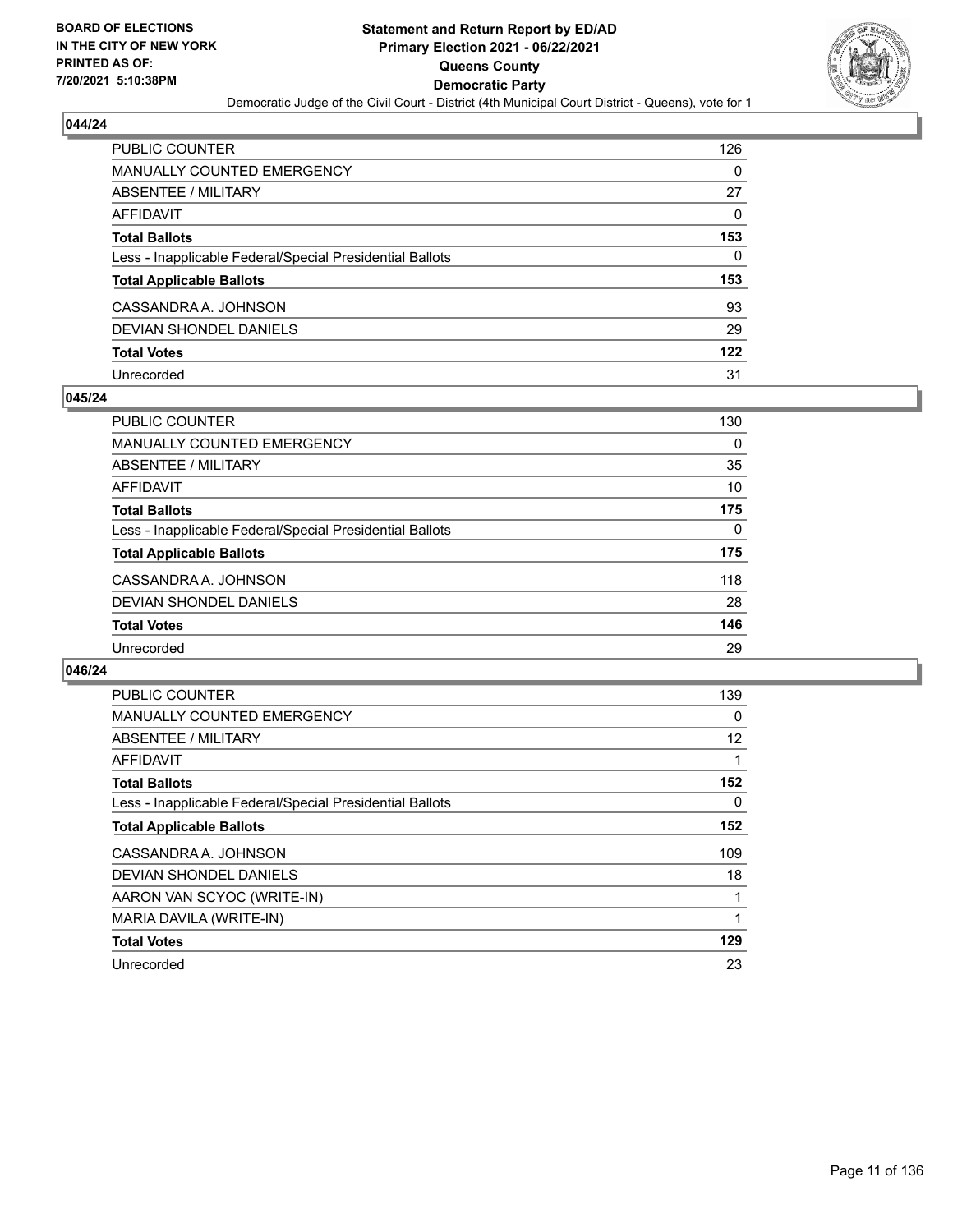

| <b>PUBLIC COUNTER</b>                                    | 126      |
|----------------------------------------------------------|----------|
| <b>MANUALLY COUNTED EMERGENCY</b>                        | 0        |
| ABSENTEE / MILITARY                                      | 27       |
| <b>AFFIDAVIT</b>                                         | $\Omega$ |
| <b>Total Ballots</b>                                     | 153      |
| Less - Inapplicable Federal/Special Presidential Ballots | 0        |
| <b>Total Applicable Ballots</b>                          | 153      |
| CASSANDRA A. JOHNSON                                     | 93       |
| DEVIAN SHONDEL DANIELS                                   | 29       |
| <b>Total Votes</b>                                       | 122      |
| Unrecorded                                               | 31       |

## **045/24**

| PUBLIC COUNTER                                           | 130      |
|----------------------------------------------------------|----------|
| MANUALLY COUNTED EMERGENCY                               | $\Omega$ |
| ABSENTEE / MILITARY                                      | 35       |
| AFFIDAVIT                                                | 10       |
| <b>Total Ballots</b>                                     | 175      |
| Less - Inapplicable Federal/Special Presidential Ballots | 0        |
| <b>Total Applicable Ballots</b>                          | 175      |
| CASSANDRA A. JOHNSON                                     | 118      |
| DEVIAN SHONDEL DANIELS                                   | 28       |
| <b>Total Votes</b>                                       | 146      |
| Unrecorded                                               | 29       |

| <b>PUBLIC COUNTER</b>                                    | 139      |
|----------------------------------------------------------|----------|
| <b>MANUALLY COUNTED EMERGENCY</b>                        | $\Omega$ |
| ABSENTEE / MILITARY                                      | 12       |
| <b>AFFIDAVIT</b>                                         |          |
| <b>Total Ballots</b>                                     | 152      |
| Less - Inapplicable Federal/Special Presidential Ballots | $\Omega$ |
| <b>Total Applicable Ballots</b>                          | 152      |
| CASSANDRA A. JOHNSON                                     | 109      |
| DEVIAN SHONDEL DANIELS                                   | 18       |
| AARON VAN SCYOC (WRITE-IN)                               |          |
| MARIA DAVILA (WRITE-IN)                                  |          |
| <b>Total Votes</b>                                       | 129      |
| Unrecorded                                               | 23       |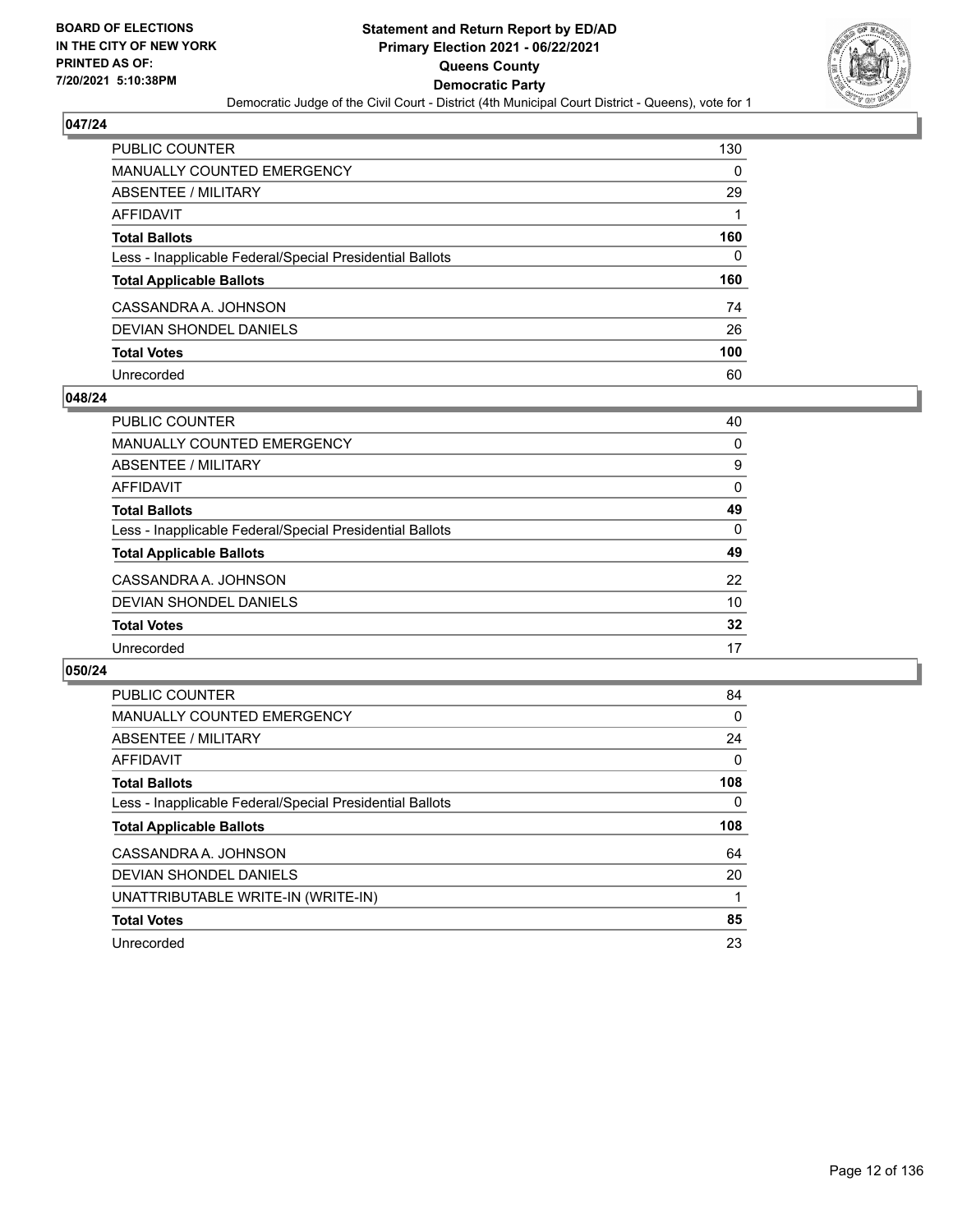

| <b>PUBLIC COUNTER</b>                                    | 130 |
|----------------------------------------------------------|-----|
| <b>MANUALLY COUNTED EMERGENCY</b>                        | 0   |
| ABSENTEE / MILITARY                                      | 29  |
| <b>AFFIDAVIT</b>                                         |     |
| <b>Total Ballots</b>                                     | 160 |
| Less - Inapplicable Federal/Special Presidential Ballots | 0   |
| <b>Total Applicable Ballots</b>                          | 160 |
| CASSANDRA A. JOHNSON                                     | 74  |
| <b>DEVIAN SHONDEL DANIELS</b>                            | 26  |
| <b>Total Votes</b>                                       | 100 |
| Unrecorded                                               | 60  |

## **048/24**

| <b>PUBLIC COUNTER</b>                                    | 40       |
|----------------------------------------------------------|----------|
| <b>MANUALLY COUNTED EMERGENCY</b>                        | 0        |
| ABSENTEE / MILITARY                                      | 9        |
| AFFIDAVIT                                                | $\Omega$ |
| <b>Total Ballots</b>                                     | 49       |
| Less - Inapplicable Federal/Special Presidential Ballots | $\Omega$ |
| <b>Total Applicable Ballots</b>                          | 49       |
| CASSANDRA A. JOHNSON                                     | 22       |
| DEVIAN SHONDEL DANIELS                                   | 10       |
| <b>Total Votes</b>                                       | 32       |
| Unrecorded                                               | 17       |

| PUBLIC COUNTER                                           | 84       |
|----------------------------------------------------------|----------|
| <b>MANUALLY COUNTED EMERGENCY</b>                        | 0        |
| ABSENTEE / MILITARY                                      | 24       |
| AFFIDAVIT                                                | $\Omega$ |
| <b>Total Ballots</b>                                     | 108      |
| Less - Inapplicable Federal/Special Presidential Ballots | 0        |
|                                                          |          |
| <b>Total Applicable Ballots</b>                          | 108      |
| CASSANDRA A. JOHNSON                                     | 64       |
| DEVIAN SHONDEL DANIELS                                   | 20       |
| UNATTRIBUTABLE WRITE-IN (WRITE-IN)                       |          |
| <b>Total Votes</b>                                       | 85       |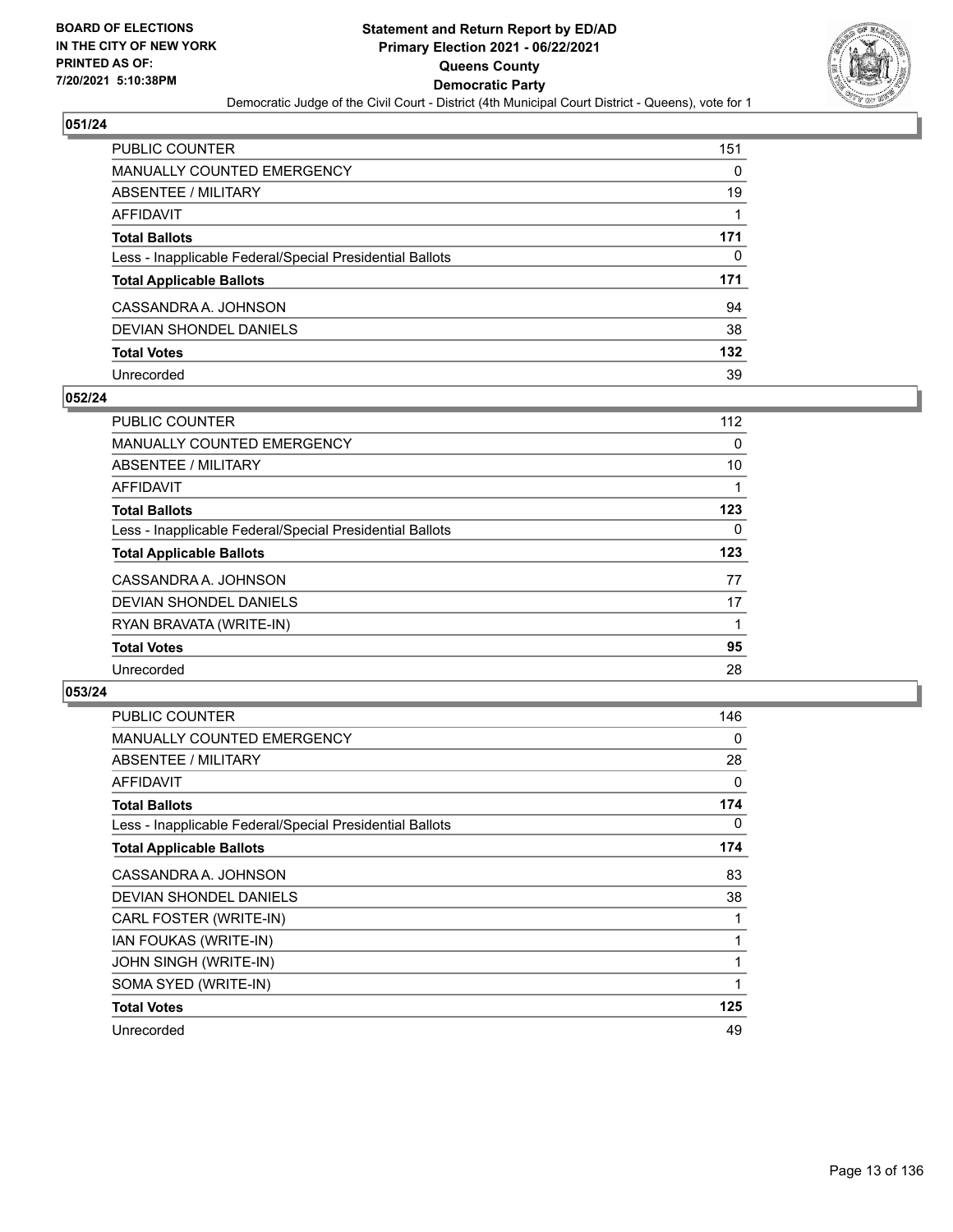

| PUBLIC COUNTER                                           | 151 |
|----------------------------------------------------------|-----|
| <b>MANUALLY COUNTED EMERGENCY</b>                        | 0   |
| ABSENTEE / MILITARY                                      | 19  |
| AFFIDAVIT                                                |     |
| <b>Total Ballots</b>                                     | 171 |
| Less - Inapplicable Federal/Special Presidential Ballots | 0   |
| <b>Total Applicable Ballots</b>                          | 171 |
| CASSANDRA A. JOHNSON                                     | 94  |
| DEVIAN SHONDEL DANIELS                                   | 38  |
| <b>Total Votes</b>                                       | 132 |
| Unrecorded                                               | 39  |

## **052/24**

| <b>PUBLIC COUNTER</b>                                    | 112      |
|----------------------------------------------------------|----------|
| <b>MANUALLY COUNTED EMERGENCY</b>                        | 0        |
| ABSENTEE / MILITARY                                      | 10       |
| AFFIDAVIT                                                |          |
| <b>Total Ballots</b>                                     | 123      |
| Less - Inapplicable Federal/Special Presidential Ballots | $\Omega$ |
| <b>Total Applicable Ballots</b>                          | 123      |
| CASSANDRA A. JOHNSON                                     | 77       |
| DEVIAN SHONDEL DANIELS                                   | 17       |
| RYAN BRAVATA (WRITE-IN)                                  |          |
| <b>Total Votes</b>                                       | 95       |
| Unrecorded                                               | 28       |

| PUBLIC COUNTER                                           | 146      |
|----------------------------------------------------------|----------|
| <b>MANUALLY COUNTED EMERGENCY</b>                        | 0        |
| <b>ABSENTEE / MILITARY</b>                               | 28       |
| <b>AFFIDAVIT</b>                                         | $\Omega$ |
| <b>Total Ballots</b>                                     | 174      |
| Less - Inapplicable Federal/Special Presidential Ballots | 0        |
| <b>Total Applicable Ballots</b>                          | 174      |
| CASSANDRA A. JOHNSON                                     | 83       |
| <b>DEVIAN SHONDEL DANIELS</b>                            | 38       |
| CARL FOSTER (WRITE-IN)                                   |          |
| IAN FOUKAS (WRITE-IN)                                    |          |
| JOHN SINGH (WRITE-IN)                                    | 1        |
| SOMA SYED (WRITE-IN)                                     | 1        |
| <b>Total Votes</b>                                       | 125      |
| Unrecorded                                               | 49       |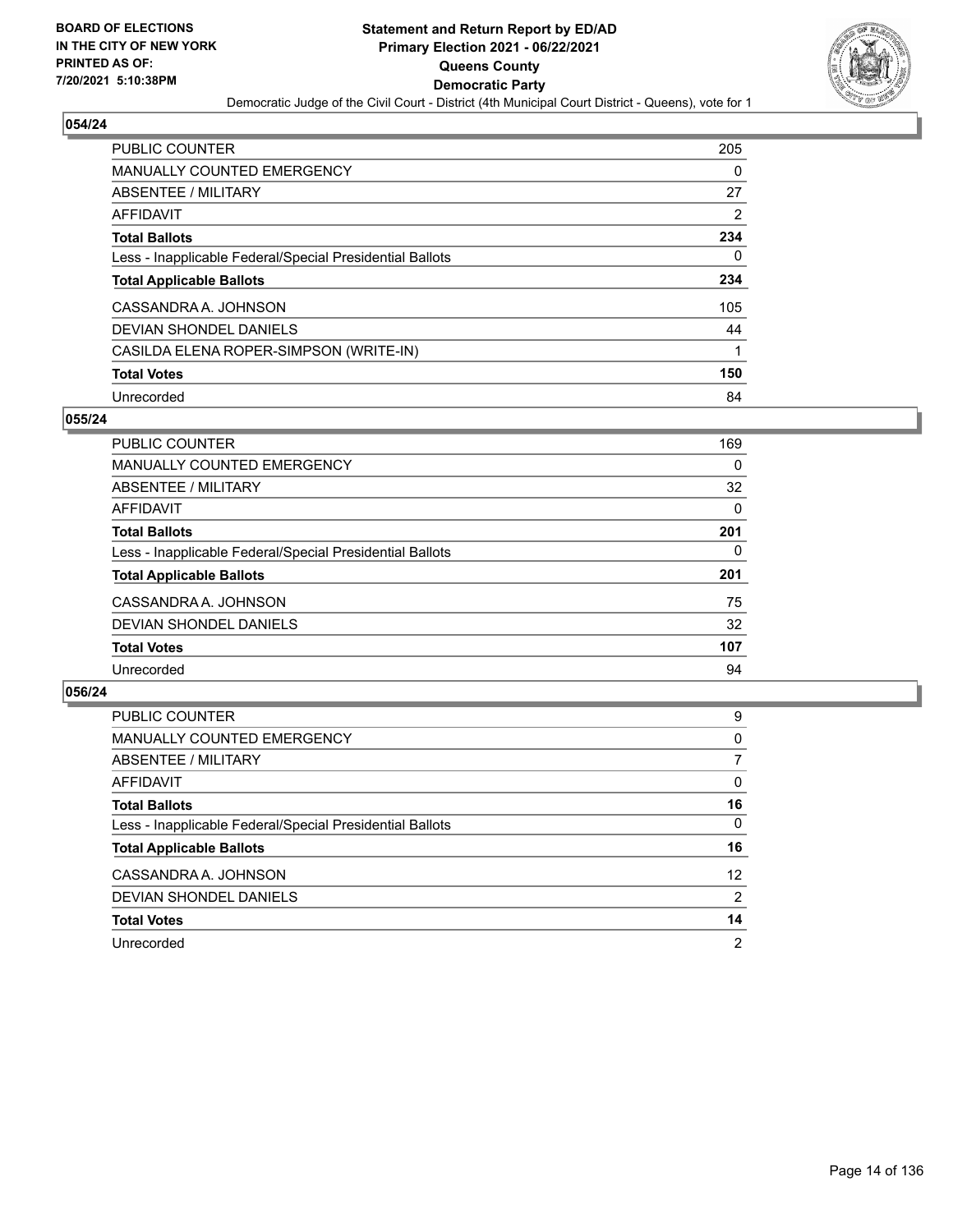

| <b>PUBLIC COUNTER</b>                                    | 205 |
|----------------------------------------------------------|-----|
| <b>MANUALLY COUNTED EMERGENCY</b>                        | 0   |
| ABSENTEE / MILITARY                                      | 27  |
| AFFIDAVIT                                                | 2   |
| <b>Total Ballots</b>                                     | 234 |
| Less - Inapplicable Federal/Special Presidential Ballots | 0   |
| <b>Total Applicable Ballots</b>                          | 234 |
| CASSANDRA A. JOHNSON                                     | 105 |
| DEVIAN SHONDEL DANIELS                                   | 44  |
| CASILDA ELENA ROPER-SIMPSON (WRITE-IN)                   | 1   |
| <b>Total Votes</b>                                       | 150 |
| Unrecorded                                               | 84  |

## **055/24**

| <b>PUBLIC COUNTER</b>                                    | 169 |
|----------------------------------------------------------|-----|
| <b>MANUALLY COUNTED EMERGENCY</b>                        | 0   |
| ABSENTEE / MILITARY                                      | 32  |
| AFFIDAVIT                                                | 0   |
| <b>Total Ballots</b>                                     | 201 |
| Less - Inapplicable Federal/Special Presidential Ballots | 0   |
| <b>Total Applicable Ballots</b>                          | 201 |
| CASSANDRA A. JOHNSON                                     | 75  |
| DEVIAN SHONDEL DANIELS                                   | 32  |
| <b>Total Votes</b>                                       | 107 |
| Unrecorded                                               | 94  |

| <b>PUBLIC COUNTER</b>                                    | 9               |
|----------------------------------------------------------|-----------------|
| <b>MANUALLY COUNTED EMERGENCY</b>                        | 0               |
| ABSENTEE / MILITARY                                      |                 |
| AFFIDAVIT                                                | 0               |
| <b>Total Ballots</b>                                     | 16              |
| Less - Inapplicable Federal/Special Presidential Ballots | 0               |
| <b>Total Applicable Ballots</b>                          | 16              |
| CASSANDRA A. JOHNSON                                     | 12 <sup>2</sup> |
| DEVIAN SHONDEL DANIELS                                   | 2               |
| <b>Total Votes</b>                                       | 14              |
| Unrecorded                                               | $\overline{2}$  |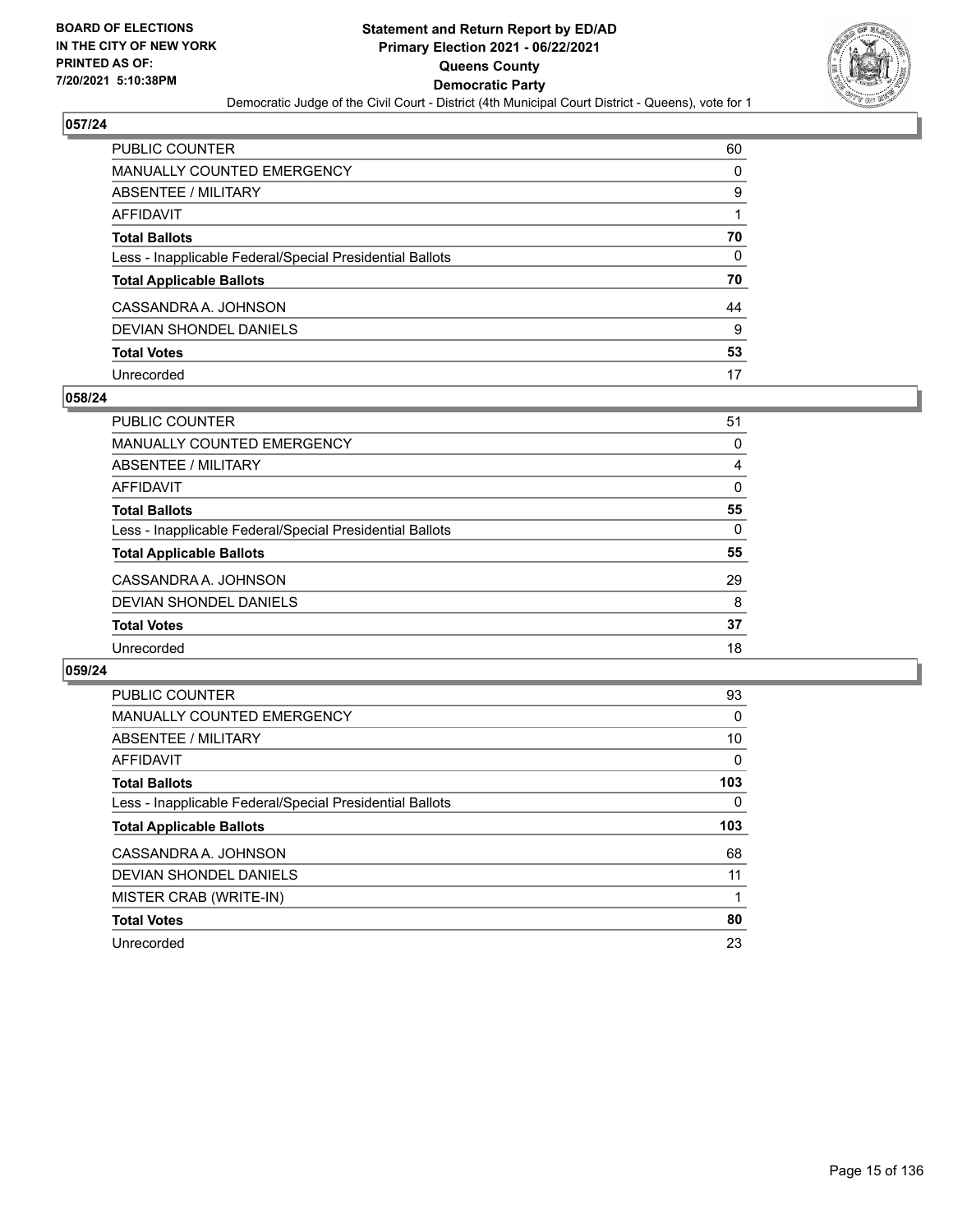

| PUBLIC COUNTER                                           | 60 |
|----------------------------------------------------------|----|
| <b>MANUALLY COUNTED EMERGENCY</b>                        | 0  |
| <b>ABSENTEE / MILITARY</b>                               | 9  |
| AFFIDAVIT                                                |    |
| <b>Total Ballots</b>                                     | 70 |
| Less - Inapplicable Federal/Special Presidential Ballots | 0  |
| <b>Total Applicable Ballots</b>                          | 70 |
| CASSANDRA A. JOHNSON                                     | 44 |
| <b>DEVIAN SHONDEL DANIELS</b>                            | 9  |
| <b>Total Votes</b>                                       | 53 |
| Unrecorded                                               | 17 |

## **058/24**

| PUBLIC COUNTER                                           | 51       |
|----------------------------------------------------------|----------|
| <b>MANUALLY COUNTED EMERGENCY</b>                        | 0        |
|                                                          |          |
| ABSENTEE / MILITARY                                      | 4        |
| AFFIDAVIT                                                | 0        |
| <b>Total Ballots</b>                                     | 55       |
| Less - Inapplicable Federal/Special Presidential Ballots | $\Omega$ |
| <b>Total Applicable Ballots</b>                          | 55       |
| CASSANDRA A. JOHNSON                                     | 29       |
| DEVIAN SHONDEL DANIELS                                   | 8        |
| <b>Total Votes</b>                                       | 37       |
| Unrecorded                                               | 18       |

| <b>PUBLIC COUNTER</b>                                    | 93  |
|----------------------------------------------------------|-----|
| <b>MANUALLY COUNTED EMERGENCY</b>                        | 0   |
| ABSENTEE / MILITARY                                      | 10  |
| AFFIDAVIT                                                | 0   |
| <b>Total Ballots</b>                                     | 103 |
| Less - Inapplicable Federal/Special Presidential Ballots | 0   |
| <b>Total Applicable Ballots</b>                          | 103 |
| CASSANDRA A. JOHNSON                                     | 68  |
| DEVIAN SHONDEL DANIELS                                   | 11  |
| MISTER CRAB (WRITE-IN)                                   |     |
| <b>Total Votes</b>                                       | 80  |
| Unrecorded                                               | 23  |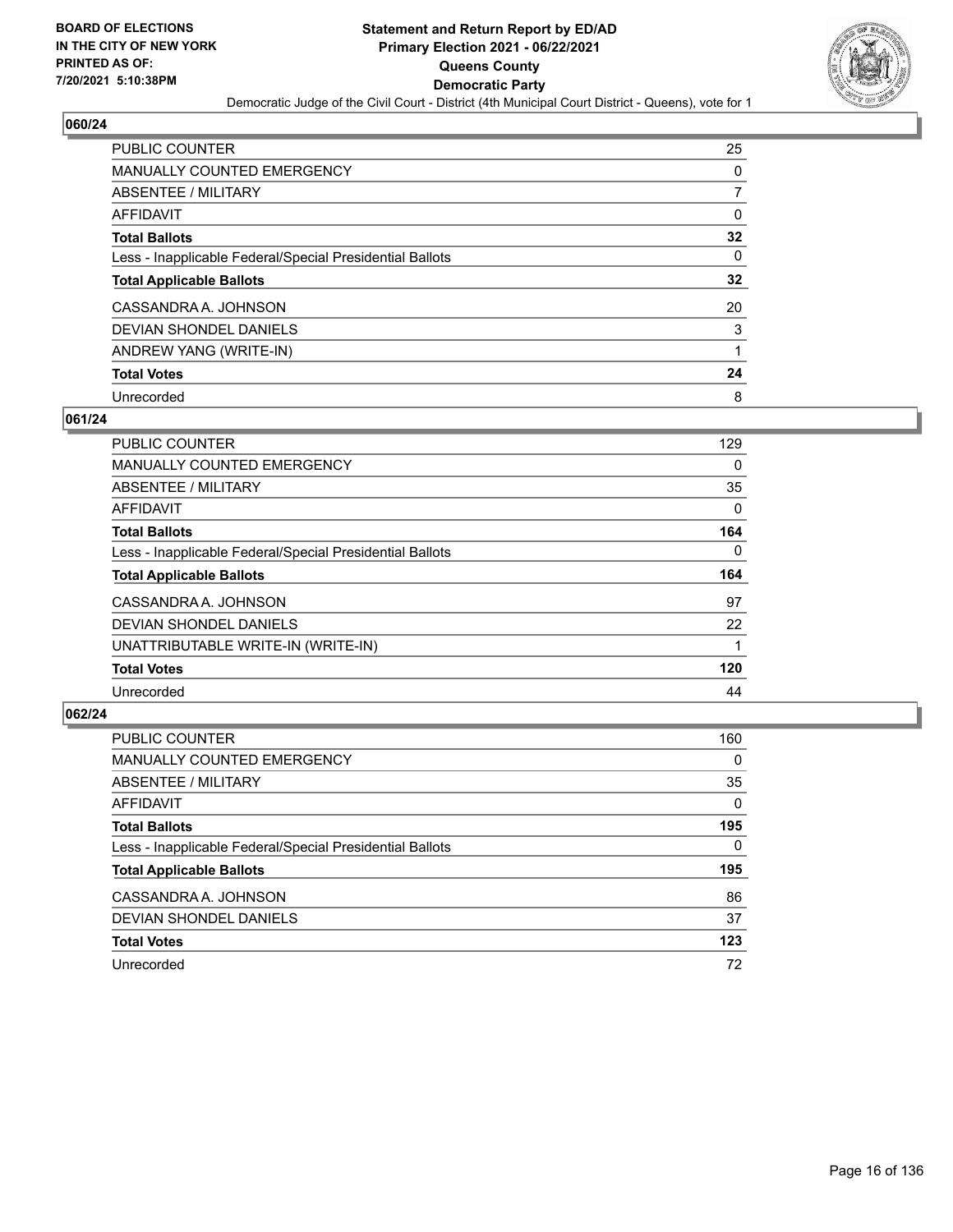

| <b>PUBLIC COUNTER</b>                                    | 25 |
|----------------------------------------------------------|----|
| <b>MANUALLY COUNTED EMERGENCY</b>                        | 0  |
| ABSENTEE / MILITARY                                      |    |
| AFFIDAVIT                                                | 0  |
| <b>Total Ballots</b>                                     | 32 |
| Less - Inapplicable Federal/Special Presidential Ballots | 0  |
| <b>Total Applicable Ballots</b>                          | 32 |
| CASSANDRA A. JOHNSON                                     | 20 |
| DEVIAN SHONDEL DANIELS                                   | 3  |
| ANDREW YANG (WRITE-IN)                                   |    |
| <b>Total Votes</b>                                       | 24 |
| Unrecorded                                               | 8  |

## **061/24**

| <b>PUBLIC COUNTER</b>                                    | 129      |
|----------------------------------------------------------|----------|
| <b>MANUALLY COUNTED EMERGENCY</b>                        | 0        |
| ABSENTEE / MILITARY                                      | 35       |
| <b>AFFIDAVIT</b>                                         | $\Omega$ |
| <b>Total Ballots</b>                                     | 164      |
| Less - Inapplicable Federal/Special Presidential Ballots | $\Omega$ |
| <b>Total Applicable Ballots</b>                          | 164      |
| CASSANDRA A. JOHNSON                                     | 97       |
| <b>DEVIAN SHONDEL DANIELS</b>                            | 22       |
| UNATTRIBUTABLE WRITE-IN (WRITE-IN)                       |          |
| <b>Total Votes</b>                                       | 120      |
| Unrecorded                                               | 44       |

| <b>PUBLIC COUNTER</b>                                    | 160      |
|----------------------------------------------------------|----------|
| MANUALLY COUNTED EMERGENCY                               | $\Omega$ |
| ABSENTEE / MILITARY                                      | 35       |
| AFFIDAVIT                                                | $\Omega$ |
| <b>Total Ballots</b>                                     | 195      |
| Less - Inapplicable Federal/Special Presidential Ballots | $\Omega$ |
| <b>Total Applicable Ballots</b>                          | 195      |
| CASSANDRA A. JOHNSON                                     | 86       |
| DEVIAN SHONDEL DANIELS                                   | 37       |
|                                                          |          |
| <b>Total Votes</b>                                       | 123      |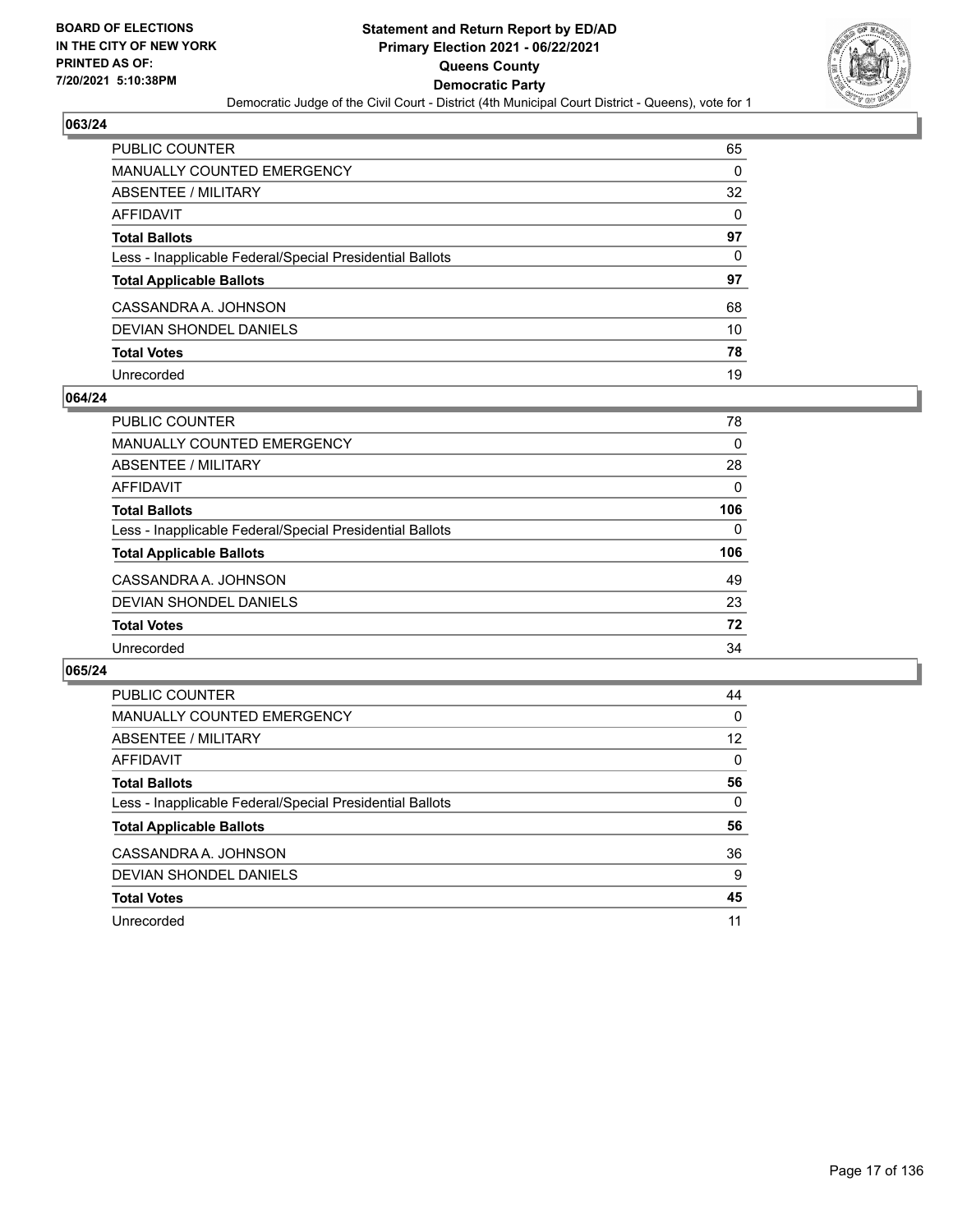

| PUBLIC COUNTER                                           | 65       |
|----------------------------------------------------------|----------|
| <b>MANUALLY COUNTED EMERGENCY</b>                        | 0        |
| <b>ABSENTEE / MILITARY</b>                               | 32       |
| AFFIDAVIT                                                | $\Omega$ |
| <b>Total Ballots</b>                                     | 97       |
| Less - Inapplicable Federal/Special Presidential Ballots | 0        |
| <b>Total Applicable Ballots</b>                          | 97       |
| CASSANDRA A. JOHNSON                                     | 68       |
| <b>DEVIAN SHONDEL DANIELS</b>                            | 10       |
| <b>Total Votes</b>                                       | 78       |
| Unrecorded                                               | 19       |

## **064/24**

| <b>PUBLIC COUNTER</b>                                    | 78       |
|----------------------------------------------------------|----------|
| <b>MANUALLY COUNTED EMERGENCY</b>                        | 0        |
| ABSENTEE / MILITARY                                      | 28       |
| AFFIDAVIT                                                | $\Omega$ |
| <b>Total Ballots</b>                                     | 106      |
| Less - Inapplicable Federal/Special Presidential Ballots | 0        |
| <b>Total Applicable Ballots</b>                          | 106      |
| CASSANDRA A. JOHNSON                                     | 49       |
| DEVIAN SHONDEL DANIELS                                   | 23       |
| <b>Total Votes</b>                                       | 72       |
| Unrecorded                                               | 34       |

| <b>PUBLIC COUNTER</b>                                    | 44       |
|----------------------------------------------------------|----------|
| <b>MANUALLY COUNTED EMERGENCY</b>                        | 0        |
| ABSENTEE / MILITARY                                      | 12       |
| <b>AFFIDAVIT</b>                                         | $\Omega$ |
| <b>Total Ballots</b>                                     | 56       |
| Less - Inapplicable Federal/Special Presidential Ballots | 0        |
| <b>Total Applicable Ballots</b>                          | 56       |
| CASSANDRA A. JOHNSON                                     | 36       |
| DEVIAN SHONDEL DANIELS                                   | 9        |
| <b>Total Votes</b>                                       | 45       |
|                                                          |          |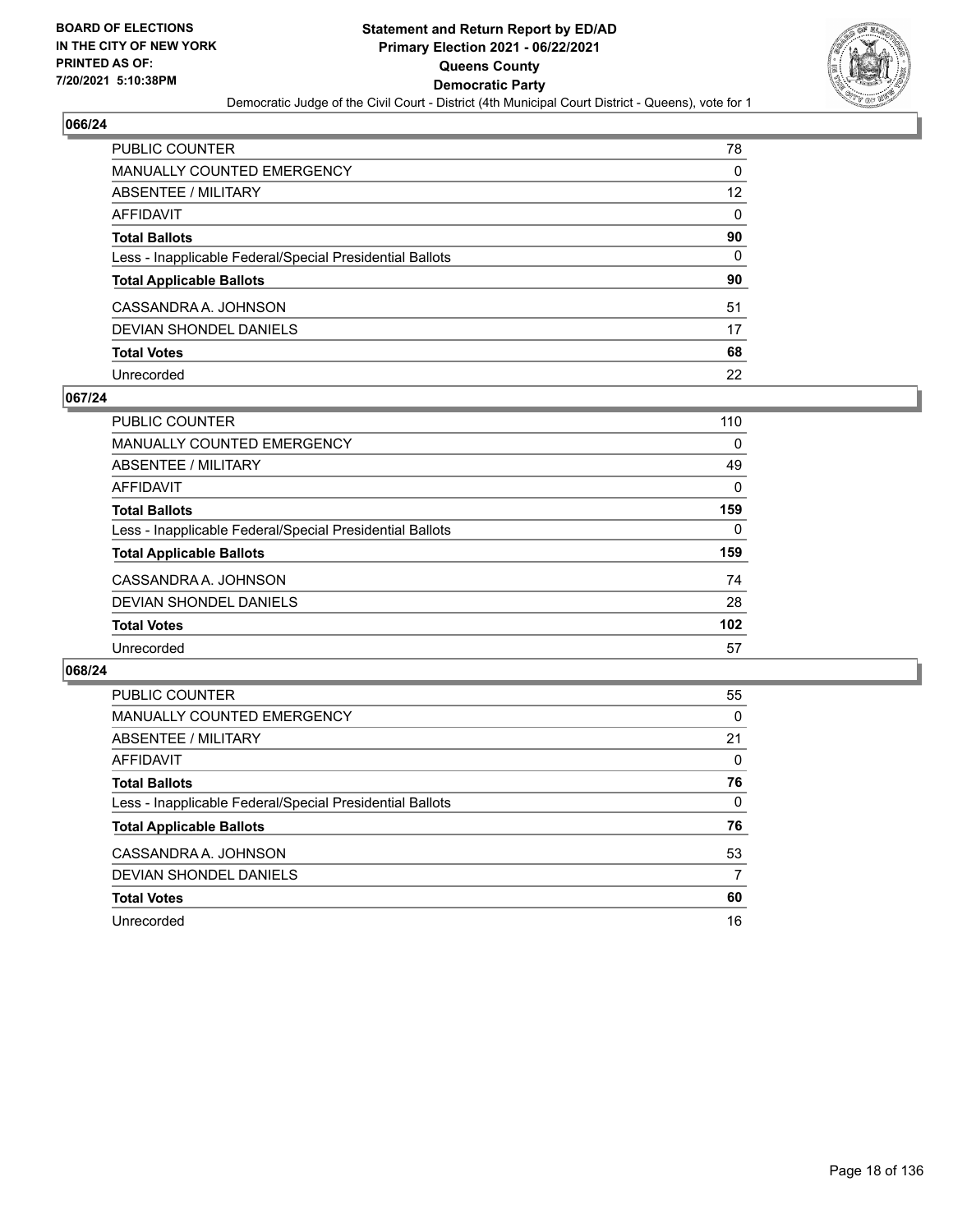

| PUBLIC COUNTER                                           | 78       |
|----------------------------------------------------------|----------|
| <b>MANUALLY COUNTED EMERGENCY</b>                        | $\Omega$ |
| <b>ABSENTEE / MILITARY</b>                               | 12       |
| <b>AFFIDAVIT</b>                                         | $\Omega$ |
| <b>Total Ballots</b>                                     | 90       |
| Less - Inapplicable Federal/Special Presidential Ballots | 0        |
| <b>Total Applicable Ballots</b>                          | 90       |
| CASSANDRA A. JOHNSON                                     | 51       |
| <b>DEVIAN SHONDEL DANIELS</b>                            | 17       |
| <b>Total Votes</b>                                       | 68       |
| Unrecorded                                               | 22       |

## **067/24**

| PUBLIC COUNTER                                           | 110      |
|----------------------------------------------------------|----------|
| MANUALLY COUNTED EMERGENCY                               | $\Omega$ |
| <b>ABSENTEE / MILITARY</b>                               | 49       |
| AFFIDAVIT                                                | 0        |
| <b>Total Ballots</b>                                     | 159      |
| Less - Inapplicable Federal/Special Presidential Ballots | $\Omega$ |
| <b>Total Applicable Ballots</b>                          | 159      |
| CASSANDRA A. JOHNSON                                     | 74       |
| DEVIAN SHONDEL DANIELS                                   | 28       |
| <b>Total Votes</b>                                       | 102      |
| Unrecorded                                               | 57       |

| PUBLIC COUNTER                                           | 55       |
|----------------------------------------------------------|----------|
| <b>MANUALLY COUNTED EMERGENCY</b>                        | $\Omega$ |
| ABSENTEE / MILITARY                                      | 21       |
| AFFIDAVIT                                                | $\Omega$ |
| <b>Total Ballots</b>                                     | 76       |
| Less - Inapplicable Federal/Special Presidential Ballots | $\Omega$ |
| <b>Total Applicable Ballots</b>                          | 76       |
| CASSANDRA A. JOHNSON                                     | 53       |
| DEVIAN SHONDEL DANIELS                                   | 7        |
| <b>Total Votes</b>                                       | 60       |
| Unrecorded                                               | 16       |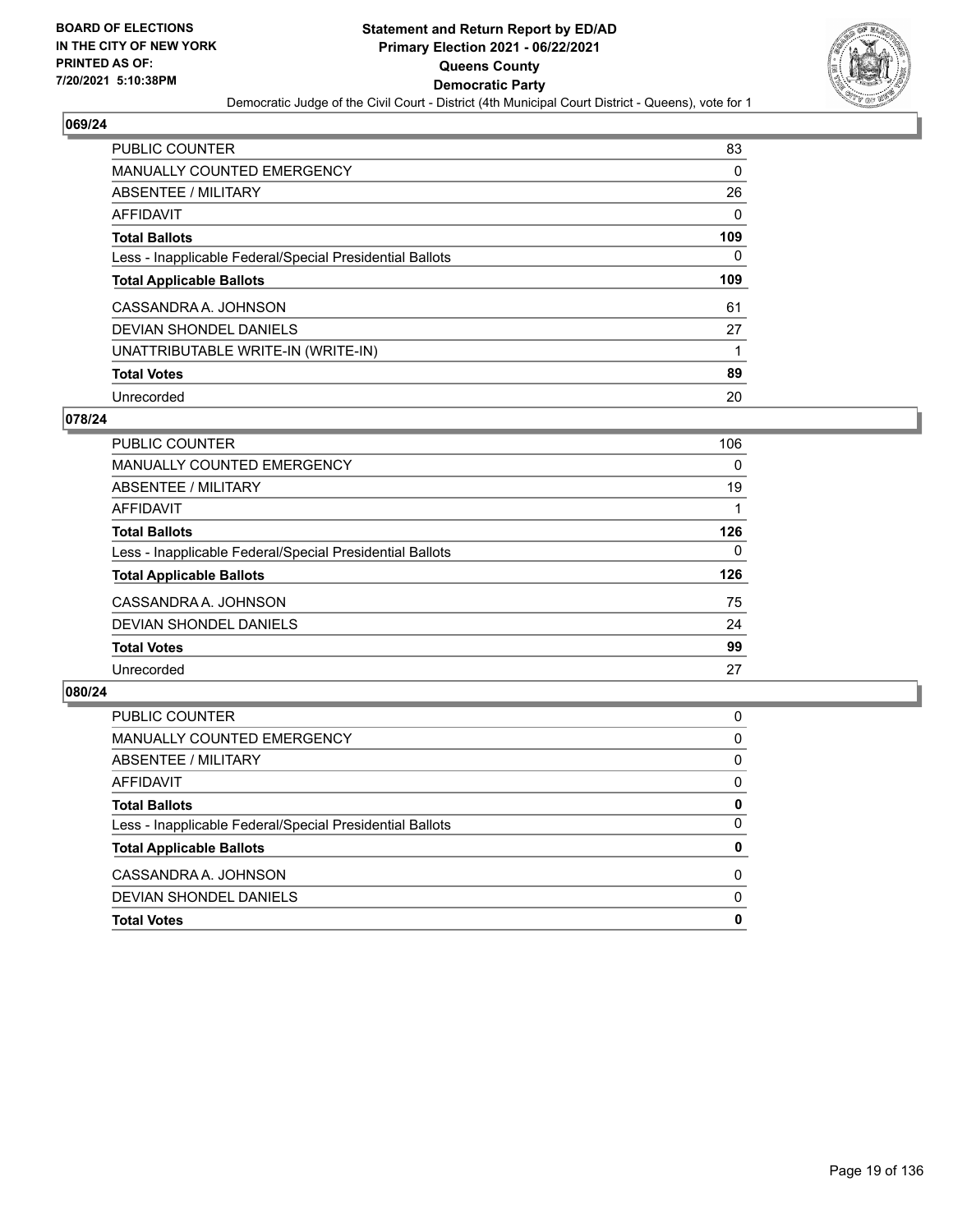

| <b>PUBLIC COUNTER</b>                                    | 83  |
|----------------------------------------------------------|-----|
| <b>MANUALLY COUNTED EMERGENCY</b>                        | 0   |
| ABSENTEE / MILITARY                                      | 26  |
| AFFIDAVIT                                                | 0   |
| <b>Total Ballots</b>                                     | 109 |
| Less - Inapplicable Federal/Special Presidential Ballots | 0   |
|                                                          |     |
| <b>Total Applicable Ballots</b>                          | 109 |
| CASSANDRA A. JOHNSON                                     | 61  |
| DEVIAN SHONDEL DANIELS                                   | 27  |
| UNATTRIBUTABLE WRITE-IN (WRITE-IN)                       |     |
| <b>Total Votes</b>                                       | 89  |

## **078/24**

| PUBLIC COUNTER                                           | 106      |
|----------------------------------------------------------|----------|
| <b>MANUALLY COUNTED EMERGENCY</b>                        | $\Omega$ |
| ABSENTEE / MILITARY                                      | 19       |
| AFFIDAVIT                                                |          |
| <b>Total Ballots</b>                                     | 126      |
| Less - Inapplicable Federal/Special Presidential Ballots | 0        |
| <b>Total Applicable Ballots</b>                          | 126      |
| CASSANDRA A. JOHNSON                                     | 75       |
| DEVIAN SHONDEL DANIELS                                   | 24       |
| <b>Total Votes</b>                                       | 99       |
| Unrecorded                                               | 27       |

| <b>Total Votes</b>                                       | 0        |
|----------------------------------------------------------|----------|
| DEVIAN SHONDEL DANIELS                                   | 0        |
| CASSANDRA A. JOHNSON                                     | $\Omega$ |
| <b>Total Applicable Ballots</b>                          | 0        |
| Less - Inapplicable Federal/Special Presidential Ballots | $\Omega$ |
| <b>Total Ballots</b>                                     | 0        |
| AFFIDAVIT                                                | 0        |
| <b>ABSENTEE / MILITARY</b>                               | 0        |
| MANUALLY COUNTED EMERGENCY                               | $\Omega$ |
| <b>PUBLIC COUNTER</b>                                    | 0        |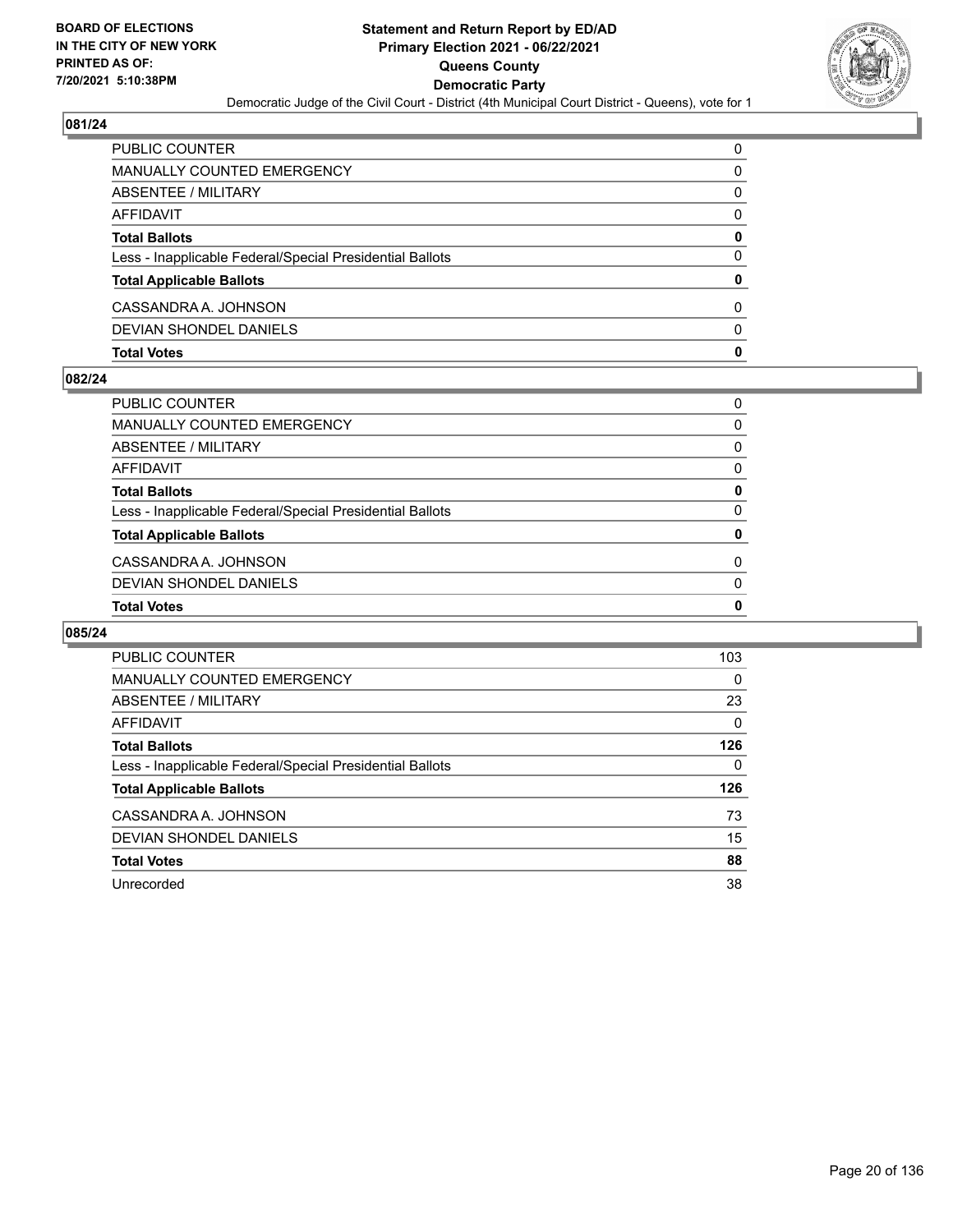

| <b>PUBLIC COUNTER</b>                                    | $\Omega$ |
|----------------------------------------------------------|----------|
| MANUALLY COUNTED EMERGENCY                               | 0        |
| ABSENTEE / MILITARY                                      | 0        |
| AFFIDAVIT                                                | 0        |
| <b>Total Ballots</b>                                     | 0        |
| Less - Inapplicable Federal/Special Presidential Ballots | 0        |
| <b>Total Applicable Ballots</b>                          | 0        |
| CASSANDRA A. JOHNSON                                     | 0        |
| DEVIAN SHONDEL DANIELS                                   | $\Omega$ |
| <b>Total Votes</b>                                       | 0        |

## **082/24**

| <b>Total Votes</b>                                       | $\mathbf{0}$ |
|----------------------------------------------------------|--------------|
| DEVIAN SHONDEL DANIELS                                   | $\Omega$     |
| CASSANDRA A. JOHNSON                                     | 0            |
| <b>Total Applicable Ballots</b>                          | 0            |
| Less - Inapplicable Federal/Special Presidential Ballots | $\Omega$     |
| <b>Total Ballots</b>                                     | 0            |
| <b>AFFIDAVIT</b>                                         | 0            |
| ABSENTEE / MILITARY                                      | 0            |
| <b>MANUALLY COUNTED EMERGENCY</b>                        | 0            |
| PUBLIC COUNTER                                           | 0            |

| PUBLIC COUNTER                                           | 103 |
|----------------------------------------------------------|-----|
| <b>MANUALLY COUNTED EMERGENCY</b>                        | 0   |
| ABSENTEE / MILITARY                                      | 23  |
| AFFIDAVIT                                                | 0   |
| <b>Total Ballots</b>                                     | 126 |
| Less - Inapplicable Federal/Special Presidential Ballots | 0   |
| <b>Total Applicable Ballots</b>                          | 126 |
| CASSANDRA A. JOHNSON                                     | 73  |
| DEVIAN SHONDEL DANIELS                                   | 15  |
| <b>Total Votes</b>                                       | 88  |
| Unrecorded                                               | 38  |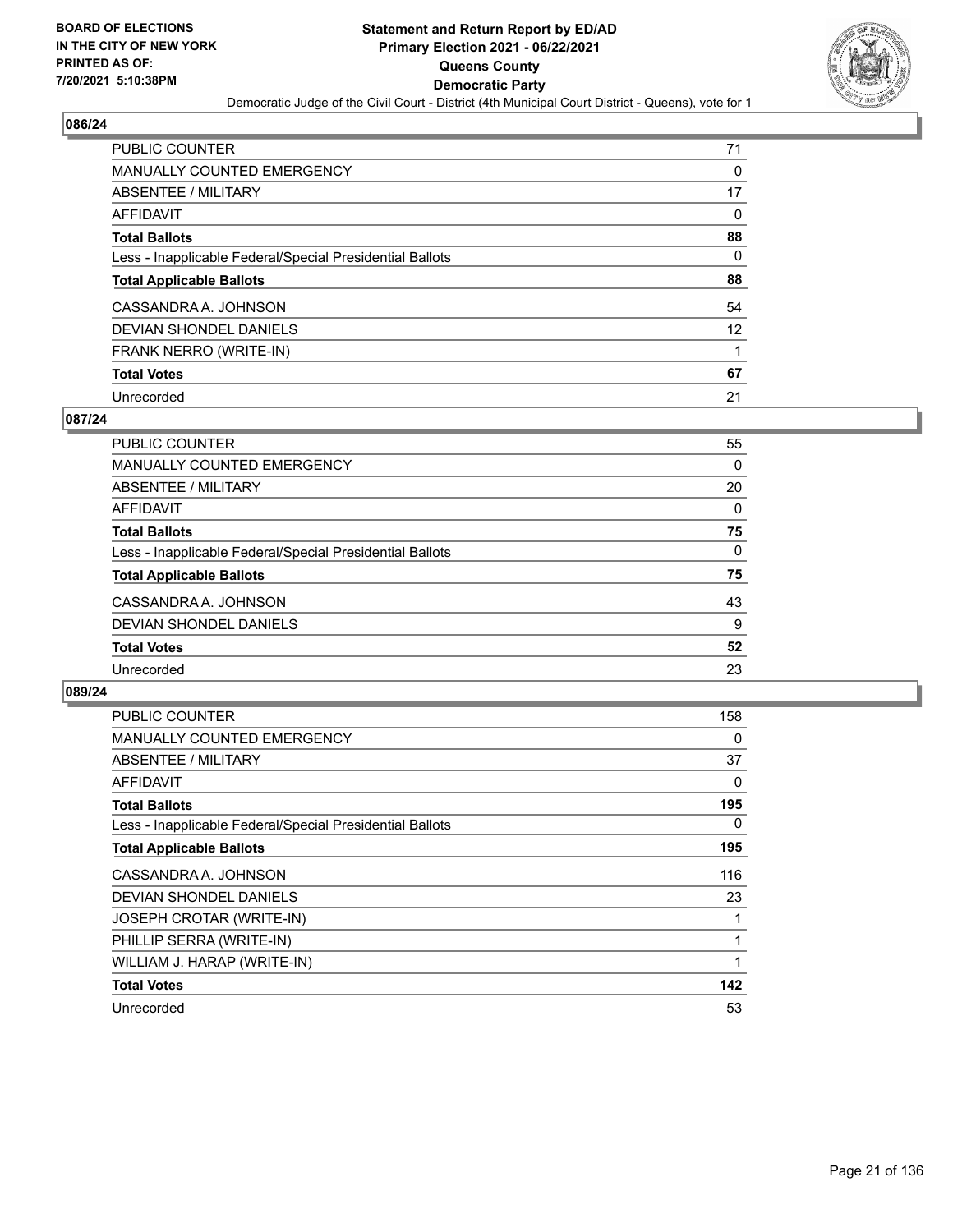

| <b>PUBLIC COUNTER</b>                                    | 71 |
|----------------------------------------------------------|----|
| <b>MANUALLY COUNTED EMERGENCY</b>                        | 0  |
| ABSENTEE / MILITARY                                      | 17 |
| AFFIDAVIT                                                | 0  |
| <b>Total Ballots</b>                                     | 88 |
| Less - Inapplicable Federal/Special Presidential Ballots | 0  |
| <b>Total Applicable Ballots</b>                          | 88 |
| CASSANDRA A. JOHNSON                                     | 54 |
| DEVIAN SHONDEL DANIELS                                   | 12 |
| FRANK NERRO (WRITE-IN)                                   |    |
| <b>Total Votes</b>                                       | 67 |
| Unrecorded                                               | 21 |

## **087/24**

| <b>PUBLIC COUNTER</b>                                    | 55       |
|----------------------------------------------------------|----------|
| <b>MANUALLY COUNTED EMERGENCY</b>                        | 0        |
| ABSENTEE / MILITARY                                      | 20       |
| <b>AFFIDAVIT</b>                                         | 0        |
| <b>Total Ballots</b>                                     | 75       |
| Less - Inapplicable Federal/Special Presidential Ballots | $\Omega$ |
| <b>Total Applicable Ballots</b>                          | 75       |
| CASSANDRA A. JOHNSON                                     | 43       |
| DEVIAN SHONDEL DANIELS                                   | 9        |
| <b>Total Votes</b>                                       | 52       |
| Unrecorded                                               | 23       |

| <b>PUBLIC COUNTER</b>                                    | 158 |
|----------------------------------------------------------|-----|
| <b>MANUALLY COUNTED EMERGENCY</b>                        | 0   |
| <b>ABSENTEE / MILITARY</b>                               | 37  |
| AFFIDAVIT                                                | 0   |
| <b>Total Ballots</b>                                     | 195 |
| Less - Inapplicable Federal/Special Presidential Ballots | 0   |
| <b>Total Applicable Ballots</b>                          | 195 |
| CASSANDRA A. JOHNSON                                     | 116 |
| <b>DEVIAN SHONDEL DANIELS</b>                            | 23  |
| JOSEPH CROTAR (WRITE-IN)                                 |     |
| PHILLIP SERRA (WRITE-IN)                                 |     |
| WILLIAM J. HARAP (WRITE-IN)                              |     |
| <b>Total Votes</b>                                       | 142 |
| Unrecorded                                               | 53  |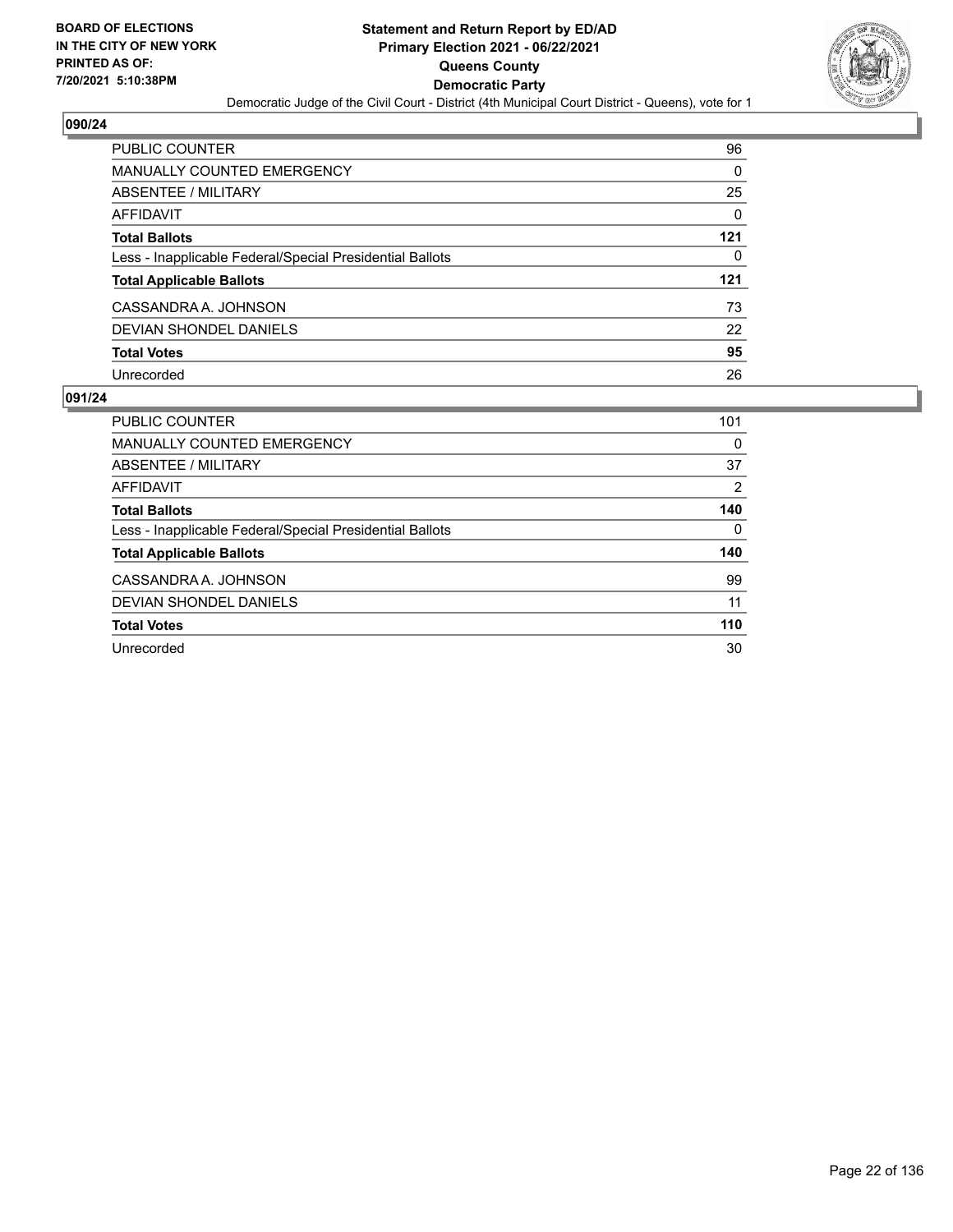

| <b>PUBLIC COUNTER</b>                                    | 96       |
|----------------------------------------------------------|----------|
| MANUALLY COUNTED EMERGENCY                               | 0        |
| ABSENTEE / MILITARY                                      | 25       |
| AFFIDAVIT                                                | $\Omega$ |
| <b>Total Ballots</b>                                     | 121      |
| Less - Inapplicable Federal/Special Presidential Ballots | 0        |
| <b>Total Applicable Ballots</b>                          | 121      |
| CASSANDRA A. JOHNSON                                     | 73       |
| DEVIAN SHONDEL DANIELS                                   | 22       |
| <b>Total Votes</b>                                       | 95       |
| Unrecorded                                               | 26       |

| <b>PUBLIC COUNTER</b>                                    | 101            |
|----------------------------------------------------------|----------------|
|                                                          |                |
| MANUALLY COUNTED EMERGENCY                               | 0              |
| ABSENTEE / MILITARY                                      | 37             |
| AFFIDAVIT                                                | $\overline{2}$ |
| <b>Total Ballots</b>                                     | 140            |
| Less - Inapplicable Federal/Special Presidential Ballots | 0              |
| <b>Total Applicable Ballots</b>                          | 140            |
| CASSANDRA A. JOHNSON                                     | 99             |
| DEVIAN SHONDEL DANIELS                                   | 11             |
| <b>Total Votes</b>                                       | 110            |
| Unrecorded                                               | 30             |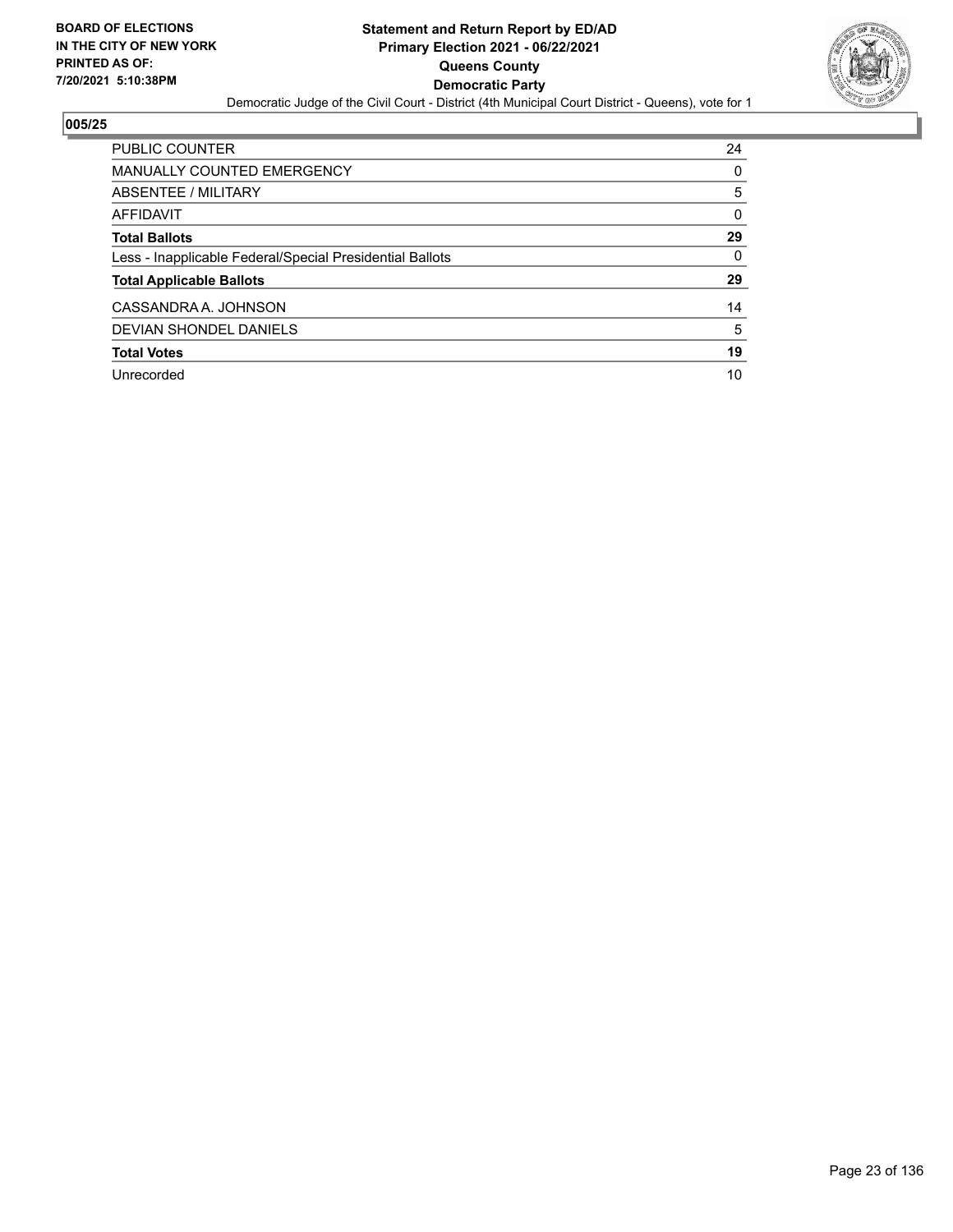

| PUBLIC COUNTER                                           | 24       |
|----------------------------------------------------------|----------|
| <b>MANUALLY COUNTED EMERGENCY</b>                        | 0        |
| ABSENTEE / MILITARY                                      | 5        |
| AFFIDAVIT                                                | $\Omega$ |
| <b>Total Ballots</b>                                     | 29       |
| Less - Inapplicable Federal/Special Presidential Ballots | $\Omega$ |
| <b>Total Applicable Ballots</b>                          | 29       |
| CASSANDRA A. JOHNSON                                     | 14       |
| <b>DEVIAN SHONDEL DANIELS</b>                            | 5        |
| <b>Total Votes</b>                                       | 19       |
| Unrecorded                                               | 10       |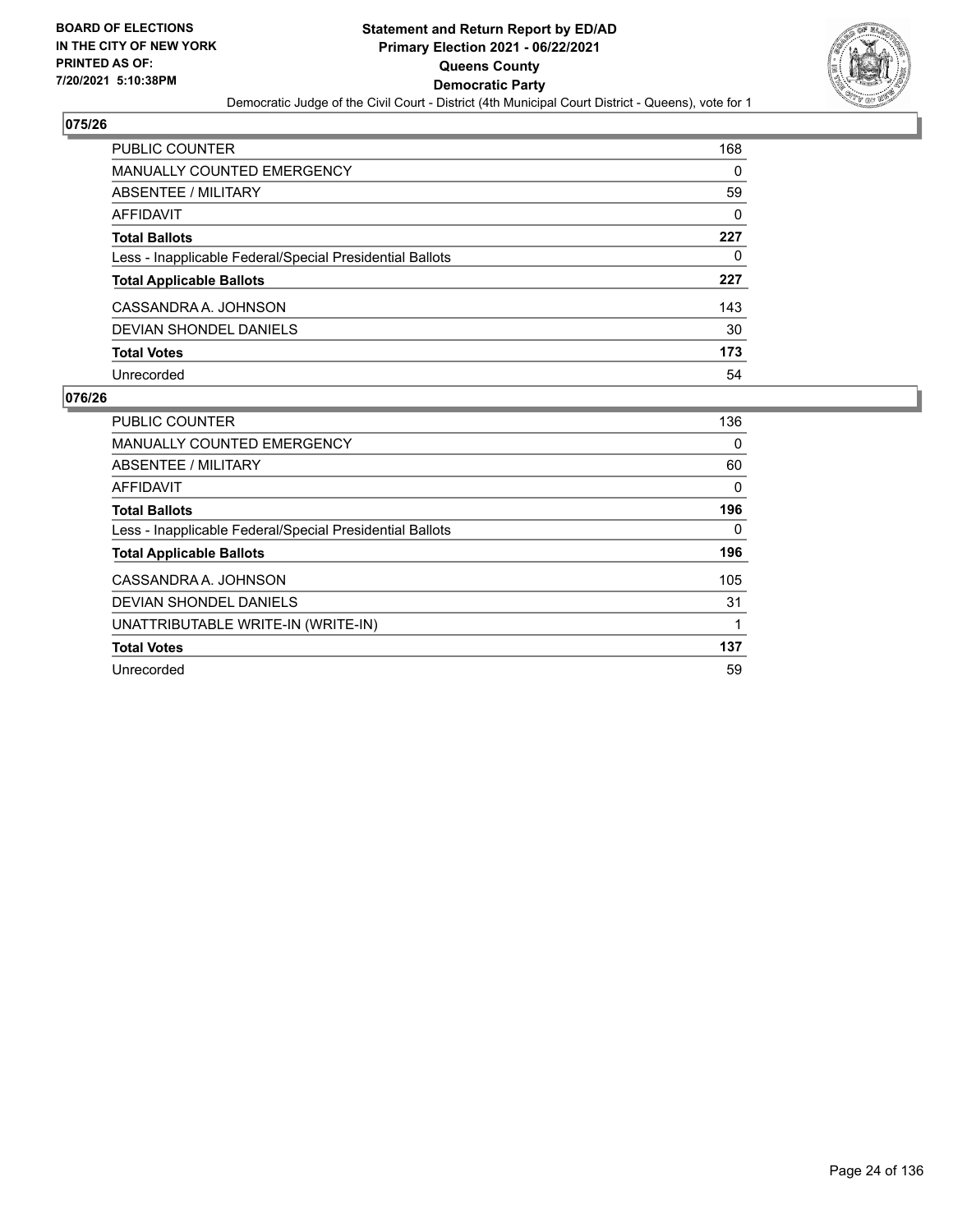

| <b>PUBLIC COUNTER</b>                                    | 168      |
|----------------------------------------------------------|----------|
| <b>MANUALLY COUNTED EMERGENCY</b>                        | 0        |
| ABSENTEE / MILITARY                                      | 59       |
| <b>AFFIDAVIT</b>                                         | $\Omega$ |
| <b>Total Ballots</b>                                     | 227      |
| Less - Inapplicable Federal/Special Presidential Ballots | 0        |
| <b>Total Applicable Ballots</b>                          | 227      |
| CASSANDRA A. JOHNSON                                     | 143      |
| <b>DEVIAN SHONDEL DANIELS</b>                            | 30       |
| <b>Total Votes</b>                                       | 173      |
| Unrecorded                                               | 54       |

| PUBLIC COUNTER                                           | 136 |
|----------------------------------------------------------|-----|
| <b>MANUALLY COUNTED EMERGENCY</b>                        | 0   |
| ABSENTEE / MILITARY                                      | 60  |
| AFFIDAVIT                                                | 0   |
| <b>Total Ballots</b>                                     | 196 |
| Less - Inapplicable Federal/Special Presidential Ballots | 0   |
| <b>Total Applicable Ballots</b>                          | 196 |
| CASSANDRA A. JOHNSON                                     | 105 |
| <b>DEVIAN SHONDEL DANIELS</b>                            | 31  |
| UNATTRIBUTABLE WRITE-IN (WRITE-IN)                       |     |
| <b>Total Votes</b>                                       | 137 |
| Unrecorded                                               | 59  |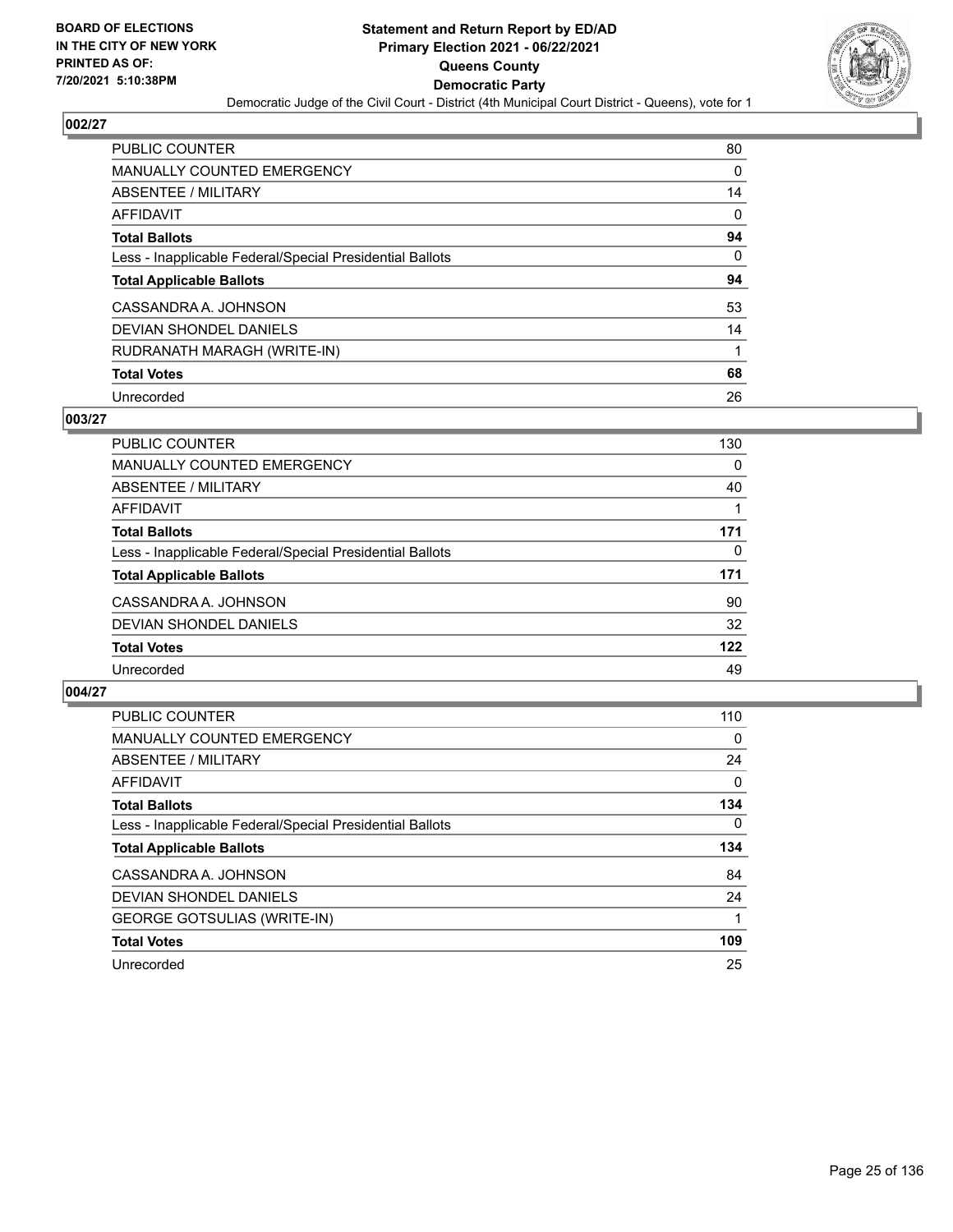

| <b>PUBLIC COUNTER</b>                                    | 80 |
|----------------------------------------------------------|----|
| <b>MANUALLY COUNTED EMERGENCY</b>                        | 0  |
| ABSENTEE / MILITARY                                      | 14 |
| AFFIDAVIT                                                | 0  |
| <b>Total Ballots</b>                                     | 94 |
| Less - Inapplicable Federal/Special Presidential Ballots | 0  |
| <b>Total Applicable Ballots</b>                          | 94 |
| CASSANDRA A. JOHNSON                                     | 53 |
| DEVIAN SHONDEL DANIELS                                   | 14 |
| RUDRANATH MARAGH (WRITE-IN)                              | 1  |
|                                                          |    |
| <b>Total Votes</b>                                       | 68 |

## **003/27**

| <b>PUBLIC COUNTER</b>                                    | 130 |
|----------------------------------------------------------|-----|
| <b>MANUALLY COUNTED EMERGENCY</b>                        | 0   |
| ABSENTEE / MILITARY                                      | 40  |
| <b>AFFIDAVIT</b>                                         |     |
| <b>Total Ballots</b>                                     | 171 |
| Less - Inapplicable Federal/Special Presidential Ballots | 0   |
| <b>Total Applicable Ballots</b>                          | 171 |
| CASSANDRA A. JOHNSON                                     | 90  |
| <b>DEVIAN SHONDEL DANIELS</b>                            | 32  |
| <b>Total Votes</b>                                       | 122 |
| Unrecorded                                               | 49  |

| <b>PUBLIC COUNTER</b>                                    | 110      |
|----------------------------------------------------------|----------|
| MANUALLY COUNTED EMERGENCY                               | $\Omega$ |
| ABSENTEE / MILITARY                                      | 24       |
| AFFIDAVIT                                                | $\Omega$ |
| <b>Total Ballots</b>                                     | 134      |
| Less - Inapplicable Federal/Special Presidential Ballots | $\Omega$ |
| <b>Total Applicable Ballots</b>                          | 134      |
| CASSANDRA A. JOHNSON                                     | 84       |
| DEVIAN SHONDEL DANIELS                                   | 24       |
| <b>GEORGE GOTSULIAS (WRITE-IN)</b>                       |          |
| <b>Total Votes</b>                                       | 109      |
| Unrecorded                                               | 25       |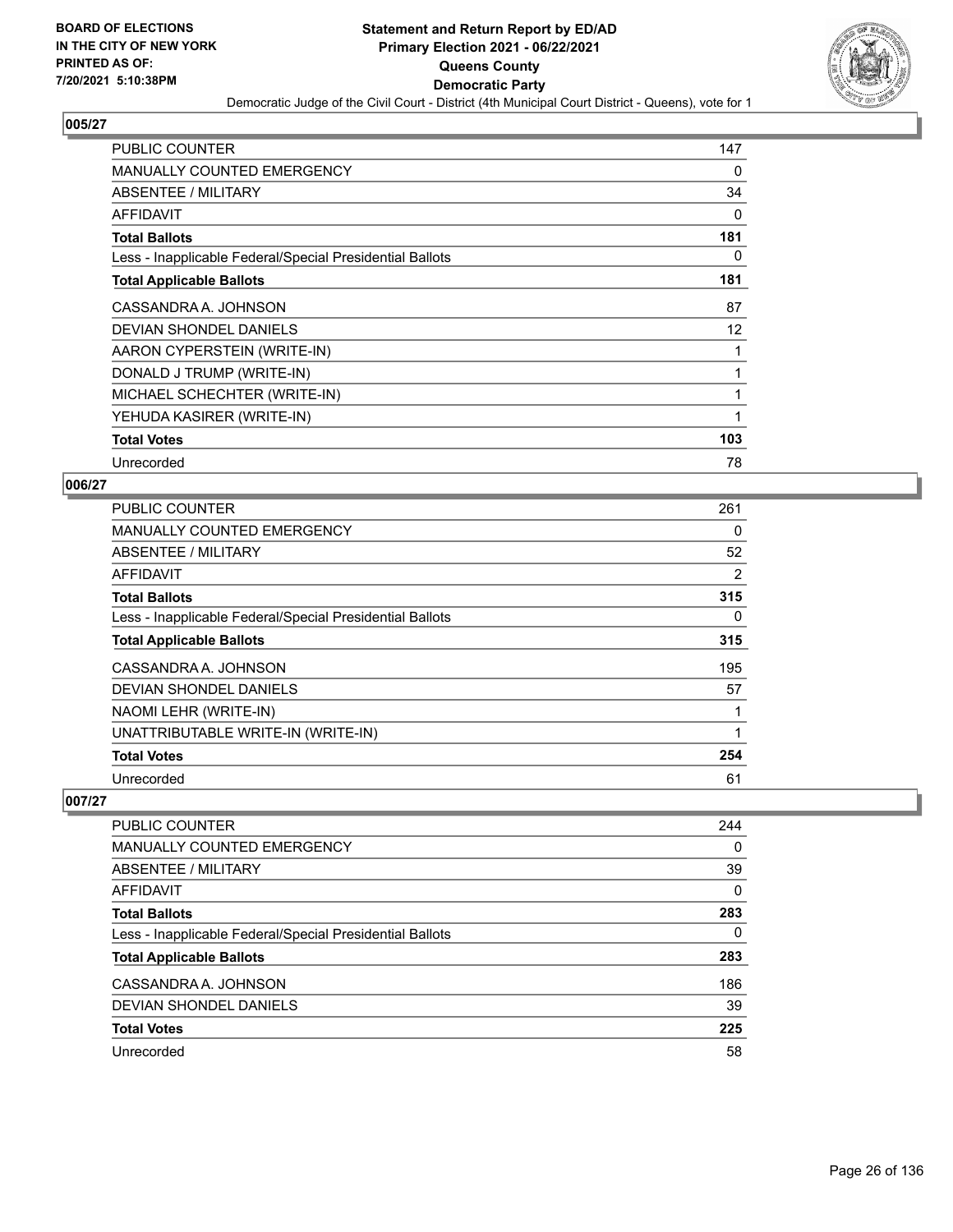

| <b>PUBLIC COUNTER</b>                                    | 147 |
|----------------------------------------------------------|-----|
| MANUALLY COUNTED EMERGENCY                               | 0   |
| ABSENTEE / MILITARY                                      | 34  |
| AFFIDAVIT                                                | 0   |
| <b>Total Ballots</b>                                     | 181 |
| Less - Inapplicable Federal/Special Presidential Ballots | 0   |
| <b>Total Applicable Ballots</b>                          | 181 |
| CASSANDRA A. JOHNSON                                     | 87  |
| DEVIAN SHONDEL DANIELS                                   | 12  |
| AARON CYPERSTEIN (WRITE-IN)                              |     |
| DONALD J TRUMP (WRITE-IN)                                |     |
| MICHAEL SCHECHTER (WRITE-IN)                             |     |
| YEHUDA KASIRER (WRITE-IN)                                |     |
| <b>Total Votes</b>                                       | 103 |
| Unrecorded                                               | 78  |

## **006/27**

| <b>PUBLIC COUNTER</b>                                    | 261 |
|----------------------------------------------------------|-----|
| <b>MANUALLY COUNTED EMERGENCY</b>                        | 0   |
| ABSENTEE / MILITARY                                      | 52  |
| AFFIDAVIT                                                | 2   |
| <b>Total Ballots</b>                                     | 315 |
| Less - Inapplicable Federal/Special Presidential Ballots | 0   |
| <b>Total Applicable Ballots</b>                          | 315 |
| CASSANDRA A. JOHNSON                                     | 195 |
| DEVIAN SHONDEL DANIELS                                   | 57  |
| NAOMI LEHR (WRITE-IN)                                    |     |
| UNATTRIBUTABLE WRITE-IN (WRITE-IN)                       | 1   |
| <b>Total Votes</b>                                       | 254 |
| Unrecorded                                               | 61  |

| <b>PUBLIC COUNTER</b>                                    | 244      |
|----------------------------------------------------------|----------|
| <b>MANUALLY COUNTED EMERGENCY</b>                        | $\Omega$ |
| ABSENTEE / MILITARY                                      | 39       |
| AFFIDAVIT                                                | $\Omega$ |
| <b>Total Ballots</b>                                     | 283      |
| Less - Inapplicable Federal/Special Presidential Ballots | 0        |
| <b>Total Applicable Ballots</b>                          | 283      |
| CASSANDRA A. JOHNSON                                     | 186      |
| DEVIAN SHONDEL DANIELS                                   | 39       |
| <b>Total Votes</b>                                       | 225      |
| Unrecorded                                               | 58       |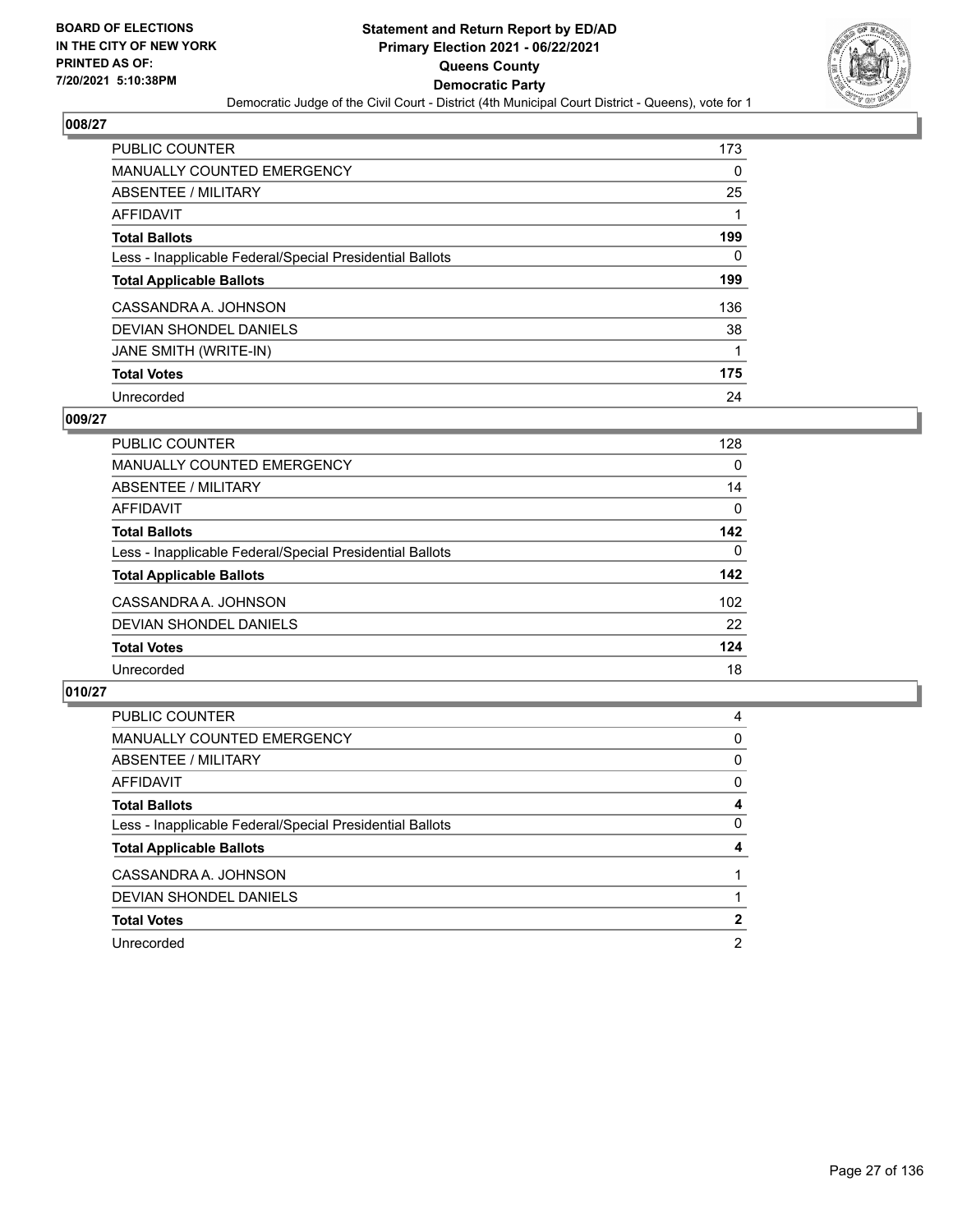

| <b>PUBLIC COUNTER</b>                                    | 173 |
|----------------------------------------------------------|-----|
| <b>MANUALLY COUNTED EMERGENCY</b>                        | 0   |
| ABSENTEE / MILITARY                                      | 25  |
| AFFIDAVIT                                                |     |
| <b>Total Ballots</b>                                     | 199 |
| Less - Inapplicable Federal/Special Presidential Ballots | 0   |
| <b>Total Applicable Ballots</b>                          | 199 |
| CASSANDRA A. JOHNSON                                     | 136 |
| DEVIAN SHONDEL DANIELS                                   | 38  |
| JANE SMITH (WRITE-IN)                                    | 1   |
| <b>Total Votes</b>                                       | 175 |
| Unrecorded                                               | 24  |

## **009/27**

| <b>PUBLIC COUNTER</b>                                    | 128      |
|----------------------------------------------------------|----------|
| <b>MANUALLY COUNTED EMERGENCY</b>                        | $\Omega$ |
| ABSENTEE / MILITARY                                      | 14       |
| <b>AFFIDAVIT</b>                                         | 0        |
| <b>Total Ballots</b>                                     | 142      |
| Less - Inapplicable Federal/Special Presidential Ballots | $\Omega$ |
| <b>Total Applicable Ballots</b>                          | 142      |
| CASSANDRA A. JOHNSON                                     | 102      |
| <b>DEVIAN SHONDEL DANIELS</b>                            | 22       |
| <b>Total Votes</b>                                       | 124      |
| Unrecorded                                               | 18       |

| <b>PUBLIC COUNTER</b>                                    | 4 |
|----------------------------------------------------------|---|
| <b>MANUALLY COUNTED EMERGENCY</b>                        | 0 |
| ABSENTEE / MILITARY                                      | 0 |
| AFFIDAVIT                                                | 0 |
| <b>Total Ballots</b>                                     | 4 |
| Less - Inapplicable Federal/Special Presidential Ballots | 0 |
| <b>Total Applicable Ballots</b>                          | 4 |
| CASSANDRA A. JOHNSON                                     |   |
| DEVIAN SHONDEL DANIELS                                   |   |
| <b>Total Votes</b>                                       | 2 |
| Unrecorded                                               | 2 |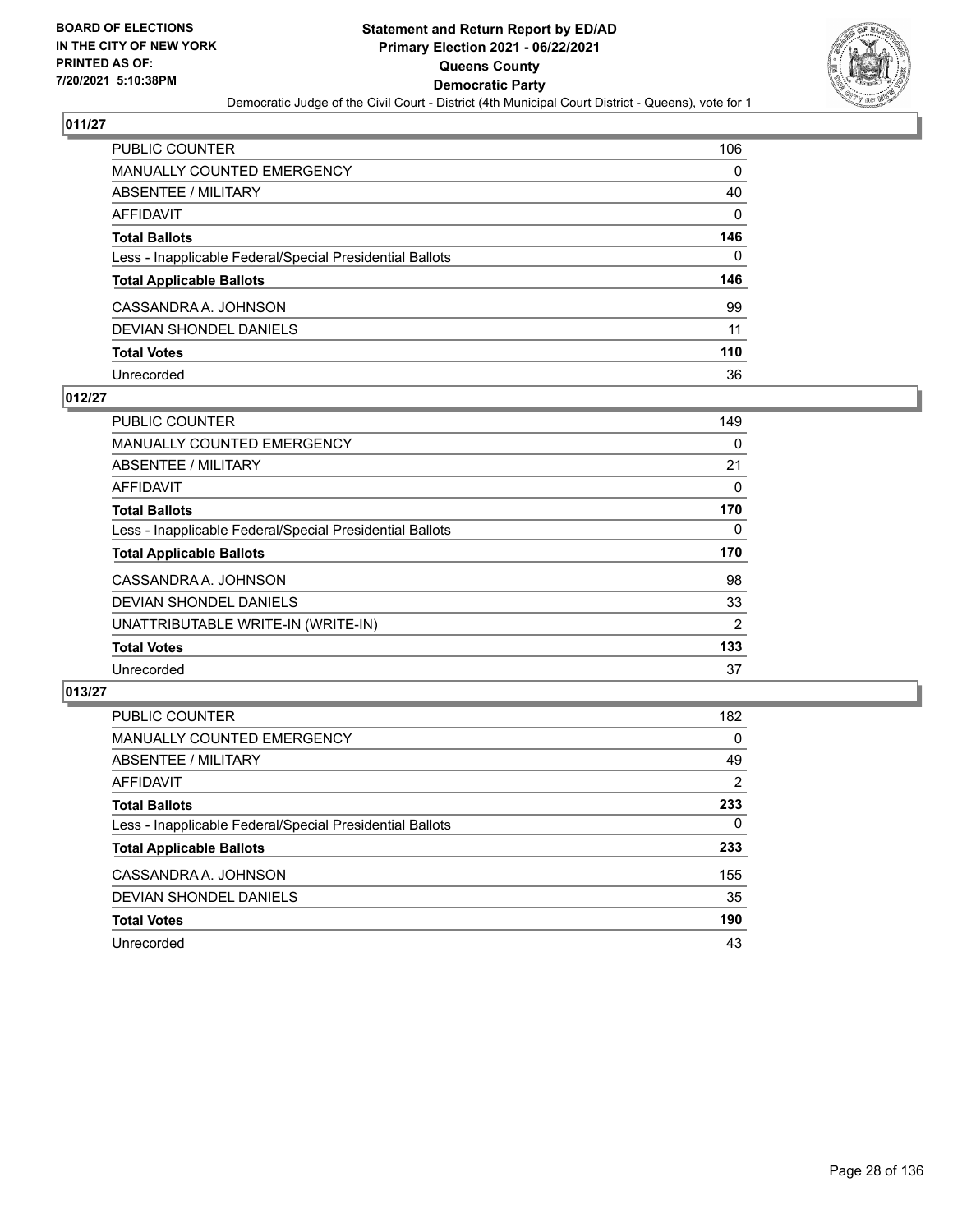

| PUBLIC COUNTER                                           | 106      |
|----------------------------------------------------------|----------|
| <b>MANUALLY COUNTED EMERGENCY</b>                        | 0        |
| ABSENTEE / MILITARY                                      | 40       |
| <b>AFFIDAVIT</b>                                         | $\Omega$ |
| <b>Total Ballots</b>                                     | 146      |
| Less - Inapplicable Federal/Special Presidential Ballots | 0        |
| <b>Total Applicable Ballots</b>                          | 146      |
| CASSANDRA A. JOHNSON                                     | 99       |
| DEVIAN SHONDEL DANIELS                                   | 11       |
| <b>Total Votes</b>                                       | 110      |
| Unrecorded                                               | 36       |

## **012/27**

| <b>PUBLIC COUNTER</b>                                    | 149            |
|----------------------------------------------------------|----------------|
| <b>MANUALLY COUNTED EMERGENCY</b>                        | $\Omega$       |
| ABSENTEE / MILITARY                                      | 21             |
| AFFIDAVIT                                                | 0              |
| <b>Total Ballots</b>                                     | 170            |
| Less - Inapplicable Federal/Special Presidential Ballots | 0              |
| <b>Total Applicable Ballots</b>                          | 170            |
| CASSANDRA A. JOHNSON                                     | 98             |
| DEVIAN SHONDEL DANIELS                                   | 33             |
| UNATTRIBUTABLE WRITE-IN (WRITE-IN)                       | $\overline{2}$ |
| <b>Total Votes</b>                                       | 133            |
| Unrecorded                                               | 37             |

| <b>PUBLIC COUNTER</b>                                    | 182      |
|----------------------------------------------------------|----------|
| MANUALLY COUNTED EMERGENCY                               | $\Omega$ |
| ABSENTEE / MILITARY                                      | 49       |
| AFFIDAVIT                                                | 2        |
| <b>Total Ballots</b>                                     | 233      |
| Less - Inapplicable Federal/Special Presidential Ballots | $\Omega$ |
| <b>Total Applicable Ballots</b>                          | 233      |
| CASSANDRA A. JOHNSON                                     | 155      |
| DEVIAN SHONDEL DANIELS                                   | 35       |
| <b>Total Votes</b>                                       | 190      |
| Unrecorded                                               | 43       |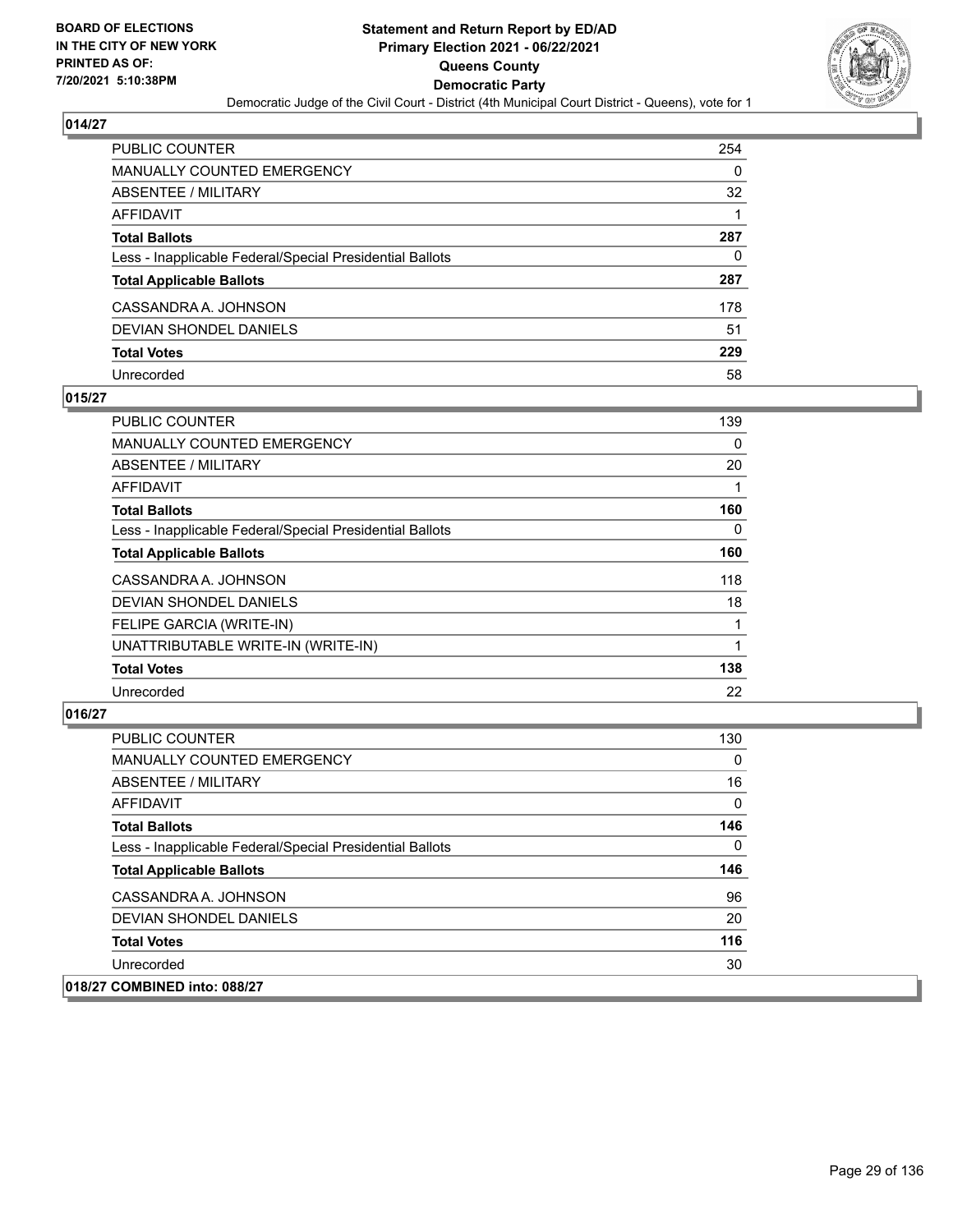

| PUBLIC COUNTER                                           | 254 |
|----------------------------------------------------------|-----|
| <b>MANUALLY COUNTED EMERGENCY</b>                        | 0   |
| ABSENTEE / MILITARY                                      | 32  |
| AFFIDAVIT                                                |     |
| <b>Total Ballots</b>                                     | 287 |
| Less - Inapplicable Federal/Special Presidential Ballots | 0   |
| <b>Total Applicable Ballots</b>                          | 287 |
| CASSANDRA A. JOHNSON                                     | 178 |
| DEVIAN SHONDEL DANIELS                                   | 51  |
| <b>Total Votes</b>                                       | 229 |
| Unrecorded                                               | 58  |

## **015/27**

| <b>PUBLIC COUNTER</b>                                    | 139 |
|----------------------------------------------------------|-----|
| <b>MANUALLY COUNTED EMERGENCY</b>                        | 0   |
| ABSENTEE / MILITARY                                      | 20  |
| AFFIDAVIT                                                |     |
| <b>Total Ballots</b>                                     | 160 |
| Less - Inapplicable Federal/Special Presidential Ballots | 0   |
| <b>Total Applicable Ballots</b>                          | 160 |
| CASSANDRA A. JOHNSON                                     | 118 |
| <b>DEVIAN SHONDEL DANIELS</b>                            | 18  |
| FELIPE GARCIA (WRITE-IN)                                 |     |
| UNATTRIBUTABLE WRITE-IN (WRITE-IN)                       |     |
| <b>Total Votes</b>                                       | 138 |
| Unrecorded                                               | 22  |

| <b>PUBLIC COUNTER</b>                                    | 130      |
|----------------------------------------------------------|----------|
| <b>MANUALLY COUNTED EMERGENCY</b>                        | $\Omega$ |
| ABSENTEE / MILITARY                                      | 16       |
| <b>AFFIDAVIT</b>                                         | 0        |
| <b>Total Ballots</b>                                     | 146      |
| Less - Inapplicable Federal/Special Presidential Ballots | $\Omega$ |
| <b>Total Applicable Ballots</b>                          | 146      |
| CASSANDRA A. JOHNSON                                     | 96       |
| DEVIAN SHONDEL DANIELS                                   | 20       |
| <b>Total Votes</b>                                       | 116      |
| Unrecorded                                               | 30       |
| 018/27 COMBINED into: 088/27                             |          |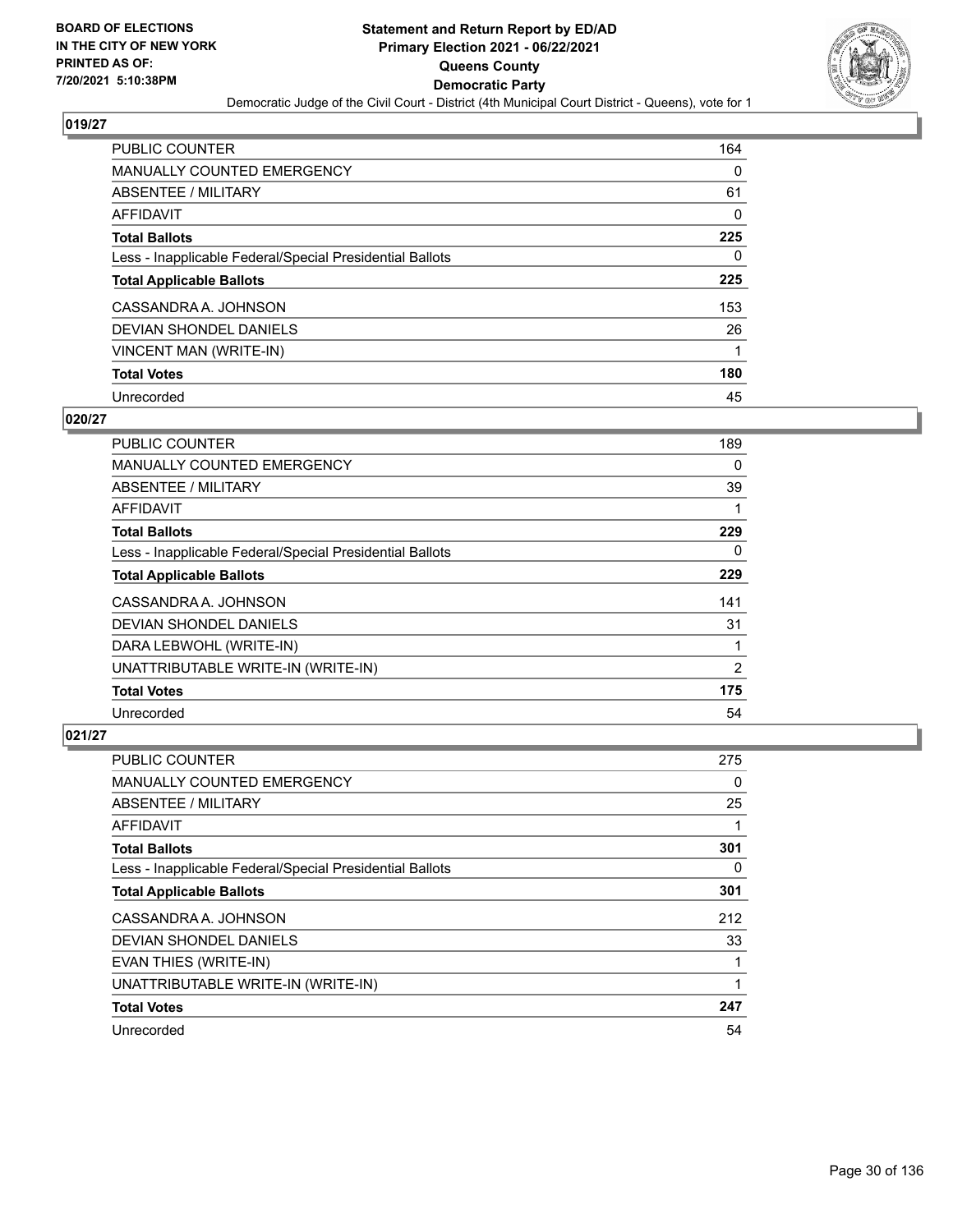

| <b>PUBLIC COUNTER</b>                                    | 164 |
|----------------------------------------------------------|-----|
| <b>MANUALLY COUNTED EMERGENCY</b>                        | 0   |
| ABSENTEE / MILITARY                                      | 61  |
| AFFIDAVIT                                                | 0   |
| <b>Total Ballots</b>                                     | 225 |
| Less - Inapplicable Federal/Special Presidential Ballots | 0   |
| <b>Total Applicable Ballots</b>                          | 225 |
| CASSANDRA A. JOHNSON                                     | 153 |
| DEVIAN SHONDEL DANIELS                                   | 26  |
| VINCENT MAN (WRITE-IN)                                   |     |
| <b>Total Votes</b>                                       | 180 |
| Unrecorded                                               | 45  |

## **020/27**

| <b>PUBLIC COUNTER</b>                                    | 189 |
|----------------------------------------------------------|-----|
| <b>MANUALLY COUNTED EMERGENCY</b>                        | 0   |
| ABSENTEE / MILITARY                                      | 39  |
| <b>AFFIDAVIT</b>                                         |     |
| <b>Total Ballots</b>                                     | 229 |
| Less - Inapplicable Federal/Special Presidential Ballots | 0   |
| <b>Total Applicable Ballots</b>                          | 229 |
| CASSANDRA A. JOHNSON                                     | 141 |
| <b>DEVIAN SHONDEL DANIELS</b>                            | 31  |
| DARA LEBWOHL (WRITE-IN)                                  |     |
| UNATTRIBUTABLE WRITE-IN (WRITE-IN)                       | 2   |
| <b>Total Votes</b>                                       | 175 |
| Unrecorded                                               | 54  |

| <b>PUBLIC COUNTER</b>                                    | 275      |
|----------------------------------------------------------|----------|
| MANUALLY COUNTED EMERGENCY                               | 0        |
| ABSENTEE / MILITARY                                      | 25       |
| AFFIDAVIT                                                |          |
| <b>Total Ballots</b>                                     | 301      |
| Less - Inapplicable Federal/Special Presidential Ballots | $\Omega$ |
| <b>Total Applicable Ballots</b>                          | 301      |
| CASSANDRA A. JOHNSON                                     | 212      |
| DEVIAN SHONDEL DANIELS                                   | 33       |
| EVAN THIES (WRITE-IN)                                    |          |
| UNATTRIBUTABLE WRITE-IN (WRITE-IN)                       |          |
| <b>Total Votes</b>                                       | 247      |
| Unrecorded                                               | 54       |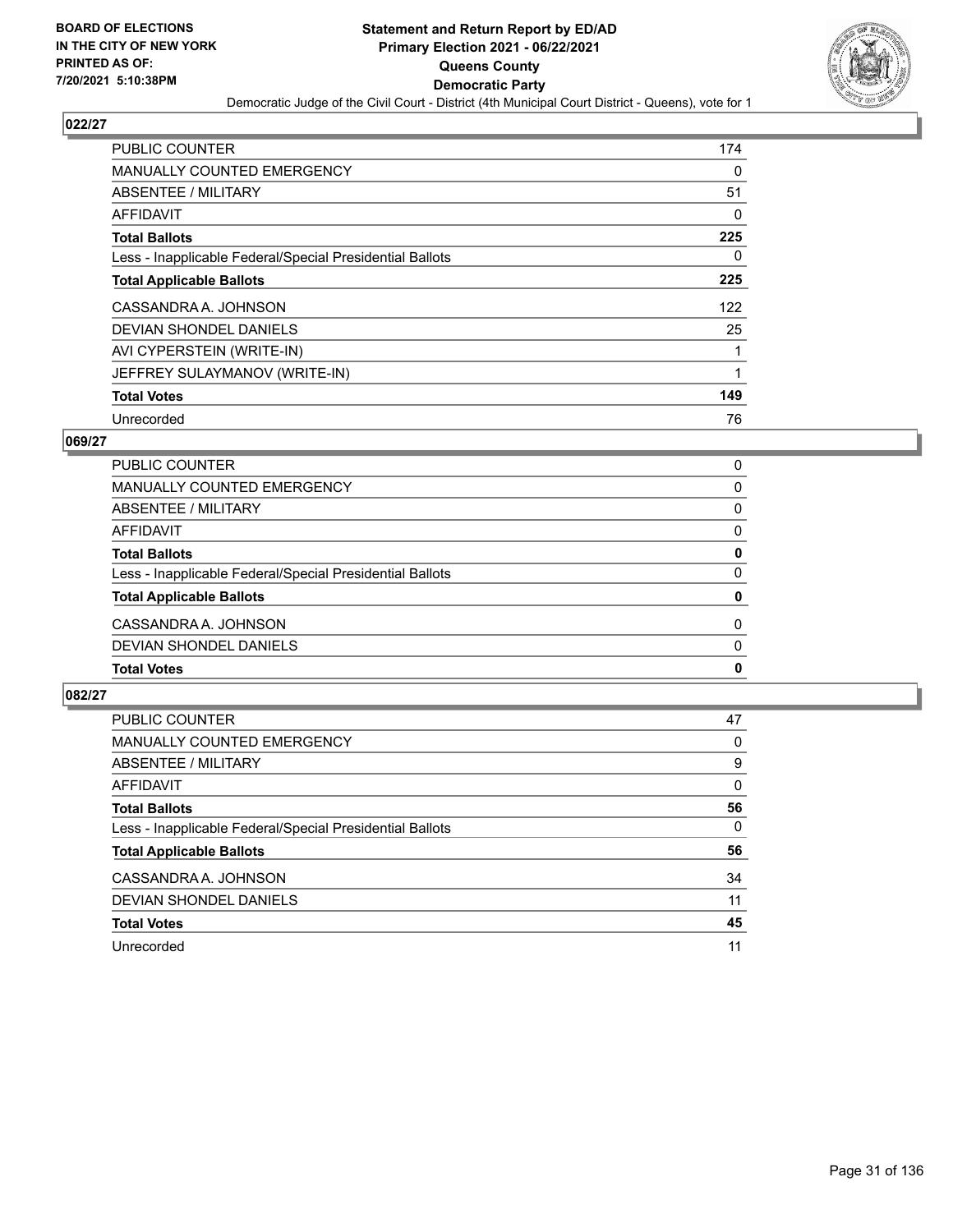

| <b>PUBLIC COUNTER</b>                                    | 174 |
|----------------------------------------------------------|-----|
| <b>MANUALLY COUNTED EMERGENCY</b>                        | 0   |
| ABSENTEE / MILITARY                                      | 51  |
| AFFIDAVIT                                                | 0   |
| <b>Total Ballots</b>                                     | 225 |
| Less - Inapplicable Federal/Special Presidential Ballots | 0   |
| <b>Total Applicable Ballots</b>                          | 225 |
| CASSANDRA A. JOHNSON                                     | 122 |
| <b>DEVIAN SHONDEL DANIELS</b>                            | 25  |
| AVI CYPERSTEIN (WRITE-IN)                                |     |
| JEFFREY SULAYMANOV (WRITE-IN)                            | 1   |
| <b>Total Votes</b>                                       | 149 |
| Unrecorded                                               | 76  |

# **069/27**

| <b>Total Votes</b>                                       | 0            |
|----------------------------------------------------------|--------------|
| DEVIAN SHONDEL DANIELS                                   | $\Omega$     |
| CASSANDRA A. JOHNSON                                     | $\Omega$     |
| <b>Total Applicable Ballots</b>                          | 0            |
| Less - Inapplicable Federal/Special Presidential Ballots | $\Omega$     |
| <b>Total Ballots</b>                                     | $\mathbf{0}$ |
| AFFIDAVIT                                                | $\Omega$     |
| ABSENTEE / MILITARY                                      | 0            |
| <b>MANUALLY COUNTED EMERGENCY</b>                        | $\Omega$     |
| PUBLIC COUNTER                                           | $\Omega$     |

| <b>PUBLIC COUNTER</b>                                    | 47       |
|----------------------------------------------------------|----------|
| <b>MANUALLY COUNTED EMERGENCY</b>                        | 0        |
| ABSENTEE / MILITARY                                      | 9        |
| <b>AFFIDAVIT</b>                                         | $\Omega$ |
| <b>Total Ballots</b>                                     | 56       |
| Less - Inapplicable Federal/Special Presidential Ballots | 0        |
| <b>Total Applicable Ballots</b>                          | 56       |
| CASSANDRA A. JOHNSON                                     | 34       |
| DEVIAN SHONDEL DANIELS                                   | 11       |
| <b>Total Votes</b>                                       | 45       |
| Unrecorded                                               | 11       |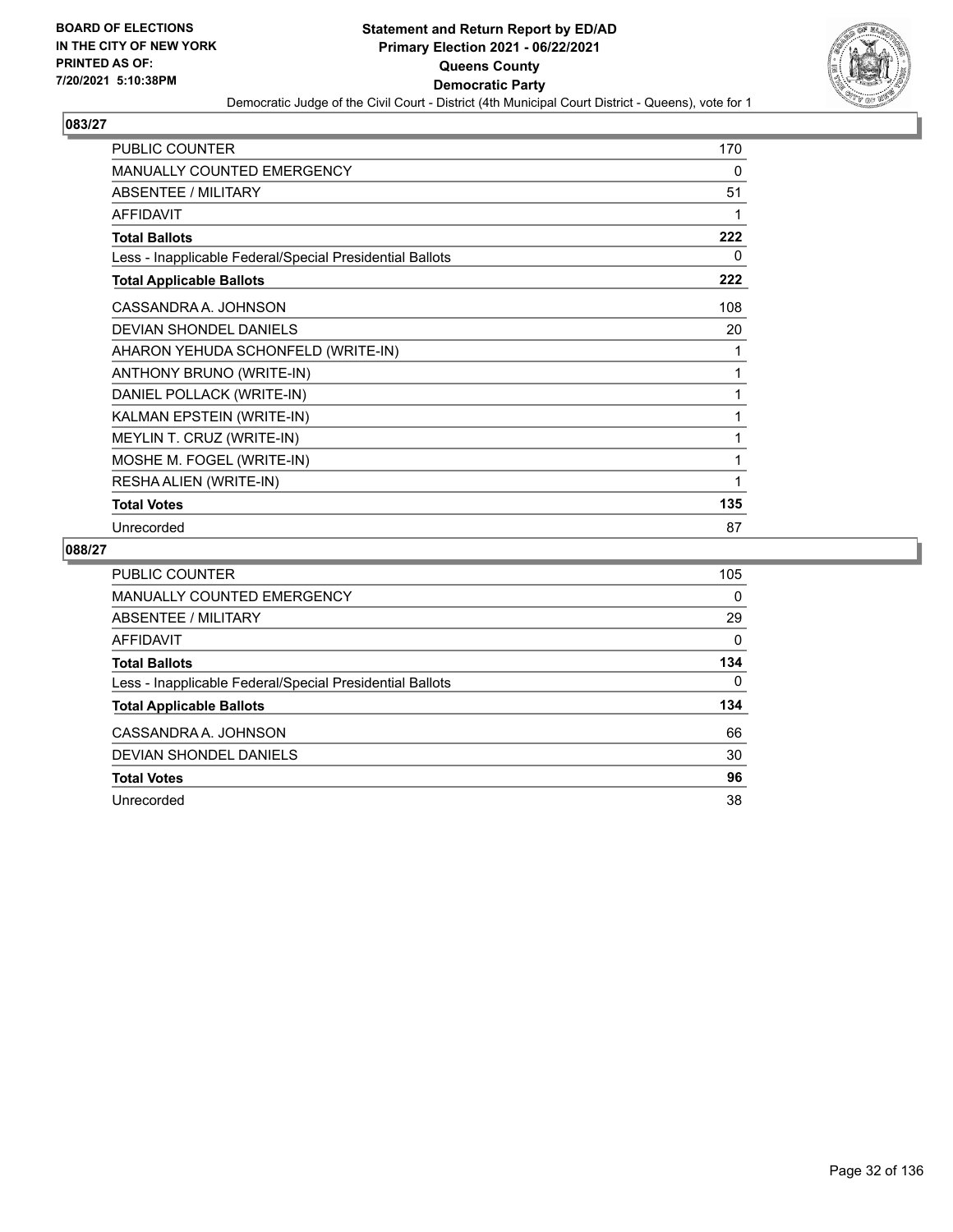

| <b>PUBLIC COUNTER</b>                                    | 170 |
|----------------------------------------------------------|-----|
| <b>MANUALLY COUNTED EMERGENCY</b>                        | 0   |
| ABSENTEE / MILITARY                                      | 51  |
| <b>AFFIDAVIT</b>                                         |     |
| <b>Total Ballots</b>                                     | 222 |
| Less - Inapplicable Federal/Special Presidential Ballots | 0   |
| <b>Total Applicable Ballots</b>                          | 222 |
| CASSANDRA A. JOHNSON                                     | 108 |
| DEVIAN SHONDEL DANIELS                                   | 20  |
| AHARON YEHUDA SCHONFELD (WRITE-IN)                       |     |
| ANTHONY BRUNO (WRITE-IN)                                 | 1   |
| DANIEL POLLACK (WRITE-IN)                                | 1   |
| KALMAN EPSTEIN (WRITE-IN)                                | 1   |
| MEYLIN T. CRUZ (WRITE-IN)                                |     |
| MOSHE M. FOGEL (WRITE-IN)                                |     |
| RESHA ALIEN (WRITE-IN)                                   |     |
| <b>Total Votes</b>                                       | 135 |
| Unrecorded                                               | 87  |

| <b>PUBLIC COUNTER</b>                                    | 105      |
|----------------------------------------------------------|----------|
| MANUALLY COUNTED EMERGENCY                               | 0        |
| ABSENTEE / MILITARY                                      | 29       |
| AFFIDAVIT                                                | $\Omega$ |
| <b>Total Ballots</b>                                     | 134      |
| Less - Inapplicable Federal/Special Presidential Ballots | $\Omega$ |
| <b>Total Applicable Ballots</b>                          | 134      |
| CASSANDRA A. JOHNSON                                     | 66       |
| DEVIAN SHONDEL DANIELS                                   | 30       |
| <b>Total Votes</b>                                       | 96       |
| Unrecorded                                               | 38       |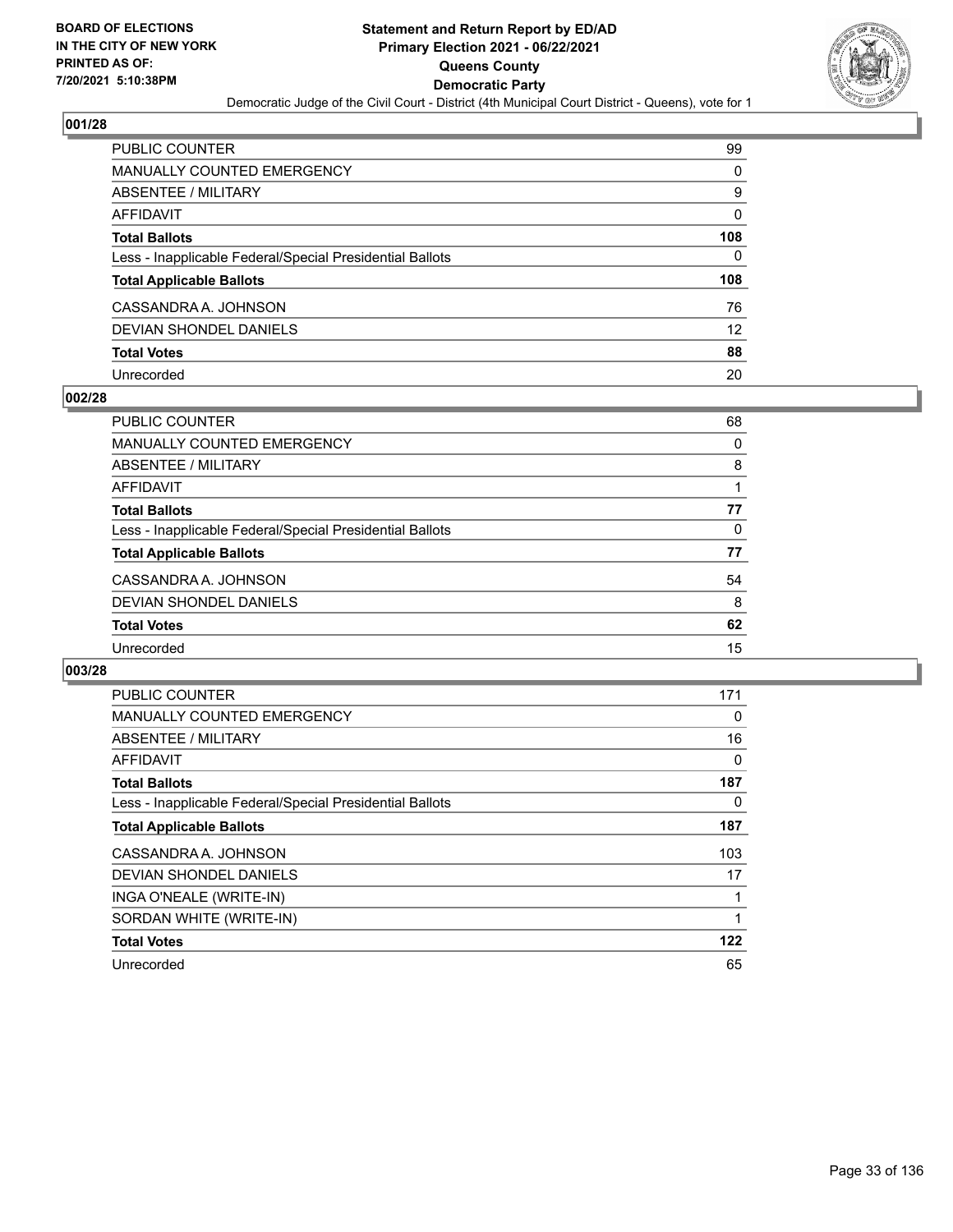

| PUBLIC COUNTER                                           | 99                |
|----------------------------------------------------------|-------------------|
| MANUALLY COUNTED EMERGENCY                               | 0                 |
| <b>ABSENTEE / MILITARY</b>                               | 9                 |
| AFFIDAVIT                                                | $\Omega$          |
| <b>Total Ballots</b>                                     | 108               |
| Less - Inapplicable Federal/Special Presidential Ballots | 0                 |
| <b>Total Applicable Ballots</b>                          | 108               |
| CASSANDRA A. JOHNSON                                     | 76                |
| <b>DEVIAN SHONDEL DANIELS</b>                            | $12 \overline{ }$ |
| <b>Total Votes</b>                                       | 88                |
| Unrecorded                                               | 20                |

## **002/28**

| <b>PUBLIC COUNTER</b>                                    | 68 |
|----------------------------------------------------------|----|
| <b>MANUALLY COUNTED EMERGENCY</b>                        | 0  |
| ABSENTEE / MILITARY                                      | 8  |
| AFFIDAVIT                                                |    |
| <b>Total Ballots</b>                                     | 77 |
| Less - Inapplicable Federal/Special Presidential Ballots | 0  |
| <b>Total Applicable Ballots</b>                          | 77 |
| CASSANDRA A. JOHNSON                                     | 54 |
| DEVIAN SHONDEL DANIELS                                   | 8  |
| <b>Total Votes</b>                                       | 62 |
| Unrecorded                                               | 15 |

| <b>PUBLIC COUNTER</b>                                    | 171 |
|----------------------------------------------------------|-----|
| <b>MANUALLY COUNTED EMERGENCY</b>                        | 0   |
| ABSENTEE / MILITARY                                      | 16  |
| AFFIDAVIT                                                | 0   |
| <b>Total Ballots</b>                                     | 187 |
| Less - Inapplicable Federal/Special Presidential Ballots | 0   |
| <b>Total Applicable Ballots</b>                          | 187 |
| CASSANDRA A. JOHNSON                                     | 103 |
| DEVIAN SHONDEL DANIELS                                   | 17  |
| INGA O'NEALE (WRITE-IN)                                  |     |
| SORDAN WHITE (WRITE-IN)                                  |     |
| <b>Total Votes</b>                                       | 122 |
| Unrecorded                                               | 65  |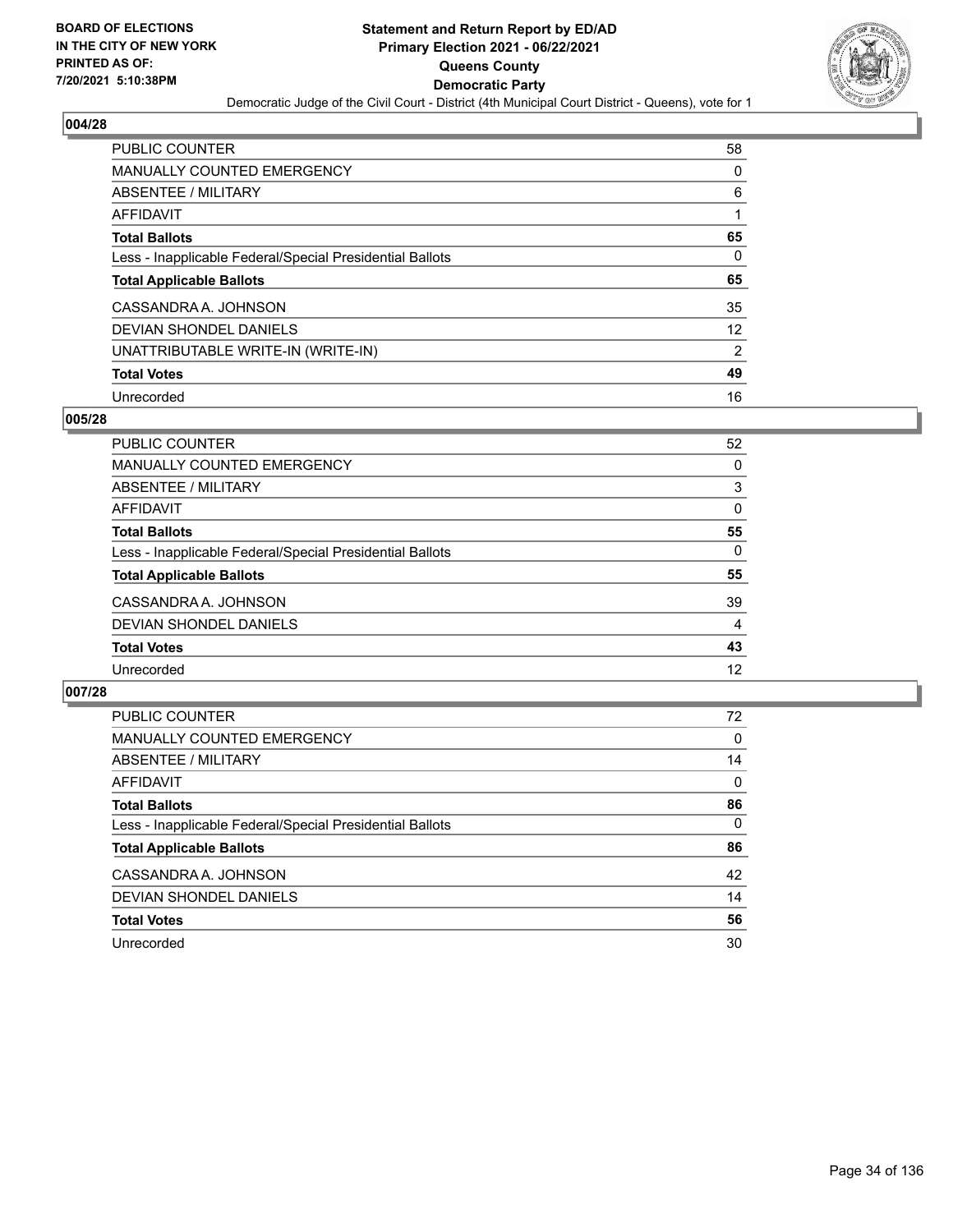

| <b>PUBLIC COUNTER</b>                                    | 58             |
|----------------------------------------------------------|----------------|
| MANUALLY COUNTED EMERGENCY                               | 0              |
| ABSENTEE / MILITARY                                      | 6              |
| AFFIDAVIT                                                |                |
| <b>Total Ballots</b>                                     | 65             |
| Less - Inapplicable Federal/Special Presidential Ballots | 0              |
|                                                          |                |
| <b>Total Applicable Ballots</b>                          | 65             |
| CASSANDRA A. JOHNSON                                     | 35             |
| DEVIAN SHONDEL DANIELS                                   | 12             |
| UNATTRIBUTABLE WRITE-IN (WRITE-IN)                       | $\overline{2}$ |
| <b>Total Votes</b>                                       | 49             |

## **005/28**

| <b>PUBLIC COUNTER</b>                                    | 52       |
|----------------------------------------------------------|----------|
| <b>MANUALLY COUNTED EMERGENCY</b>                        | 0        |
| ABSENTEE / MILITARY                                      | 3        |
| AFFIDAVIT                                                | 0        |
| <b>Total Ballots</b>                                     | 55       |
| Less - Inapplicable Federal/Special Presidential Ballots | $\Omega$ |
| <b>Total Applicable Ballots</b>                          | 55       |
| CASSANDRA A. JOHNSON                                     | 39       |
| DEVIAN SHONDEL DANIELS                                   | 4        |
| <b>Total Votes</b>                                       | 43       |
| Unrecorded                                               | 12       |

| <b>PUBLIC COUNTER</b>                                    | 72       |
|----------------------------------------------------------|----------|
| <b>MANUALLY COUNTED EMERGENCY</b>                        | $\Omega$ |
| ABSENTEE / MILITARY                                      | 14       |
| AFFIDAVIT                                                | $\Omega$ |
| <b>Total Ballots</b>                                     | 86       |
| Less - Inapplicable Federal/Special Presidential Ballots | $\Omega$ |
| <b>Total Applicable Ballots</b>                          | 86       |
| CASSANDRA A. JOHNSON                                     | 42       |
| DEVIAN SHONDEL DANIELS                                   | 14       |
| <b>Total Votes</b>                                       | 56       |
| Unrecorded                                               | 30       |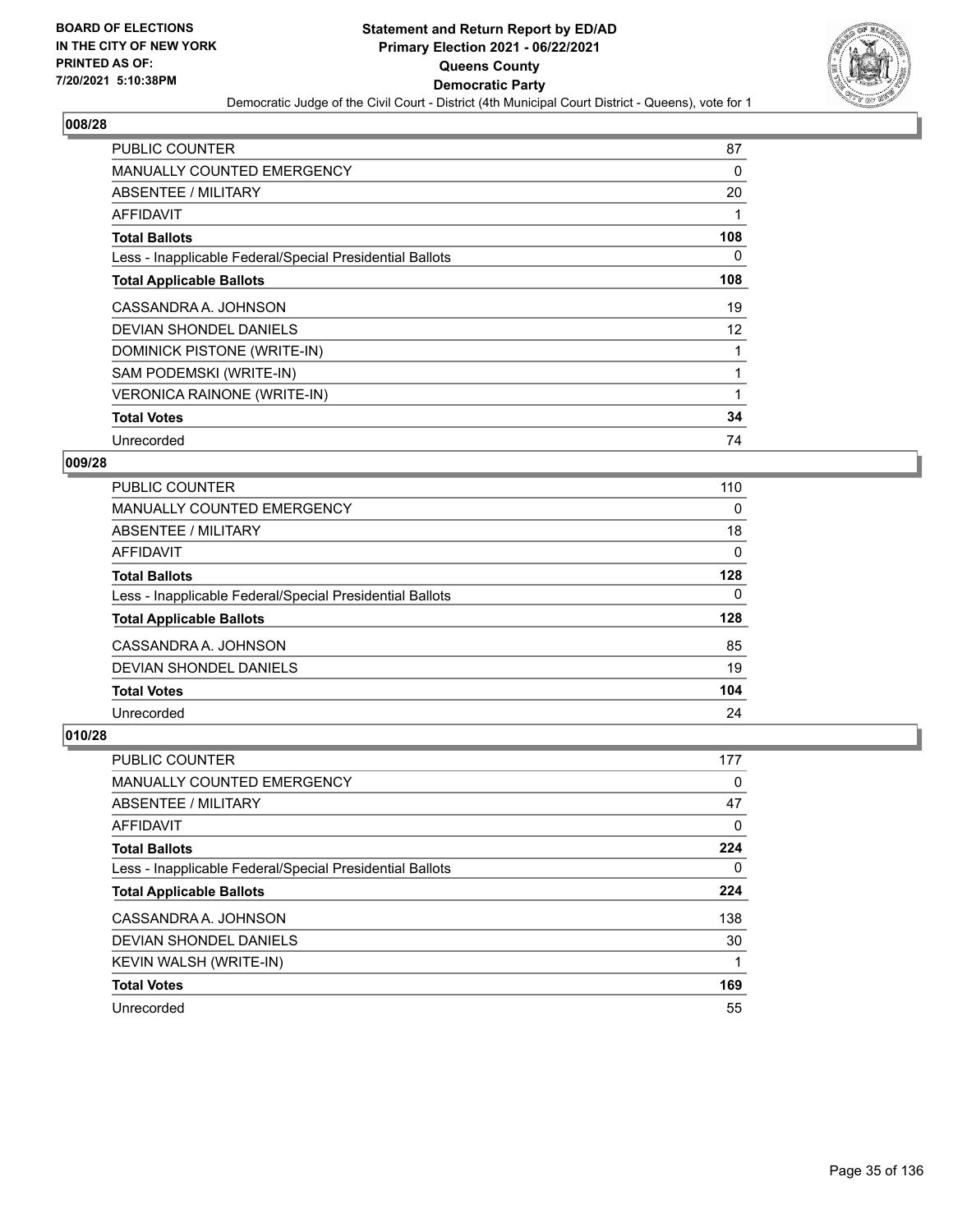

| <b>PUBLIC COUNTER</b>                                    | 87  |
|----------------------------------------------------------|-----|
| <b>MANUALLY COUNTED EMERGENCY</b>                        | 0   |
| ABSENTEE / MILITARY                                      | 20  |
| <b>AFFIDAVIT</b>                                         |     |
| <b>Total Ballots</b>                                     | 108 |
| Less - Inapplicable Federal/Special Presidential Ballots | 0   |
| <b>Total Applicable Ballots</b>                          | 108 |
| CASSANDRA A. JOHNSON                                     | 19  |
| <b>DEVIAN SHONDEL DANIELS</b>                            | 12  |
| DOMINICK PISTONE (WRITE-IN)                              |     |
| SAM PODEMSKI (WRITE-IN)                                  |     |
| <b>VERONICA RAINONE (WRITE-IN)</b>                       |     |
| <b>Total Votes</b>                                       | 34  |
| Unrecorded                                               | 74  |

# **009/28**

| <b>PUBLIC COUNTER</b>                                    | 110      |
|----------------------------------------------------------|----------|
| <b>MANUALLY COUNTED EMERGENCY</b>                        | $\Omega$ |
| ABSENTEE / MILITARY                                      | 18       |
| <b>AFFIDAVIT</b>                                         | 0        |
| <b>Total Ballots</b>                                     | 128      |
| Less - Inapplicable Federal/Special Presidential Ballots | 0        |
| <b>Total Applicable Ballots</b>                          | 128      |
| CASSANDRA A. JOHNSON                                     | 85       |
| <b>DEVIAN SHONDEL DANIELS</b>                            | 19       |
| <b>Total Votes</b>                                       | 104      |
| Unrecorded                                               | 24       |

| <b>PUBLIC COUNTER</b>                                    | 177      |
|----------------------------------------------------------|----------|
| <b>MANUALLY COUNTED EMERGENCY</b>                        | 0        |
| ABSENTEE / MILITARY                                      | 47       |
| AFFIDAVIT                                                | 0        |
| <b>Total Ballots</b>                                     | 224      |
| Less - Inapplicable Federal/Special Presidential Ballots | $\Omega$ |
| <b>Total Applicable Ballots</b>                          | 224      |
| CASSANDRA A. JOHNSON                                     | 138      |
| DEVIAN SHONDEL DANIELS                                   | 30       |
| KEVIN WALSH (WRITE-IN)                                   | 1        |
| <b>Total Votes</b>                                       | 169      |
| Unrecorded                                               | 55       |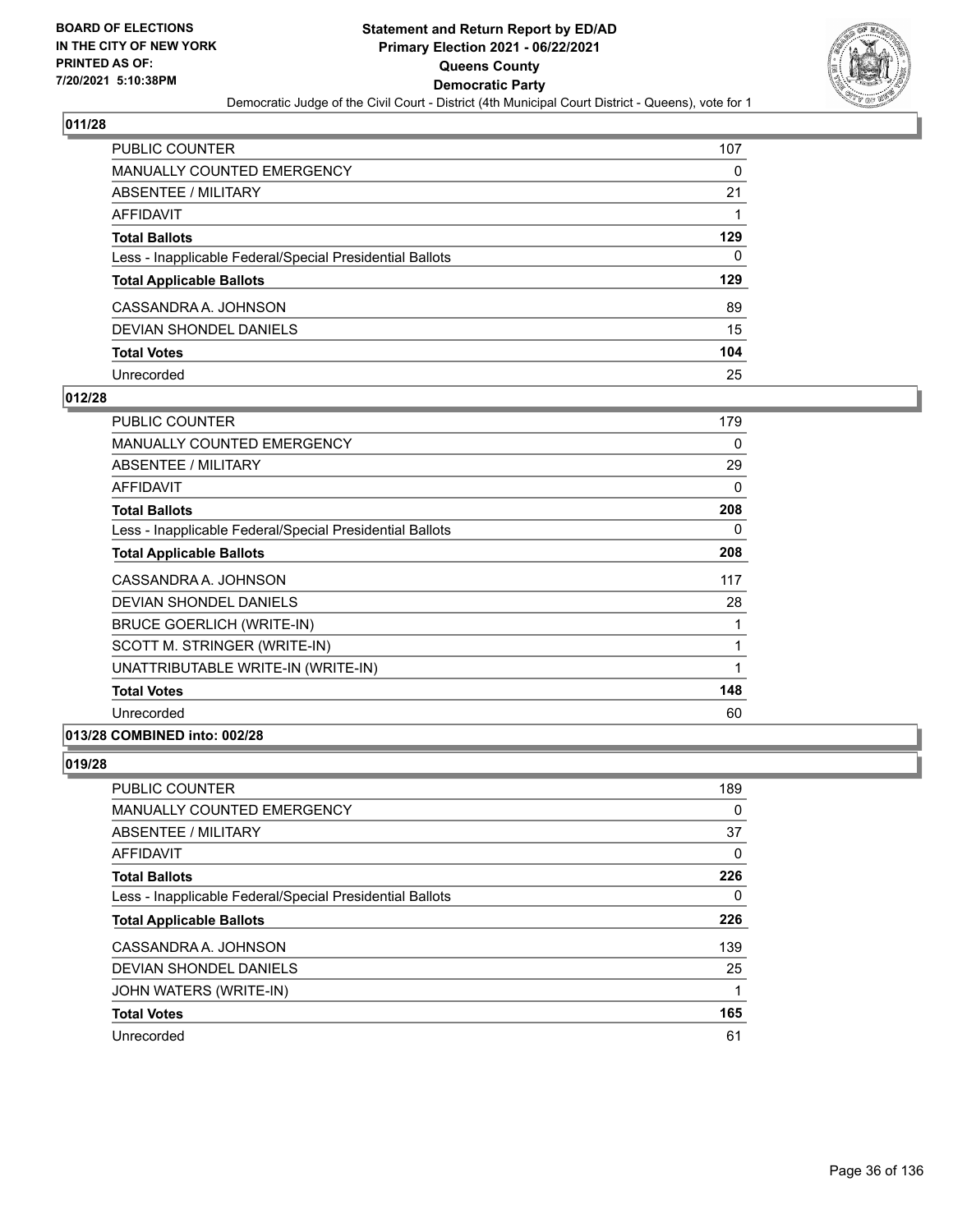

| PUBLIC COUNTER                                           | 107 |
|----------------------------------------------------------|-----|
| <b>MANUALLY COUNTED EMERGENCY</b>                        | 0   |
| ABSENTEE / MILITARY                                      | 21  |
| AFFIDAVIT                                                |     |
| <b>Total Ballots</b>                                     | 129 |
| Less - Inapplicable Federal/Special Presidential Ballots | 0   |
| <b>Total Applicable Ballots</b>                          | 129 |
| CASSANDRA A. JOHNSON                                     | 89  |
| DEVIAN SHONDEL DANIELS                                   | 15  |
| <b>Total Votes</b>                                       | 104 |
| Unrecorded                                               | 25  |

## **012/28**

| PUBLIC COUNTER                                           | 179 |
|----------------------------------------------------------|-----|
| <b>MANUALLY COUNTED EMERGENCY</b>                        | 0   |
| ABSENTEE / MILITARY                                      | 29  |
| AFFIDAVIT                                                | 0   |
| <b>Total Ballots</b>                                     | 208 |
| Less - Inapplicable Federal/Special Presidential Ballots | 0   |
| <b>Total Applicable Ballots</b>                          | 208 |
| CASSANDRA A. JOHNSON                                     | 117 |
| <b>DEVIAN SHONDEL DANIELS</b>                            | 28  |
| <b>BRUCE GOERLICH (WRITE-IN)</b>                         | 1   |
| SCOTT M. STRINGER (WRITE-IN)                             | 1   |
| UNATTRIBUTABLE WRITE-IN (WRITE-IN)                       | 1   |
| <b>Total Votes</b>                                       | 148 |
| Unrecorded                                               | 60  |

# **013/28 COMBINED into: 002/28**

| <b>PUBLIC COUNTER</b>                                    | 189 |
|----------------------------------------------------------|-----|
| <b>MANUALLY COUNTED EMERGENCY</b>                        | 0   |
| <b>ABSENTEE / MILITARY</b>                               | 37  |
| <b>AFFIDAVIT</b>                                         | 0   |
| <b>Total Ballots</b>                                     | 226 |
| Less - Inapplicable Federal/Special Presidential Ballots | 0   |
| <b>Total Applicable Ballots</b>                          | 226 |
| CASSANDRA A. JOHNSON                                     | 139 |
| DEVIAN SHONDEL DANIELS                                   | 25  |
| JOHN WATERS (WRITE-IN)                                   | 1   |
| <b>Total Votes</b>                                       | 165 |
| Unrecorded                                               | 61  |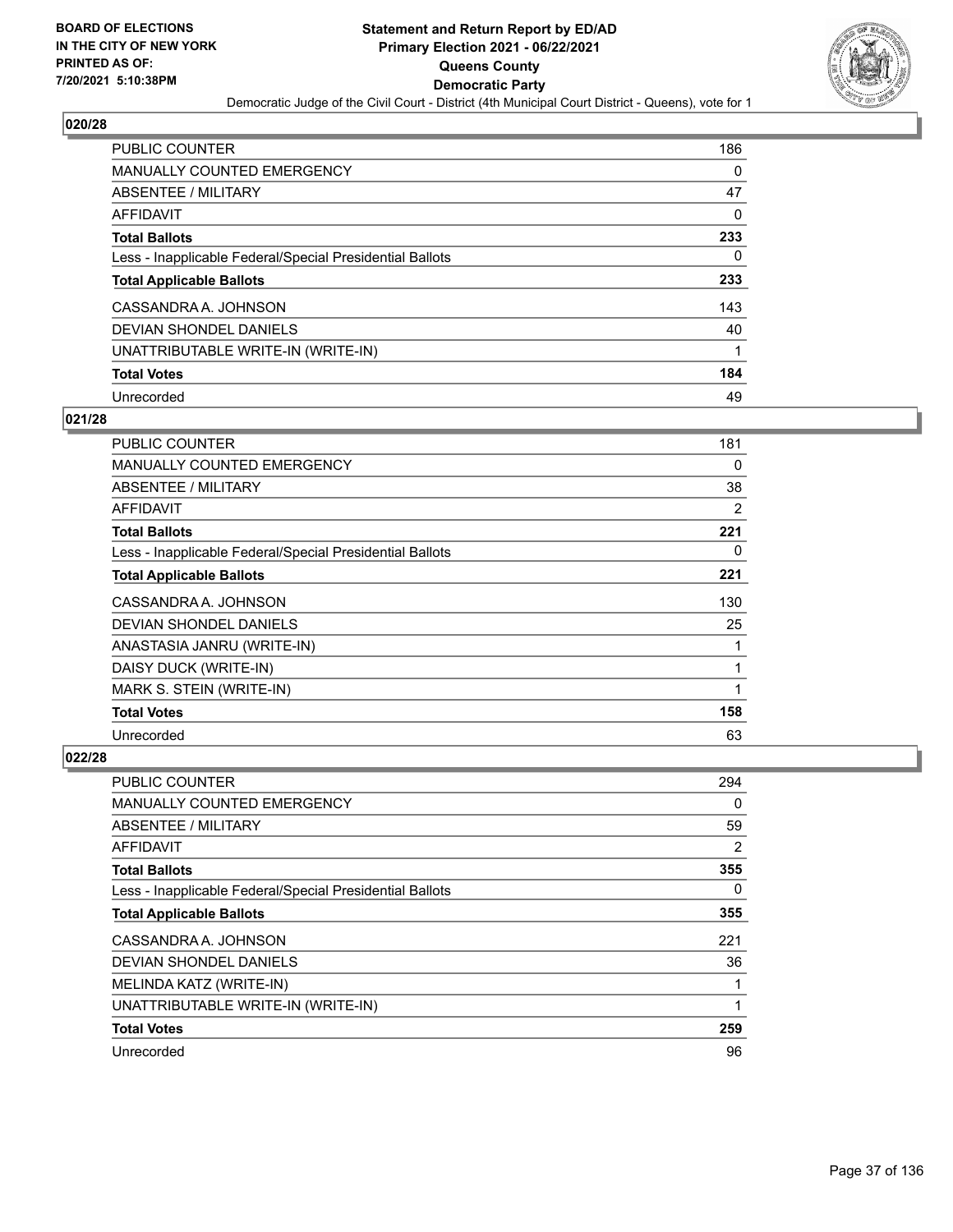

| PUBLIC COUNTER                                           | 186 |
|----------------------------------------------------------|-----|
| <b>MANUALLY COUNTED EMERGENCY</b>                        | 0   |
| ABSENTEE / MILITARY                                      | 47  |
| AFFIDAVIT                                                | 0   |
| <b>Total Ballots</b>                                     | 233 |
| Less - Inapplicable Federal/Special Presidential Ballots | 0   |
| <b>Total Applicable Ballots</b>                          | 233 |
| CASSANDRA A. JOHNSON                                     | 143 |
| DEVIAN SHONDEL DANIELS                                   | 40  |
| UNATTRIBUTABLE WRITE-IN (WRITE-IN)                       |     |
| <b>Total Votes</b>                                       | 184 |
| Unrecorded                                               | 49  |

### **021/28**

| <b>PUBLIC COUNTER</b>                                    | 181 |
|----------------------------------------------------------|-----|
| <b>MANUALLY COUNTED EMERGENCY</b>                        | 0   |
| ABSENTEE / MILITARY                                      | 38  |
| AFFIDAVIT                                                | 2   |
| <b>Total Ballots</b>                                     | 221 |
| Less - Inapplicable Federal/Special Presidential Ballots | 0   |
| <b>Total Applicable Ballots</b>                          | 221 |
| CASSANDRA A. JOHNSON                                     | 130 |
| DEVIAN SHONDEL DANIELS                                   | 25  |
| ANASTASIA JANRU (WRITE-IN)                               | 1   |
| DAISY DUCK (WRITE-IN)                                    | 1   |
| MARK S. STEIN (WRITE-IN)                                 | 1   |
| <b>Total Votes</b>                                       | 158 |
| Unrecorded                                               | 63  |

| PUBLIC COUNTER                                           | 294 |
|----------------------------------------------------------|-----|
| <b>MANUALLY COUNTED EMERGENCY</b>                        | 0   |
| <b>ABSENTEE / MILITARY</b>                               | 59  |
| AFFIDAVIT                                                | 2   |
| <b>Total Ballots</b>                                     | 355 |
| Less - Inapplicable Federal/Special Presidential Ballots | 0   |
| <b>Total Applicable Ballots</b>                          | 355 |
| CASSANDRA A. JOHNSON                                     | 221 |
| DEVIAN SHONDEL DANIELS                                   | 36  |
| MELINDA KATZ (WRITE-IN)                                  |     |
| UNATTRIBUTABLE WRITE-IN (WRITE-IN)                       | 1   |
| <b>Total Votes</b>                                       | 259 |
| Unrecorded                                               | 96  |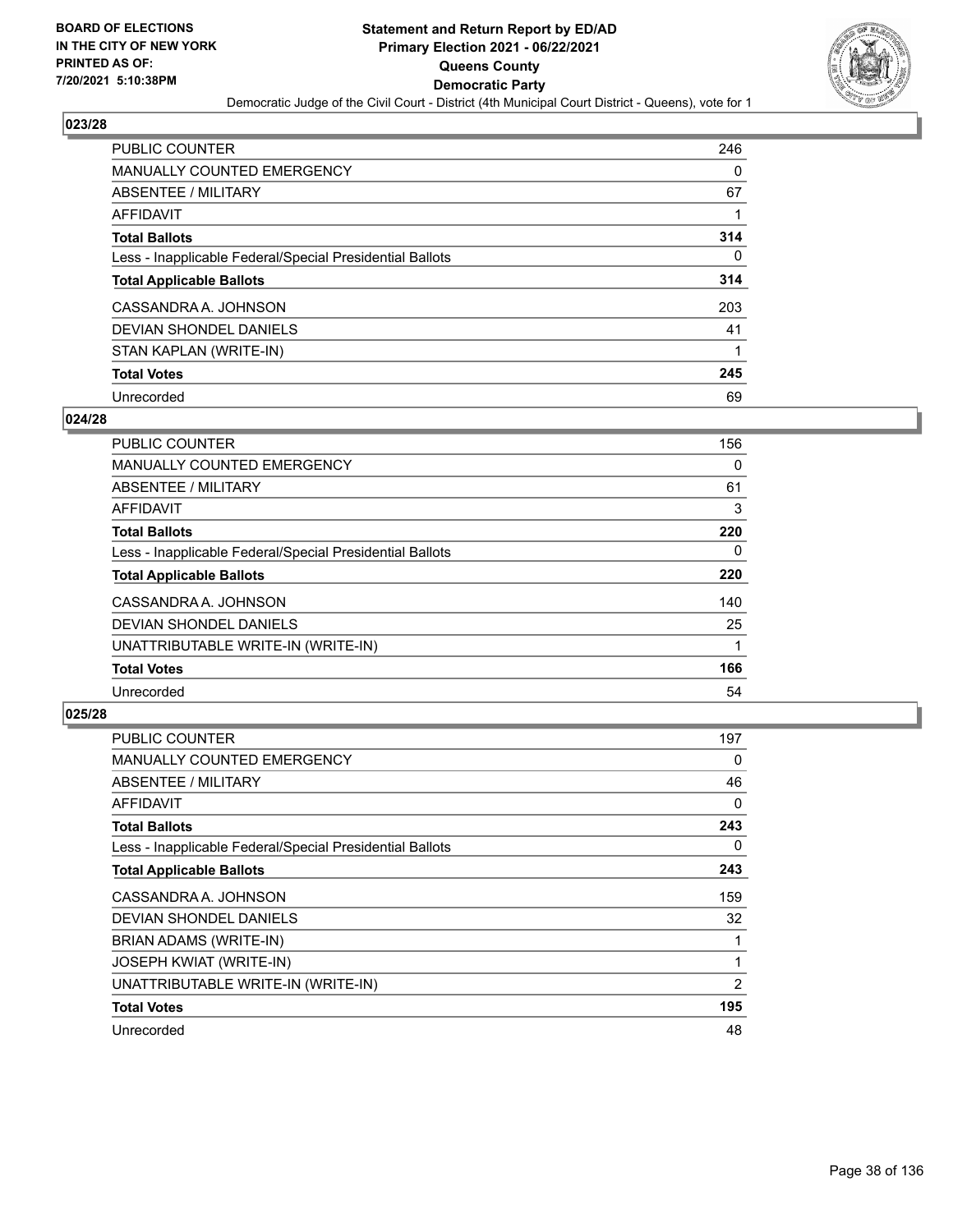

| <b>PUBLIC COUNTER</b>                                    | 246 |
|----------------------------------------------------------|-----|
| <b>MANUALLY COUNTED EMERGENCY</b>                        | 0   |
| ABSENTEE / MILITARY                                      | 67  |
| AFFIDAVIT                                                |     |
| <b>Total Ballots</b>                                     | 314 |
| Less - Inapplicable Federal/Special Presidential Ballots | 0   |
| <b>Total Applicable Ballots</b>                          | 314 |
| CASSANDRA A. JOHNSON                                     | 203 |
| DEVIAN SHONDEL DANIELS                                   | 41  |
| STAN KAPLAN (WRITE-IN)                                   |     |
| <b>Total Votes</b>                                       | 245 |
| Unrecorded                                               | 69  |

### **024/28**

| <b>PUBLIC COUNTER</b>                                    | 156 |
|----------------------------------------------------------|-----|
| <b>MANUALLY COUNTED EMERGENCY</b>                        | 0   |
| ABSENTEE / MILITARY                                      | 61  |
| <b>AFFIDAVIT</b>                                         | 3   |
| <b>Total Ballots</b>                                     | 220 |
| Less - Inapplicable Federal/Special Presidential Ballots | 0   |
| <b>Total Applicable Ballots</b>                          | 220 |
| CASSANDRA A. JOHNSON                                     | 140 |
| <b>DEVIAN SHONDEL DANIELS</b>                            | 25  |
| UNATTRIBUTABLE WRITE-IN (WRITE-IN)                       |     |
| <b>Total Votes</b>                                       | 166 |
| Unrecorded                                               | 54  |

| PUBLIC COUNTER                                           | 197 |
|----------------------------------------------------------|-----|
| <b>MANUALLY COUNTED EMERGENCY</b>                        | 0   |
| ABSENTEE / MILITARY                                      | 46  |
| AFFIDAVIT                                                | 0   |
| <b>Total Ballots</b>                                     | 243 |
| Less - Inapplicable Federal/Special Presidential Ballots | 0   |
| <b>Total Applicable Ballots</b>                          | 243 |
| CASSANDRA A. JOHNSON                                     | 159 |
| <b>DEVIAN SHONDEL DANIELS</b>                            | 32  |
| BRIAN ADAMS (WRITE-IN)                                   | 1   |
| <b>JOSEPH KWIAT (WRITE-IN)</b>                           | 1   |
| UNATTRIBUTABLE WRITE-IN (WRITE-IN)                       | 2   |
| <b>Total Votes</b>                                       | 195 |
| Unrecorded                                               | 48  |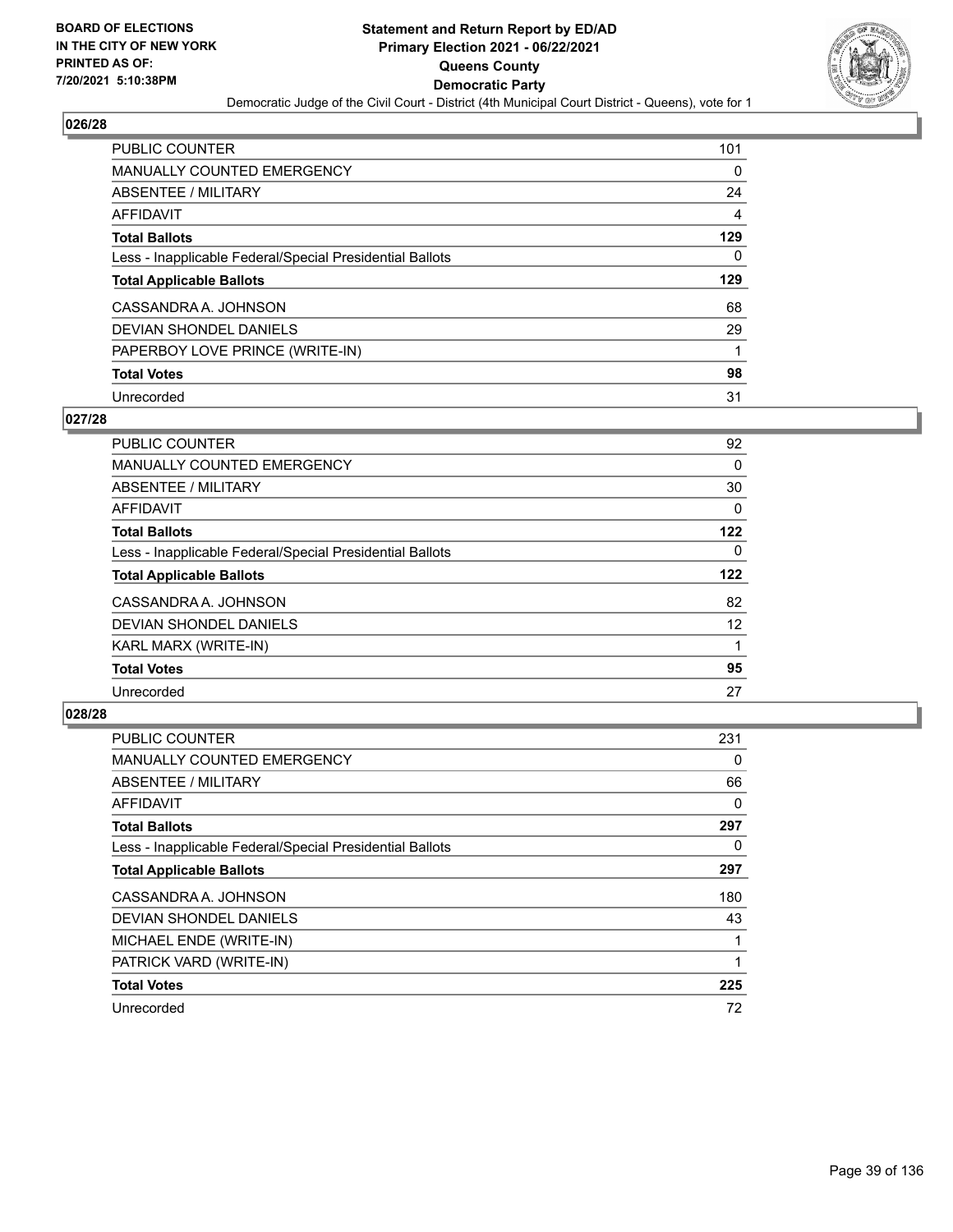

| <b>PUBLIC COUNTER</b>                                    | 101 |
|----------------------------------------------------------|-----|
| <b>MANUALLY COUNTED EMERGENCY</b>                        | 0   |
| <b>ABSENTEE / MILITARY</b>                               | 24  |
| AFFIDAVIT                                                | 4   |
| <b>Total Ballots</b>                                     | 129 |
| Less - Inapplicable Federal/Special Presidential Ballots | 0   |
| <b>Total Applicable Ballots</b>                          | 129 |
|                                                          |     |
| CASSANDRA A. JOHNSON                                     | 68  |
| DEVIAN SHONDEL DANIELS                                   | 29  |
| PAPERBOY LOVE PRINCE (WRITE-IN)                          |     |
| <b>Total Votes</b>                                       | 98  |

### **027/28**

| <b>PUBLIC COUNTER</b>                                    | 92       |
|----------------------------------------------------------|----------|
| MANUALLY COUNTED EMERGENCY                               | 0        |
| ABSENTEE / MILITARY                                      | 30       |
| <b>AFFIDAVIT</b>                                         | $\Omega$ |
| <b>Total Ballots</b>                                     | 122      |
| Less - Inapplicable Federal/Special Presidential Ballots | $\Omega$ |
| <b>Total Applicable Ballots</b>                          | 122      |
| CASSANDRA A. JOHNSON                                     | 82       |
| DEVIAN SHONDEL DANIELS                                   | 12       |
| KARL MARX (WRITE-IN)                                     | 1        |
| <b>Total Votes</b>                                       | 95       |
| Unrecorded                                               | 27       |

| <b>PUBLIC COUNTER</b>                                    | 231 |
|----------------------------------------------------------|-----|
| <b>MANUALLY COUNTED EMERGENCY</b>                        | 0   |
| ABSENTEE / MILITARY                                      | 66  |
| <b>AFFIDAVIT</b>                                         | 0   |
| <b>Total Ballots</b>                                     | 297 |
| Less - Inapplicable Federal/Special Presidential Ballots | 0   |
| <b>Total Applicable Ballots</b>                          | 297 |
| CASSANDRA A. JOHNSON                                     | 180 |
| DEVIAN SHONDEL DANIELS                                   | 43  |
| MICHAEL ENDE (WRITE-IN)                                  |     |
| PATRICK VARD (WRITE-IN)                                  |     |
| <b>Total Votes</b>                                       | 225 |
| Unrecorded                                               | 72  |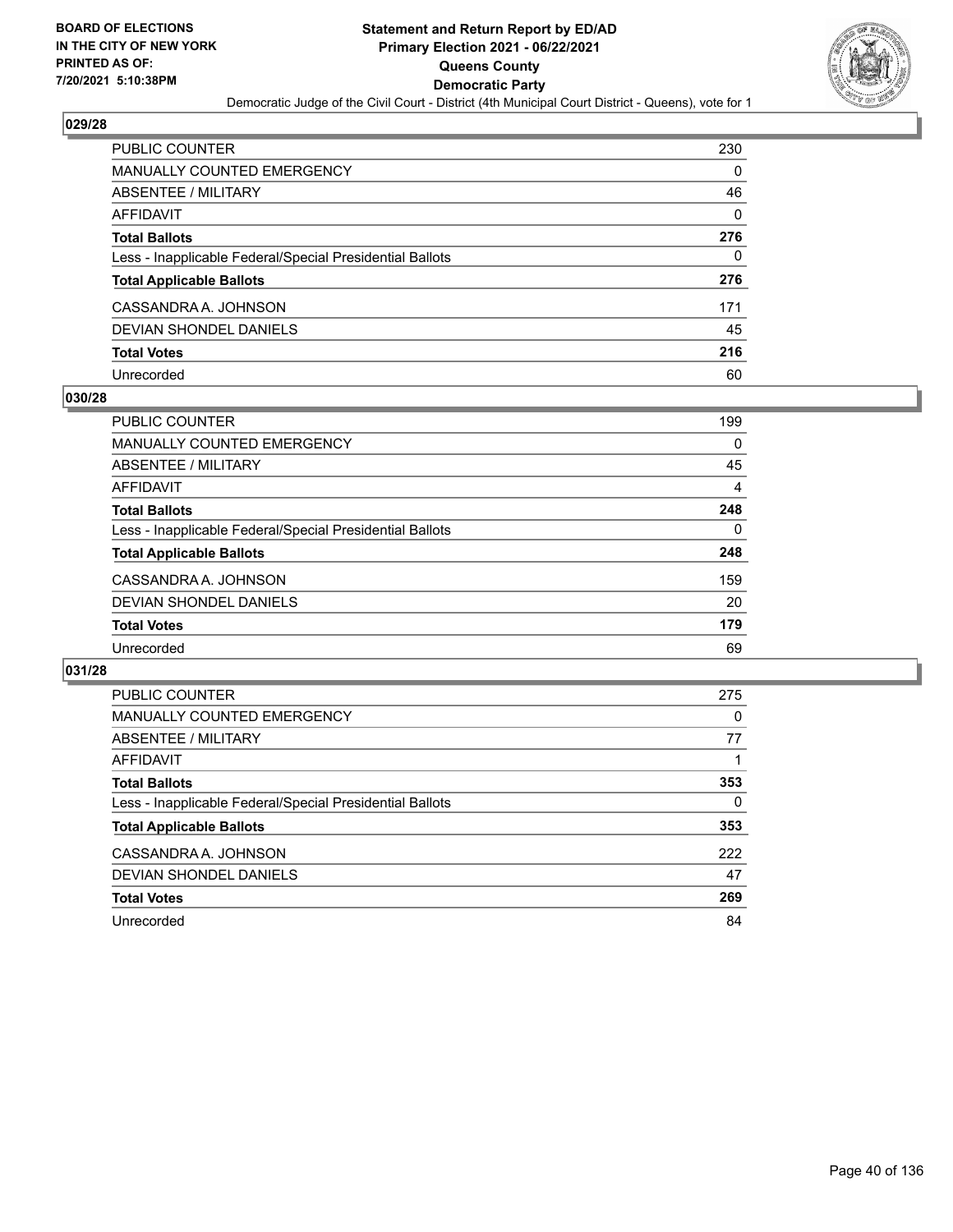

| <b>PUBLIC COUNTER</b>                                    | 230 |
|----------------------------------------------------------|-----|
| <b>MANUALLY COUNTED EMERGENCY</b>                        | 0   |
| ABSENTEE / MILITARY                                      | 46  |
| AFFIDAVIT                                                | 0   |
| <b>Total Ballots</b>                                     | 276 |
| Less - Inapplicable Federal/Special Presidential Ballots | 0   |
| <b>Total Applicable Ballots</b>                          | 276 |
| CASSANDRA A. JOHNSON                                     | 171 |
| DEVIAN SHONDEL DANIELS                                   | 45  |
| <b>Total Votes</b>                                       | 216 |
| Unrecorded                                               | 60  |

### **030/28**

| PUBLIC COUNTER                                           | 199 |
|----------------------------------------------------------|-----|
| <b>MANUALLY COUNTED EMERGENCY</b>                        | 0   |
| ABSENTEE / MILITARY                                      | 45  |
| AFFIDAVIT                                                | 4   |
| <b>Total Ballots</b>                                     | 248 |
| Less - Inapplicable Federal/Special Presidential Ballots | 0   |
| <b>Total Applicable Ballots</b>                          | 248 |
| CASSANDRA A. JOHNSON                                     | 159 |
| DEVIAN SHONDEL DANIELS                                   | 20  |
| <b>Total Votes</b>                                       | 179 |
| Unrecorded                                               | 69  |

| PUBLIC COUNTER                                           | 275 |
|----------------------------------------------------------|-----|
| <b>MANUALLY COUNTED EMERGENCY</b>                        | 0   |
| ABSENTEE / MILITARY                                      | 77  |
| AFFIDAVIT                                                |     |
| <b>Total Ballots</b>                                     | 353 |
| Less - Inapplicable Federal/Special Presidential Ballots | 0   |
| <b>Total Applicable Ballots</b>                          | 353 |
| CASSANDRA A. JOHNSON                                     | 222 |
| <b>DEVIAN SHONDEL DANIELS</b>                            | 47  |
| <b>Total Votes</b>                                       | 269 |
| Unrecorded                                               | 84  |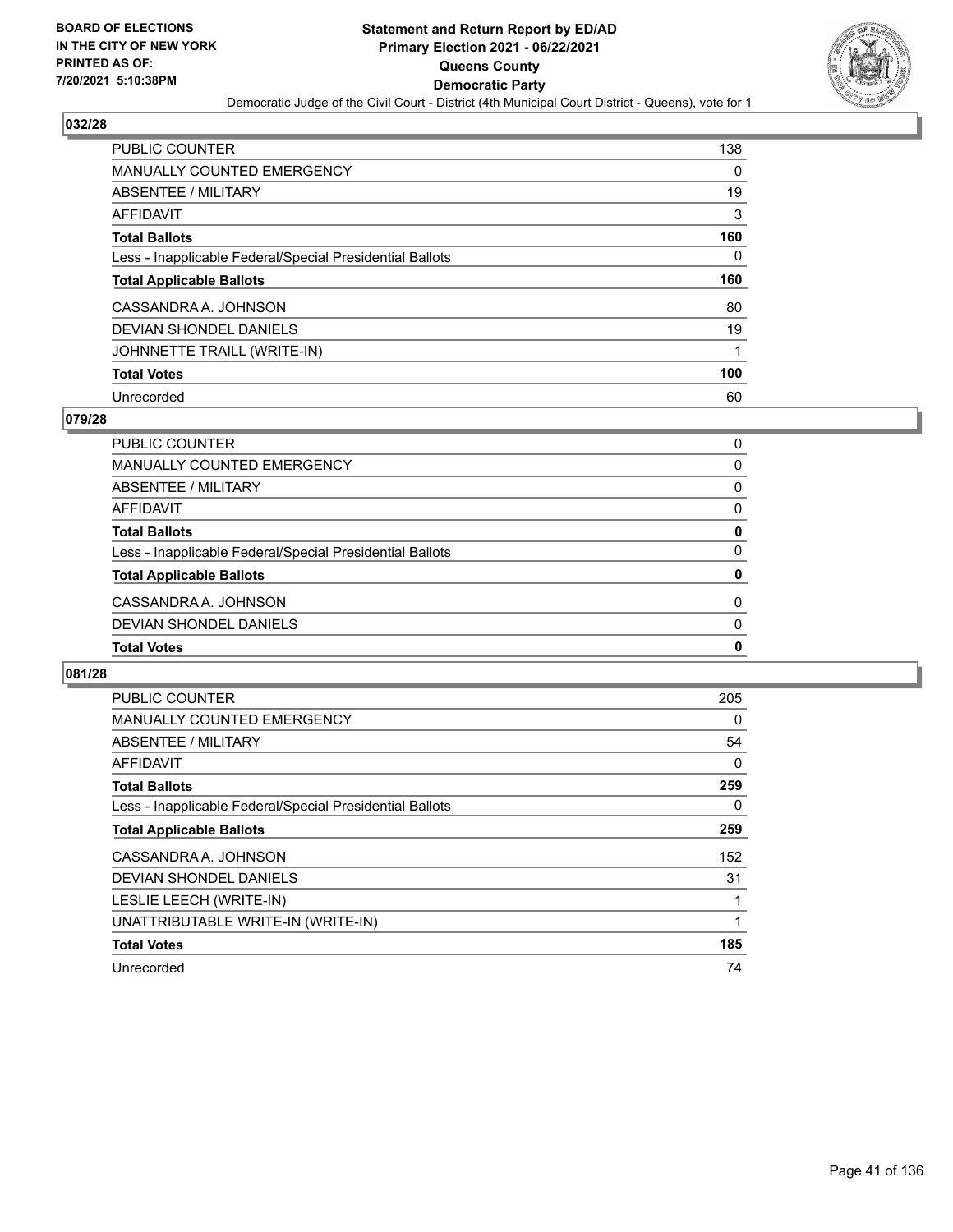

| <b>PUBLIC COUNTER</b>                                    | 138 |
|----------------------------------------------------------|-----|
| <b>MANUALLY COUNTED EMERGENCY</b>                        | 0   |
| ABSENTEE / MILITARY                                      | 19  |
| AFFIDAVIT                                                | 3   |
| <b>Total Ballots</b>                                     | 160 |
| Less - Inapplicable Federal/Special Presidential Ballots | 0   |
|                                                          |     |
| <b>Total Applicable Ballots</b>                          | 160 |
| CASSANDRA A. JOHNSON                                     | 80  |
| DEVIAN SHONDEL DANIELS                                   | 19  |
| JOHNNETTE TRAILL (WRITE-IN)                              | 1   |
| <b>Total Votes</b>                                       | 100 |

### **079/28**

| PUBLIC COUNTER                                           | 0        |
|----------------------------------------------------------|----------|
| <b>MANUALLY COUNTED EMERGENCY</b>                        | 0        |
| ABSENTEE / MILITARY                                      | 0        |
| AFFIDAVIT                                                | $\Omega$ |
| <b>Total Ballots</b>                                     | 0        |
| Less - Inapplicable Federal/Special Presidential Ballots | 0        |
| <b>Total Applicable Ballots</b>                          | 0        |
| CASSANDRA A. JOHNSON                                     | $\Omega$ |
| DEVIAN SHONDEL DANIELS                                   | 0        |
| <b>Total Votes</b>                                       | 0        |

| PUBLIC COUNTER                                           | 205 |
|----------------------------------------------------------|-----|
| <b>MANUALLY COUNTED EMERGENCY</b>                        | 0   |
| ABSENTEE / MILITARY                                      | 54  |
| AFFIDAVIT                                                | 0   |
| <b>Total Ballots</b>                                     | 259 |
| Less - Inapplicable Federal/Special Presidential Ballots | 0   |
| <b>Total Applicable Ballots</b>                          | 259 |
| CASSANDRA A. JOHNSON                                     | 152 |
| DEVIAN SHONDEL DANIELS                                   | 31  |
| LESLIE LEECH (WRITE-IN)                                  |     |
| UNATTRIBUTABLE WRITE-IN (WRITE-IN)                       | 1   |
| <b>Total Votes</b>                                       | 185 |
| Unrecorded                                               | 74  |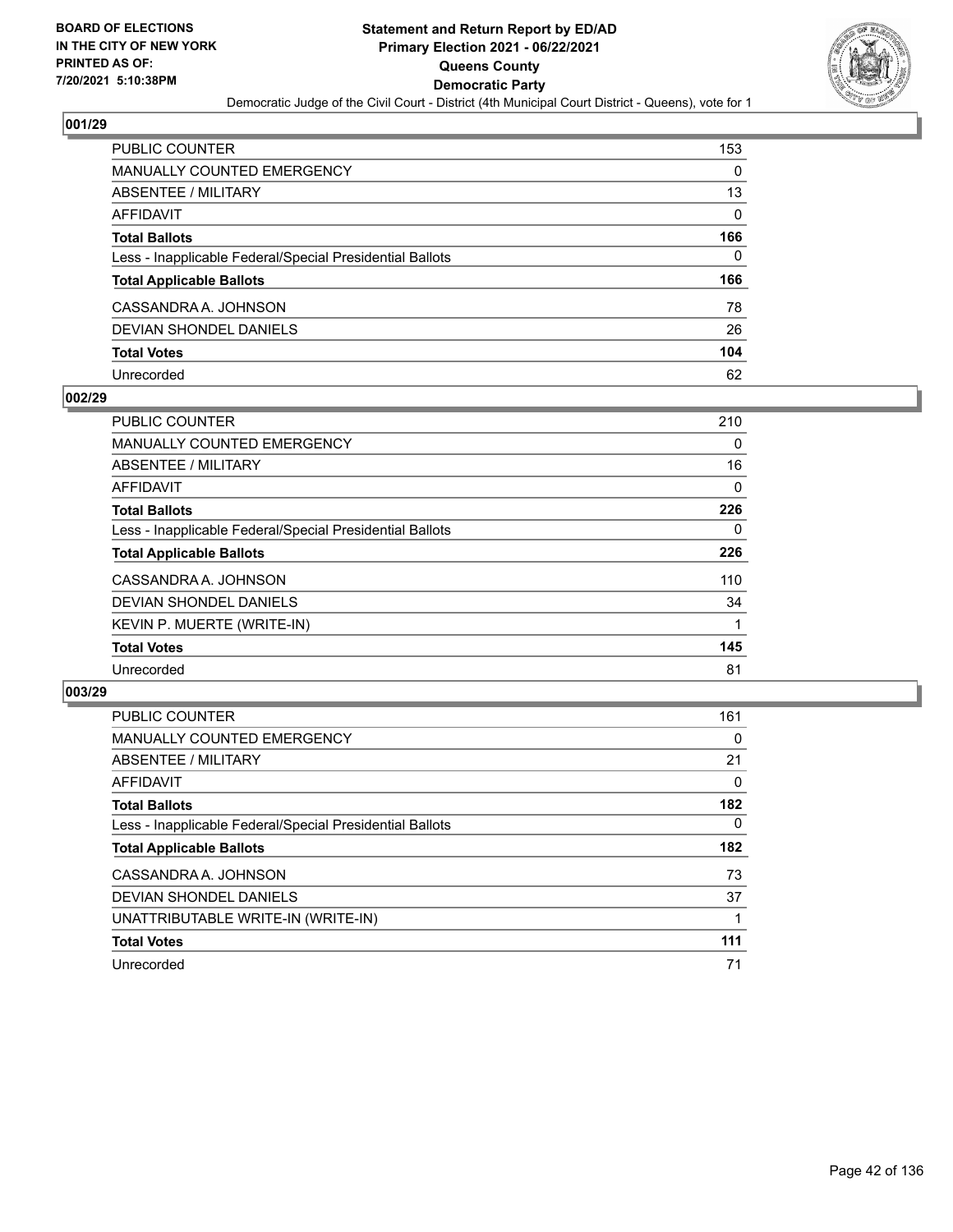

| <b>PUBLIC COUNTER</b>                                    | 153      |
|----------------------------------------------------------|----------|
| <b>MANUALLY COUNTED EMERGENCY</b>                        | 0        |
| ABSENTEE / MILITARY                                      | 13       |
| <b>AFFIDAVIT</b>                                         | $\Omega$ |
| <b>Total Ballots</b>                                     | 166      |
| Less - Inapplicable Federal/Special Presidential Ballots | $\Omega$ |
| <b>Total Applicable Ballots</b>                          | 166      |
| CASSANDRA A. JOHNSON                                     | 78       |
| DEVIAN SHONDEL DANIELS                                   | 26       |
| <b>Total Votes</b>                                       | 104      |
| Unrecorded                                               | 62       |

### **002/29**

| PUBLIC COUNTER                                           | 210      |
|----------------------------------------------------------|----------|
| <b>MANUALLY COUNTED EMERGENCY</b>                        | 0        |
| ABSENTEE / MILITARY                                      | 16       |
| AFFIDAVIT                                                | $\Omega$ |
| <b>Total Ballots</b>                                     | 226      |
| Less - Inapplicable Federal/Special Presidential Ballots | 0        |
| <b>Total Applicable Ballots</b>                          | 226      |
| CASSANDRA A. JOHNSON                                     | 110      |
| <b>DEVIAN SHONDEL DANIELS</b>                            | 34       |
| KEVIN P. MUERTE (WRITE-IN)                               |          |
| <b>Total Votes</b>                                       | 145      |
| Unrecorded                                               | 81       |

| <b>PUBLIC COUNTER</b>                                    | 161      |
|----------------------------------------------------------|----------|
| <b>MANUALLY COUNTED EMERGENCY</b>                        | 0        |
| ABSENTEE / MILITARY                                      | 21       |
| AFFIDAVIT                                                | $\Omega$ |
| <b>Total Ballots</b>                                     | 182      |
| Less - Inapplicable Federal/Special Presidential Ballots | $\Omega$ |
| <b>Total Applicable Ballots</b>                          | 182      |
| CASSANDRA A. JOHNSON                                     | 73       |
| DEVIAN SHONDEL DANIELS                                   | 37       |
| UNATTRIBUTABLE WRITE-IN (WRITE-IN)                       |          |
| <b>Total Votes</b>                                       | 111      |
| Unrecorded                                               | 71       |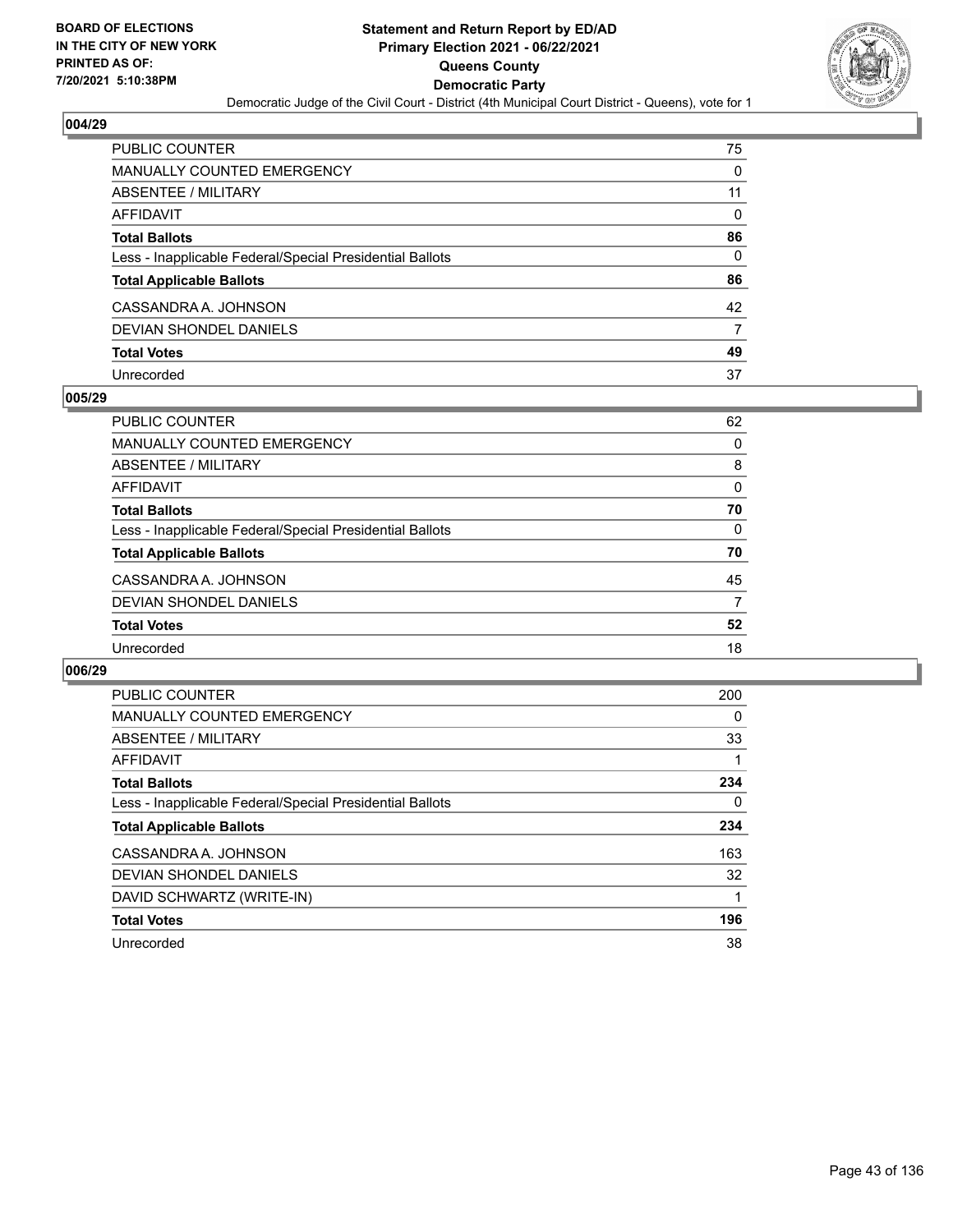

| PUBLIC COUNTER                                           | 75       |
|----------------------------------------------------------|----------|
| <b>MANUALLY COUNTED EMERGENCY</b>                        | 0        |
| <b>ABSENTEE / MILITARY</b>                               | 11       |
| <b>AFFIDAVIT</b>                                         | $\Omega$ |
| <b>Total Ballots</b>                                     | 86       |
| Less - Inapplicable Federal/Special Presidential Ballots | $\Omega$ |
| <b>Total Applicable Ballots</b>                          | 86       |
| CASSANDRA A. JOHNSON                                     | 42       |
| <b>DEVIAN SHONDEL DANIELS</b>                            | 7        |
| <b>Total Votes</b>                                       | 49       |
| Unrecorded                                               | 37       |

### **005/29**

| PUBLIC COUNTER                                           | 62       |
|----------------------------------------------------------|----------|
| <b>MANUALLY COUNTED EMERGENCY</b>                        | $\Omega$ |
| ABSENTEE / MILITARY                                      | 8        |
| AFFIDAVIT                                                | $\Omega$ |
| <b>Total Ballots</b>                                     | 70       |
| Less - Inapplicable Federal/Special Presidential Ballots | 0        |
| <b>Total Applicable Ballots</b>                          | 70       |
| CASSANDRA A. JOHNSON                                     | 45       |
| DEVIAN SHONDEL DANIELS                                   | 7        |
| <b>Total Votes</b>                                       | 52       |
| Unrecorded                                               | 18       |

| <b>PUBLIC COUNTER</b>                                    | 200 |
|----------------------------------------------------------|-----|
| MANUALLY COUNTED EMERGENCY                               | 0   |
| ABSENTEE / MILITARY                                      | 33  |
| <b>AFFIDAVIT</b>                                         |     |
| <b>Total Ballots</b>                                     | 234 |
| Less - Inapplicable Federal/Special Presidential Ballots | 0   |
| <b>Total Applicable Ballots</b>                          | 234 |
| CASSANDRA A. JOHNSON                                     | 163 |
| DEVIAN SHONDEL DANIELS                                   | 32  |
| DAVID SCHWARTZ (WRITE-IN)                                |     |
| <b>Total Votes</b>                                       | 196 |
| Unrecorded                                               | 38  |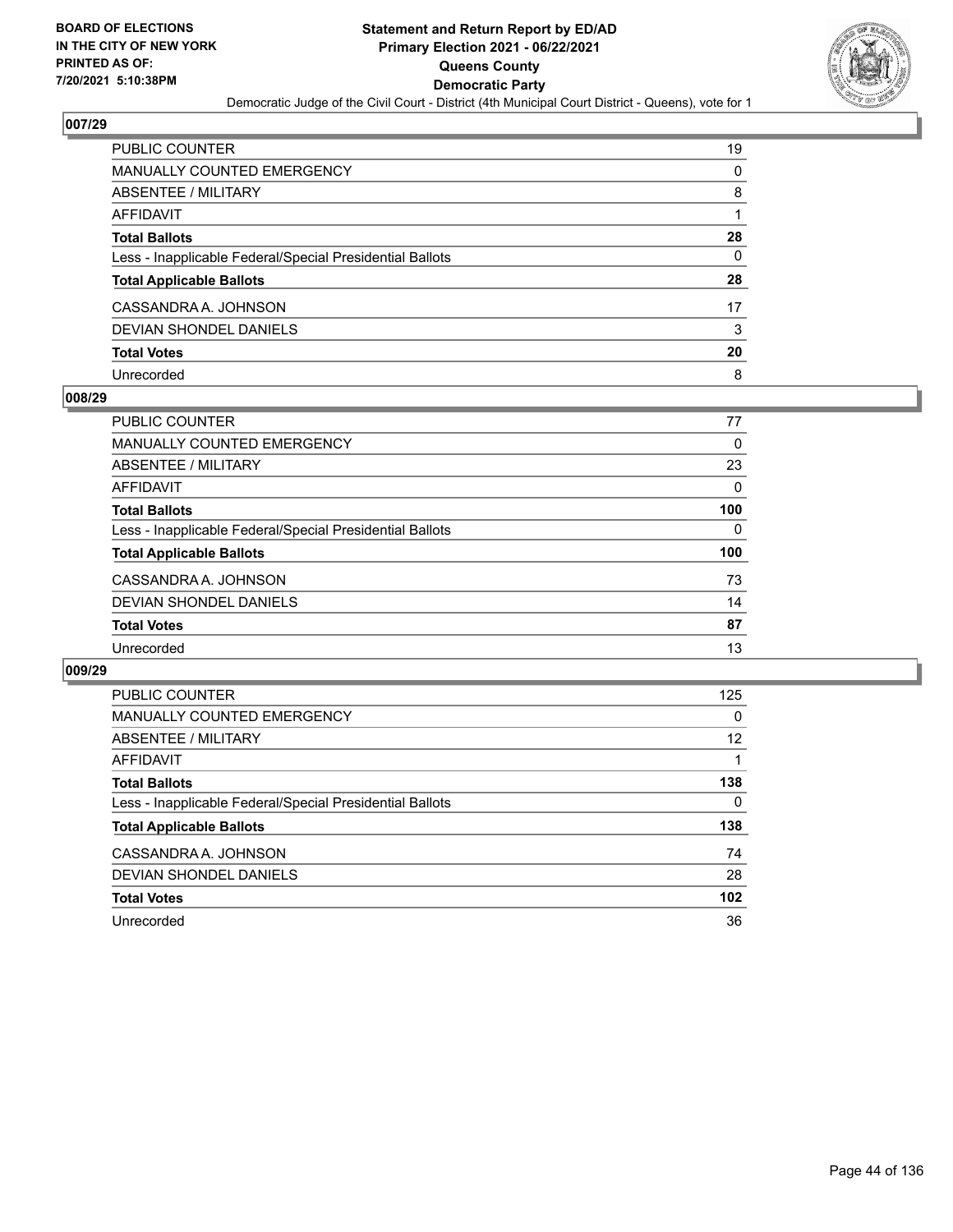

| PUBLIC COUNTER                                           | 19 |
|----------------------------------------------------------|----|
| <b>MANUALLY COUNTED EMERGENCY</b>                        | 0  |
| <b>ABSENTEE / MILITARY</b>                               | 8  |
| AFFIDAVIT                                                |    |
| <b>Total Ballots</b>                                     | 28 |
| Less - Inapplicable Federal/Special Presidential Ballots | 0  |
| <b>Total Applicable Ballots</b>                          | 28 |
| CASSANDRA A. JOHNSON                                     | 17 |
| <b>DEVIAN SHONDEL DANIELS</b>                            | 3  |
| <b>Total Votes</b>                                       | 20 |
| Unrecorded                                               | 8  |

### **008/29**

| <b>PUBLIC COUNTER</b>                                    | 77       |
|----------------------------------------------------------|----------|
| <b>MANUALLY COUNTED EMERGENCY</b>                        | 0        |
| ABSENTEE / MILITARY                                      | 23       |
| AFFIDAVIT                                                | $\Omega$ |
| <b>Total Ballots</b>                                     | 100      |
| Less - Inapplicable Federal/Special Presidential Ballots | $\Omega$ |
| <b>Total Applicable Ballots</b>                          | 100      |
| CASSANDRA A. JOHNSON                                     | 73       |
| DEVIAN SHONDEL DANIELS                                   | 14       |
| <b>Total Votes</b>                                       | 87       |
| Unrecorded                                               | 13       |

| <b>PUBLIC COUNTER</b>                                    | 125 |
|----------------------------------------------------------|-----|
| MANUALLY COUNTED EMERGENCY                               | 0   |
| ABSENTEE / MILITARY                                      | 12  |
| AFFIDAVIT                                                |     |
| <b>Total Ballots</b>                                     | 138 |
| Less - Inapplicable Federal/Special Presidential Ballots | 0   |
| <b>Total Applicable Ballots</b>                          | 138 |
| CASSANDRA A. JOHNSON                                     | 74  |
| DEVIAN SHONDEL DANIELS                                   | 28  |
| <b>Total Votes</b>                                       | 102 |
| Unrecorded                                               | 36  |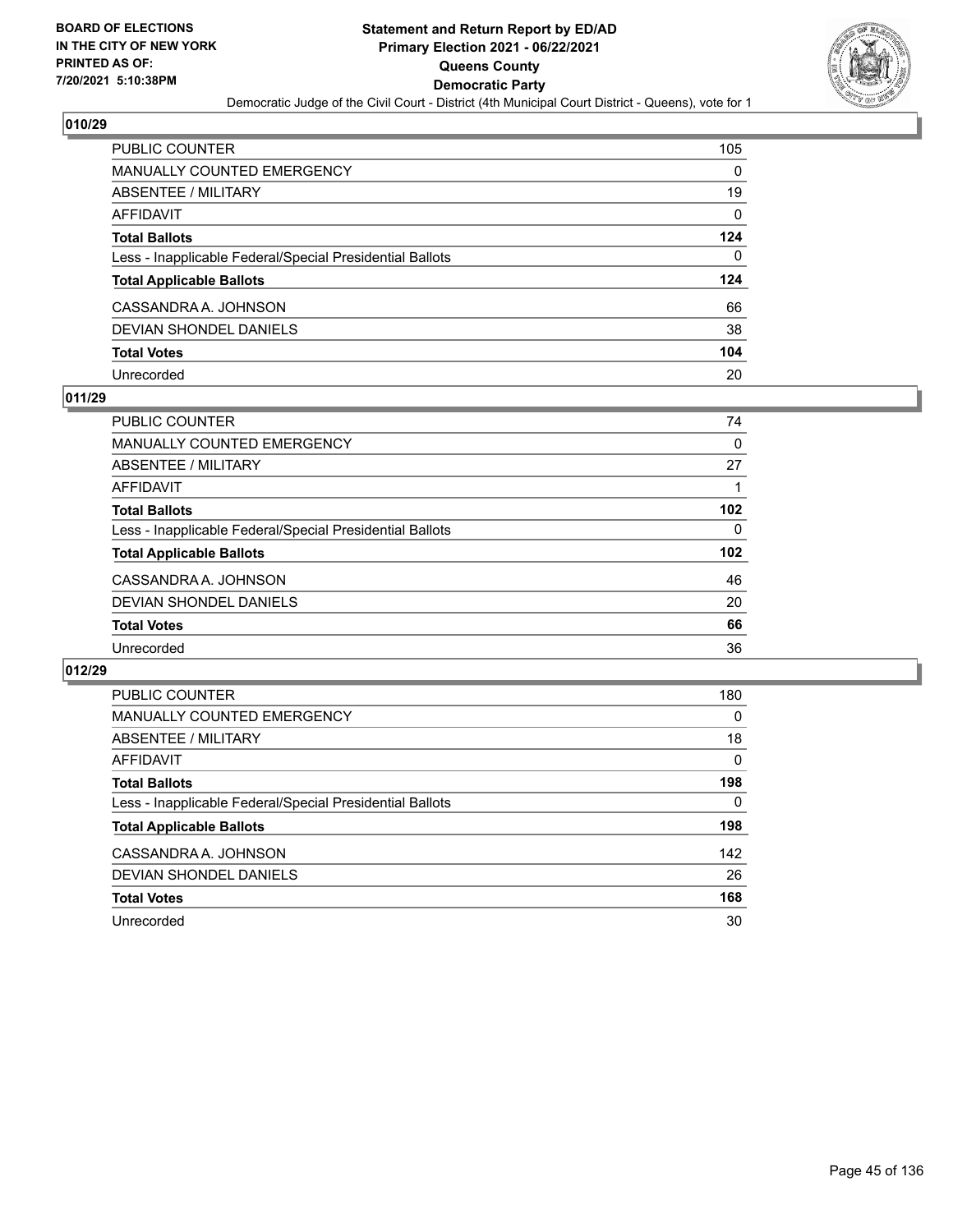

| <b>PUBLIC COUNTER</b>                                    | 105      |
|----------------------------------------------------------|----------|
| MANUALLY COUNTED EMERGENCY                               | 0        |
| <b>ABSENTEE / MILITARY</b>                               | 19       |
| <b>AFFIDAVIT</b>                                         | $\Omega$ |
| <b>Total Ballots</b>                                     | 124      |
| Less - Inapplicable Federal/Special Presidential Ballots | 0        |
| <b>Total Applicable Ballots</b>                          | 124      |
| CASSANDRA A. JOHNSON                                     | 66       |
| <b>DEVIAN SHONDEL DANIELS</b>                            | 38       |
| <b>Total Votes</b>                                       | 104      |
| Unrecorded                                               | 20       |

## **011/29**

| PUBLIC COUNTER                                           | 74               |
|----------------------------------------------------------|------------------|
| <b>MANUALLY COUNTED EMERGENCY</b>                        | 0                |
| <b>ABSENTEE / MILITARY</b>                               | 27               |
| AFFIDAVIT                                                |                  |
| <b>Total Ballots</b>                                     | 102              |
| Less - Inapplicable Federal/Special Presidential Ballots | 0                |
| <b>Total Applicable Ballots</b>                          | 102 <sub>2</sub> |
| CASSANDRA A. JOHNSON                                     | 46               |
| DEVIAN SHONDEL DANIELS                                   | 20               |
| <b>Total Votes</b>                                       | 66               |
| Unrecorded                                               | 36               |

| PUBLIC COUNTER                                           | 180      |
|----------------------------------------------------------|----------|
| <b>MANUALLY COUNTED EMERGENCY</b>                        | $\Omega$ |
| ABSENTEE / MILITARY                                      | 18       |
| AFFIDAVIT                                                | 0        |
| <b>Total Ballots</b>                                     | 198      |
| Less - Inapplicable Federal/Special Presidential Ballots | 0        |
| <b>Total Applicable Ballots</b>                          | 198      |
| CASSANDRA A. JOHNSON                                     | 142      |
| DEVIAN SHONDEL DANIELS                                   | 26       |
| <b>Total Votes</b>                                       | 168      |
| Unrecorded                                               | 30       |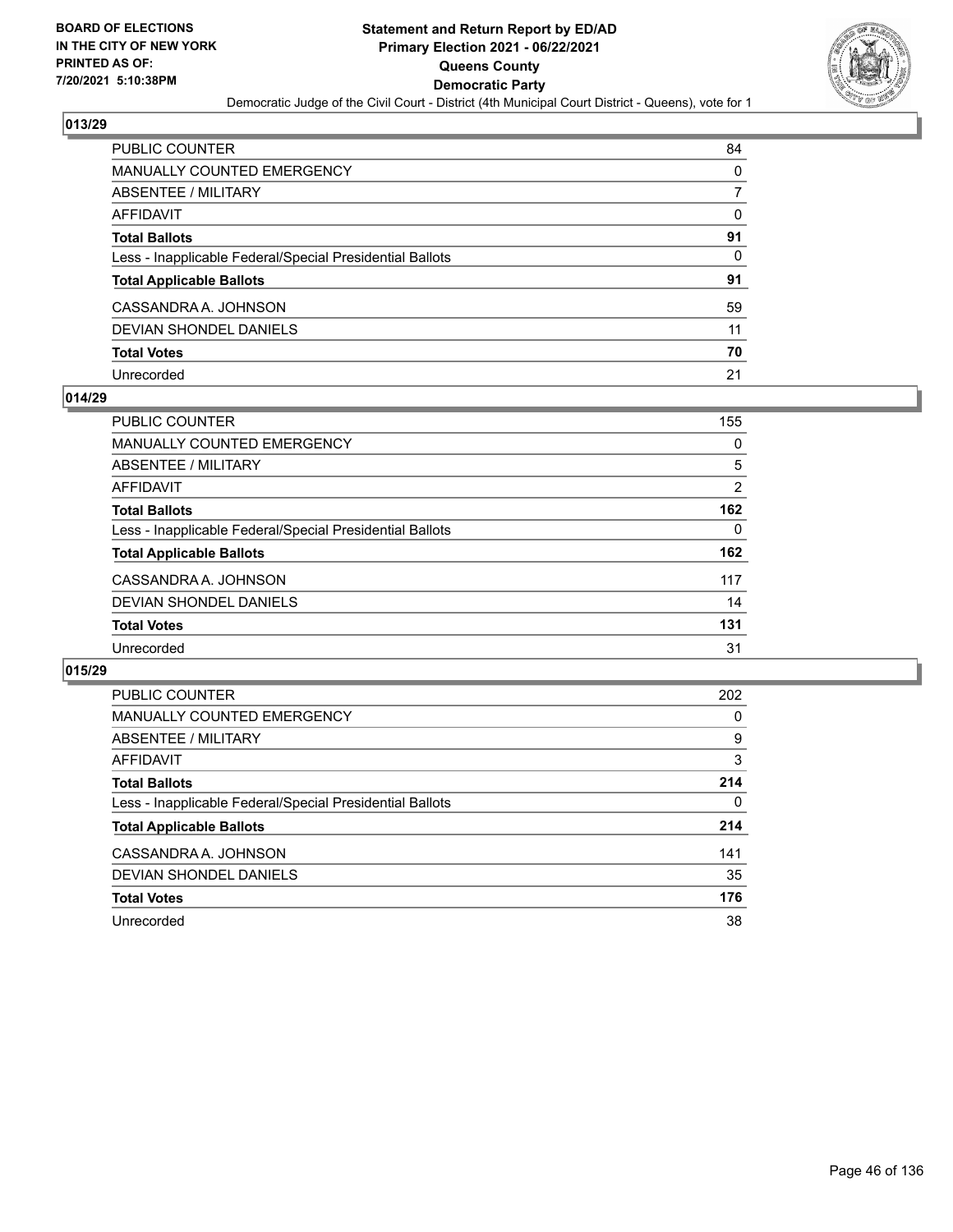

| PUBLIC COUNTER                                           | 84       |
|----------------------------------------------------------|----------|
| <b>MANUALLY COUNTED EMERGENCY</b>                        | 0        |
| <b>ABSENTEE / MILITARY</b>                               |          |
| AFFIDAVIT                                                | $\Omega$ |
| <b>Total Ballots</b>                                     | 91       |
| Less - Inapplicable Federal/Special Presidential Ballots | 0        |
| <b>Total Applicable Ballots</b>                          | 91       |
| CASSANDRA A. JOHNSON                                     | 59       |
| <b>DEVIAN SHONDEL DANIELS</b>                            | 11       |
| <b>Total Votes</b>                                       | 70       |
| Unrecorded                                               | 21       |

### **014/29**

| PUBLIC COUNTER                                           | 155            |
|----------------------------------------------------------|----------------|
| MANUALLY COUNTED EMERGENCY                               | 0              |
| ABSENTEE / MILITARY                                      | 5              |
| AFFIDAVIT                                                | $\overline{2}$ |
| <b>Total Ballots</b>                                     | 162            |
| Less - Inapplicable Federal/Special Presidential Ballots | 0              |
| <b>Total Applicable Ballots</b>                          | 162            |
| CASSANDRA A. JOHNSON                                     | 117            |
| DEVIAN SHONDEL DANIELS                                   | 14             |
| <b>Total Votes</b>                                       | 131            |
| Unrecorded                                               | 31             |

| <b>PUBLIC COUNTER</b>                                    | 202      |
|----------------------------------------------------------|----------|
| <b>MANUALLY COUNTED EMERGENCY</b>                        | $\Omega$ |
| ABSENTEE / MILITARY                                      | 9        |
| AFFIDAVIT                                                | 3        |
| <b>Total Ballots</b>                                     | 214      |
| Less - Inapplicable Federal/Special Presidential Ballots | 0        |
| <b>Total Applicable Ballots</b>                          | 214      |
| CASSANDRA A. JOHNSON                                     | 141      |
| <b>DEVIAN SHONDEL DANIELS</b>                            | 35       |
| <b>Total Votes</b>                                       | 176      |
| Unrecorded                                               | 38       |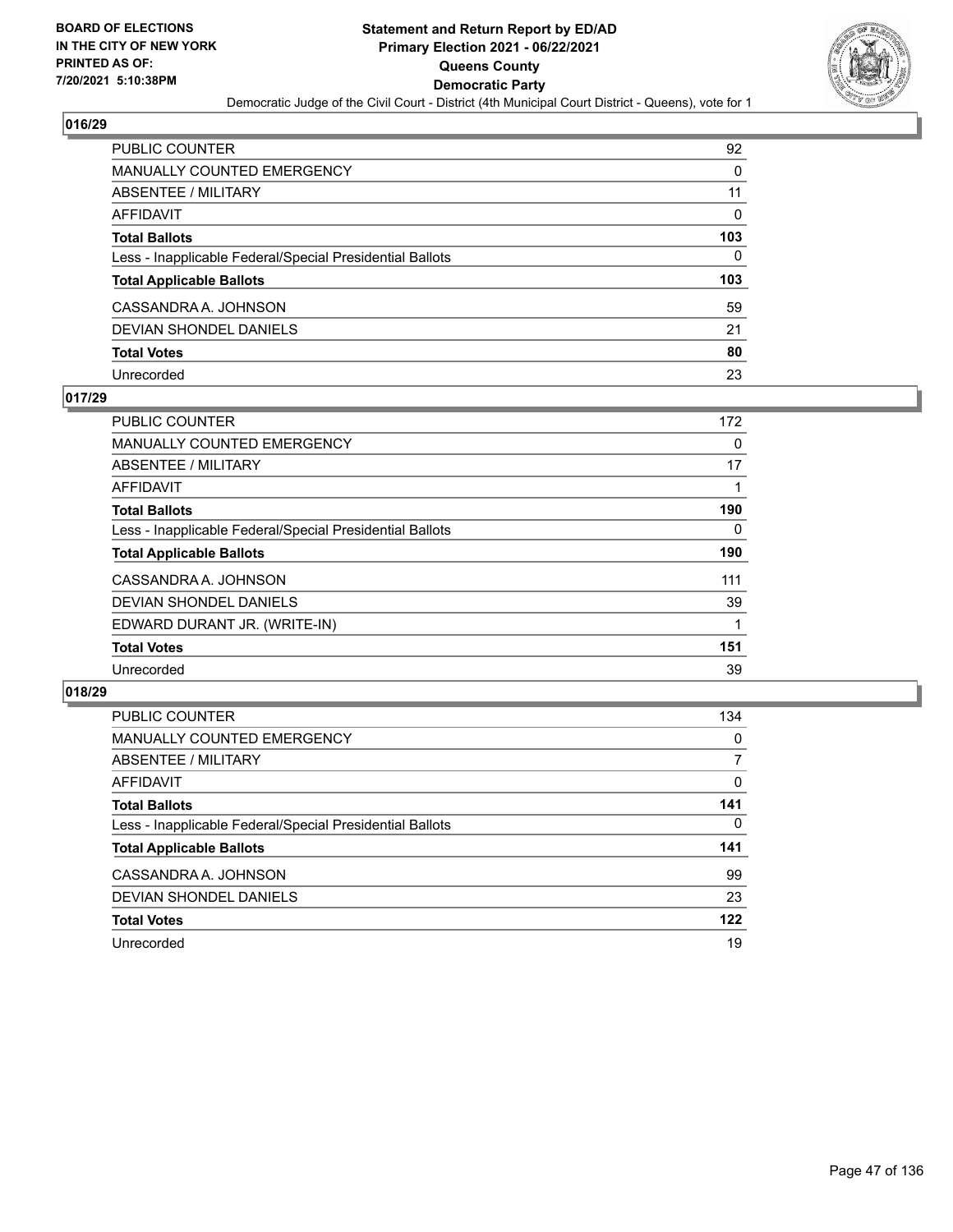

| PUBLIC COUNTER                                           | 92       |
|----------------------------------------------------------|----------|
| MANUALLY COUNTED EMERGENCY                               | 0        |
| <b>ABSENTEE / MILITARY</b>                               | 11       |
| AFFIDAVIT                                                | $\Omega$ |
| <b>Total Ballots</b>                                     | 103      |
| Less - Inapplicable Federal/Special Presidential Ballots | 0        |
| <b>Total Applicable Ballots</b>                          | 103      |
| CASSANDRA A. JOHNSON                                     | 59       |
| <b>DEVIAN SHONDEL DANIELS</b>                            | 21       |
| <b>Total Votes</b>                                       | 80       |
| Unrecorded                                               | 23       |

## **017/29**

| <b>PUBLIC COUNTER</b>                                    | 172 |
|----------------------------------------------------------|-----|
| <b>MANUALLY COUNTED EMERGENCY</b>                        | 0   |
| ABSENTEE / MILITARY                                      | 17  |
| AFFIDAVIT                                                |     |
| <b>Total Ballots</b>                                     | 190 |
| Less - Inapplicable Federal/Special Presidential Ballots | 0   |
| <b>Total Applicable Ballots</b>                          | 190 |
| CASSANDRA A. JOHNSON                                     | 111 |
| DEVIAN SHONDEL DANIELS                                   | 39  |
| EDWARD DURANT JR. (WRITE-IN)                             |     |
| <b>Total Votes</b>                                       | 151 |
| Unrecorded                                               | 39  |

| <b>PUBLIC COUNTER</b>                                    | 134      |
|----------------------------------------------------------|----------|
| MANUALLY COUNTED EMERGENCY                               | $\Omega$ |
| ABSENTEE / MILITARY                                      | 7        |
| AFFIDAVIT                                                | $\Omega$ |
| <b>Total Ballots</b>                                     | 141      |
| Less - Inapplicable Federal/Special Presidential Ballots | $\Omega$ |
| <b>Total Applicable Ballots</b>                          | 141      |
| CASSANDRA A. JOHNSON                                     | 99       |
| DEVIAN SHONDEL DANIELS                                   | 23       |
| <b>Total Votes</b>                                       | 122      |
| Unrecorded                                               | 19       |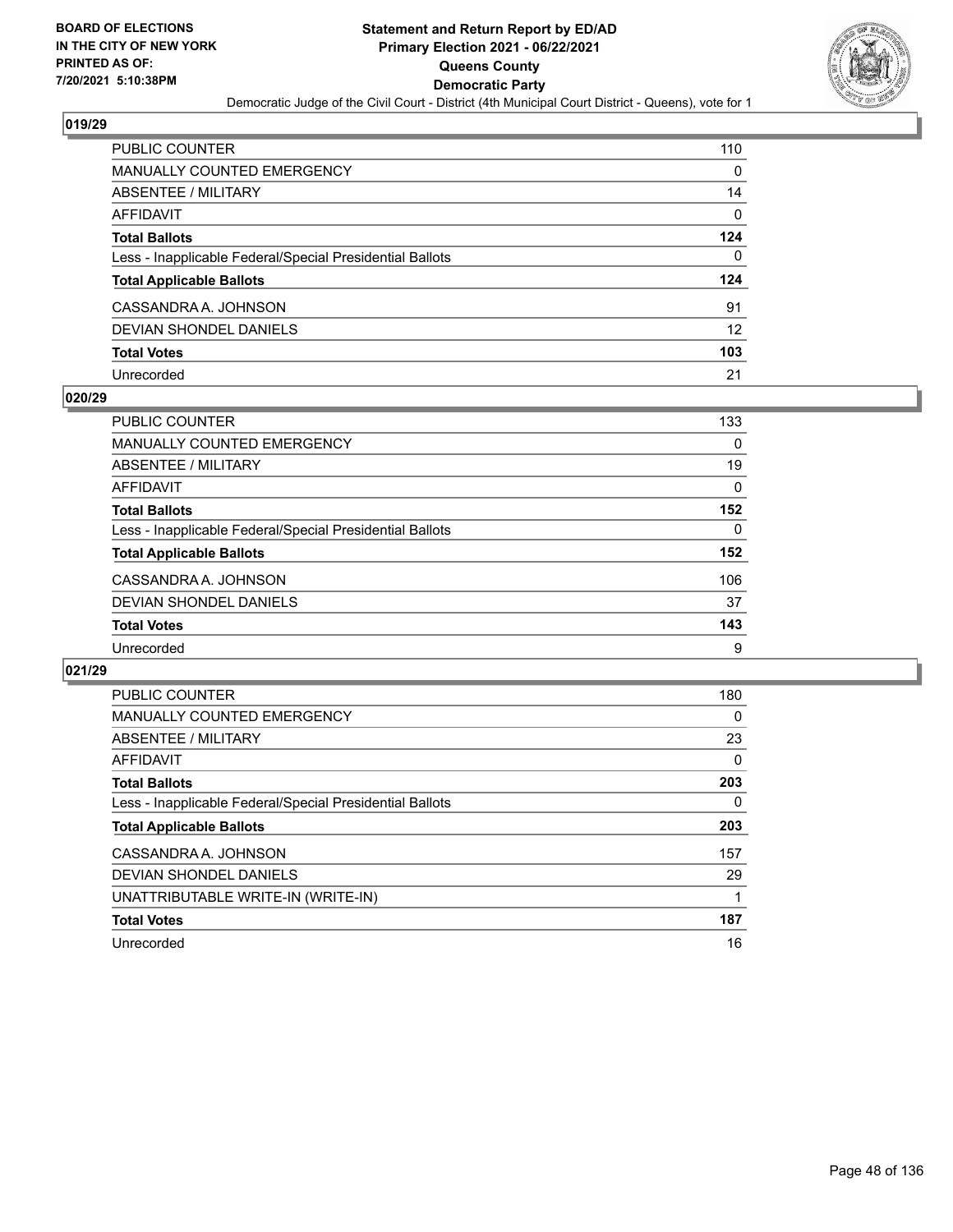

| <b>PUBLIC COUNTER</b>                                    | 110      |
|----------------------------------------------------------|----------|
| <b>MANUALLY COUNTED EMERGENCY</b>                        | $\Omega$ |
| ABSENTEE / MILITARY                                      | 14       |
| <b>AFFIDAVIT</b>                                         | $\Omega$ |
| <b>Total Ballots</b>                                     | 124      |
| Less - Inapplicable Federal/Special Presidential Ballots | 0        |
| <b>Total Applicable Ballots</b>                          | 124      |
| CASSANDRA A. JOHNSON                                     | 91       |
| DEVIAN SHONDEL DANIELS                                   | 12       |
| <b>Total Votes</b>                                       | 103      |
| Unrecorded                                               | 21       |

### **020/29**

| PUBLIC COUNTER                                           | 133      |
|----------------------------------------------------------|----------|
| <b>MANUALLY COUNTED EMERGENCY</b>                        | 0        |
| ABSENTEE / MILITARY                                      | 19       |
| AFFIDAVIT                                                | $\Omega$ |
| <b>Total Ballots</b>                                     | 152      |
| Less - Inapplicable Federal/Special Presidential Ballots | 0        |
| <b>Total Applicable Ballots</b>                          | 152      |
| CASSANDRA A. JOHNSON                                     | 106      |
| DEVIAN SHONDEL DANIELS                                   | 37       |
| <b>Total Votes</b>                                       | 143      |
| Unrecorded                                               | 9        |

| <b>PUBLIC COUNTER</b>                                    | 180 |
|----------------------------------------------------------|-----|
| <b>MANUALLY COUNTED EMERGENCY</b>                        | 0   |
| ABSENTEE / MILITARY                                      | 23  |
| AFFIDAVIT                                                | 0   |
| <b>Total Ballots</b>                                     | 203 |
| Less - Inapplicable Federal/Special Presidential Ballots | 0   |
| <b>Total Applicable Ballots</b>                          | 203 |
| CASSANDRA A. JOHNSON                                     | 157 |
| DEVIAN SHONDEL DANIELS                                   | 29  |
| UNATTRIBUTABLE WRITE-IN (WRITE-IN)                       |     |
| <b>Total Votes</b>                                       | 187 |
| Unrecorded                                               | 16  |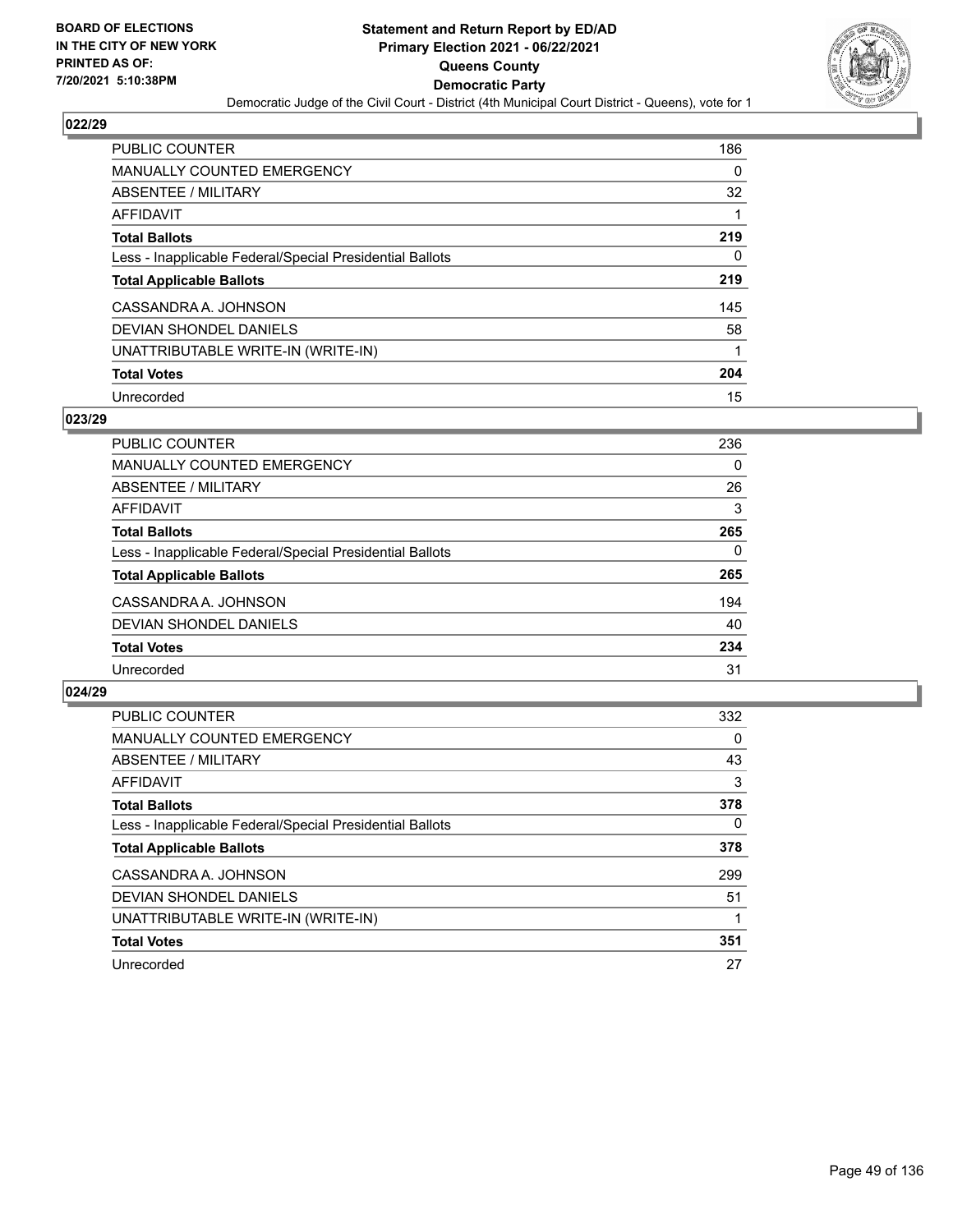

| <b>PUBLIC COUNTER</b>                                    | 186 |
|----------------------------------------------------------|-----|
| MANUALLY COUNTED EMERGENCY                               | 0   |
| ABSENTEE / MILITARY                                      | 32  |
| AFFIDAVIT                                                |     |
| <b>Total Ballots</b>                                     | 219 |
| Less - Inapplicable Federal/Special Presidential Ballots | 0   |
| <b>Total Applicable Ballots</b>                          | 219 |
| CASSANDRA A. JOHNSON                                     | 145 |
| DEVIAN SHONDEL DANIELS                                   | 58  |
| UNATTRIBUTABLE WRITE-IN (WRITE-IN)                       | 1   |
| <b>Total Votes</b>                                       | 204 |
| Unrecorded                                               | 15  |

### **023/29**

| <b>PUBLIC COUNTER</b>                                    | 236 |
|----------------------------------------------------------|-----|
| <b>MANUALLY COUNTED EMERGENCY</b>                        | 0   |
| ABSENTEE / MILITARY                                      | 26  |
| <b>AFFIDAVIT</b>                                         | 3   |
| <b>Total Ballots</b>                                     | 265 |
| Less - Inapplicable Federal/Special Presidential Ballots | 0   |
| <b>Total Applicable Ballots</b>                          | 265 |
| CASSANDRA A. JOHNSON                                     | 194 |
| <b>DEVIAN SHONDEL DANIELS</b>                            | 40  |
| <b>Total Votes</b>                                       | 234 |
| Unrecorded                                               | 31  |

| <b>PUBLIC COUNTER</b>                                    | 332      |
|----------------------------------------------------------|----------|
| <b>MANUALLY COUNTED EMERGENCY</b>                        | 0        |
| ABSENTEE / MILITARY                                      | 43       |
| <b>AFFIDAVIT</b>                                         | 3        |
| <b>Total Ballots</b>                                     | 378      |
| Less - Inapplicable Federal/Special Presidential Ballots | $\Omega$ |
| <b>Total Applicable Ballots</b>                          | 378      |
| CASSANDRA A. JOHNSON                                     | 299      |
| DEVIAN SHONDEL DANIELS                                   | 51       |
| UNATTRIBUTABLE WRITE-IN (WRITE-IN)                       |          |
| <b>Total Votes</b>                                       | 351      |
| Unrecorded                                               | 27       |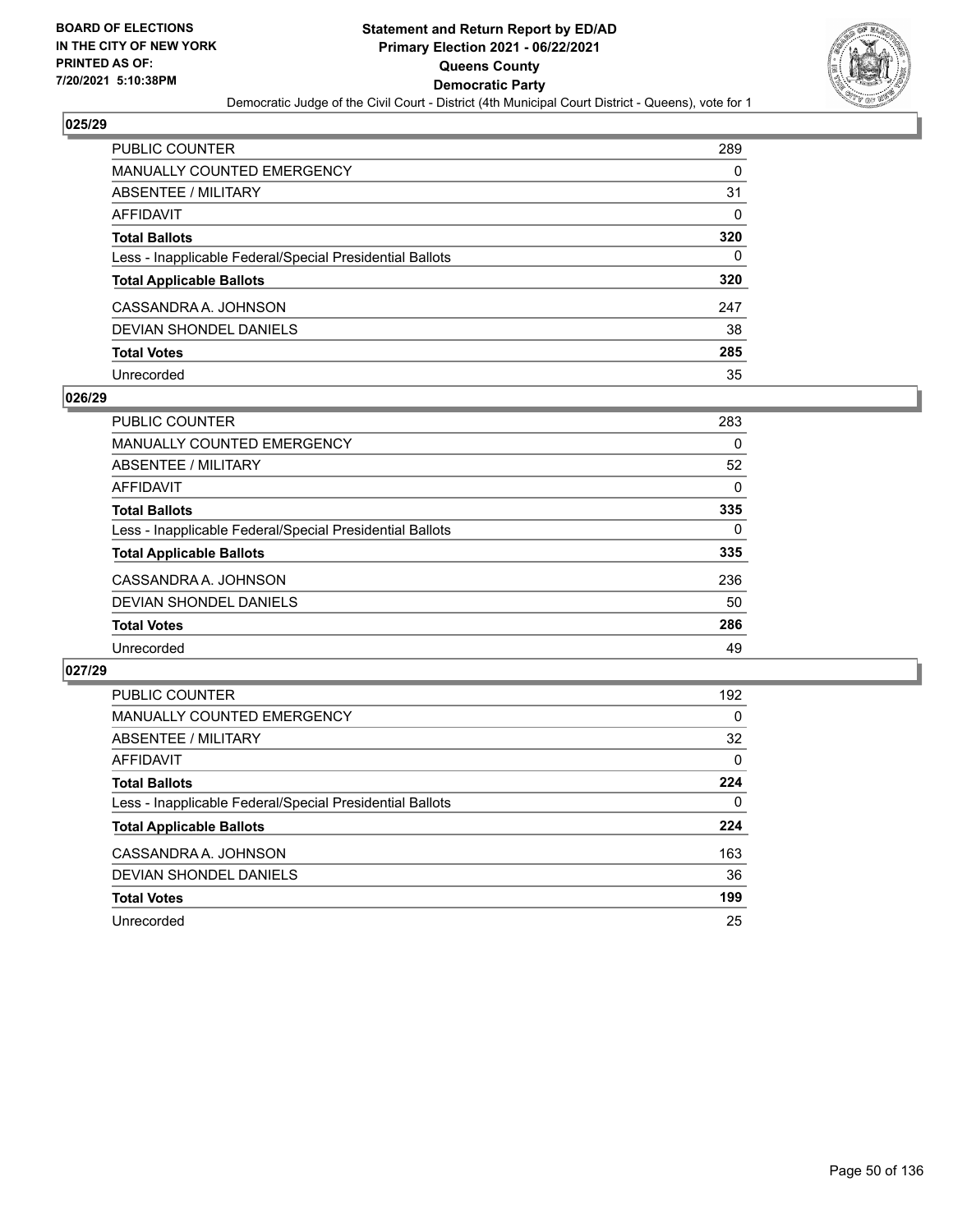

| PUBLIC COUNTER                                           | 289      |
|----------------------------------------------------------|----------|
| MANUALLY COUNTED EMERGENCY                               | 0        |
| <b>ABSENTEE / MILITARY</b>                               | 31       |
| <b>AFFIDAVIT</b>                                         | $\Omega$ |
| <b>Total Ballots</b>                                     | 320      |
| Less - Inapplicable Federal/Special Presidential Ballots | 0        |
| <b>Total Applicable Ballots</b>                          | 320      |
| CASSANDRA A. JOHNSON                                     | 247      |
| <b>DEVIAN SHONDEL DANIELS</b>                            | 38       |
| <b>Total Votes</b>                                       | 285      |
| Unrecorded                                               | 35       |

### **026/29**

| PUBLIC COUNTER                                           | 283      |
|----------------------------------------------------------|----------|
| <b>MANUALLY COUNTED EMERGENCY</b>                        | 0        |
| ABSENTEE / MILITARY                                      | 52       |
| AFFIDAVIT                                                | $\Omega$ |
| <b>Total Ballots</b>                                     | 335      |
| Less - Inapplicable Federal/Special Presidential Ballots | 0        |
| <b>Total Applicable Ballots</b>                          | 335      |
| CASSANDRA A. JOHNSON                                     | 236      |
| DEVIAN SHONDEL DANIELS                                   | 50       |
| <b>Total Votes</b>                                       | 286      |
| Unrecorded                                               | 49       |

| <b>PUBLIC COUNTER</b>                                    | 192      |
|----------------------------------------------------------|----------|
| <b>MANUALLY COUNTED EMERGENCY</b>                        | 0        |
| ABSENTEE / MILITARY                                      | 32       |
| <b>AFFIDAVIT</b>                                         | $\Omega$ |
| <b>Total Ballots</b>                                     | 224      |
| Less - Inapplicable Federal/Special Presidential Ballots | 0        |
| <b>Total Applicable Ballots</b>                          | 224      |
| CASSANDRA A. JOHNSON                                     | 163      |
| <b>DEVIAN SHONDEL DANIELS</b>                            | 36       |
| <b>Total Votes</b>                                       | 199      |
| Unrecorded                                               | 25       |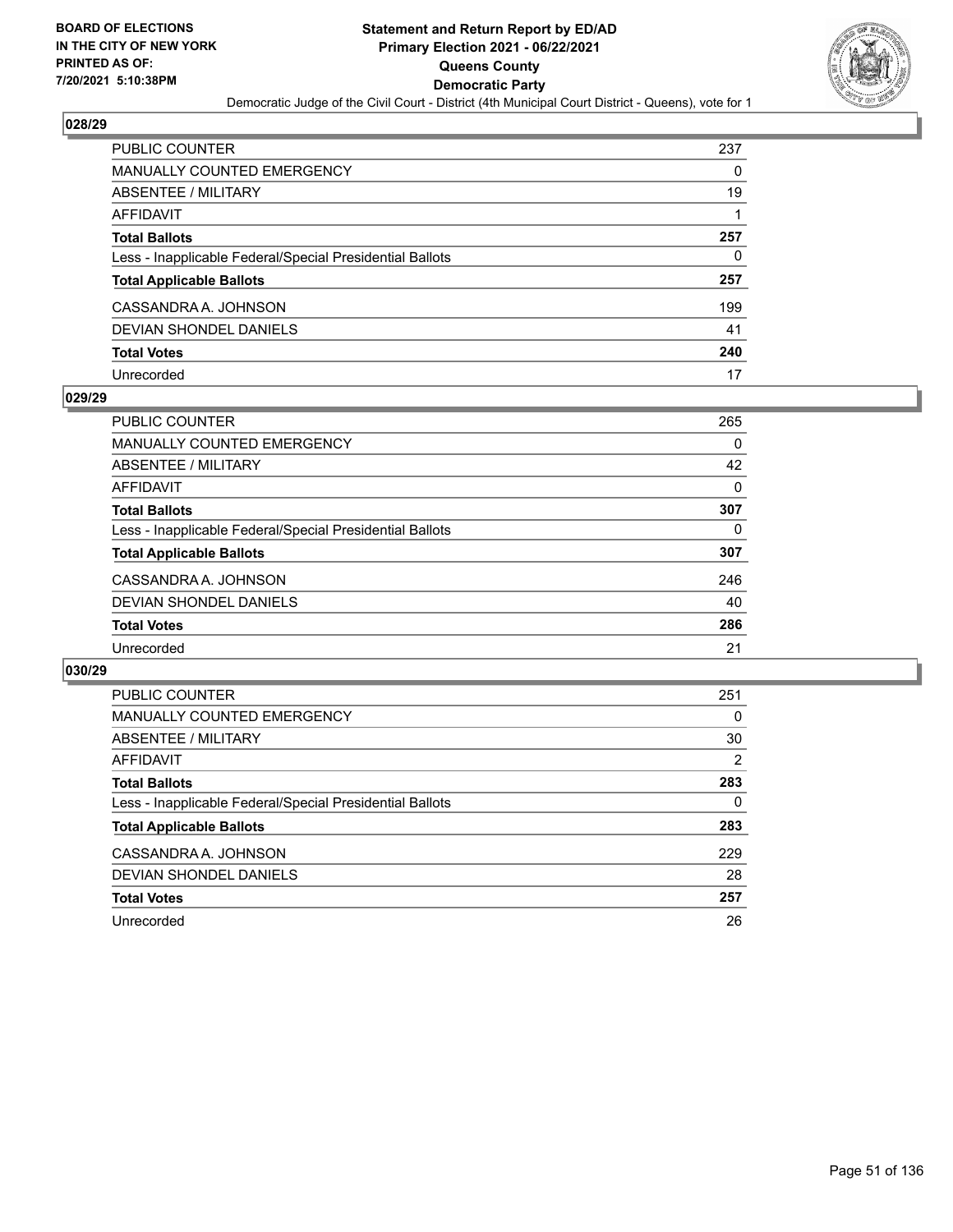

| PUBLIC COUNTER                                           | 237 |
|----------------------------------------------------------|-----|
| <b>MANUALLY COUNTED EMERGENCY</b>                        | 0   |
| ABSENTEE / MILITARY                                      | 19  |
| <b>AFFIDAVIT</b>                                         |     |
| <b>Total Ballots</b>                                     | 257 |
| Less - Inapplicable Federal/Special Presidential Ballots | 0   |
| <b>Total Applicable Ballots</b>                          | 257 |
| CASSANDRA A. JOHNSON                                     | 199 |
| DEVIAN SHONDEL DANIELS                                   | 41  |
| <b>Total Votes</b>                                       | 240 |
| Unrecorded                                               | 17  |

### **029/29**

| <b>PUBLIC COUNTER</b>                                    | 265 |
|----------------------------------------------------------|-----|
| <b>MANUALLY COUNTED EMERGENCY</b>                        | 0   |
| ABSENTEE / MILITARY                                      | 42  |
| <b>AFFIDAVIT</b>                                         | 0   |
| <b>Total Ballots</b>                                     | 307 |
| Less - Inapplicable Federal/Special Presidential Ballots | 0   |
| <b>Total Applicable Ballots</b>                          | 307 |
| CASSANDRA A. JOHNSON                                     | 246 |
| <b>DEVIAN SHONDEL DANIELS</b>                            | 40  |
| <b>Total Votes</b>                                       | 286 |
| Unrecorded                                               | 21  |

| <b>PUBLIC COUNTER</b>                                    | 251 |
|----------------------------------------------------------|-----|
| <b>MANUALLY COUNTED EMERGENCY</b>                        | 0   |
| ABSENTEE / MILITARY                                      | 30  |
| <b>AFFIDAVIT</b>                                         | 2   |
| <b>Total Ballots</b>                                     | 283 |
| Less - Inapplicable Federal/Special Presidential Ballots | 0   |
| <b>Total Applicable Ballots</b>                          | 283 |
| CASSANDRA A. JOHNSON                                     | 229 |
| <b>DEVIAN SHONDEL DANIELS</b>                            | 28  |
| <b>Total Votes</b>                                       | 257 |
| Unrecorded                                               | 26  |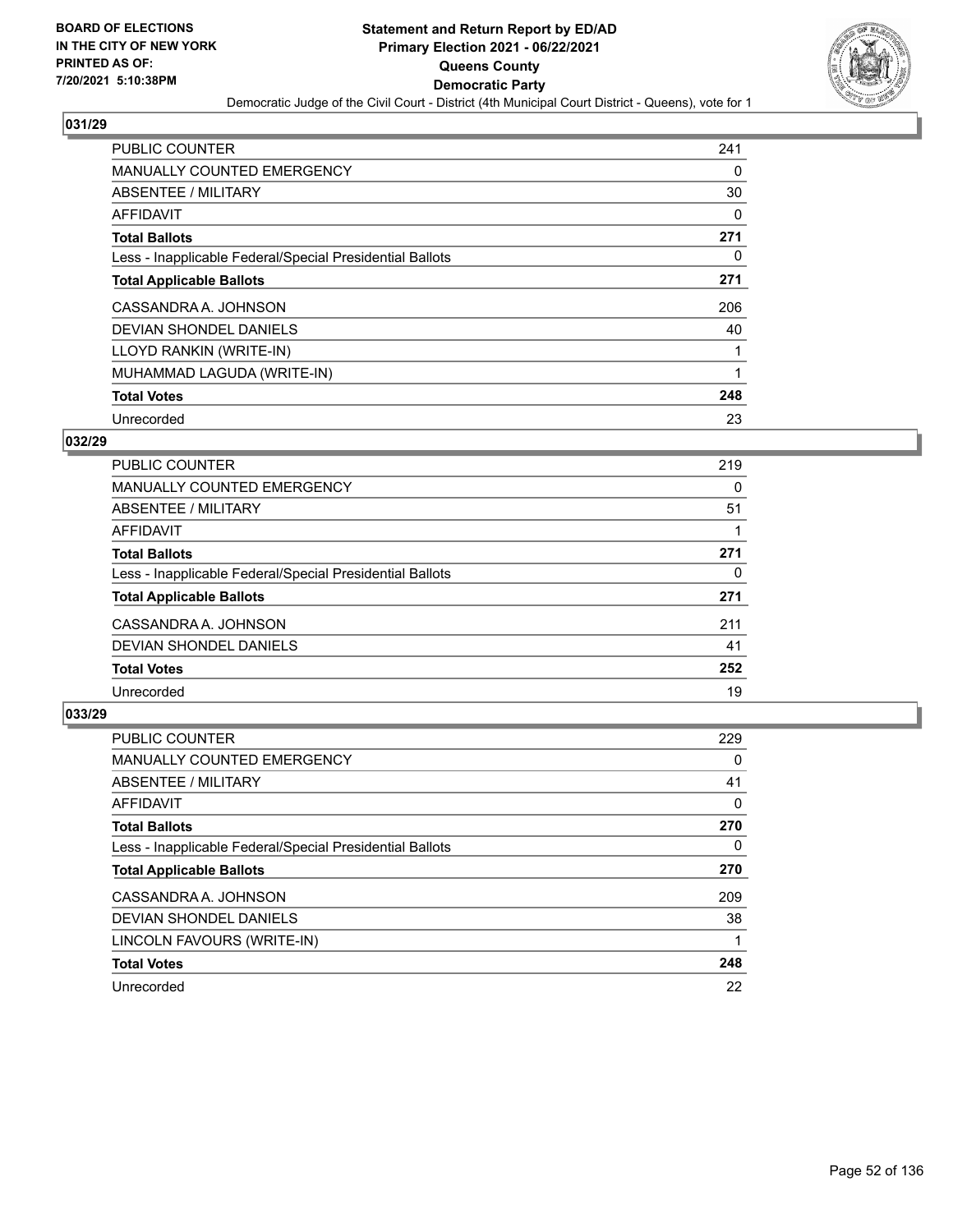

| <b>PUBLIC COUNTER</b>                                    | 241      |
|----------------------------------------------------------|----------|
| <b>MANUALLY COUNTED EMERGENCY</b>                        | 0        |
| ABSENTEE / MILITARY                                      | 30       |
| AFFIDAVIT                                                | 0        |
| <b>Total Ballots</b>                                     | 271      |
| Less - Inapplicable Federal/Special Presidential Ballots | $\Omega$ |
| <b>Total Applicable Ballots</b>                          | 271      |
| CASSANDRA A. JOHNSON                                     | 206      |
| DEVIAN SHONDEL DANIELS                                   | 40       |
| LLOYD RANKIN (WRITE-IN)                                  |          |
| MUHAMMAD LAGUDA (WRITE-IN)                               |          |
| <b>Total Votes</b>                                       | 248      |
| Unrecorded                                               | 23       |

## **032/29**

| <b>PUBLIC COUNTER</b>                                    | 219 |
|----------------------------------------------------------|-----|
| <b>MANUALLY COUNTED EMERGENCY</b>                        | 0   |
| ABSENTEE / MILITARY                                      | 51  |
| <b>AFFIDAVIT</b>                                         |     |
| <b>Total Ballots</b>                                     | 271 |
| Less - Inapplicable Federal/Special Presidential Ballots | 0   |
| <b>Total Applicable Ballots</b>                          | 271 |
| CASSANDRA A. JOHNSON                                     | 211 |
| <b>DEVIAN SHONDEL DANIELS</b>                            | 41  |
| <b>Total Votes</b>                                       | 252 |
| Unrecorded                                               | 19  |

| PUBLIC COUNTER                                           | 229 |
|----------------------------------------------------------|-----|
| <b>MANUALLY COUNTED EMERGENCY</b>                        | 0   |
| <b>ABSENTEE / MILITARY</b>                               | 41  |
| <b>AFFIDAVIT</b>                                         | 0   |
| <b>Total Ballots</b>                                     | 270 |
| Less - Inapplicable Federal/Special Presidential Ballots | 0   |
| <b>Total Applicable Ballots</b>                          | 270 |
| CASSANDRA A. JOHNSON                                     | 209 |
| DEVIAN SHONDEL DANIELS                                   | 38  |
| LINCOLN FAVOURS (WRITE-IN)                               |     |
| <b>Total Votes</b>                                       | 248 |
| Unrecorded                                               | 22  |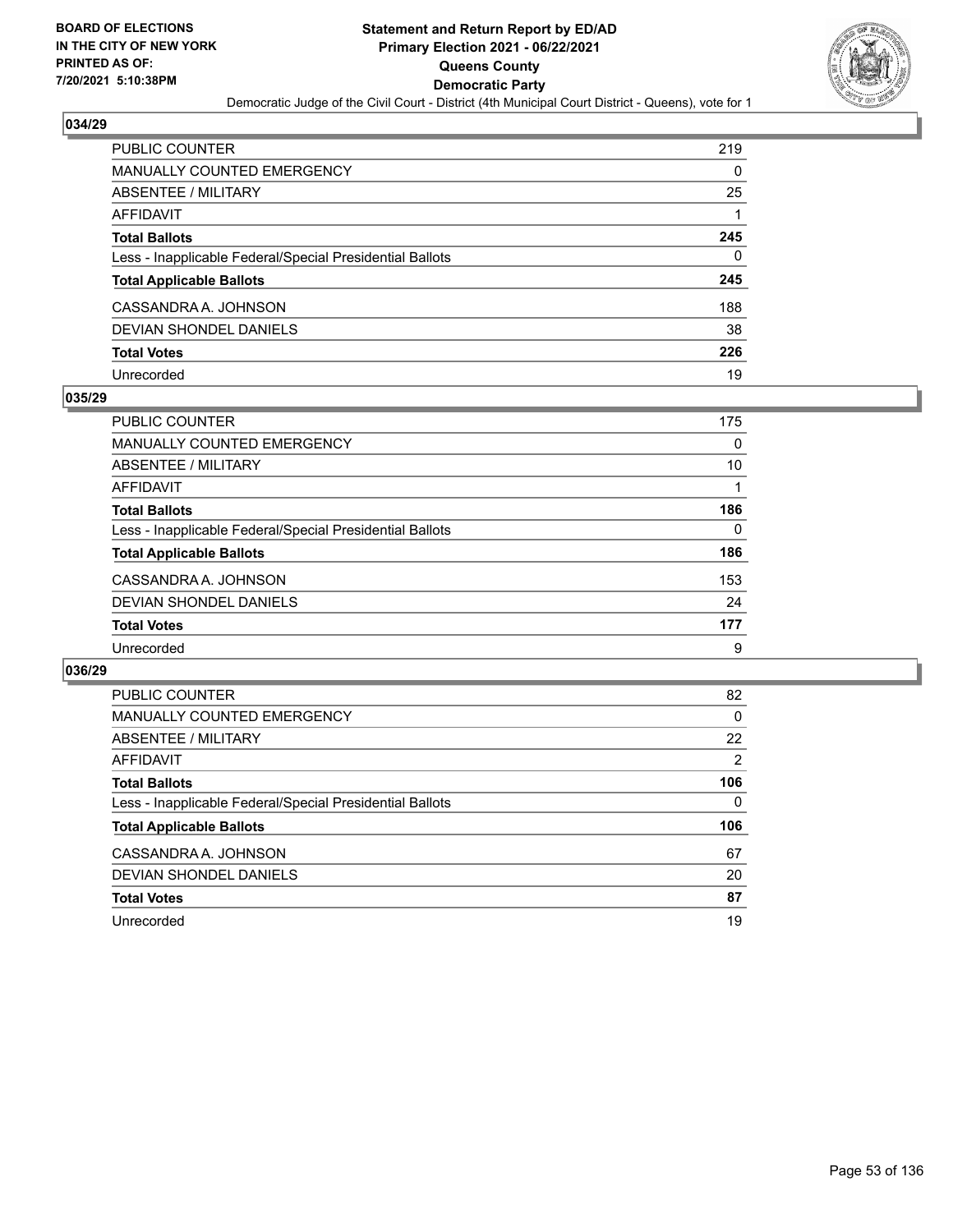

| <b>PUBLIC COUNTER</b>                                    | 219 |
|----------------------------------------------------------|-----|
| <b>MANUALLY COUNTED EMERGENCY</b>                        | 0   |
| ABSENTEE / MILITARY                                      | 25  |
| AFFIDAVIT                                                |     |
| <b>Total Ballots</b>                                     | 245 |
| Less - Inapplicable Federal/Special Presidential Ballots | 0   |
| <b>Total Applicable Ballots</b>                          | 245 |
| CASSANDRA A. JOHNSON                                     | 188 |
| DEVIAN SHONDEL DANIELS                                   | 38  |
| <b>Total Votes</b>                                       | 226 |
| Unrecorded                                               | 19  |

### **035/29**

| <b>PUBLIC COUNTER</b>                                    | 175      |
|----------------------------------------------------------|----------|
| MANUALLY COUNTED EMERGENCY                               | $\Omega$ |
| ABSENTEE / MILITARY                                      | 10       |
| AFFIDAVIT                                                |          |
| <b>Total Ballots</b>                                     | 186      |
| Less - Inapplicable Federal/Special Presidential Ballots | 0        |
| <b>Total Applicable Ballots</b>                          | 186      |
| CASSANDRA A. JOHNSON                                     | 153      |
| DEVIAN SHONDEL DANIELS                                   | 24       |
| <b>Total Votes</b>                                       | 177      |
| Unrecorded                                               | 9        |

| PUBLIC COUNTER                                           | 82       |
|----------------------------------------------------------|----------|
| <b>MANUALLY COUNTED EMERGENCY</b>                        | $\Omega$ |
| ABSENTEE / MILITARY                                      | 22       |
| AFFIDAVIT                                                | 2        |
| <b>Total Ballots</b>                                     | 106      |
| Less - Inapplicable Federal/Special Presidential Ballots | 0        |
| <b>Total Applicable Ballots</b>                          | 106      |
| CASSANDRA A. JOHNSON                                     | 67       |
| DEVIAN SHONDEL DANIELS                                   | 20       |
| <b>Total Votes</b>                                       | 87       |
| Unrecorded                                               | 19       |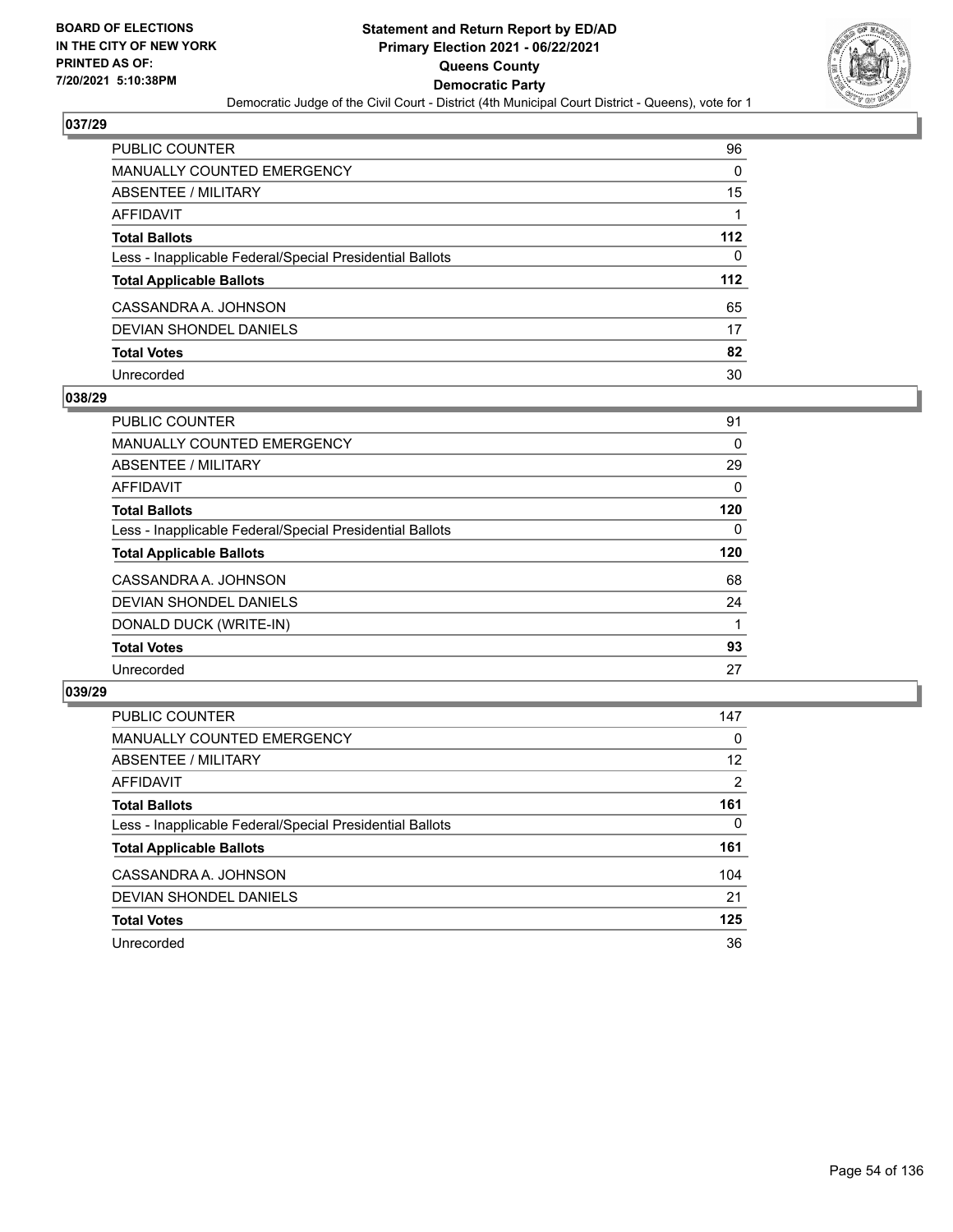

| PUBLIC COUNTER                                           | 96    |
|----------------------------------------------------------|-------|
| MANUALLY COUNTED EMERGENCY                               | 0     |
| <b>ABSENTEE / MILITARY</b>                               | 15    |
| AFFIDAVIT                                                |       |
| <b>Total Ballots</b>                                     | 112   |
| Less - Inapplicable Federal/Special Presidential Ballots | 0     |
| <b>Total Applicable Ballots</b>                          | $112$ |
| CASSANDRA A. JOHNSON                                     | 65    |
| <b>DEVIAN SHONDEL DANIELS</b>                            | 17    |
| <b>Total Votes</b>                                       | 82    |
| Unrecorded                                               | 30    |

### **038/29**

| <b>PUBLIC COUNTER</b>                                    | 91       |
|----------------------------------------------------------|----------|
| MANUALLY COUNTED EMERGENCY                               | 0        |
| ABSENTEE / MILITARY                                      | 29       |
| <b>AFFIDAVIT</b>                                         | $\Omega$ |
| <b>Total Ballots</b>                                     | 120      |
| Less - Inapplicable Federal/Special Presidential Ballots | 0        |
| <b>Total Applicable Ballots</b>                          | 120      |
| CASSANDRA A. JOHNSON                                     | 68       |
| DEVIAN SHONDEL DANIELS                                   | 24       |
| DONALD DUCK (WRITE-IN)                                   |          |
| <b>Total Votes</b>                                       | 93       |
| Unrecorded                                               | 27       |

| <b>PUBLIC COUNTER</b>                                    | 147            |
|----------------------------------------------------------|----------------|
| MANUALLY COUNTED EMERGENCY                               | $\Omega$       |
| ABSENTEE / MILITARY                                      | 12             |
| AFFIDAVIT                                                | $\overline{2}$ |
| <b>Total Ballots</b>                                     | 161            |
| Less - Inapplicable Federal/Special Presidential Ballots | 0              |
| <b>Total Applicable Ballots</b>                          | 161            |
| CASSANDRA A. JOHNSON                                     | 104            |
| DEVIAN SHONDEL DANIELS                                   | 21             |
| <b>Total Votes</b>                                       | 125            |
| Unrecorded                                               | 36             |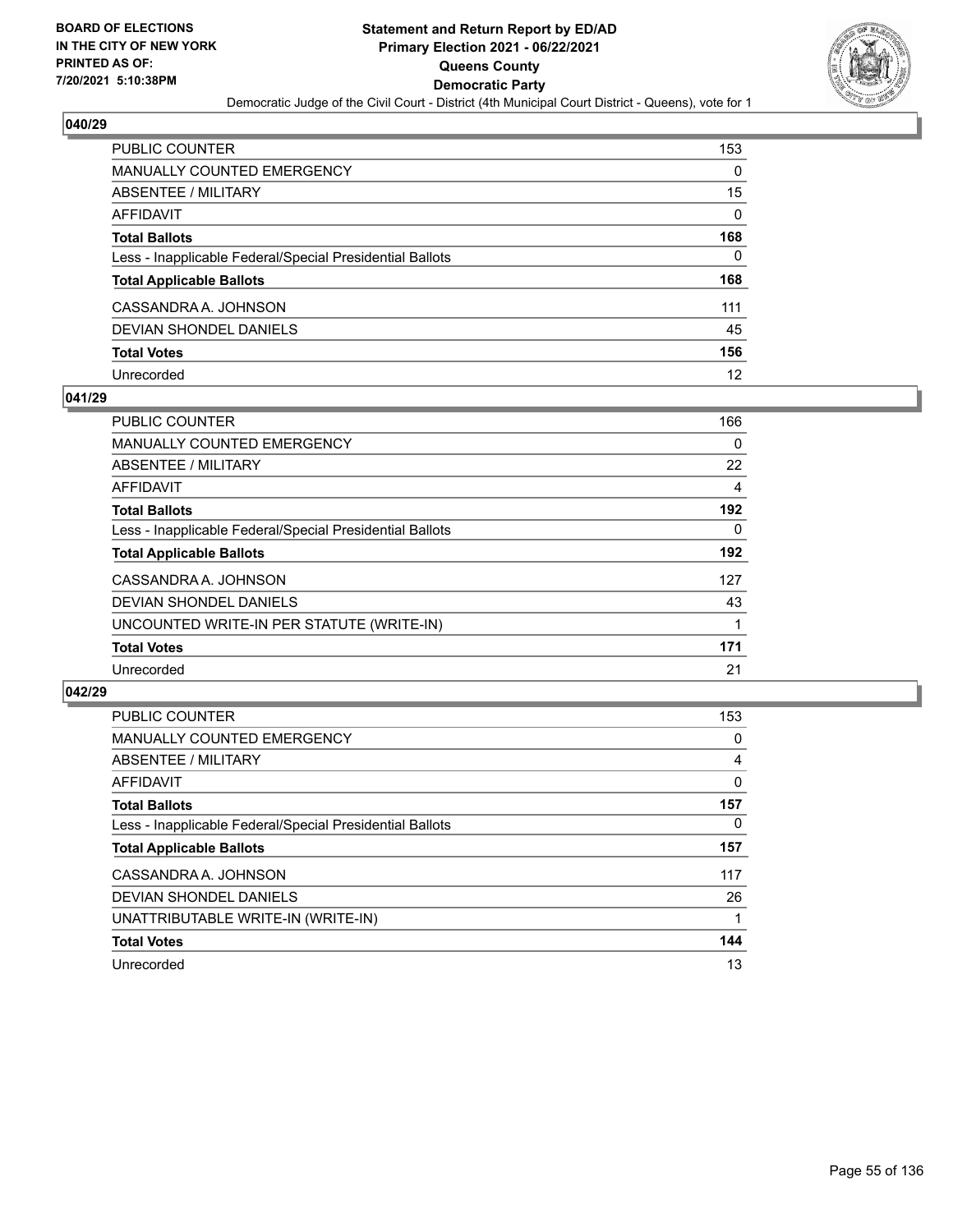

| PUBLIC COUNTER                                           | 153      |
|----------------------------------------------------------|----------|
| <b>MANUALLY COUNTED EMERGENCY</b>                        | 0        |
| ABSENTEE / MILITARY                                      | 15       |
| <b>AFFIDAVIT</b>                                         | $\Omega$ |
| <b>Total Ballots</b>                                     | 168      |
| Less - Inapplicable Federal/Special Presidential Ballots | 0        |
| <b>Total Applicable Ballots</b>                          | 168      |
| CASSANDRA A. JOHNSON                                     | 111      |
| DEVIAN SHONDEL DANIELS                                   | 45       |
| <b>Total Votes</b>                                       | 156      |
| Unrecorded                                               | 12       |

### **041/29**

| <b>PUBLIC COUNTER</b>                                    | 166      |
|----------------------------------------------------------|----------|
| MANUALLY COUNTED EMERGENCY                               | 0        |
| ABSENTEE / MILITARY                                      | 22       |
| <b>AFFIDAVIT</b>                                         | 4        |
| <b>Total Ballots</b>                                     | 192      |
| Less - Inapplicable Federal/Special Presidential Ballots | $\Omega$ |
| <b>Total Applicable Ballots</b>                          | 192      |
| CASSANDRA A. JOHNSON                                     | 127      |
| DEVIAN SHONDEL DANIELS                                   | 43       |
| UNCOUNTED WRITE-IN PER STATUTE (WRITE-IN)                |          |
| <b>Total Votes</b>                                       | 171      |
| Unrecorded                                               | 21       |

| <b>PUBLIC COUNTER</b>                                    | 153          |
|----------------------------------------------------------|--------------|
| <b>MANUALLY COUNTED EMERGENCY</b>                        | 0            |
| ABSENTEE / MILITARY                                      | 4            |
| <b>AFFIDAVIT</b>                                         | $\mathbf{0}$ |
| <b>Total Ballots</b>                                     | 157          |
| Less - Inapplicable Federal/Special Presidential Ballots | $\Omega$     |
| <b>Total Applicable Ballots</b>                          | 157          |
| CASSANDRA A. JOHNSON                                     | 117          |
| <b>DEVIAN SHONDEL DANIELS</b>                            | 26           |
| UNATTRIBUTABLE WRITE-IN (WRITE-IN)                       |              |
| <b>Total Votes</b>                                       | 144          |
| Unrecorded                                               | 13           |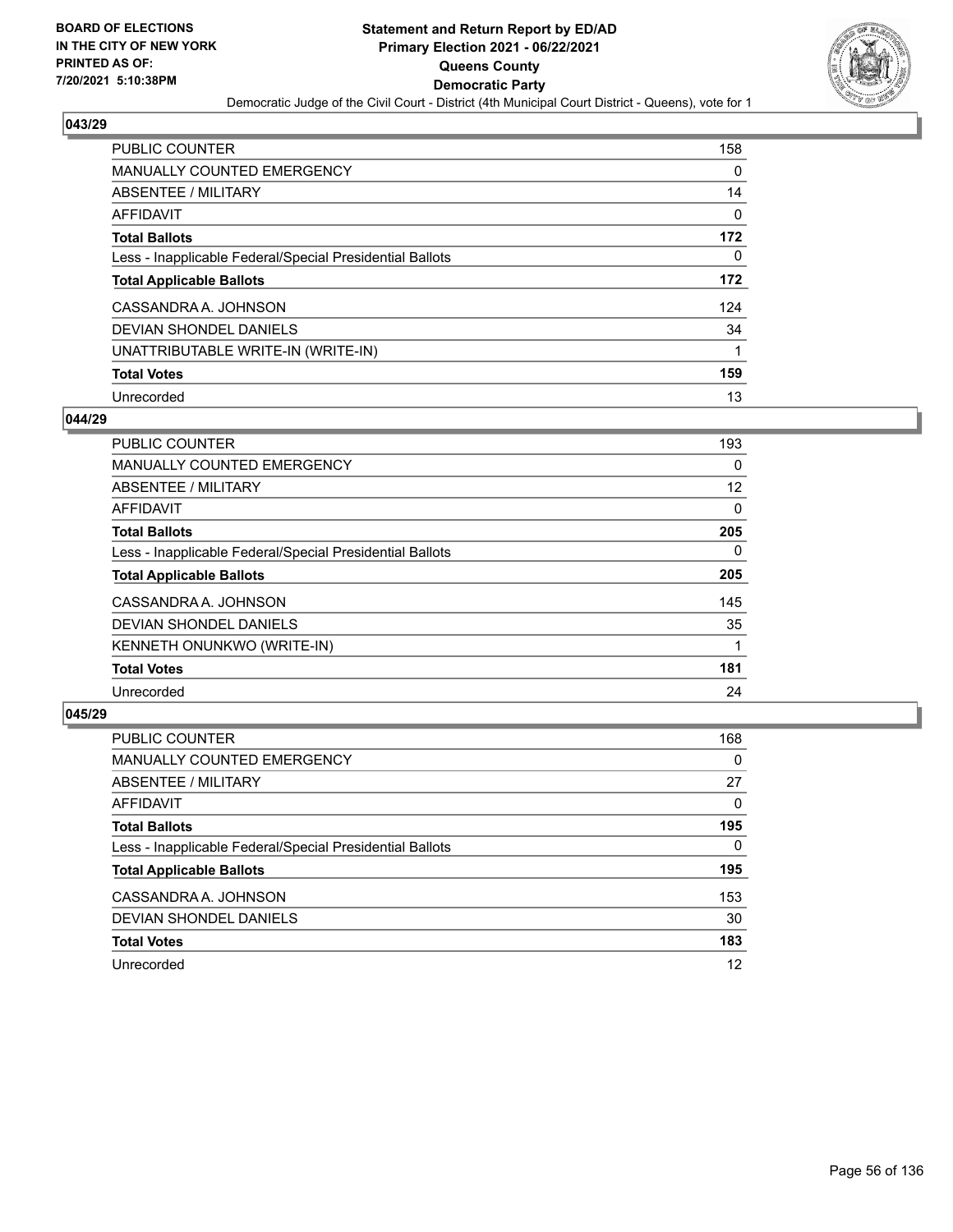

| <b>PUBLIC COUNTER</b>                                    | 158 |
|----------------------------------------------------------|-----|
| <b>MANUALLY COUNTED EMERGENCY</b>                        | 0   |
| ABSENTEE / MILITARY                                      | 14  |
| AFFIDAVIT                                                | 0   |
| <b>Total Ballots</b>                                     | 172 |
| Less - Inapplicable Federal/Special Presidential Ballots | 0   |
| <b>Total Applicable Ballots</b>                          | 172 |
| CASSANDRA A. JOHNSON                                     | 124 |
| DEVIAN SHONDEL DANIELS                                   | 34  |
| UNATTRIBUTABLE WRITE-IN (WRITE-IN)                       | 1   |
| <b>Total Votes</b>                                       | 159 |
| Unrecorded                                               | 13  |

### **044/29**

| <b>PUBLIC COUNTER</b>                                    | 193      |
|----------------------------------------------------------|----------|
| <b>MANUALLY COUNTED EMERGENCY</b>                        | 0        |
| ABSENTEE / MILITARY                                      | 12       |
| <b>AFFIDAVIT</b>                                         | $\Omega$ |
| <b>Total Ballots</b>                                     | 205      |
| Less - Inapplicable Federal/Special Presidential Ballots | $\Omega$ |
| <b>Total Applicable Ballots</b>                          | 205      |
| CASSANDRA A. JOHNSON                                     | 145      |
| <b>DEVIAN SHONDEL DANIELS</b>                            | 35       |
| <b>KENNETH ONUNKWO (WRITE-IN)</b>                        |          |
| <b>Total Votes</b>                                       | 181      |
| Unrecorded                                               | 24       |

| <b>PUBLIC COUNTER</b>                                    | 168      |
|----------------------------------------------------------|----------|
| <b>MANUALLY COUNTED EMERGENCY</b>                        | 0        |
| ABSENTEE / MILITARY                                      | 27       |
| AFFIDAVIT                                                | 0        |
| <b>Total Ballots</b>                                     | 195      |
| Less - Inapplicable Federal/Special Presidential Ballots | $\Omega$ |
| <b>Total Applicable Ballots</b>                          | 195      |
| CASSANDRA A. JOHNSON                                     | 153      |
| DEVIAN SHONDEL DANIELS                                   | 30       |
| <b>Total Votes</b>                                       | 183      |
| Unrecorded                                               | 12       |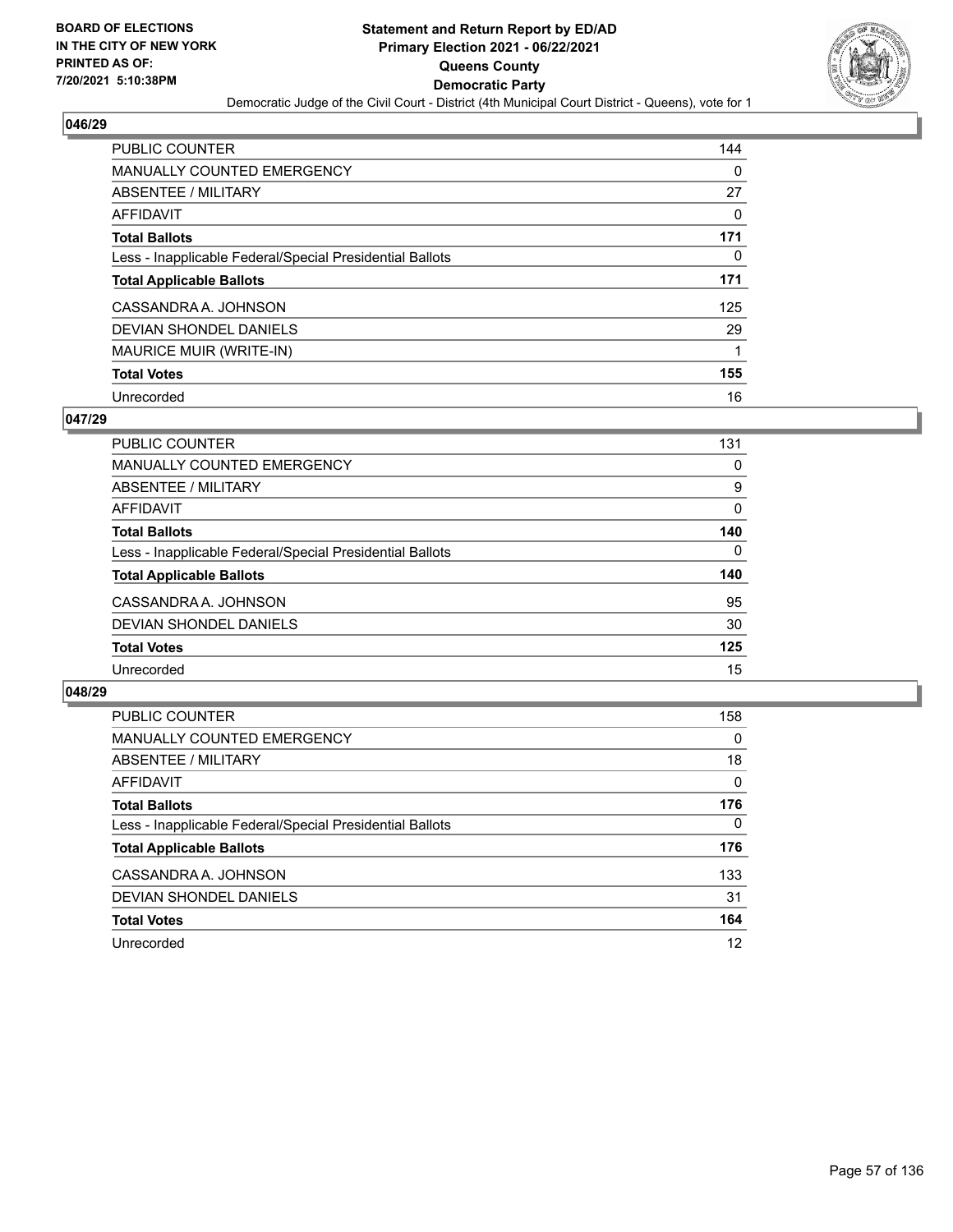

| <b>PUBLIC COUNTER</b>                                    | 144 |
|----------------------------------------------------------|-----|
| <b>MANUALLY COUNTED EMERGENCY</b>                        | 0   |
| ABSENTEE / MILITARY                                      | 27  |
| AFFIDAVIT                                                | 0   |
| <b>Total Ballots</b>                                     | 171 |
| Less - Inapplicable Federal/Special Presidential Ballots | 0   |
| <b>Total Applicable Ballots</b>                          | 171 |
| CASSANDRA A. JOHNSON                                     | 125 |
| DEVIAN SHONDEL DANIELS                                   | 29  |
| MAURICE MUIR (WRITE-IN)                                  | 1   |
| <b>Total Votes</b>                                       | 155 |
| Unrecorded                                               | 16  |

### **047/29**

| <b>PUBLIC COUNTER</b>                                    | 131      |
|----------------------------------------------------------|----------|
| <b>MANUALLY COUNTED EMERGENCY</b>                        | 0        |
| ABSENTEE / MILITARY                                      | 9        |
| <b>AFFIDAVIT</b>                                         | 0        |
| <b>Total Ballots</b>                                     | 140      |
| Less - Inapplicable Federal/Special Presidential Ballots | $\Omega$ |
| <b>Total Applicable Ballots</b>                          | 140      |
| CASSANDRA A. JOHNSON                                     | 95       |
| DEVIAN SHONDEL DANIELS                                   | 30       |
| <b>Total Votes</b>                                       | 125      |
| Unrecorded                                               | 15       |

| <b>PUBLIC COUNTER</b>                                    | 158      |
|----------------------------------------------------------|----------|
| <b>MANUALLY COUNTED EMERGENCY</b>                        | $\Omega$ |
| ABSENTEE / MILITARY                                      | 18       |
| AFFIDAVIT                                                | $\Omega$ |
| <b>Total Ballots</b>                                     | 176      |
| Less - Inapplicable Federal/Special Presidential Ballots | $\Omega$ |
| <b>Total Applicable Ballots</b>                          | 176      |
| CASSANDRA A. JOHNSON                                     | 133      |
| DEVIAN SHONDEL DANIELS                                   | 31       |
| <b>Total Votes</b>                                       | 164      |
| Unrecorded                                               | 12       |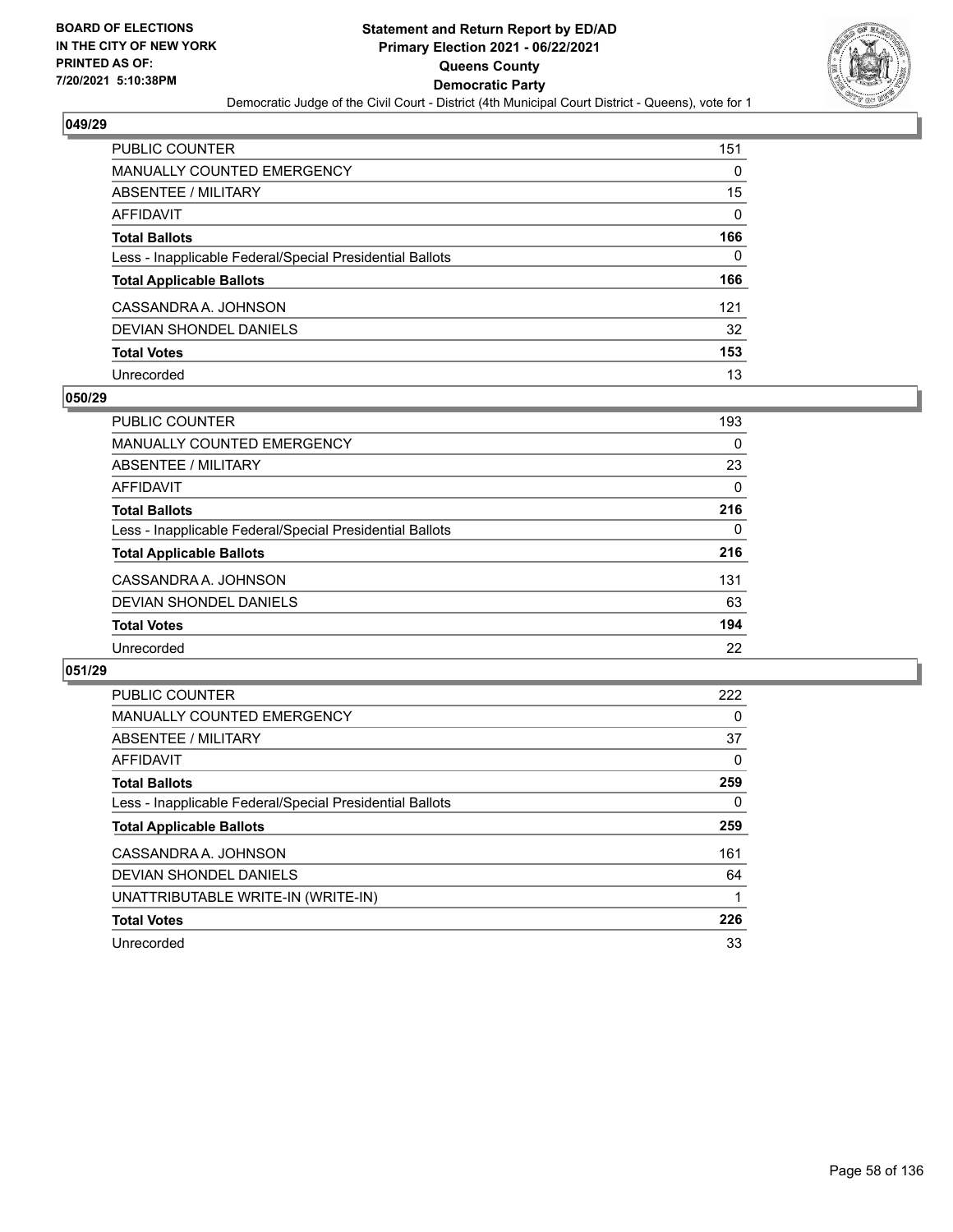

| <b>PUBLIC COUNTER</b>                                    | 151      |
|----------------------------------------------------------|----------|
| <b>MANUALLY COUNTED EMERGENCY</b>                        | 0        |
| ABSENTEE / MILITARY                                      | 15       |
| <b>AFFIDAVIT</b>                                         | $\Omega$ |
| <b>Total Ballots</b>                                     | 166      |
| Less - Inapplicable Federal/Special Presidential Ballots | $\Omega$ |
| <b>Total Applicable Ballots</b>                          | 166      |
| CASSANDRA A. JOHNSON                                     | 121      |
| DEVIAN SHONDEL DANIELS                                   | 32       |
| <b>Total Votes</b>                                       | 153      |
| Unrecorded                                               | 13       |

### **050/29**

| PUBLIC COUNTER                                           | 193      |
|----------------------------------------------------------|----------|
| <b>MANUALLY COUNTED EMERGENCY</b>                        | 0        |
| ABSENTEE / MILITARY                                      | 23       |
| AFFIDAVIT                                                | $\Omega$ |
| <b>Total Ballots</b>                                     | 216      |
| Less - Inapplicable Federal/Special Presidential Ballots | $\Omega$ |
| <b>Total Applicable Ballots</b>                          | 216      |
| CASSANDRA A. JOHNSON                                     | 131      |
| DEVIAN SHONDEL DANIELS                                   | 63       |
| <b>Total Votes</b>                                       | 194      |
| Unrecorded                                               | 22       |

| PUBLIC COUNTER                                           | 222 |
|----------------------------------------------------------|-----|
| <b>MANUALLY COUNTED EMERGENCY</b>                        | 0   |
| ABSENTEE / MILITARY                                      | 37  |
| AFFIDAVIT                                                | 0   |
| <b>Total Ballots</b>                                     | 259 |
| Less - Inapplicable Federal/Special Presidential Ballots | 0   |
| <b>Total Applicable Ballots</b>                          | 259 |
| CASSANDRA A. JOHNSON                                     | 161 |
| DEVIAN SHONDEL DANIELS                                   | 64  |
| UNATTRIBUTABLE WRITE-IN (WRITE-IN)                       |     |
| <b>Total Votes</b>                                       | 226 |
| Unrecorded                                               | 33  |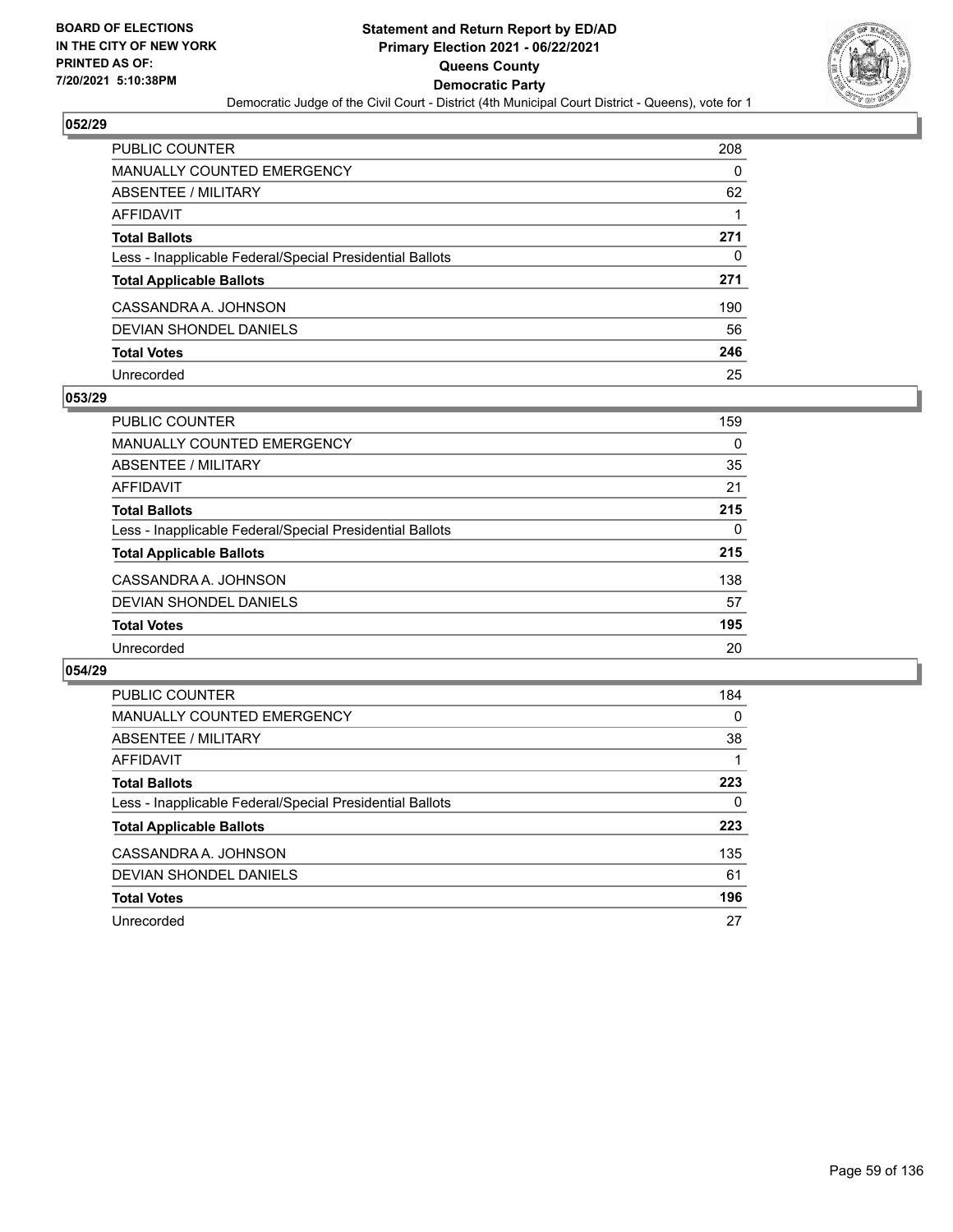

| PUBLIC COUNTER                                           | 208 |
|----------------------------------------------------------|-----|
| <b>MANUALLY COUNTED EMERGENCY</b>                        | 0   |
| ABSENTEE / MILITARY                                      | 62  |
| <b>AFFIDAVIT</b>                                         |     |
| <b>Total Ballots</b>                                     | 271 |
| Less - Inapplicable Federal/Special Presidential Ballots | 0   |
| <b>Total Applicable Ballots</b>                          | 271 |
| CASSANDRA A. JOHNSON                                     | 190 |
| DEVIAN SHONDEL DANIELS                                   | 56  |
| <b>Total Votes</b>                                       | 246 |
| Unrecorded                                               | 25  |

### **053/29**

| <b>PUBLIC COUNTER</b>                                    | 159      |
|----------------------------------------------------------|----------|
| <b>MANUALLY COUNTED EMERGENCY</b>                        | 0        |
| ABSENTEE / MILITARY                                      | 35       |
| AFFIDAVIT                                                | 21       |
| <b>Total Ballots</b>                                     | 215      |
| Less - Inapplicable Federal/Special Presidential Ballots | $\Omega$ |
| <b>Total Applicable Ballots</b>                          | 215      |
| CASSANDRA A. JOHNSON                                     | 138      |
| DEVIAN SHONDEL DANIELS                                   | 57       |
| <b>Total Votes</b>                                       | 195      |
| Unrecorded                                               | 20       |

| PUBLIC COUNTER                                           | 184      |
|----------------------------------------------------------|----------|
| <b>MANUALLY COUNTED EMERGENCY</b>                        | $\Omega$ |
| ABSENTEE / MILITARY                                      | 38       |
| AFFIDAVIT                                                |          |
| <b>Total Ballots</b>                                     | 223      |
| Less - Inapplicable Federal/Special Presidential Ballots | 0        |
| <b>Total Applicable Ballots</b>                          | 223      |
| CASSANDRA A. JOHNSON                                     | 135      |
| <b>DEVIAN SHONDEL DANIELS</b>                            | 61       |
| <b>Total Votes</b>                                       | 196      |
| Unrecorded                                               | 27       |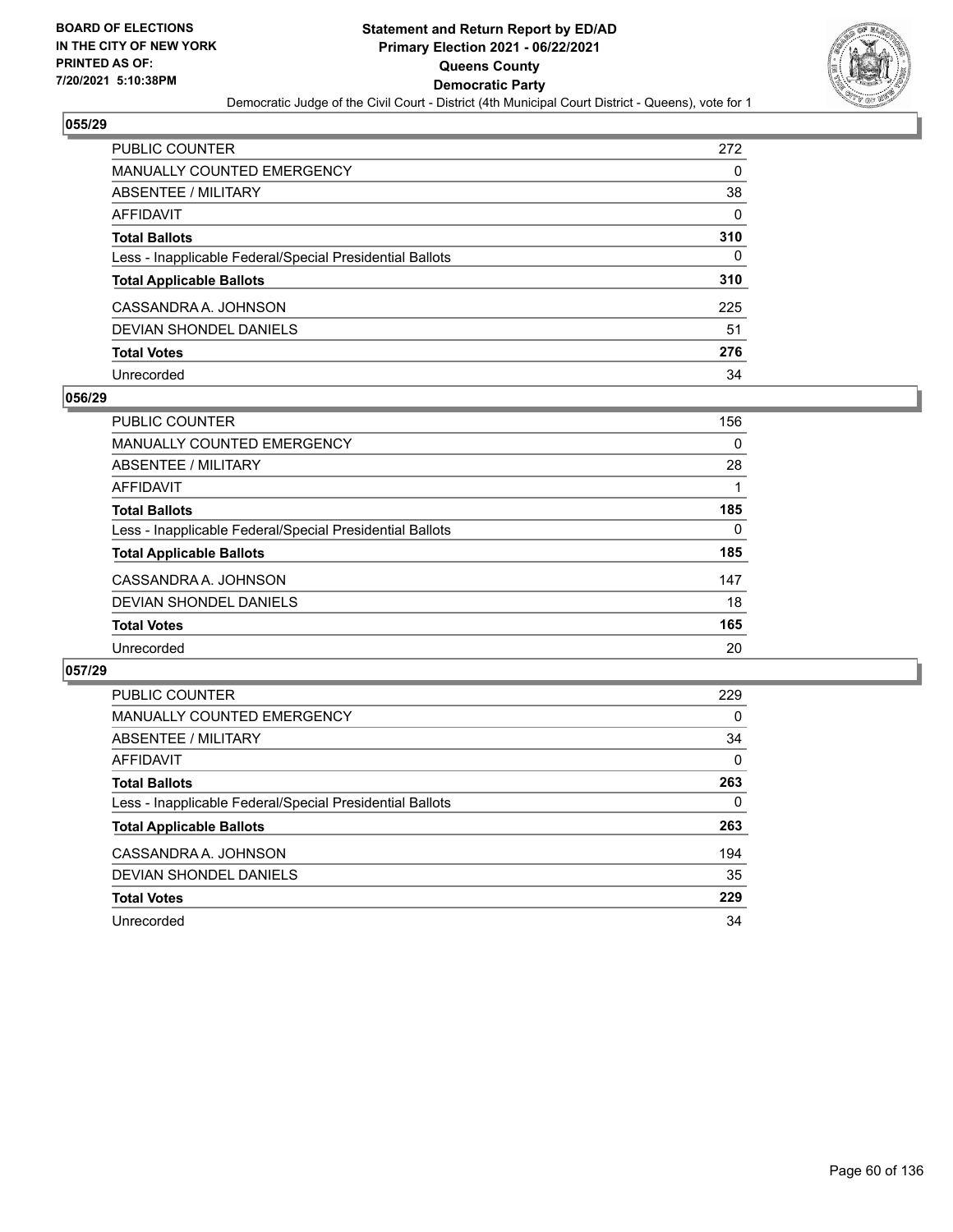

| PUBLIC COUNTER                                           | 272      |
|----------------------------------------------------------|----------|
| <b>MANUALLY COUNTED EMERGENCY</b>                        | 0        |
| ABSENTEE / MILITARY                                      | 38       |
| AFFIDAVIT                                                | $\Omega$ |
| <b>Total Ballots</b>                                     | 310      |
| Less - Inapplicable Federal/Special Presidential Ballots | 0        |
| <b>Total Applicable Ballots</b>                          | 310      |
| CASSANDRA A. JOHNSON                                     | 225      |
| DEVIAN SHONDEL DANIELS                                   | 51       |
| <b>Total Votes</b>                                       | 276      |
| Unrecorded                                               | 34       |

### **056/29**

| PUBLIC COUNTER                                           | 156      |
|----------------------------------------------------------|----------|
| <b>MANUALLY COUNTED EMERGENCY</b>                        | $\Omega$ |
| ABSENTEE / MILITARY                                      | 28       |
| AFFIDAVIT                                                |          |
| <b>Total Ballots</b>                                     | 185      |
| Less - Inapplicable Federal/Special Presidential Ballots | $\Omega$ |
| <b>Total Applicable Ballots</b>                          | 185      |
| CASSANDRA A. JOHNSON                                     | 147      |
| DEVIAN SHONDEL DANIELS                                   | 18       |
| <b>Total Votes</b>                                       | 165      |
| Unrecorded                                               | 20       |

| PUBLIC COUNTER                                           | 229      |
|----------------------------------------------------------|----------|
| <b>MANUALLY COUNTED EMERGENCY</b>                        | 0        |
| ABSENTEE / MILITARY                                      | 34       |
| AFFIDAVIT                                                | $\Omega$ |
| <b>Total Ballots</b>                                     | 263      |
| Less - Inapplicable Federal/Special Presidential Ballots | 0        |
| <b>Total Applicable Ballots</b>                          | 263      |
| CASSANDRA A. JOHNSON                                     | 194      |
| DEVIAN SHONDEL DANIELS                                   | 35       |
| <b>Total Votes</b>                                       | 229      |
| Unrecorded                                               | 34       |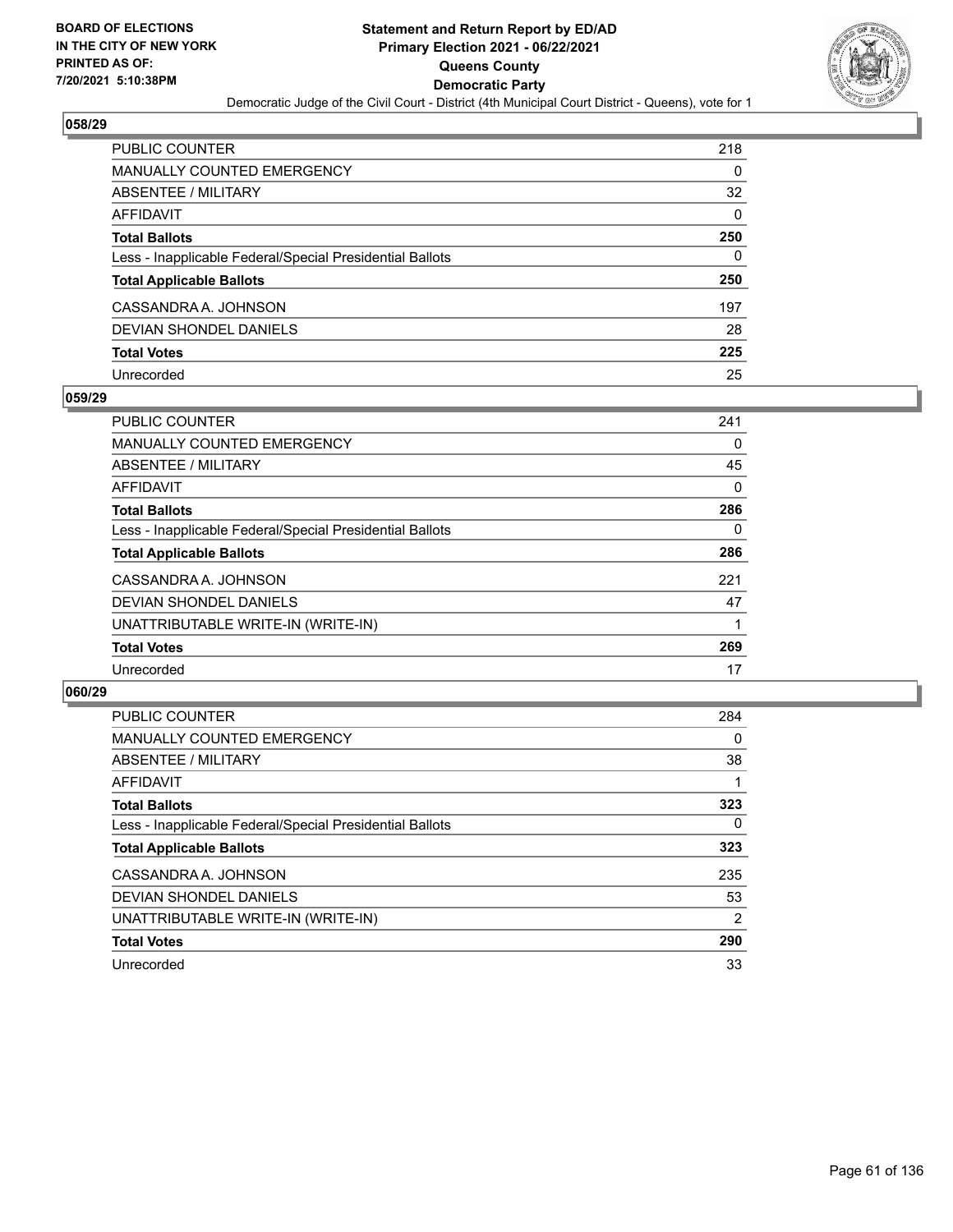

| PUBLIC COUNTER                                           | 218      |
|----------------------------------------------------------|----------|
| <b>MANUALLY COUNTED EMERGENCY</b>                        | 0        |
| ABSENTEE / MILITARY                                      | 32       |
| <b>AFFIDAVIT</b>                                         | $\Omega$ |
| <b>Total Ballots</b>                                     | 250      |
| Less - Inapplicable Federal/Special Presidential Ballots | 0        |
| <b>Total Applicable Ballots</b>                          | 250      |
| CASSANDRA A. JOHNSON                                     | 197      |
| DEVIAN SHONDEL DANIELS                                   | 28       |
| <b>Total Votes</b>                                       | 225      |
| Unrecorded                                               | 25       |

### **059/29**

| <b>PUBLIC COUNTER</b>                                    | 241      |
|----------------------------------------------------------|----------|
| MANUALLY COUNTED EMERGENCY                               | 0        |
| ABSENTEE / MILITARY                                      | 45       |
| AFFIDAVIT                                                | $\Omega$ |
| <b>Total Ballots</b>                                     | 286      |
| Less - Inapplicable Federal/Special Presidential Ballots | 0        |
| <b>Total Applicable Ballots</b>                          | 286      |
| CASSANDRA A. JOHNSON                                     | 221      |
| DEVIAN SHONDEL DANIELS                                   | 47       |
| UNATTRIBUTABLE WRITE-IN (WRITE-IN)                       |          |
| <b>Total Votes</b>                                       | 269      |
| Unrecorded                                               | 17       |

| <b>PUBLIC COUNTER</b>                                    | 284            |
|----------------------------------------------------------|----------------|
| <b>MANUALLY COUNTED EMERGENCY</b>                        | $\Omega$       |
| ABSENTEE / MILITARY                                      | 38             |
| AFFIDAVIT                                                |                |
| <b>Total Ballots</b>                                     | 323            |
| Less - Inapplicable Federal/Special Presidential Ballots | $\Omega$       |
| <b>Total Applicable Ballots</b>                          | 323            |
| CASSANDRA A. JOHNSON                                     | 235            |
| DEVIAN SHONDEL DANIELS                                   | 53             |
| UNATTRIBUTABLE WRITE-IN (WRITE-IN)                       | $\overline{2}$ |
| <b>Total Votes</b>                                       | 290            |
| Unrecorded                                               | 33             |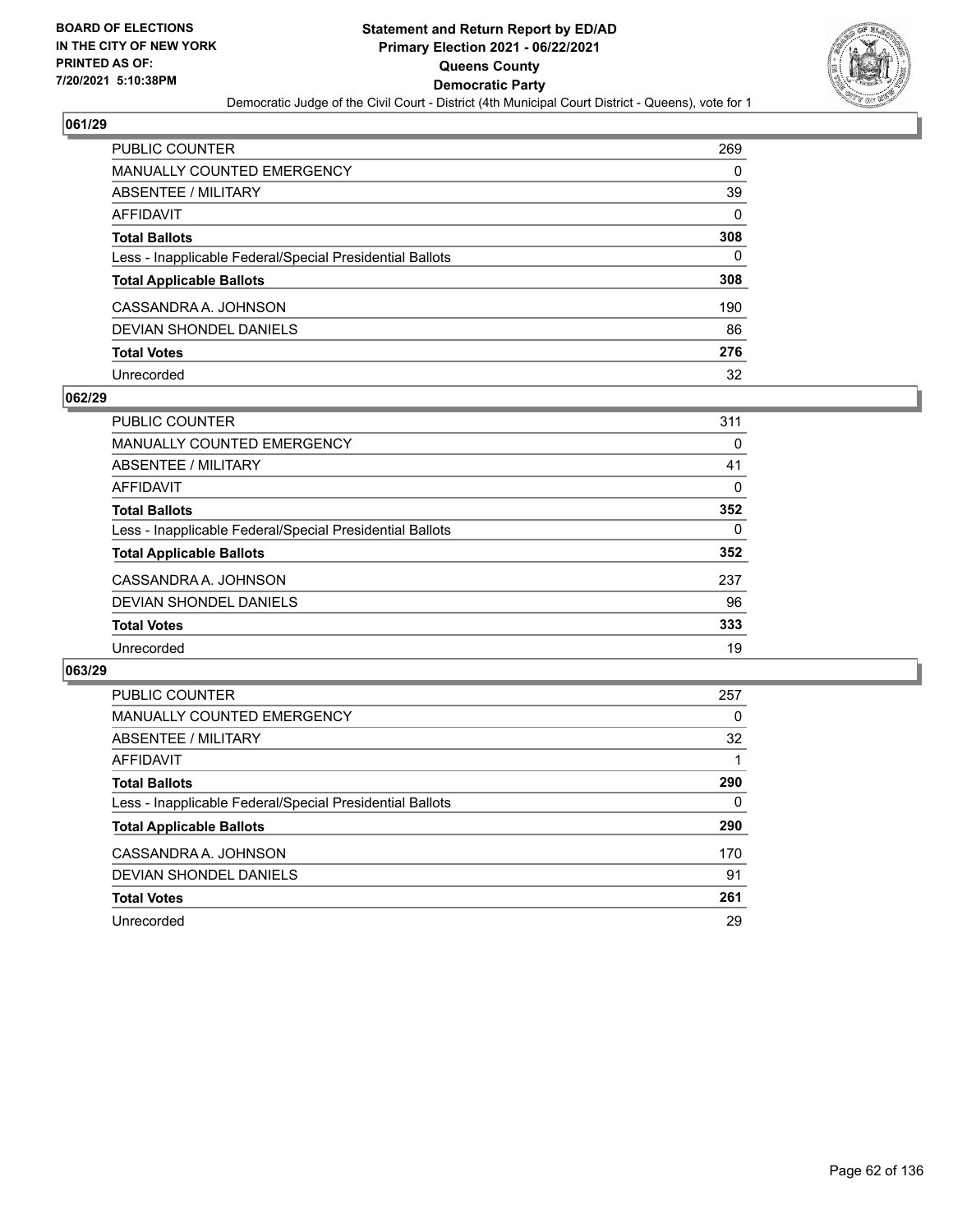

| PUBLIC COUNTER                                           | 269      |
|----------------------------------------------------------|----------|
| MANUALLY COUNTED EMERGENCY                               | 0        |
| <b>ABSENTEE / MILITARY</b>                               | 39       |
| <b>AFFIDAVIT</b>                                         | $\Omega$ |
| <b>Total Ballots</b>                                     | 308      |
| Less - Inapplicable Federal/Special Presidential Ballots | $\Omega$ |
| <b>Total Applicable Ballots</b>                          | 308      |
| CASSANDRA A. JOHNSON                                     | 190      |
| <b>DEVIAN SHONDEL DANIELS</b>                            | 86       |
| <b>Total Votes</b>                                       | 276      |
| Unrecorded                                               | 32       |

### **062/29**

| <b>PUBLIC COUNTER</b>                                    | 311 |
|----------------------------------------------------------|-----|
| <b>MANUALLY COUNTED EMERGENCY</b>                        | 0   |
| ABSENTEE / MILITARY                                      | 41  |
| AFFIDAVIT                                                | 0   |
| <b>Total Ballots</b>                                     | 352 |
| Less - Inapplicable Federal/Special Presidential Ballots | 0   |
| <b>Total Applicable Ballots</b>                          | 352 |
| CASSANDRA A. JOHNSON                                     | 237 |
| DEVIAN SHONDEL DANIELS                                   | 96  |
| <b>Total Votes</b>                                       | 333 |
| Unrecorded                                               | 19  |

| PUBLIC COUNTER                                           | 257 |
|----------------------------------------------------------|-----|
| <b>MANUALLY COUNTED EMERGENCY</b>                        | 0   |
| ABSENTEE / MILITARY                                      | 32  |
| <b>AFFIDAVIT</b>                                         |     |
| <b>Total Ballots</b>                                     | 290 |
| Less - Inapplicable Federal/Special Presidential Ballots | 0   |
| <b>Total Applicable Ballots</b>                          | 290 |
| CASSANDRA A. JOHNSON                                     | 170 |
| DEVIAN SHONDEL DANIELS                                   | 91  |
| <b>Total Votes</b>                                       | 261 |
| Unrecorded                                               | 29  |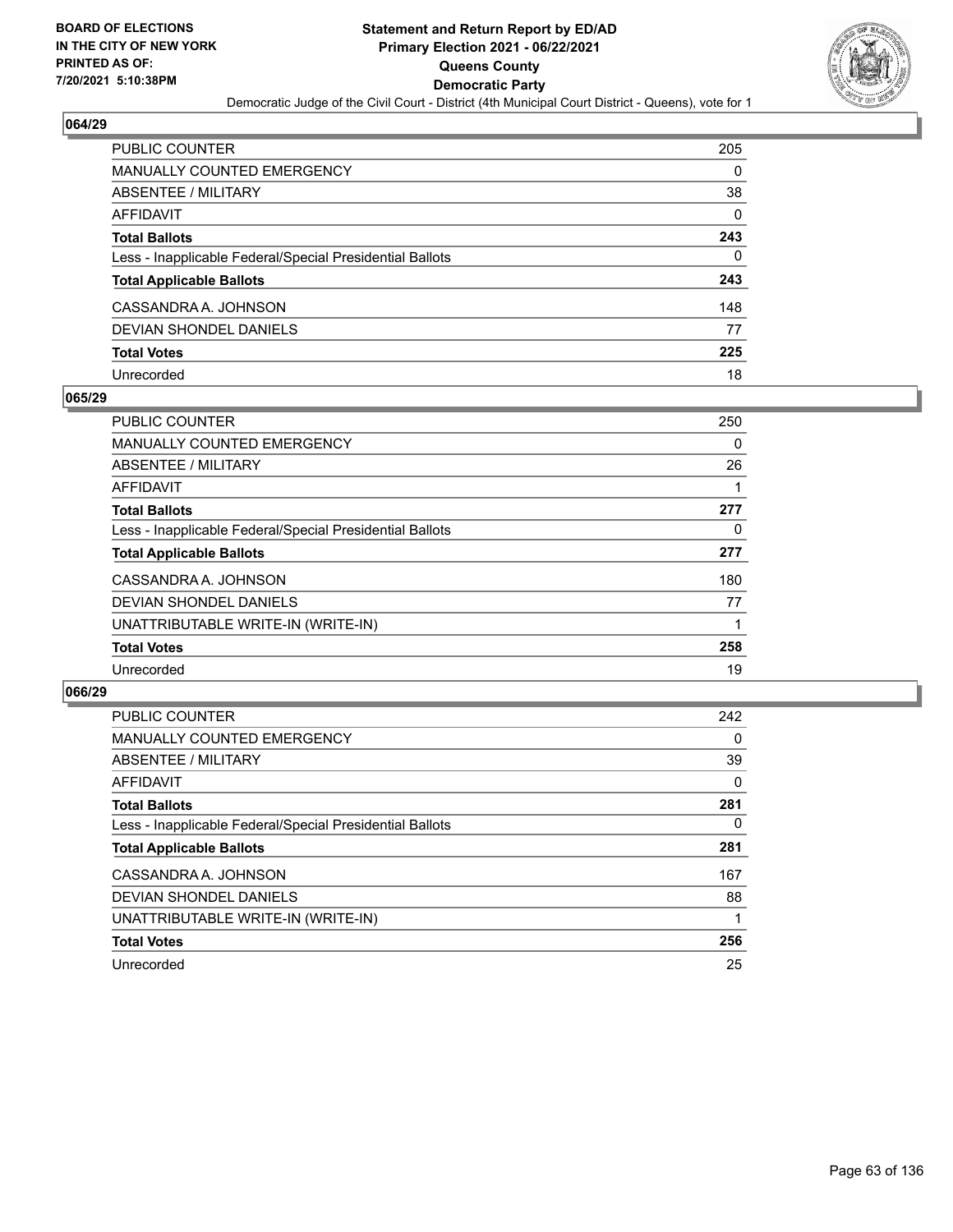

| PUBLIC COUNTER                                           | 205      |
|----------------------------------------------------------|----------|
| <b>MANUALLY COUNTED EMERGENCY</b>                        | 0        |
| <b>ABSENTEE / MILITARY</b>                               | 38       |
| AFFIDAVIT                                                | $\Omega$ |
| <b>Total Ballots</b>                                     | 243      |
| Less - Inapplicable Federal/Special Presidential Ballots | 0        |
| <b>Total Applicable Ballots</b>                          | 243      |
| CASSANDRA A. JOHNSON                                     | 148      |
| <b>DEVIAN SHONDEL DANIELS</b>                            | 77       |
| <b>Total Votes</b>                                       | 225      |
| Unrecorded                                               | 18       |

## **065/29**

| <b>PUBLIC COUNTER</b>                                    | 250 |
|----------------------------------------------------------|-----|
| <b>MANUALLY COUNTED EMERGENCY</b>                        | 0   |
| ABSENTEE / MILITARY                                      | 26  |
| <b>AFFIDAVIT</b>                                         |     |
| <b>Total Ballots</b>                                     | 277 |
| Less - Inapplicable Federal/Special Presidential Ballots | 0   |
| <b>Total Applicable Ballots</b>                          | 277 |
| CASSANDRA A. JOHNSON                                     | 180 |
| <b>DEVIAN SHONDEL DANIELS</b>                            | 77  |
| UNATTRIBUTABLE WRITE-IN (WRITE-IN)                       |     |
| <b>Total Votes</b>                                       | 258 |
| Unrecorded                                               | 19  |

| <b>PUBLIC COUNTER</b>                                    | 242      |
|----------------------------------------------------------|----------|
| <b>MANUALLY COUNTED EMERGENCY</b>                        | $\Omega$ |
| ABSENTEE / MILITARY                                      | 39       |
| AFFIDAVIT                                                | $\Omega$ |
| <b>Total Ballots</b>                                     | 281      |
| Less - Inapplicable Federal/Special Presidential Ballots | $\Omega$ |
| <b>Total Applicable Ballots</b>                          | 281      |
| CASSANDRA A. JOHNSON                                     | 167      |
| DEVIAN SHONDEL DANIELS                                   | 88       |
| UNATTRIBUTABLE WRITE-IN (WRITE-IN)                       |          |
| <b>Total Votes</b>                                       | 256      |
| Unrecorded                                               | 25       |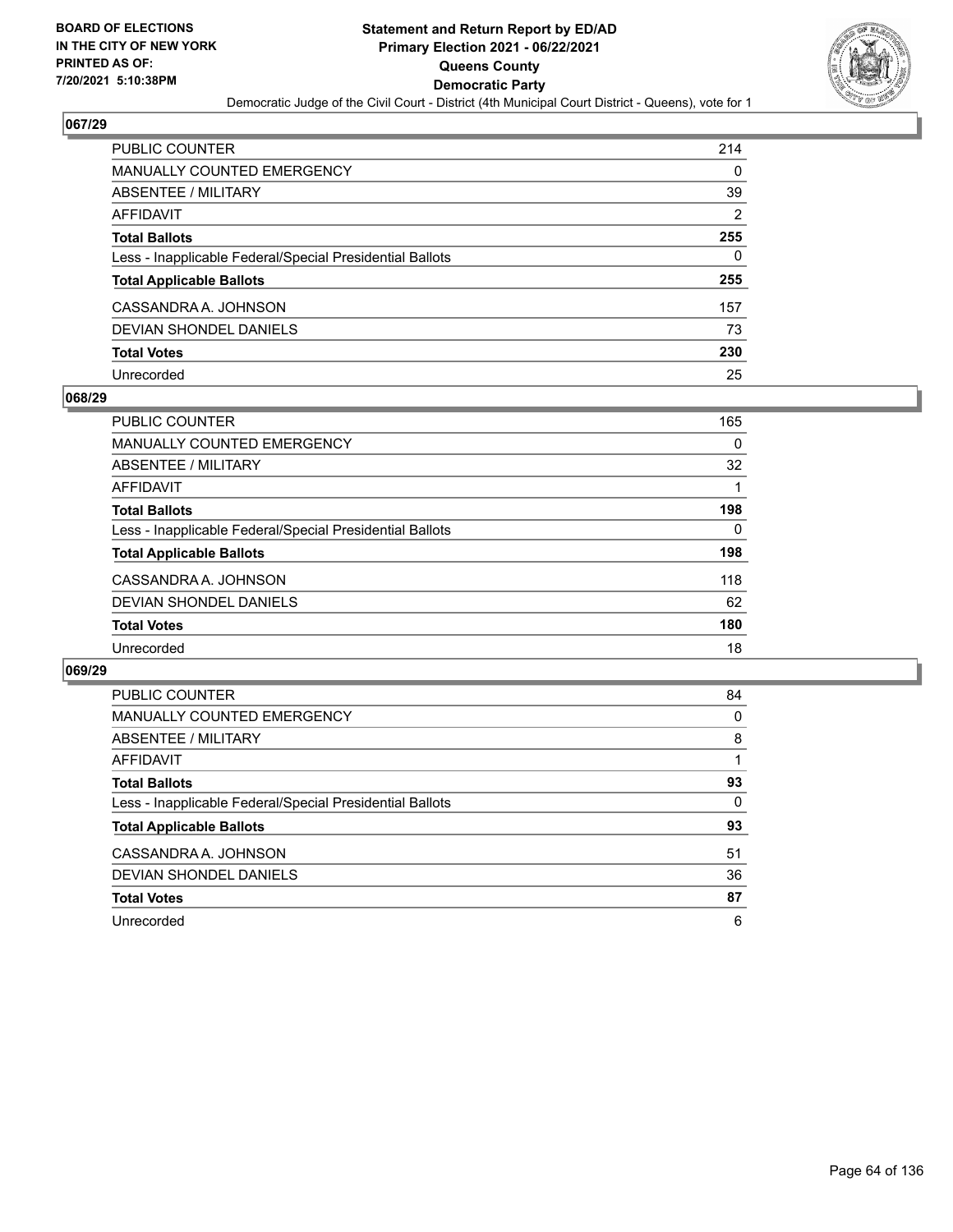

| PUBLIC COUNTER                                           | 214            |
|----------------------------------------------------------|----------------|
| MANUALLY COUNTED EMERGENCY                               | 0              |
| <b>ABSENTEE / MILITARY</b>                               | 39             |
| <b>AFFIDAVIT</b>                                         | $\overline{2}$ |
| <b>Total Ballots</b>                                     | 255            |
| Less - Inapplicable Federal/Special Presidential Ballots | 0              |
| <b>Total Applicable Ballots</b>                          | 255            |
| CASSANDRA A. JOHNSON                                     | 157            |
| <b>DEVIAN SHONDEL DANIELS</b>                            | 73             |
| <b>Total Votes</b>                                       | 230            |
| Unrecorded                                               | 25             |

### **068/29**

| PUBLIC COUNTER                                           | 165      |
|----------------------------------------------------------|----------|
| MANUALLY COUNTED EMERGENCY                               | $\Omega$ |
| <b>ABSENTEE / MILITARY</b>                               | 32       |
| AFFIDAVIT                                                |          |
| <b>Total Ballots</b>                                     | 198      |
| Less - Inapplicable Federal/Special Presidential Ballots | $\Omega$ |
| <b>Total Applicable Ballots</b>                          | 198      |
| CASSANDRA A. JOHNSON                                     | 118      |
| DEVIAN SHONDEL DANIELS                                   | 62       |
| <b>Total Votes</b>                                       | 180      |
| Unrecorded                                               | 18       |

| PUBLIC COUNTER                                           | 84       |
|----------------------------------------------------------|----------|
| <b>MANUALLY COUNTED EMERGENCY</b>                        | $\Omega$ |
| ABSENTEE / MILITARY                                      | 8        |
| AFFIDAVIT                                                |          |
| <b>Total Ballots</b>                                     | 93       |
| Less - Inapplicable Federal/Special Presidential Ballots | 0        |
| <b>Total Applicable Ballots</b>                          | 93       |
| CASSANDRA A. JOHNSON                                     | 51       |
| DEVIAN SHONDEL DANIELS                                   | 36       |
| <b>Total Votes</b>                                       | 87       |
| Unrecorded                                               | 6        |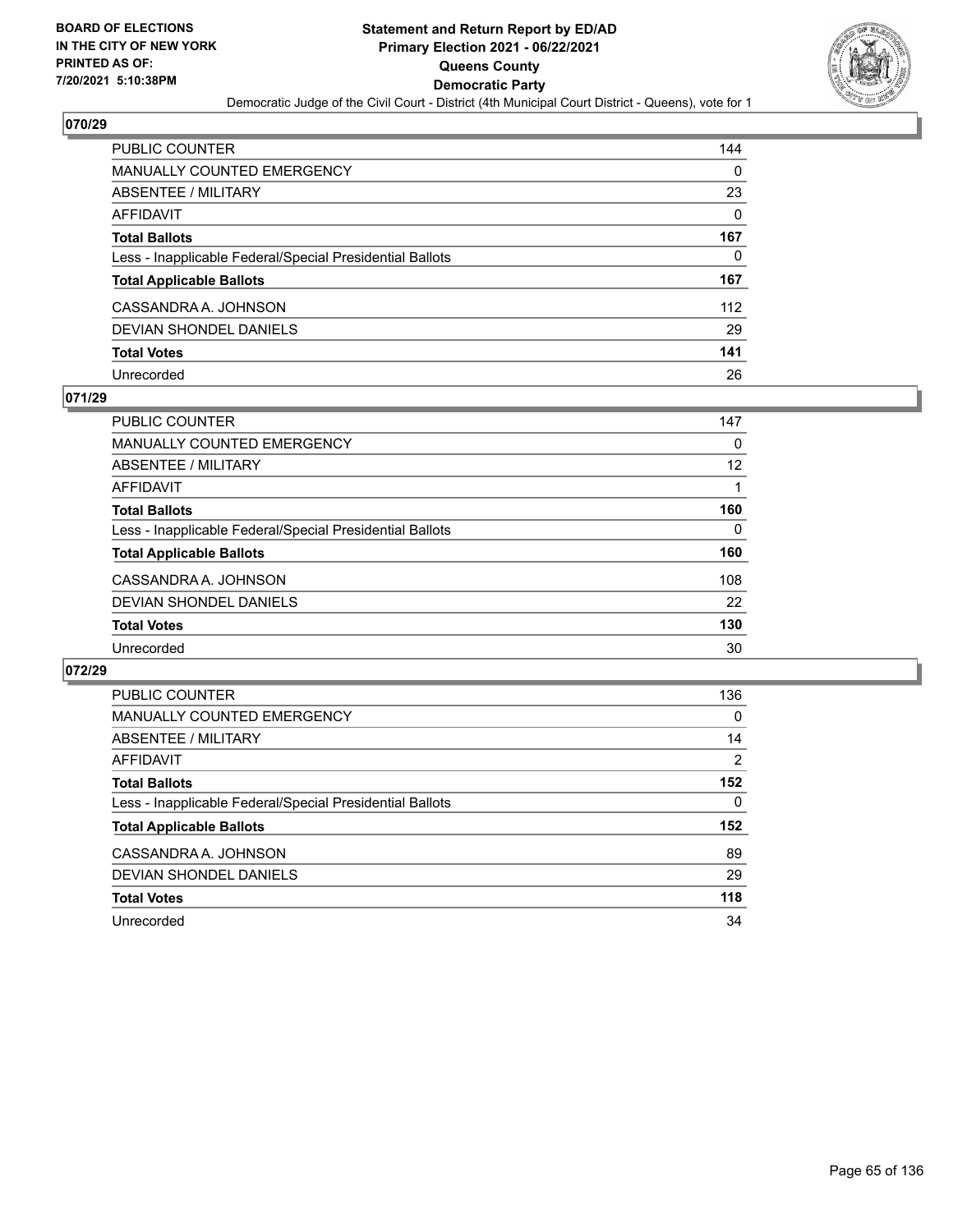

| PUBLIC COUNTER                                           | 144      |
|----------------------------------------------------------|----------|
| <b>MANUALLY COUNTED EMERGENCY</b>                        | 0        |
| ABSENTEE / MILITARY                                      | 23       |
| <b>AFFIDAVIT</b>                                         | $\Omega$ |
| <b>Total Ballots</b>                                     | 167      |
| Less - Inapplicable Federal/Special Presidential Ballots | 0        |
| <b>Total Applicable Ballots</b>                          | 167      |
| CASSANDRA A. JOHNSON                                     | 112      |
| <b>DEVIAN SHONDEL DANIELS</b>                            | 29       |
| <b>Total Votes</b>                                       | 141      |
| Unrecorded                                               | 26       |

## **071/29**

| <b>PUBLIC COUNTER</b>                                    | 147      |
|----------------------------------------------------------|----------|
| MANUALLY COUNTED EMERGENCY                               | 0        |
| ABSENTEE / MILITARY                                      | 12       |
| AFFIDAVIT                                                |          |
| <b>Total Ballots</b>                                     | 160      |
| Less - Inapplicable Federal/Special Presidential Ballots | $\Omega$ |
| <b>Total Applicable Ballots</b>                          | 160      |
| CASSANDRA A. JOHNSON                                     | 108      |
| DEVIAN SHONDEL DANIELS                                   | 22       |
| <b>Total Votes</b>                                       | 130      |
| Unrecorded                                               | 30       |

| PUBLIC COUNTER                                           | 136            |
|----------------------------------------------------------|----------------|
| <b>MANUALLY COUNTED EMERGENCY</b>                        | $\Omega$       |
| ABSENTEE / MILITARY                                      | 14             |
| AFFIDAVIT                                                | $\overline{2}$ |
| <b>Total Ballots</b>                                     | 152            |
| Less - Inapplicable Federal/Special Presidential Ballots | 0              |
| <b>Total Applicable Ballots</b>                          | 152            |
| CASSANDRA A. JOHNSON                                     | 89             |
| DEVIAN SHONDEL DANIELS                                   | 29             |
| <b>Total Votes</b>                                       | 118            |
| Unrecorded                                               | 34             |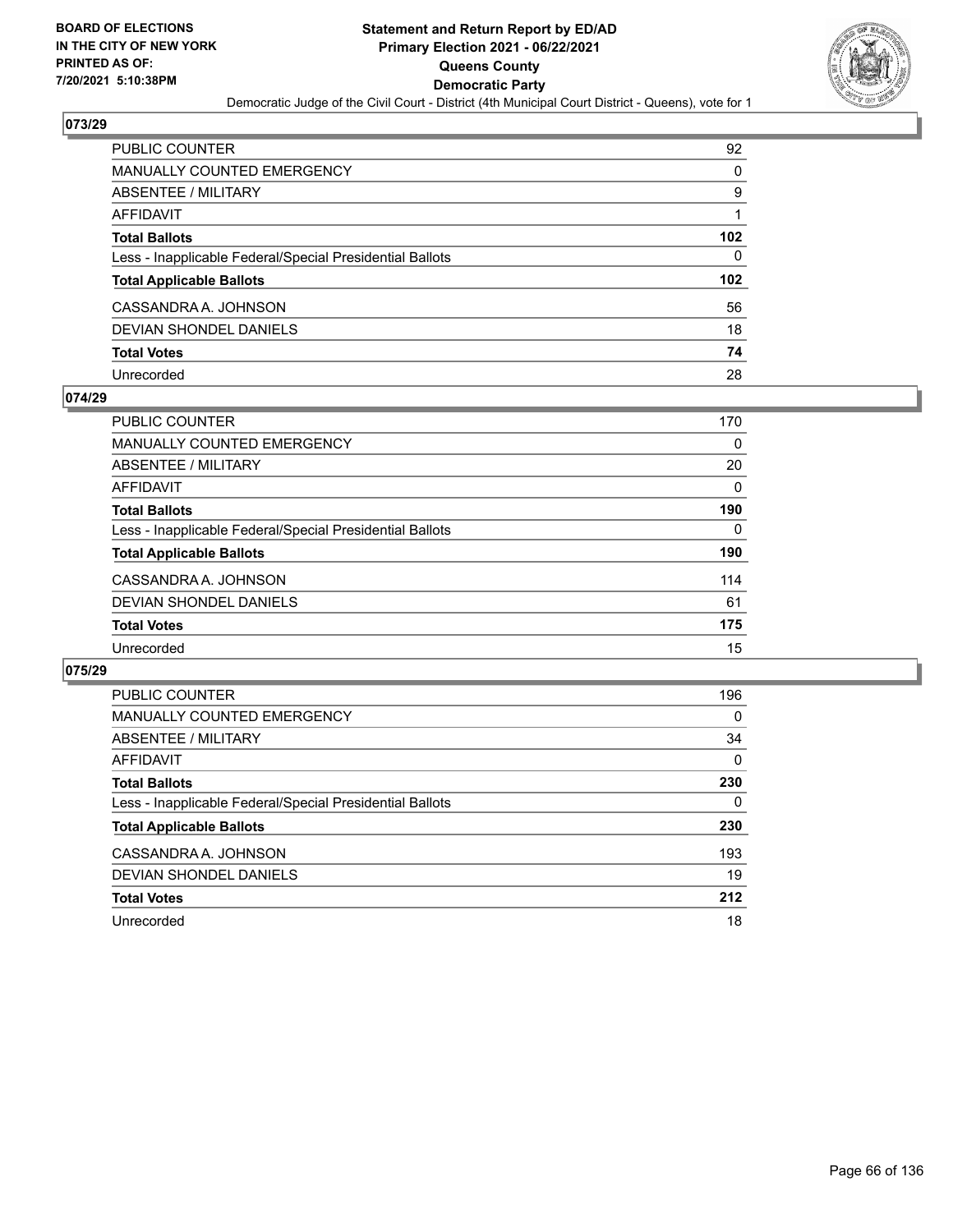

| PUBLIC COUNTER                                           | 92  |
|----------------------------------------------------------|-----|
| <b>MANUALLY COUNTED EMERGENCY</b>                        | 0   |
| <b>ABSENTEE / MILITARY</b>                               | 9   |
| <b>AFFIDAVIT</b>                                         |     |
| <b>Total Ballots</b>                                     | 102 |
| Less - Inapplicable Federal/Special Presidential Ballots | 0   |
| <b>Total Applicable Ballots</b>                          | 102 |
| CASSANDRA A. JOHNSON                                     | 56  |
| <b>DEVIAN SHONDEL DANIELS</b>                            | 18  |
| <b>Total Votes</b>                                       | 74  |
| Unrecorded                                               | 28  |

### **074/29**

| <b>PUBLIC COUNTER</b>                                    | 170      |
|----------------------------------------------------------|----------|
| MANUALLY COUNTED EMERGENCY                               | 0        |
| ABSENTEE / MILITARY                                      | 20       |
| AFFIDAVIT                                                | $\Omega$ |
| <b>Total Ballots</b>                                     | 190      |
| Less - Inapplicable Federal/Special Presidential Ballots | $\Omega$ |
| <b>Total Applicable Ballots</b>                          | 190      |
| CASSANDRA A. JOHNSON                                     | 114      |
| DEVIAN SHONDEL DANIELS                                   | 61       |
| <b>Total Votes</b>                                       | 175      |
| Unrecorded                                               | 15       |

| <b>PUBLIC COUNTER</b>                                    | 196      |
|----------------------------------------------------------|----------|
| <b>MANUALLY COUNTED EMERGENCY</b>                        | $\Omega$ |
| ABSENTEE / MILITARY                                      | 34       |
| <b>AFFIDAVIT</b>                                         | $\Omega$ |
| <b>Total Ballots</b>                                     | 230      |
| Less - Inapplicable Federal/Special Presidential Ballots | 0        |
| <b>Total Applicable Ballots</b>                          | 230      |
| CASSANDRA A. JOHNSON                                     | 193      |
| DEVIAN SHONDEL DANIELS                                   | 19       |
| <b>Total Votes</b>                                       | 212      |
| Unrecorded                                               | 18       |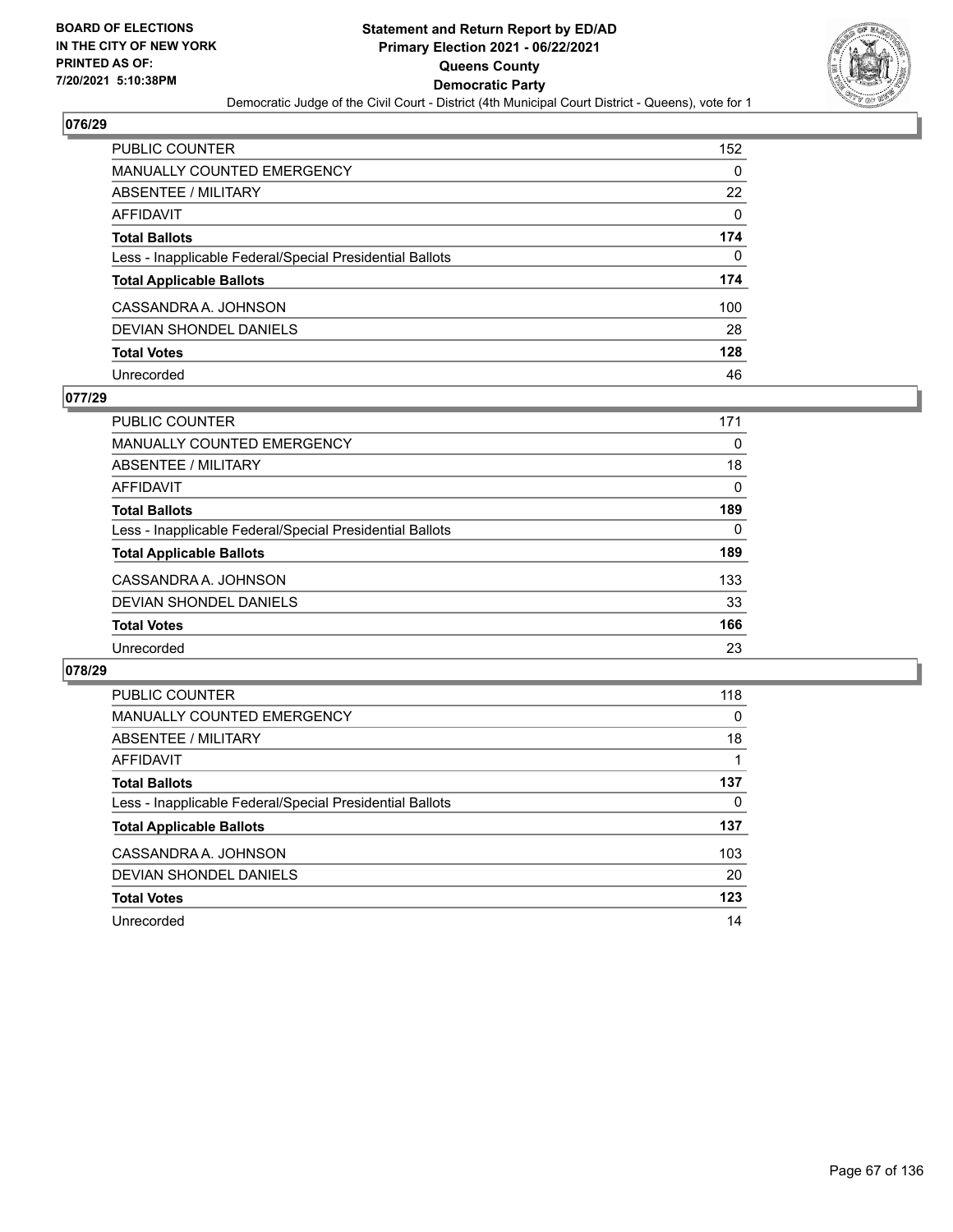

| PUBLIC COUNTER                                           | 152      |
|----------------------------------------------------------|----------|
| <b>MANUALLY COUNTED EMERGENCY</b>                        | 0        |
| ABSENTEE / MILITARY                                      | 22       |
| <b>AFFIDAVIT</b>                                         | $\Omega$ |
| <b>Total Ballots</b>                                     | 174      |
| Less - Inapplicable Federal/Special Presidential Ballots | $\Omega$ |
| <b>Total Applicable Ballots</b>                          | 174      |
| CASSANDRA A. JOHNSON                                     | 100      |
| DEVIAN SHONDEL DANIELS                                   | 28       |
| <b>Total Votes</b>                                       | 128      |
| Unrecorded                                               | 46       |

### **077/29**

| <b>PUBLIC COUNTER</b>                                    | 171      |
|----------------------------------------------------------|----------|
| MANUALLY COUNTED EMERGENCY                               | 0        |
| ABSENTEE / MILITARY                                      | 18       |
| AFFIDAVIT                                                | 0        |
| <b>Total Ballots</b>                                     | 189      |
| Less - Inapplicable Federal/Special Presidential Ballots | $\Omega$ |
| <b>Total Applicable Ballots</b>                          | 189      |
| CASSANDRA A. JOHNSON                                     | 133      |
| DEVIAN SHONDEL DANIELS                                   | 33       |
| <b>Total Votes</b>                                       | 166      |
| Unrecorded                                               | 23       |

| PUBLIC COUNTER                                           | 118 |
|----------------------------------------------------------|-----|
| <b>MANUALLY COUNTED EMERGENCY</b>                        | 0   |
| ABSENTEE / MILITARY                                      | 18  |
| AFFIDAVIT                                                |     |
| <b>Total Ballots</b>                                     | 137 |
| Less - Inapplicable Federal/Special Presidential Ballots | 0   |
| <b>Total Applicable Ballots</b>                          | 137 |
| CASSANDRA A. JOHNSON                                     | 103 |
| DEVIAN SHONDEL DANIELS                                   | 20  |
| <b>Total Votes</b>                                       | 123 |
| Unrecorded                                               | 14  |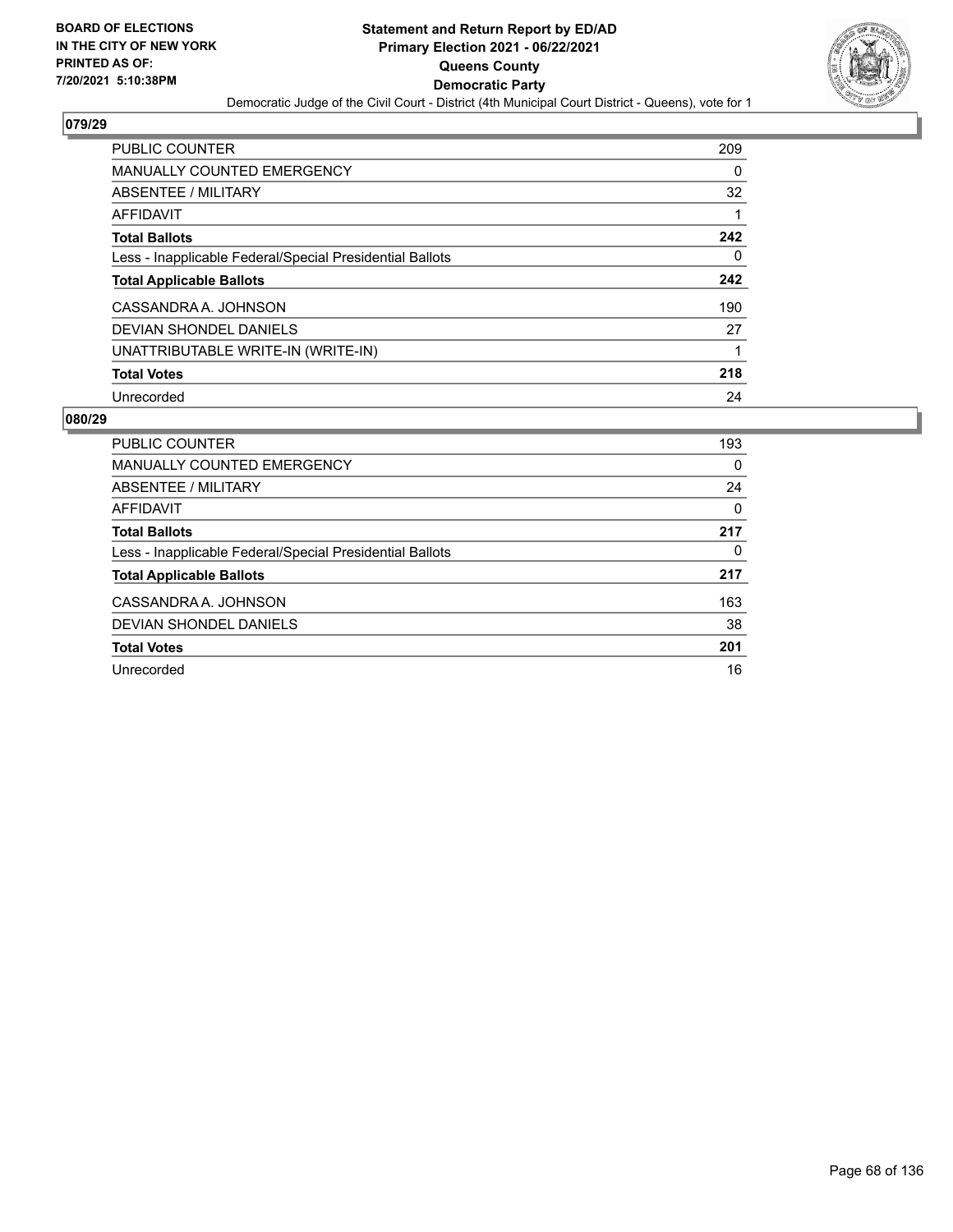

| <b>PUBLIC COUNTER</b>                                    | 209 |
|----------------------------------------------------------|-----|
| <b>MANUALLY COUNTED EMERGENCY</b>                        | 0   |
| ABSENTEE / MILITARY                                      | 32  |
| AFFIDAVIT                                                |     |
| <b>Total Ballots</b>                                     | 242 |
| Less - Inapplicable Federal/Special Presidential Ballots | 0   |
| <b>Total Applicable Ballots</b>                          | 242 |
| CASSANDRA A. JOHNSON                                     | 190 |
| DEVIAN SHONDEL DANIELS                                   | 27  |
| UNATTRIBUTABLE WRITE-IN (WRITE-IN)                       |     |
| <b>Total Votes</b>                                       | 218 |
| Unrecorded                                               | 24  |

| <b>PUBLIC COUNTER</b>                                    | 193      |
|----------------------------------------------------------|----------|
| <b>MANUALLY COUNTED EMERGENCY</b>                        | 0        |
| ABSENTEE / MILITARY                                      | 24       |
| AFFIDAVIT                                                | $\Omega$ |
| <b>Total Ballots</b>                                     | 217      |
| Less - Inapplicable Federal/Special Presidential Ballots | 0        |
| <b>Total Applicable Ballots</b>                          | 217      |
| CASSANDRA A. JOHNSON                                     | 163      |
| DEVIAN SHONDEL DANIELS                                   | 38       |
| <b>Total Votes</b>                                       | 201      |
| Unrecorded                                               | 16       |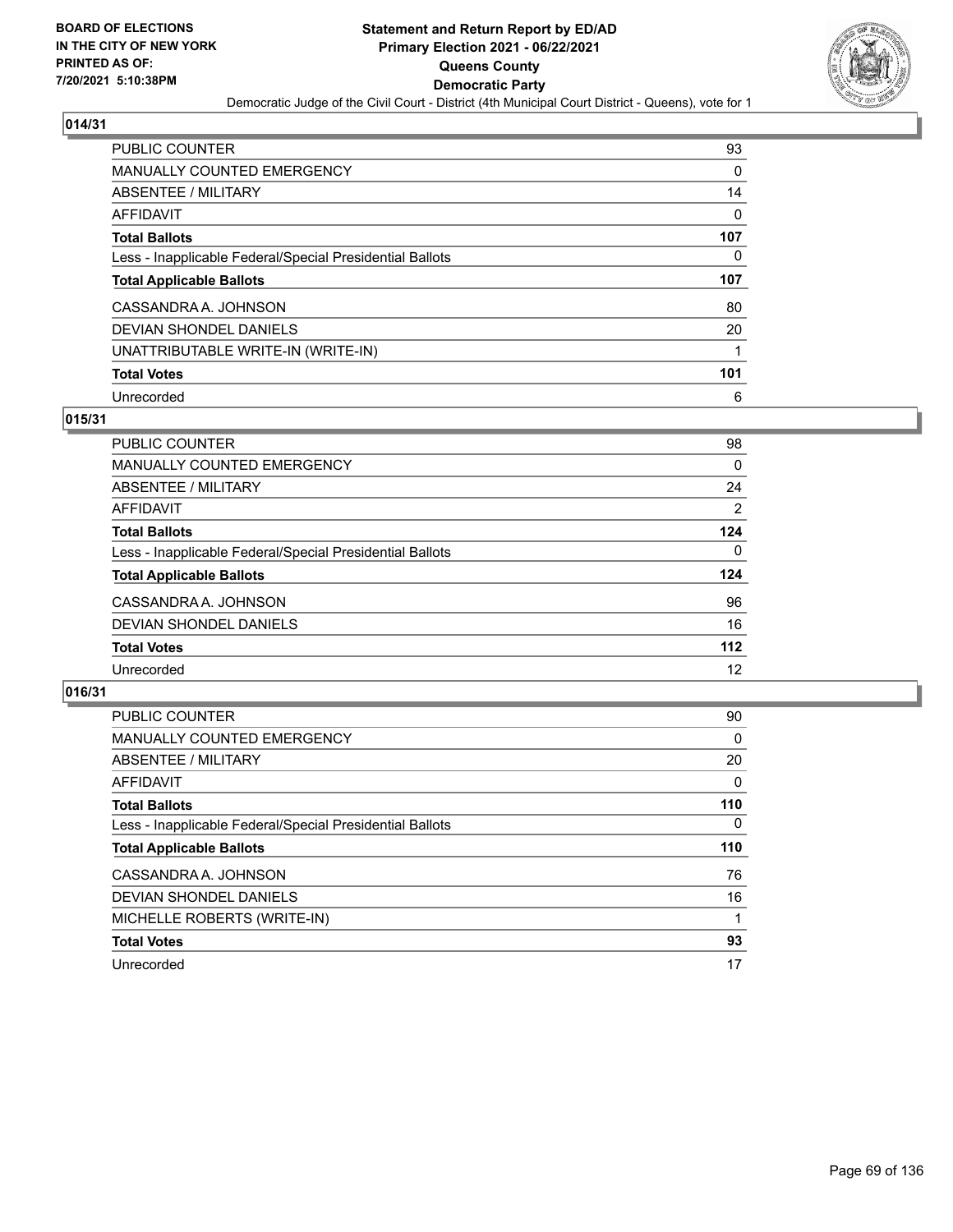

| <b>PUBLIC COUNTER</b>                                    | 93       |
|----------------------------------------------------------|----------|
| MANUALLY COUNTED EMERGENCY                               | 0        |
| ABSENTEE / MILITARY                                      | 14       |
| <b>AFFIDAVIT</b>                                         | $\Omega$ |
| <b>Total Ballots</b>                                     | 107      |
| Less - Inapplicable Federal/Special Presidential Ballots | 0        |
|                                                          |          |
| <b>Total Applicable Ballots</b>                          | 107      |
| CASSANDRA A. JOHNSON                                     | 80       |
| DEVIAN SHONDEL DANIELS                                   | 20       |
| UNATTRIBUTABLE WRITE-IN (WRITE-IN)                       | 1        |
| <b>Total Votes</b>                                       | 101      |

## **015/31**

| PUBLIC COUNTER                                           | 98    |
|----------------------------------------------------------|-------|
| MANUALLY COUNTED EMERGENCY                               | 0     |
| ABSENTEE / MILITARY                                      | 24    |
| AFFIDAVIT                                                | 2     |
| <b>Total Ballots</b>                                     | 124   |
| Less - Inapplicable Federal/Special Presidential Ballots | 0     |
| <b>Total Applicable Ballots</b>                          | 124   |
| CASSANDRA A. JOHNSON                                     | 96    |
| DEVIAN SHONDEL DANIELS                                   | 16    |
| <b>Total Votes</b>                                       | $112$ |
| Unrecorded                                               | 12    |

| <b>PUBLIC COUNTER</b>                                    | 90       |
|----------------------------------------------------------|----------|
| <b>MANUALLY COUNTED EMERGENCY</b>                        | 0        |
| ABSENTEE / MILITARY                                      | 20       |
| <b>AFFIDAVIT</b>                                         | $\Omega$ |
| <b>Total Ballots</b>                                     | 110      |
| Less - Inapplicable Federal/Special Presidential Ballots | $\Omega$ |
| <b>Total Applicable Ballots</b>                          | 110      |
| CASSANDRA A. JOHNSON                                     | 76       |
| DEVIAN SHONDEL DANIELS                                   | 16       |
| MICHELLE ROBERTS (WRITE-IN)                              |          |
| <b>Total Votes</b>                                       | 93       |
| Unrecorded                                               | 17       |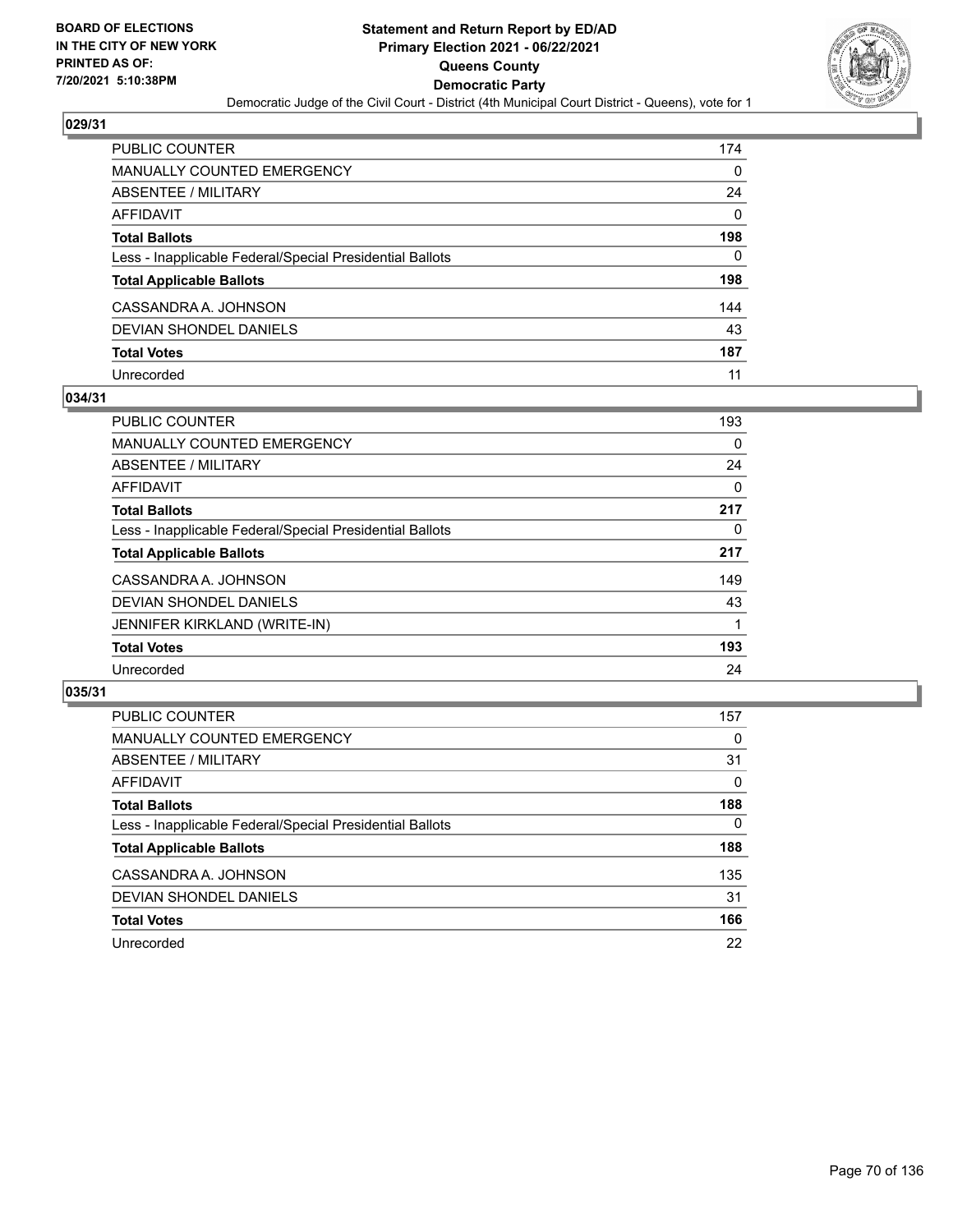

| PUBLIC COUNTER                                           | 174      |
|----------------------------------------------------------|----------|
| <b>MANUALLY COUNTED EMERGENCY</b>                        | 0        |
| ABSENTEE / MILITARY                                      | 24       |
| <b>AFFIDAVIT</b>                                         | $\Omega$ |
| <b>Total Ballots</b>                                     | 198      |
| Less - Inapplicable Federal/Special Presidential Ballots | 0        |
| <b>Total Applicable Ballots</b>                          | 198      |
| CASSANDRA A. JOHNSON                                     | 144      |
| DEVIAN SHONDEL DANIELS                                   | 43       |
| <b>Total Votes</b>                                       | 187      |
| Unrecorded                                               | 11       |

## **034/31**

| <b>PUBLIC COUNTER</b>                                    | 193      |
|----------------------------------------------------------|----------|
| <b>MANUALLY COUNTED EMERGENCY</b>                        | $\Omega$ |
| ABSENTEE / MILITARY                                      | 24       |
| AFFIDAVIT                                                | $\Omega$ |
| <b>Total Ballots</b>                                     | 217      |
| Less - Inapplicable Federal/Special Presidential Ballots | 0        |
| <b>Total Applicable Ballots</b>                          | 217      |
| CASSANDRA A. JOHNSON                                     | 149      |
| DEVIAN SHONDEL DANIELS                                   | 43       |
| <b>JENNIFER KIRKLAND (WRITE-IN)</b>                      |          |
| <b>Total Votes</b>                                       | 193      |
| Unrecorded                                               | 24       |

| <b>PUBLIC COUNTER</b>                                    | 157      |
|----------------------------------------------------------|----------|
| MANUALLY COUNTED EMERGENCY                               | $\Omega$ |
| ABSENTEE / MILITARY                                      | 31       |
| AFFIDAVIT                                                | $\Omega$ |
| <b>Total Ballots</b>                                     | 188      |
| Less - Inapplicable Federal/Special Presidential Ballots | $\Omega$ |
| <b>Total Applicable Ballots</b>                          | 188      |
| CASSANDRA A. JOHNSON                                     | 135      |
| DEVIAN SHONDEL DANIELS                                   | 31       |
| <b>Total Votes</b>                                       | 166      |
| Unrecorded                                               | 22       |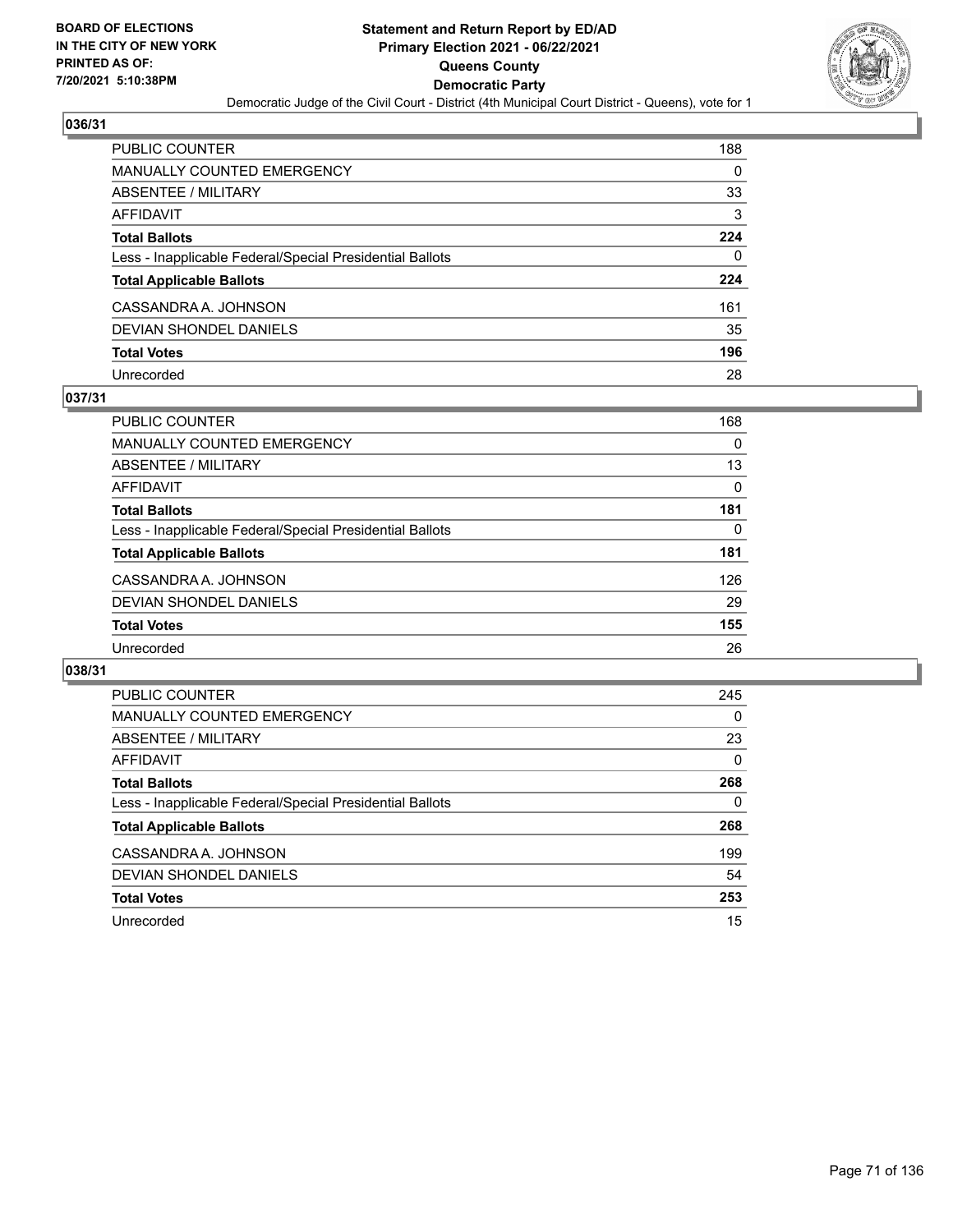

| PUBLIC COUNTER                                           | 188 |
|----------------------------------------------------------|-----|
| <b>MANUALLY COUNTED EMERGENCY</b>                        | 0   |
| ABSENTEE / MILITARY                                      | 33  |
| AFFIDAVIT                                                | 3   |
| <b>Total Ballots</b>                                     | 224 |
| Less - Inapplicable Federal/Special Presidential Ballots | 0   |
| <b>Total Applicable Ballots</b>                          | 224 |
| CASSANDRA A. JOHNSON                                     | 161 |
| DEVIAN SHONDEL DANIELS                                   | 35  |
| <b>Total Votes</b>                                       | 196 |
| Unrecorded                                               | 28  |

## **037/31**

| <b>PUBLIC COUNTER</b>                                    | 168      |
|----------------------------------------------------------|----------|
| <b>MANUALLY COUNTED EMERGENCY</b>                        | 0        |
| ABSENTEE / MILITARY                                      | 13       |
| AFFIDAVIT                                                | 0        |
| <b>Total Ballots</b>                                     | 181      |
| Less - Inapplicable Federal/Special Presidential Ballots | $\Omega$ |
| <b>Total Applicable Ballots</b>                          | 181      |
| CASSANDRA A. JOHNSON                                     | 126      |
| DEVIAN SHONDEL DANIELS                                   | 29       |
| <b>Total Votes</b>                                       | 155      |
| Unrecorded                                               | 26       |

| <b>PUBLIC COUNTER</b>                                    | 245      |
|----------------------------------------------------------|----------|
| <b>MANUALLY COUNTED EMERGENCY</b>                        | $\Omega$ |
| ABSENTEE / MILITARY                                      | 23       |
| AFFIDAVIT                                                | $\Omega$ |
| <b>Total Ballots</b>                                     | 268      |
| Less - Inapplicable Federal/Special Presidential Ballots | 0        |
| <b>Total Applicable Ballots</b>                          | 268      |
| CASSANDRA A. JOHNSON                                     | 199      |
| DEVIAN SHONDEL DANIELS                                   | 54       |
| <b>Total Votes</b>                                       | 253      |
| Unrecorded                                               | 15       |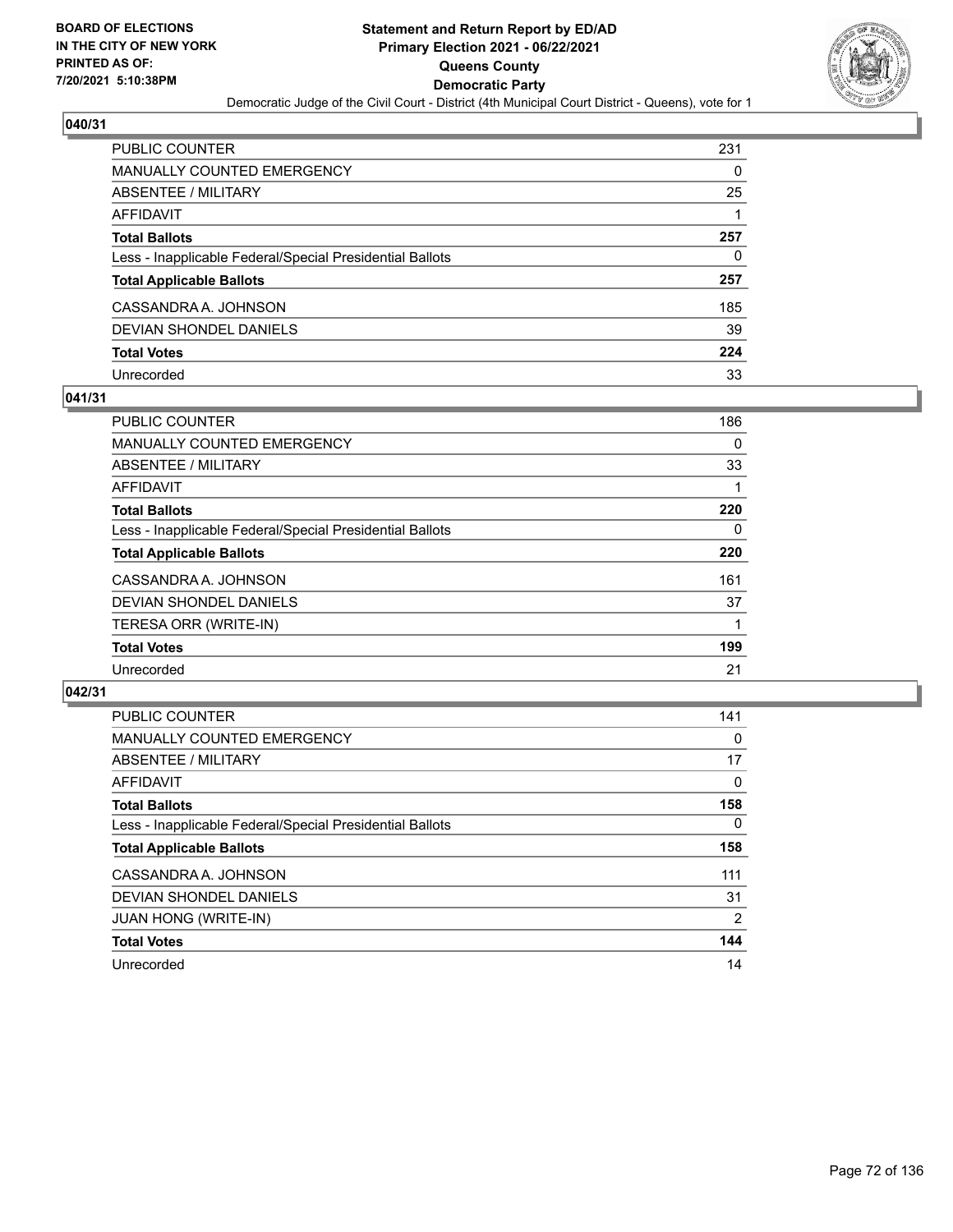

| PUBLIC COUNTER                                           | 231 |
|----------------------------------------------------------|-----|
| <b>MANUALLY COUNTED EMERGENCY</b>                        | 0   |
| ABSENTEE / MILITARY                                      | 25  |
| AFFIDAVIT                                                |     |
| <b>Total Ballots</b>                                     | 257 |
| Less - Inapplicable Federal/Special Presidential Ballots | 0   |
| <b>Total Applicable Ballots</b>                          | 257 |
| CASSANDRA A. JOHNSON                                     | 185 |
| DEVIAN SHONDEL DANIELS                                   | 39  |
| <b>Total Votes</b>                                       | 224 |
| Unrecorded                                               | 33  |

## **041/31**

| <b>PUBLIC COUNTER</b>                                    | 186 |
|----------------------------------------------------------|-----|
| <b>MANUALLY COUNTED EMERGENCY</b>                        | 0   |
| ABSENTEE / MILITARY                                      | 33  |
| AFFIDAVIT                                                |     |
| <b>Total Ballots</b>                                     | 220 |
| Less - Inapplicable Federal/Special Presidential Ballots | 0   |
| <b>Total Applicable Ballots</b>                          | 220 |
| CASSANDRA A. JOHNSON                                     | 161 |
| <b>DEVIAN SHONDEL DANIELS</b>                            | 37  |
| TERESA ORR (WRITE-IN)                                    |     |
| <b>Total Votes</b>                                       | 199 |
| Unrecorded                                               | 21  |

| <b>PUBLIC COUNTER</b>                                    | 141      |
|----------------------------------------------------------|----------|
| <b>MANUALLY COUNTED EMERGENCY</b>                        | 0        |
| ABSENTEE / MILITARY                                      | 17       |
| AFFIDAVIT                                                | $\Omega$ |
| <b>Total Ballots</b>                                     | 158      |
| Less - Inapplicable Federal/Special Presidential Ballots | $\Omega$ |
| <b>Total Applicable Ballots</b>                          | 158      |
| CASSANDRA A. JOHNSON                                     | 111      |
| DEVIAN SHONDEL DANIELS                                   | 31       |
| <b>JUAN HONG (WRITE-IN)</b>                              | 2        |
| <b>Total Votes</b>                                       | 144      |
| Unrecorded                                               | 14       |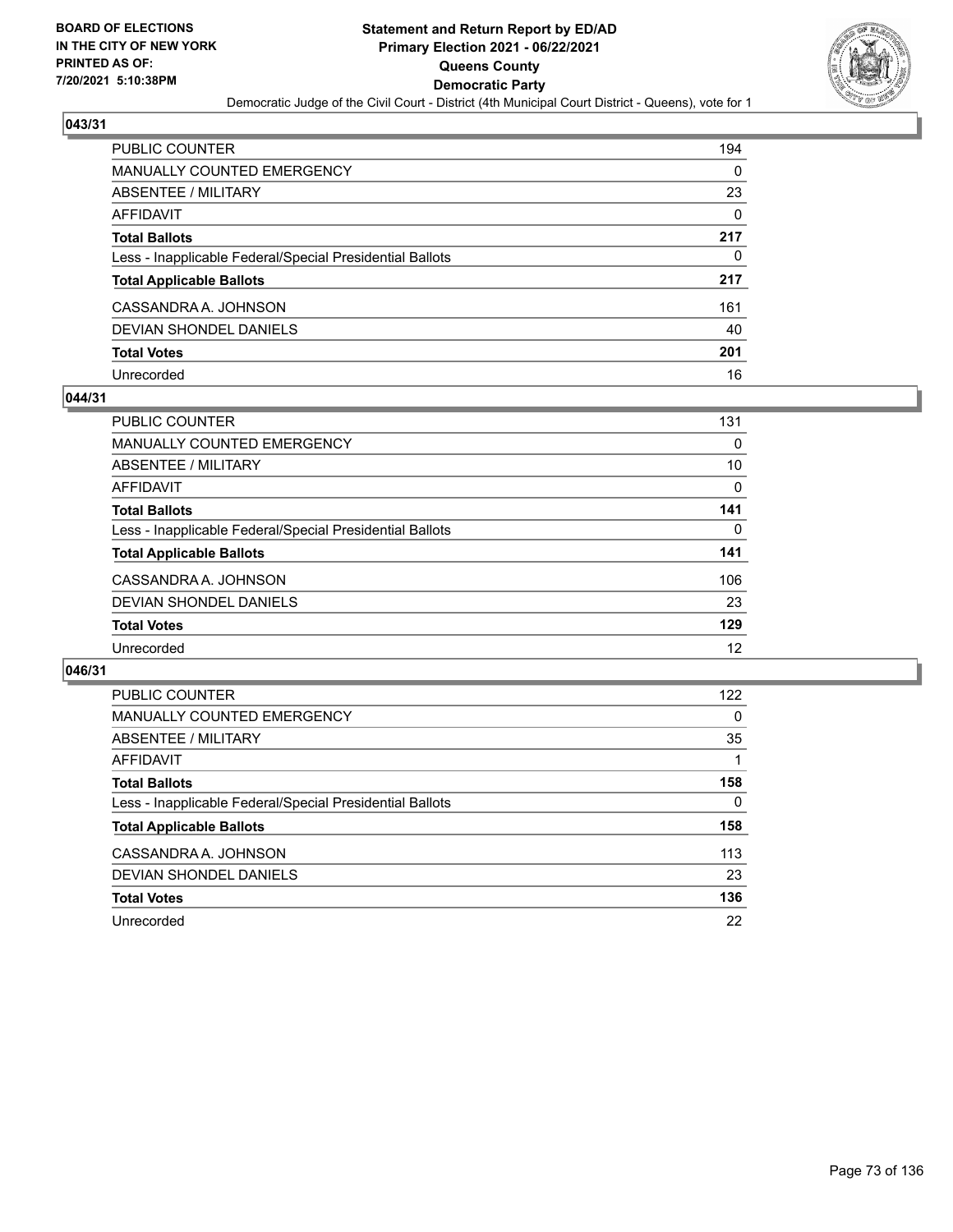

| PUBLIC COUNTER                                           | 194      |
|----------------------------------------------------------|----------|
| <b>MANUALLY COUNTED EMERGENCY</b>                        | $\Omega$ |
| ABSENTEE / MILITARY                                      | 23       |
| AFFIDAVIT                                                | $\Omega$ |
| <b>Total Ballots</b>                                     | 217      |
| Less - Inapplicable Federal/Special Presidential Ballots | 0        |
| <b>Total Applicable Ballots</b>                          | 217      |
| CASSANDRA A. JOHNSON                                     | 161      |
| DEVIAN SHONDEL DANIELS                                   | 40       |
| <b>Total Votes</b>                                       | 201      |
| Unrecorded                                               | 16       |

#### **044/31**

| PUBLIC COUNTER                                           | 131 |
|----------------------------------------------------------|-----|
| <b>MANUALLY COUNTED EMERGENCY</b>                        | 0   |
| ABSENTEE / MILITARY                                      | 10  |
| AFFIDAVIT                                                | 0   |
| <b>Total Ballots</b>                                     | 141 |
| Less - Inapplicable Federal/Special Presidential Ballots | 0   |
| <b>Total Applicable Ballots</b>                          | 141 |
| CASSANDRA A. JOHNSON                                     | 106 |
| DEVIAN SHONDEL DANIELS                                   | 23  |
| <b>Total Votes</b>                                       | 129 |
| Unrecorded                                               | 12  |

| <b>PUBLIC COUNTER</b>                                    | 122 |
|----------------------------------------------------------|-----|
| MANUALLY COUNTED EMERGENCY                               | 0   |
| ABSENTEE / MILITARY                                      | 35  |
| AFFIDAVIT                                                |     |
| <b>Total Ballots</b>                                     | 158 |
| Less - Inapplicable Federal/Special Presidential Ballots | 0   |
| <b>Total Applicable Ballots</b>                          | 158 |
| CASSANDRA A. JOHNSON                                     | 113 |
| DEVIAN SHONDEL DANIELS                                   | 23  |
| <b>Total Votes</b>                                       | 136 |
| Unrecorded                                               | 22  |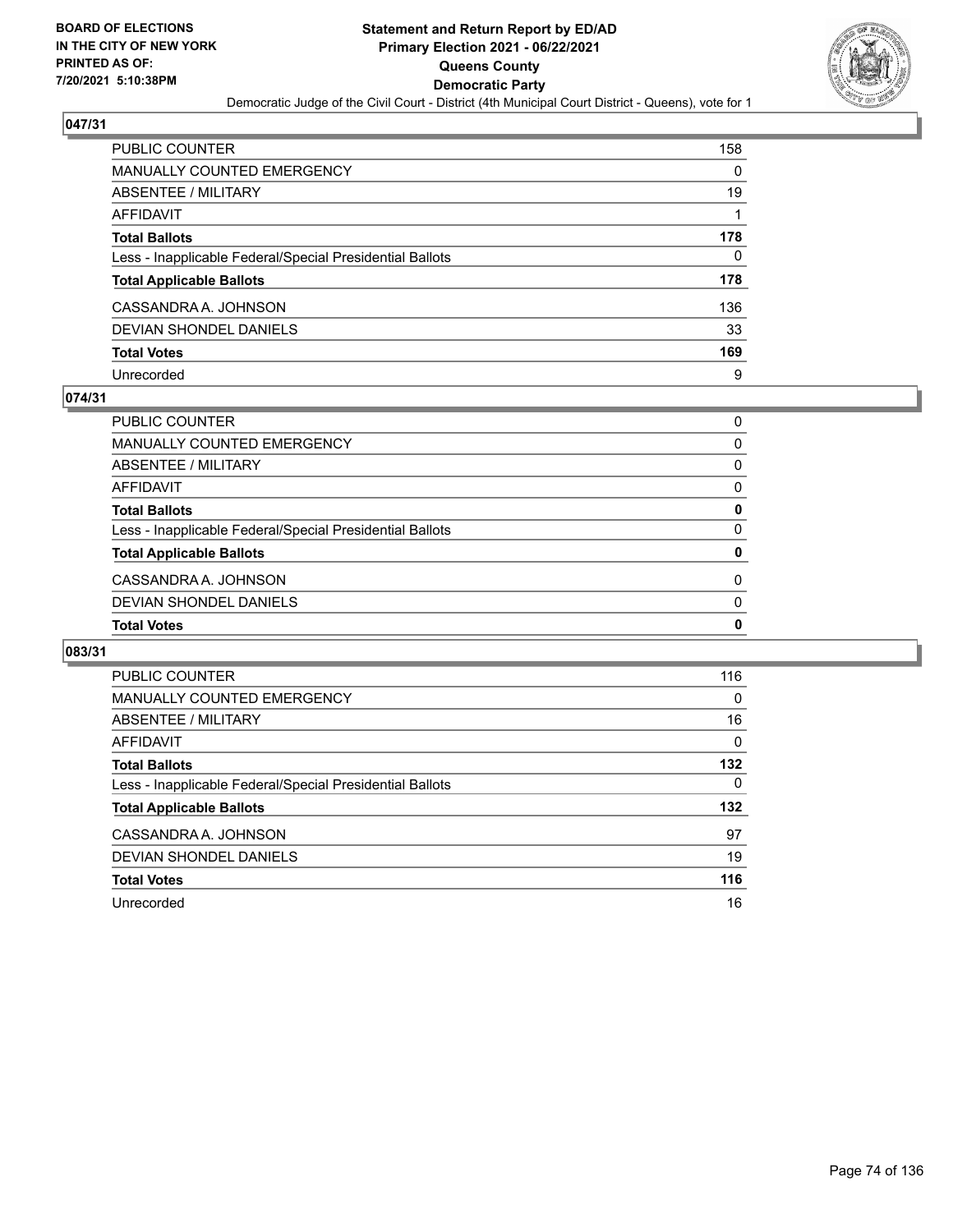

| PUBLIC COUNTER                                           | 158 |
|----------------------------------------------------------|-----|
| <b>MANUALLY COUNTED EMERGENCY</b>                        | 0   |
| ABSENTEE / MILITARY                                      | 19  |
| AFFIDAVIT                                                |     |
| <b>Total Ballots</b>                                     | 178 |
| Less - Inapplicable Federal/Special Presidential Ballots | 0   |
| <b>Total Applicable Ballots</b>                          | 178 |
| CASSANDRA A. JOHNSON                                     | 136 |
| DEVIAN SHONDEL DANIELS                                   | 33  |
| <b>Total Votes</b>                                       | 169 |
| Unrecorded                                               | 9   |

#### **074/31**

| <b>Total Votes</b>                                       | 0        |
|----------------------------------------------------------|----------|
| DEVIAN SHONDEL DANIELS                                   | $\Omega$ |
| CASSANDRA A. JOHNSON                                     | 0        |
| <b>Total Applicable Ballots</b>                          | 0        |
| Less - Inapplicable Federal/Special Presidential Ballots | 0        |
| <b>Total Ballots</b>                                     | 0        |
| AFFIDAVIT                                                | 0        |
| ABSENTEE / MILITARY                                      | 0        |
| MANUALLY COUNTED EMERGENCY                               | 0        |
| PUBLIC COUNTER                                           | 0        |

| <b>PUBLIC COUNTER</b>                                    | 116      |
|----------------------------------------------------------|----------|
| <b>MANUALLY COUNTED EMERGENCY</b>                        | $\Omega$ |
| ABSENTEE / MILITARY                                      | 16       |
| AFFIDAVIT                                                | $\Omega$ |
| <b>Total Ballots</b>                                     | 132      |
| Less - Inapplicable Federal/Special Presidential Ballots | 0        |
| <b>Total Applicable Ballots</b>                          | 132      |
| CASSANDRA A. JOHNSON                                     | 97       |
| DEVIAN SHONDEL DANIELS                                   | 19       |
| <b>Total Votes</b>                                       | 116      |
| Unrecorded                                               | 16       |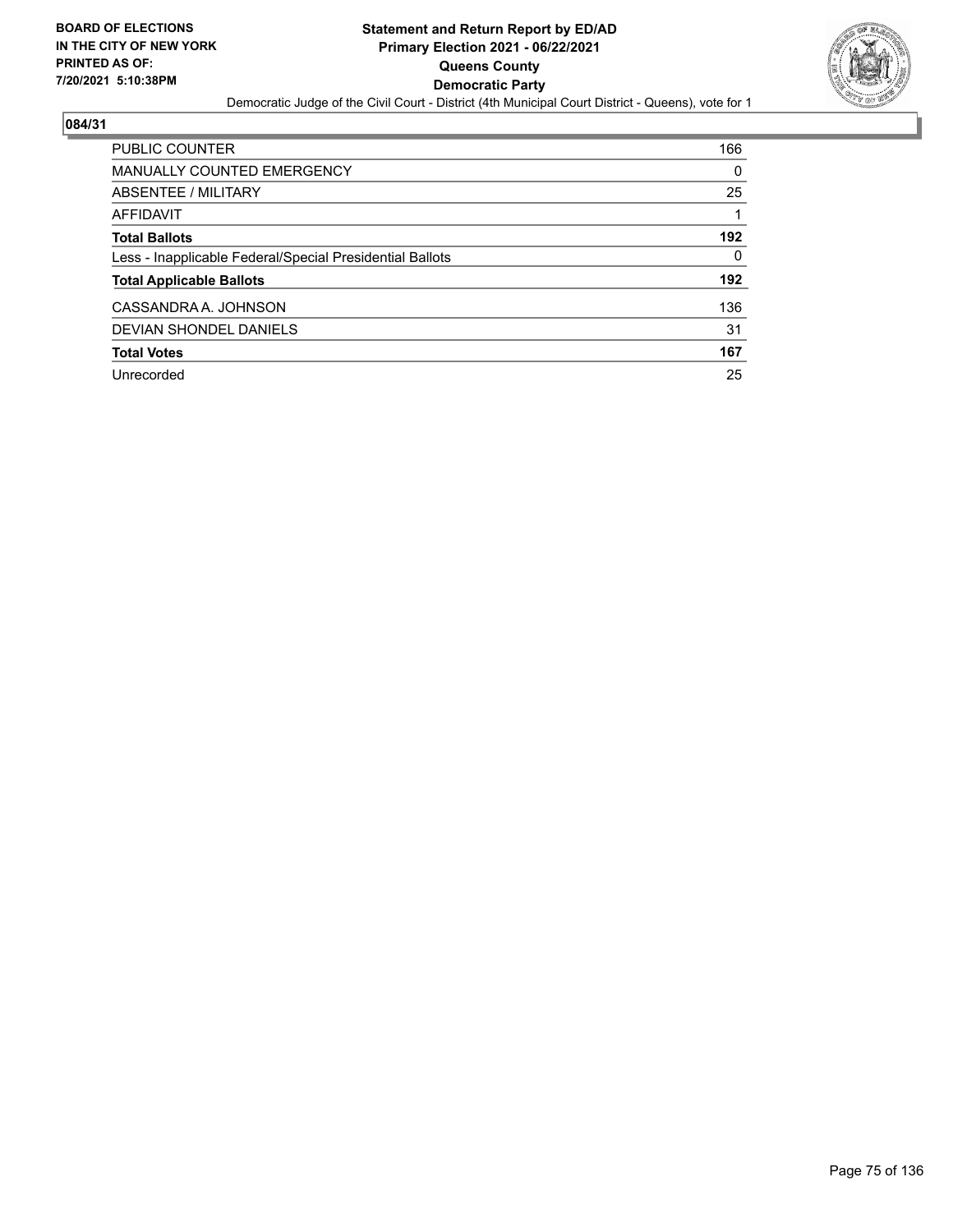

| <b>PUBLIC COUNTER</b>                                    | 166      |
|----------------------------------------------------------|----------|
| <b>MANUALLY COUNTED EMERGENCY</b>                        | 0        |
| ABSENTEE / MILITARY                                      | 25       |
| AFFIDAVIT                                                |          |
| <b>Total Ballots</b>                                     | 192      |
| Less - Inapplicable Federal/Special Presidential Ballots | $\Omega$ |
| <b>Total Applicable Ballots</b>                          | 192      |
| CASSANDRA A. JOHNSON                                     | 136      |
| <b>DEVIAN SHONDEL DANIELS</b>                            | 31       |
| <b>Total Votes</b>                                       | 167      |
| Unrecorded                                               | 25       |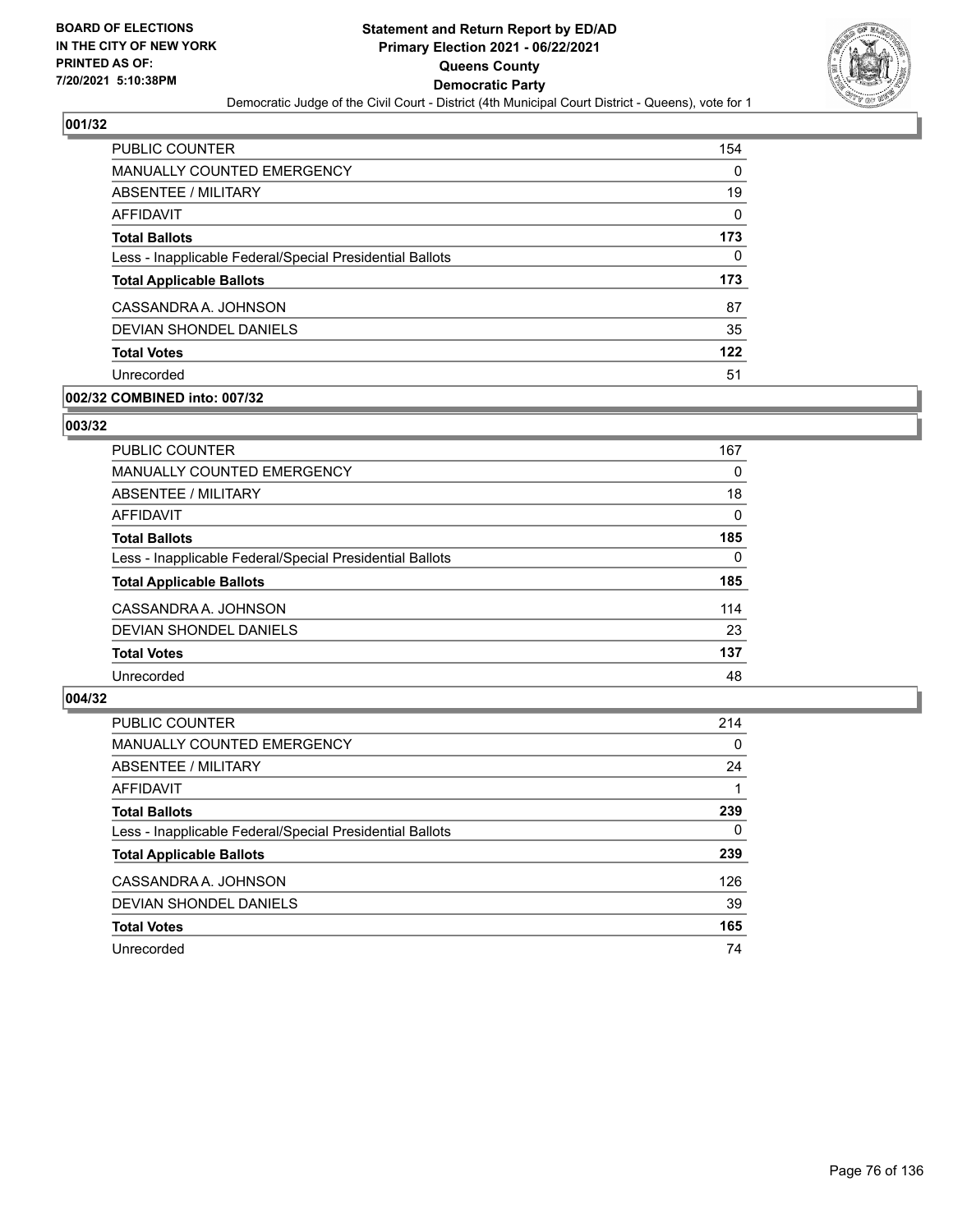

| PUBLIC COUNTER                                           | 154 |
|----------------------------------------------------------|-----|
| <b>MANUALLY COUNTED EMERGENCY</b>                        | 0   |
| ABSENTEE / MILITARY                                      | 19  |
| AFFIDAVIT                                                | 0   |
| <b>Total Ballots</b>                                     | 173 |
| Less - Inapplicable Federal/Special Presidential Ballots | 0   |
| <b>Total Applicable Ballots</b>                          | 173 |
| CASSANDRA A. JOHNSON                                     | 87  |
| DEVIAN SHONDEL DANIELS                                   | 35  |
| <b>Total Votes</b>                                       | 122 |
| Unrecorded                                               | 51  |

### **002/32 COMBINED into: 007/32**

#### **003/32**

| <b>PUBLIC COUNTER</b>                                    | 167      |
|----------------------------------------------------------|----------|
| <b>MANUALLY COUNTED EMERGENCY</b>                        | 0        |
| ABSENTEE / MILITARY                                      | 18       |
| AFFIDAVIT                                                | $\Omega$ |
| <b>Total Ballots</b>                                     | 185      |
| Less - Inapplicable Federal/Special Presidential Ballots | $\Omega$ |
| <b>Total Applicable Ballots</b>                          | 185      |
| CASSANDRA A. JOHNSON                                     | 114      |
| DEVIAN SHONDEL DANIELS                                   | 23       |
| <b>Total Votes</b>                                       | 137      |
| Unrecorded                                               | 48       |

| <b>PUBLIC COUNTER</b>                                    | 214      |
|----------------------------------------------------------|----------|
| MANUALLY COUNTED EMERGENCY                               | $\Omega$ |
| ABSENTEE / MILITARY                                      | 24       |
| AFFIDAVIT                                                |          |
| <b>Total Ballots</b>                                     | 239      |
| Less - Inapplicable Federal/Special Presidential Ballots | 0        |
| <b>Total Applicable Ballots</b>                          | 239      |
| CASSANDRA A. JOHNSON                                     | 126      |
| DEVIAN SHONDEL DANIELS                                   | 39       |
| <b>Total Votes</b>                                       | 165      |
| Unrecorded                                               | 74       |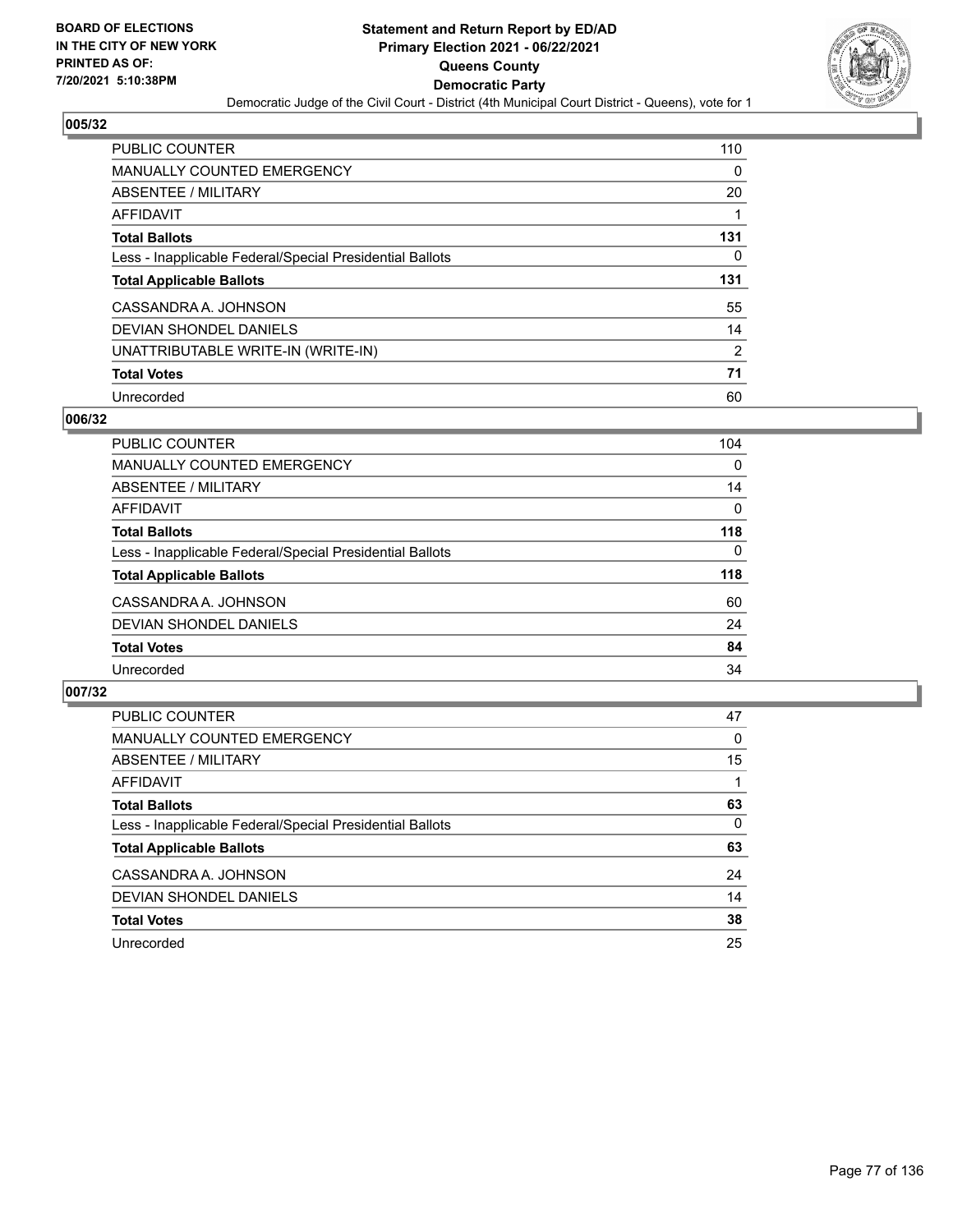

| <b>PUBLIC COUNTER</b>                                    | 110            |
|----------------------------------------------------------|----------------|
| <b>MANUALLY COUNTED EMERGENCY</b>                        | 0              |
| ABSENTEE / MILITARY                                      | 20             |
| AFFIDAVIT                                                |                |
| <b>Total Ballots</b>                                     | 131            |
| Less - Inapplicable Federal/Special Presidential Ballots | 0              |
| <b>Total Applicable Ballots</b>                          | 131            |
| CASSANDRA A. JOHNSON                                     | 55             |
| DEVIAN SHONDEL DANIELS                                   | 14             |
| UNATTRIBUTABLE WRITE-IN (WRITE-IN)                       | $\overline{2}$ |
| <b>Total Votes</b>                                       | 71             |
| Unrecorded                                               | 60             |

#### **006/32**

| <b>PUBLIC COUNTER</b>                                    | 104      |
|----------------------------------------------------------|----------|
| MANUALLY COUNTED EMERGENCY                               | $\Omega$ |
| ABSENTEE / MILITARY                                      | 14       |
| <b>AFFIDAVIT</b>                                         | 0        |
| <b>Total Ballots</b>                                     | 118      |
| Less - Inapplicable Federal/Special Presidential Ballots | $\Omega$ |
| <b>Total Applicable Ballots</b>                          | 118      |
| CASSANDRA A. JOHNSON                                     | 60       |
| DEVIAN SHONDEL DANIELS                                   | 24       |
| <b>Total Votes</b>                                       | 84       |
| Unrecorded                                               | 34       |

| PUBLIC COUNTER                                           | 47       |
|----------------------------------------------------------|----------|
| <b>MANUALLY COUNTED EMERGENCY</b>                        | $\Omega$ |
| ABSENTEE / MILITARY                                      | 15       |
| AFFIDAVIT                                                |          |
| <b>Total Ballots</b>                                     | 63       |
| Less - Inapplicable Federal/Special Presidential Ballots | $\Omega$ |
| <b>Total Applicable Ballots</b>                          | 63       |
| CASSANDRA A. JOHNSON                                     | 24       |
| DEVIAN SHONDEL DANIELS                                   | 14       |
| <b>Total Votes</b>                                       | 38       |
| Unrecorded                                               | 25       |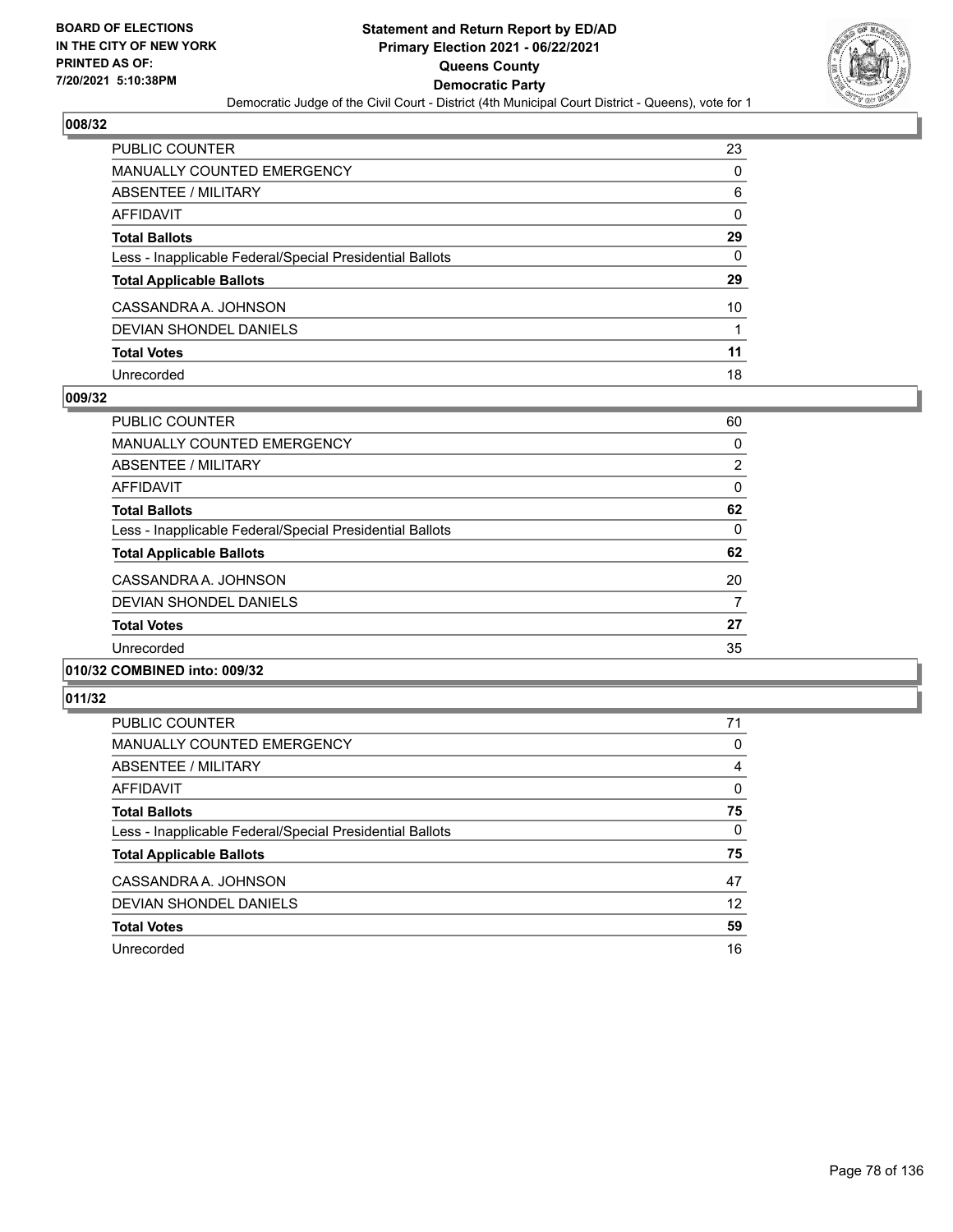

| PUBLIC COUNTER                                           | 23       |
|----------------------------------------------------------|----------|
| <b>MANUALLY COUNTED EMERGENCY</b>                        | 0        |
| <b>ABSENTEE / MILITARY</b>                               | 6        |
| <b>AFFIDAVIT</b>                                         | 0        |
| <b>Total Ballots</b>                                     | 29       |
| Less - Inapplicable Federal/Special Presidential Ballots | $\Omega$ |
| <b>Total Applicable Ballots</b>                          | 29       |
| CASSANDRA A. JOHNSON                                     | 10       |
| <b>DEVIAN SHONDEL DANIELS</b>                            | 1        |
| <b>Total Votes</b>                                       | 11       |
| Unrecorded                                               | 18       |

#### **009/32**

| <b>PUBLIC COUNTER</b>                                    | 60             |
|----------------------------------------------------------|----------------|
| <b>MANUALLY COUNTED EMERGENCY</b>                        | 0              |
| ABSENTEE / MILITARY                                      | $\overline{2}$ |
| <b>AFFIDAVIT</b>                                         | 0              |
| <b>Total Ballots</b>                                     | 62             |
| Less - Inapplicable Federal/Special Presidential Ballots | 0              |
| <b>Total Applicable Ballots</b>                          | 62             |
| CASSANDRA A. JOHNSON                                     | 20             |
| <b>DEVIAN SHONDEL DANIELS</b>                            | 7              |
| <b>Total Votes</b>                                       | 27             |
| Unrecorded                                               | 35             |
|                                                          |                |

#### **010/32 COMBINED into: 009/32**

| PUBLIC COUNTER                                           | 71       |
|----------------------------------------------------------|----------|
| <b>MANUALLY COUNTED EMERGENCY</b>                        | 0        |
| ABSENTEE / MILITARY                                      | 4        |
| AFFIDAVIT                                                | $\Omega$ |
| <b>Total Ballots</b>                                     | 75       |
| Less - Inapplicable Federal/Special Presidential Ballots | $\Omega$ |
| <b>Total Applicable Ballots</b>                          | 75       |
| CASSANDRA A. JOHNSON                                     | 47       |
| DEVIAN SHONDEL DANIELS                                   | 12       |
| <b>Total Votes</b>                                       | 59       |
| Unrecorded                                               | 16       |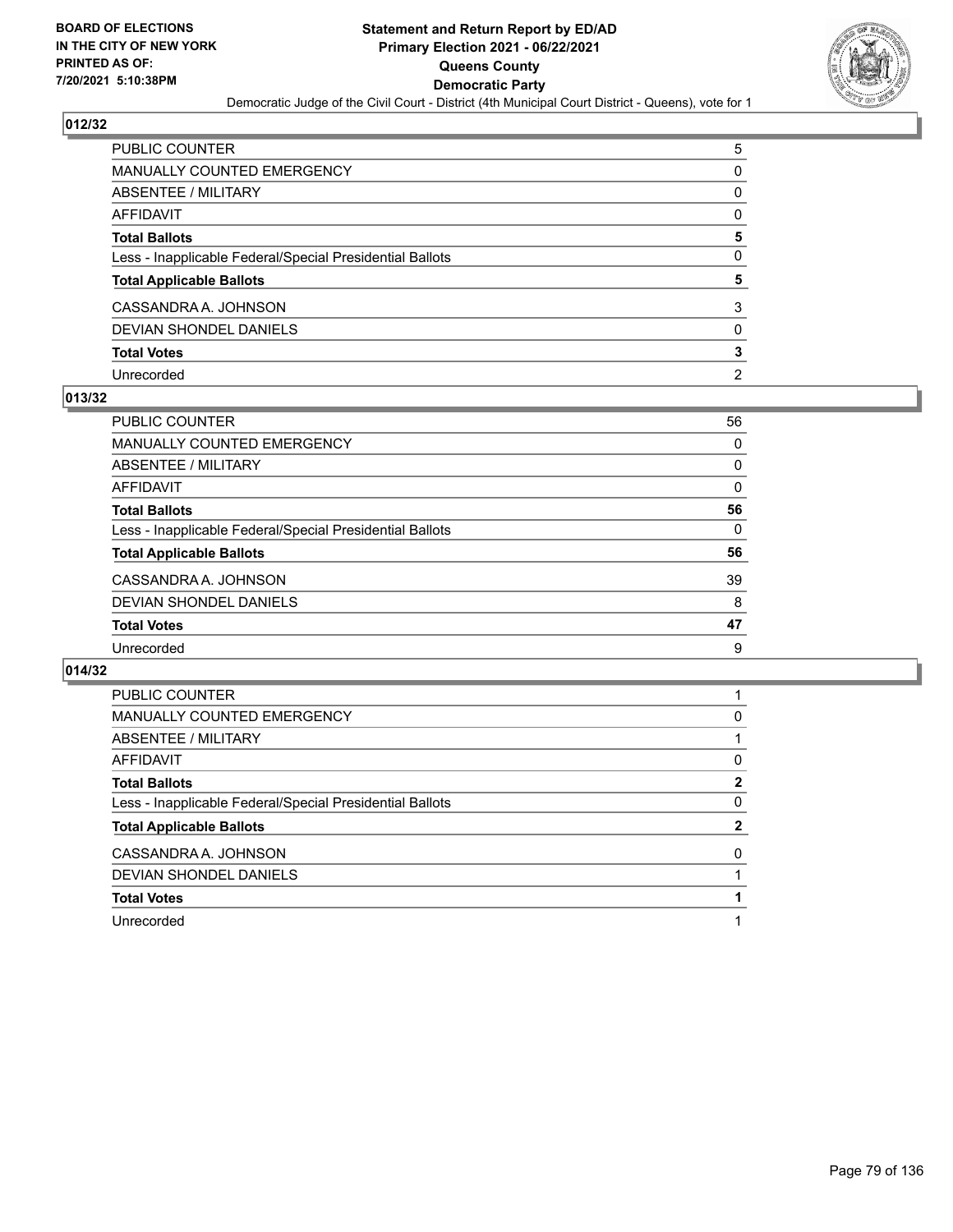

| PUBLIC COUNTER                                           | 5              |
|----------------------------------------------------------|----------------|
| MANUALLY COUNTED EMERGENCY                               | 0              |
| ABSENTEE / MILITARY                                      | $\Omega$       |
| <b>AFFIDAVIT</b>                                         | $\Omega$       |
| <b>Total Ballots</b>                                     | 5              |
| Less - Inapplicable Federal/Special Presidential Ballots | $\Omega$       |
| <b>Total Applicable Ballots</b>                          | 5              |
| CASSANDRA A. JOHNSON                                     | 3              |
| <b>DEVIAN SHONDEL DANIELS</b>                            | $\Omega$       |
| <b>Total Votes</b>                                       | 3              |
| Unrecorded                                               | $\overline{2}$ |

#### **013/32**

| <b>PUBLIC COUNTER</b>                                    | 56       |
|----------------------------------------------------------|----------|
| <b>MANUALLY COUNTED EMERGENCY</b>                        | 0        |
| ABSENTEE / MILITARY                                      | 0        |
| AFFIDAVIT                                                | 0        |
| <b>Total Ballots</b>                                     | 56       |
| Less - Inapplicable Federal/Special Presidential Ballots | $\Omega$ |
| <b>Total Applicable Ballots</b>                          | 56       |
| CASSANDRA A. JOHNSON                                     | 39       |
| DEVIAN SHONDEL DANIELS                                   | 8        |
| <b>Total Votes</b>                                       | 47       |
| Unrecorded                                               | 9        |

| <b>PUBLIC COUNTER</b>                                    |              |
|----------------------------------------------------------|--------------|
| <b>MANUALLY COUNTED EMERGENCY</b>                        | 0            |
| ABSENTEE / MILITARY                                      |              |
| AFFIDAVIT                                                | 0            |
| <b>Total Ballots</b>                                     | 2            |
| Less - Inapplicable Federal/Special Presidential Ballots | 0            |
| <b>Total Applicable Ballots</b>                          | $\mathbf{2}$ |
| CASSANDRA A. JOHNSON                                     | 0            |
| <b>DEVIAN SHONDEL DANIELS</b>                            |              |
|                                                          |              |
| <b>Total Votes</b>                                       |              |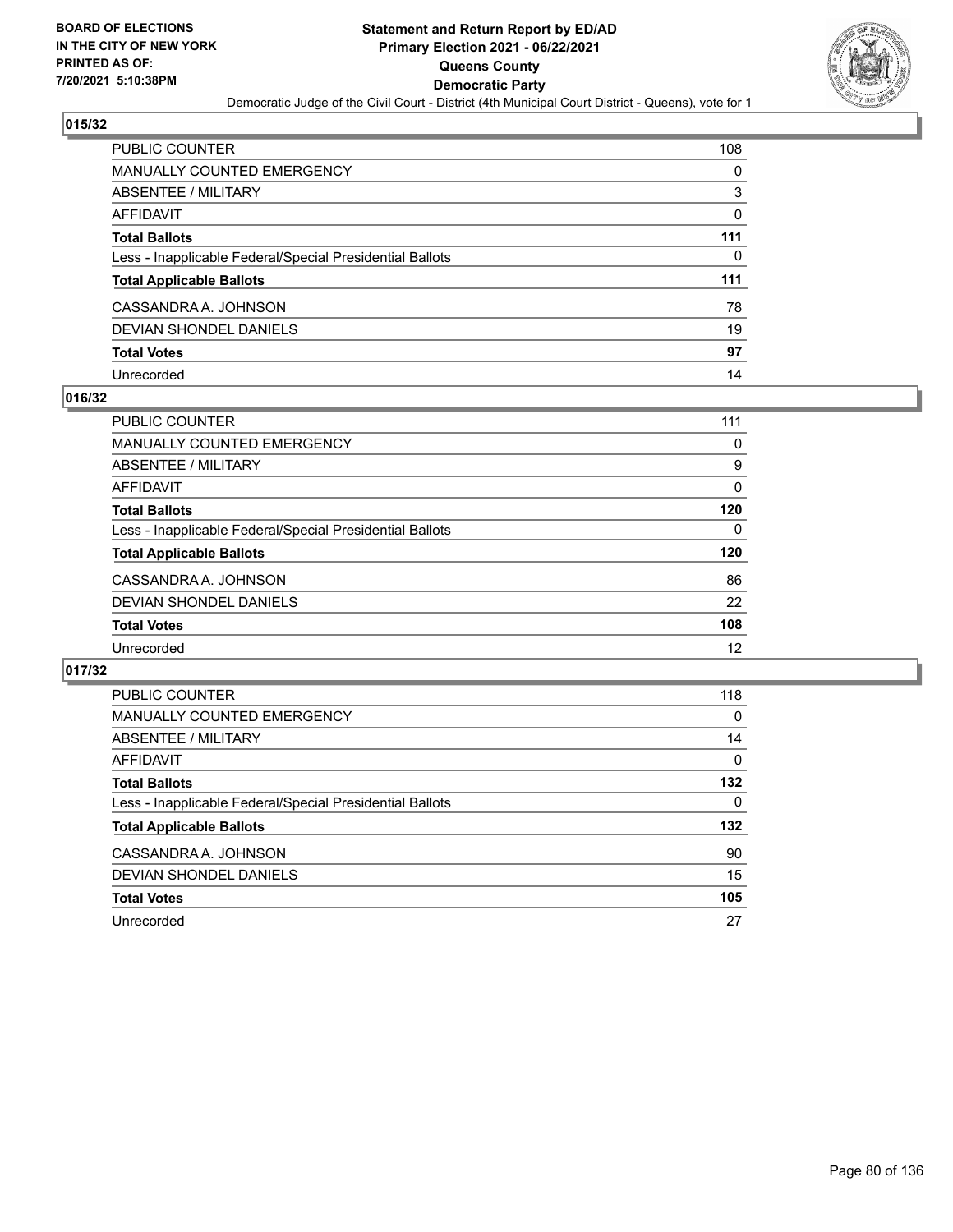

| <b>PUBLIC COUNTER</b>                                    | 108      |
|----------------------------------------------------------|----------|
| <b>MANUALLY COUNTED EMERGENCY</b>                        | 0        |
| ABSENTEE / MILITARY                                      | 3        |
| <b>AFFIDAVIT</b>                                         | $\Omega$ |
| <b>Total Ballots</b>                                     | 111      |
| Less - Inapplicable Federal/Special Presidential Ballots | 0        |
| <b>Total Applicable Ballots</b>                          | 111      |
| CASSANDRA A. JOHNSON                                     | 78       |
| <b>DEVIAN SHONDEL DANIELS</b>                            | 19       |
| <b>Total Votes</b>                                       | 97       |
| Unrecorded                                               | 14       |

### **016/32**

| PUBLIC COUNTER                                           | 111      |
|----------------------------------------------------------|----------|
| MANUALLY COUNTED EMERGENCY                               | 0        |
| ABSENTEE / MILITARY                                      | 9        |
| AFFIDAVIT                                                | $\Omega$ |
| <b>Total Ballots</b>                                     | 120      |
| Less - Inapplicable Federal/Special Presidential Ballots | 0        |
| <b>Total Applicable Ballots</b>                          | 120      |
| CASSANDRA A. JOHNSON                                     | 86       |
| DEVIAN SHONDEL DANIELS                                   | 22       |
| <b>Total Votes</b>                                       | 108      |
| Unrecorded                                               | 12       |

| PUBLIC COUNTER                                           | 118      |
|----------------------------------------------------------|----------|
| <b>MANUALLY COUNTED EMERGENCY</b>                        | $\Omega$ |
| ABSENTEE / MILITARY                                      | 14       |
| AFFIDAVIT                                                | $\Omega$ |
| <b>Total Ballots</b>                                     | 132      |
| Less - Inapplicable Federal/Special Presidential Ballots | 0        |
| <b>Total Applicable Ballots</b>                          | 132      |
| CASSANDRA A. JOHNSON                                     | 90       |
| DEVIAN SHONDEL DANIELS                                   | 15       |
| <b>Total Votes</b>                                       | 105      |
| Unrecorded                                               | 27       |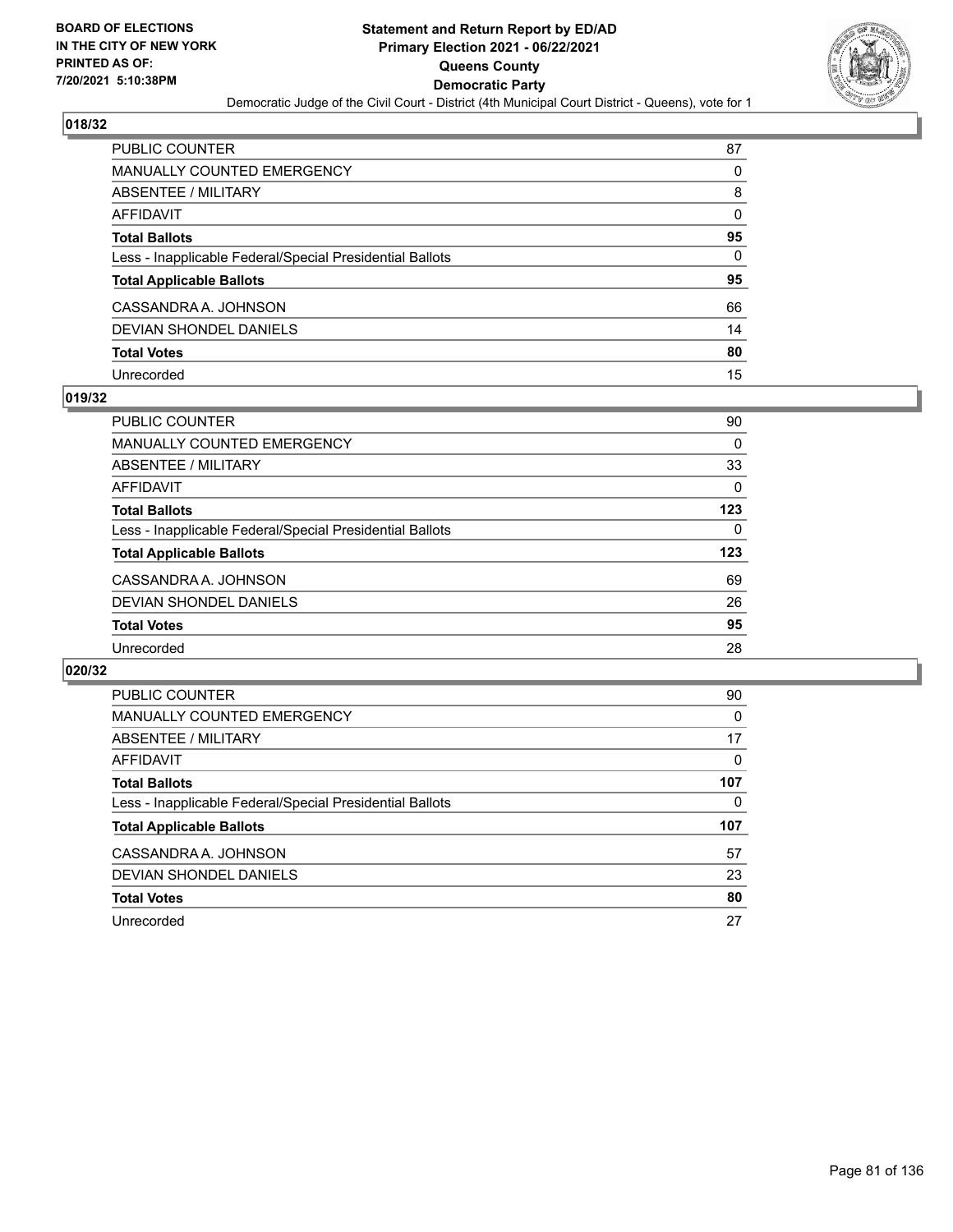

| PUBLIC COUNTER                                           | 87       |
|----------------------------------------------------------|----------|
| <b>MANUALLY COUNTED EMERGENCY</b>                        | 0        |
| <b>ABSENTEE / MILITARY</b>                               | 8        |
| AFFIDAVIT                                                | $\Omega$ |
| <b>Total Ballots</b>                                     | 95       |
| Less - Inapplicable Federal/Special Presidential Ballots | 0        |
| <b>Total Applicable Ballots</b>                          | 95       |
| CASSANDRA A. JOHNSON                                     | 66       |
| DEVIAN SHONDEL DANIELS                                   | 14       |
| <b>Total Votes</b>                                       | 80       |
| Unrecorded                                               | 15       |

#### **019/32**

| <b>PUBLIC COUNTER</b>                                    | 90  |
|----------------------------------------------------------|-----|
| <b>MANUALLY COUNTED EMERGENCY</b>                        | 0   |
| ABSENTEE / MILITARY                                      | 33  |
| AFFIDAVIT                                                | 0   |
| <b>Total Ballots</b>                                     | 123 |
| Less - Inapplicable Federal/Special Presidential Ballots | 0   |
| <b>Total Applicable Ballots</b>                          | 123 |
| CASSANDRA A. JOHNSON                                     | 69  |
| DEVIAN SHONDEL DANIELS                                   | 26  |
| <b>Total Votes</b>                                       | 95  |
| Unrecorded                                               | 28  |

| <b>PUBLIC COUNTER</b>                                    | 90  |
|----------------------------------------------------------|-----|
| <b>MANUALLY COUNTED EMERGENCY</b>                        | 0   |
| ABSENTEE / MILITARY                                      | 17  |
| <b>AFFIDAVIT</b>                                         | 0   |
| <b>Total Ballots</b>                                     | 107 |
| Less - Inapplicable Federal/Special Presidential Ballots | 0   |
| <b>Total Applicable Ballots</b>                          | 107 |
| CASSANDRA A. JOHNSON                                     | 57  |
| DEVIAN SHONDEL DANIELS                                   | 23  |
|                                                          |     |
| <b>Total Votes</b>                                       | 80  |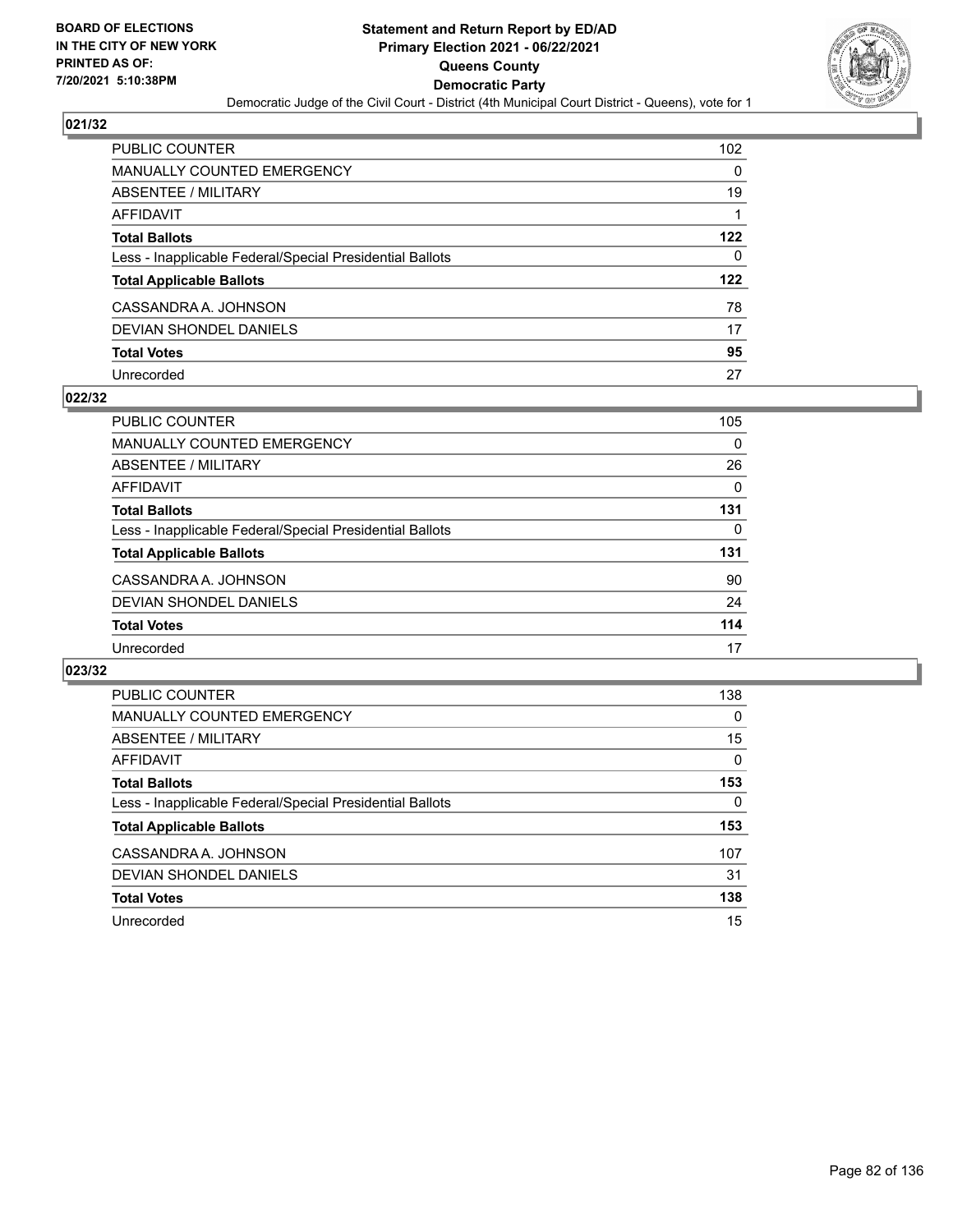

| <b>PUBLIC COUNTER</b>                                    | 102 <sub>2</sub> |
|----------------------------------------------------------|------------------|
| <b>MANUALLY COUNTED EMERGENCY</b>                        | 0                |
| ABSENTEE / MILITARY                                      | 19               |
| AFFIDAVIT                                                |                  |
| <b>Total Ballots</b>                                     | 122              |
| Less - Inapplicable Federal/Special Presidential Ballots | 0                |
| <b>Total Applicable Ballots</b>                          | 122              |
| CASSANDRA A. JOHNSON                                     | 78               |
| DEVIAN SHONDEL DANIELS                                   | 17               |
| <b>Total Votes</b>                                       | 95               |
| Unrecorded                                               | 27               |

#### **022/32**

| PUBLIC COUNTER                                           | 105      |
|----------------------------------------------------------|----------|
| MANUALLY COUNTED EMERGENCY                               | $\Omega$ |
| ABSENTEE / MILITARY                                      | 26       |
| AFFIDAVIT                                                | 0        |
| <b>Total Ballots</b>                                     | 131      |
| Less - Inapplicable Federal/Special Presidential Ballots | 0        |
| <b>Total Applicable Ballots</b>                          | 131      |
| CASSANDRA A. JOHNSON                                     | 90       |
| DEVIAN SHONDEL DANIELS                                   | 24       |
| <b>Total Votes</b>                                       | 114      |
| Unrecorded                                               | 17       |

| <b>PUBLIC COUNTER</b>                                    | 138 |
|----------------------------------------------------------|-----|
| MANUALLY COUNTED EMERGENCY                               | 0   |
| ABSENTEE / MILITARY                                      | 15  |
| AFFIDAVIT                                                | 0   |
| <b>Total Ballots</b>                                     | 153 |
| Less - Inapplicable Federal/Special Presidential Ballots | 0   |
| <b>Total Applicable Ballots</b>                          | 153 |
| CASSANDRA A. JOHNSON                                     | 107 |
| DEVIAN SHONDEL DANIELS                                   | 31  |
| <b>Total Votes</b>                                       | 138 |
| Unrecorded                                               | 15  |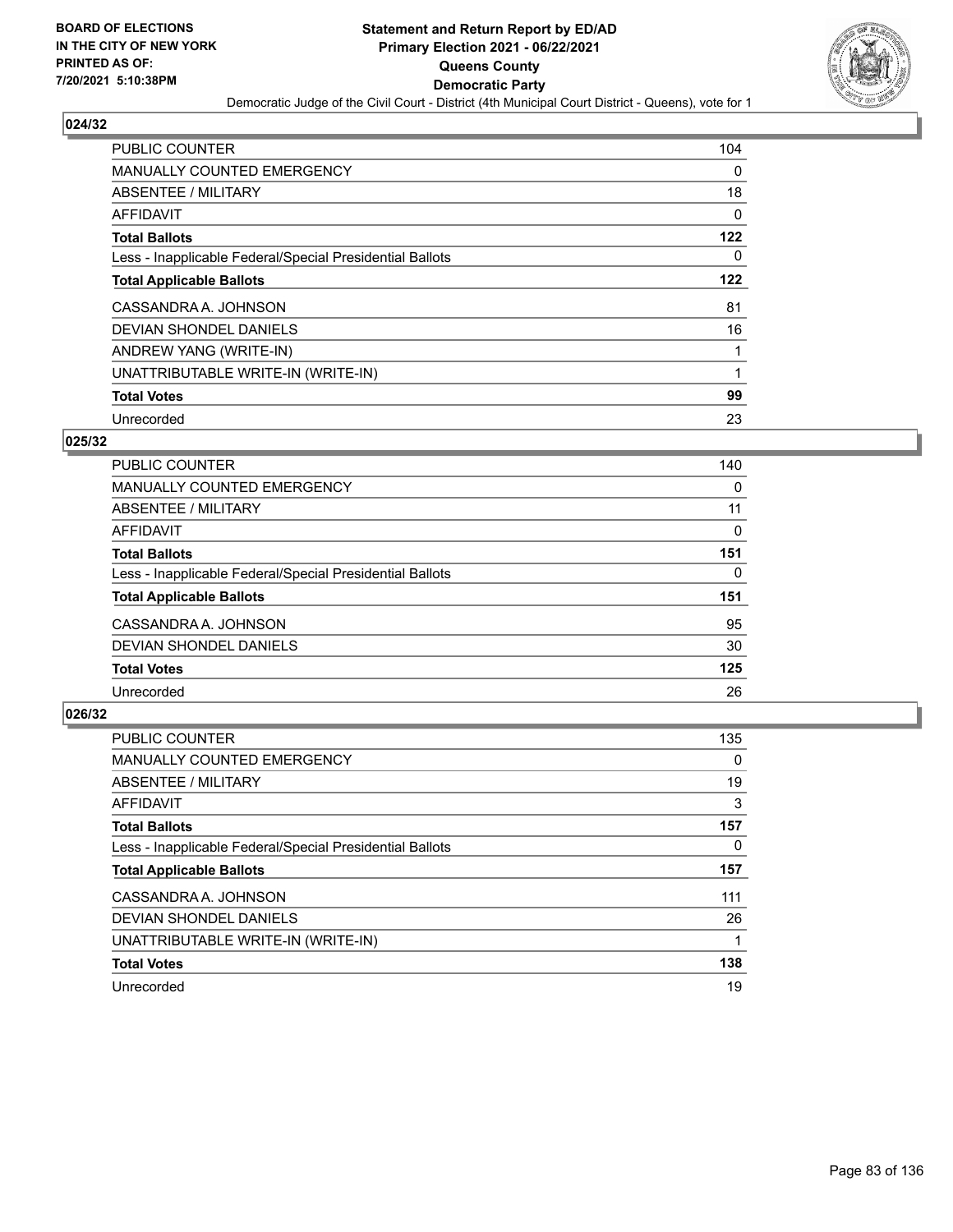

| PUBLIC COUNTER                                           | 104      |
|----------------------------------------------------------|----------|
| <b>MANUALLY COUNTED EMERGENCY</b>                        | $\Omega$ |
| ABSENTEE / MILITARY                                      | 18       |
| <b>AFFIDAVIT</b>                                         | 0        |
| <b>Total Ballots</b>                                     | 122      |
| Less - Inapplicable Federal/Special Presidential Ballots | 0        |
| <b>Total Applicable Ballots</b>                          | 122      |
| CASSANDRA A. JOHNSON                                     | 81       |
| DEVIAN SHONDEL DANIELS                                   | 16       |
| ANDREW YANG (WRITE-IN)                                   |          |
| UNATTRIBUTABLE WRITE-IN (WRITE-IN)                       | 1        |
| <b>Total Votes</b>                                       | 99       |
| Unrecorded                                               | 23       |

### **025/32**

| 140      |
|----------|
| 0        |
| 11       |
| 0        |
| 151      |
| $\Omega$ |
| 151      |
| 95       |
| 30       |
| 125      |
| 26       |
|          |

| <b>PUBLIC COUNTER</b>                                    | 135      |
|----------------------------------------------------------|----------|
| <b>MANUALLY COUNTED EMERGENCY</b>                        | $\Omega$ |
| ABSENTEE / MILITARY                                      | 19       |
| <b>AFFIDAVIT</b>                                         | 3        |
| <b>Total Ballots</b>                                     | 157      |
| Less - Inapplicable Federal/Special Presidential Ballots | 0        |
| <b>Total Applicable Ballots</b>                          | 157      |
| CASSANDRA A. JOHNSON                                     | 111      |
| DEVIAN SHONDEL DANIELS                                   | 26       |
| UNATTRIBUTABLE WRITE-IN (WRITE-IN)                       |          |
| <b>Total Votes</b>                                       | 138      |
| Unrecorded                                               | 19       |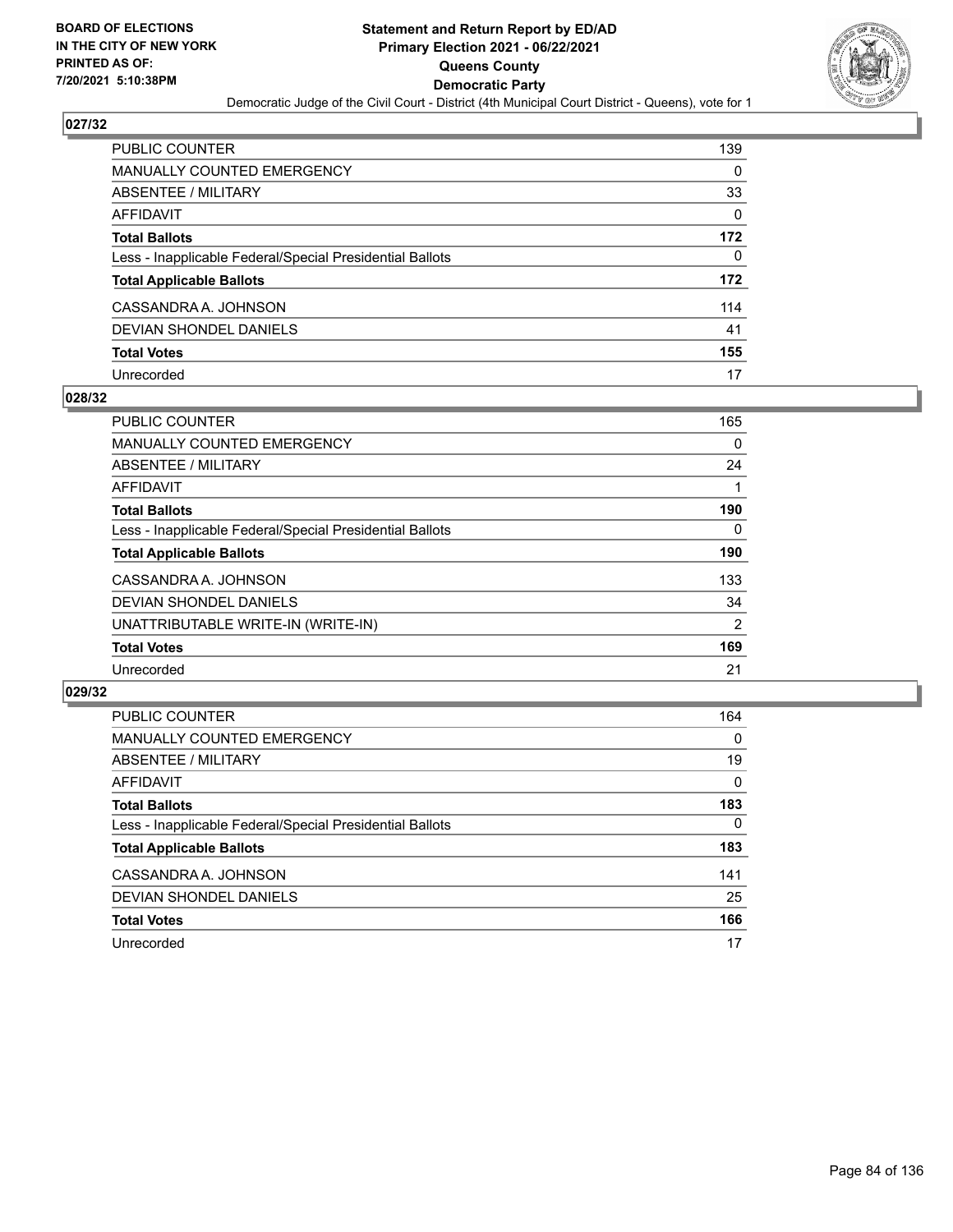

| <b>PUBLIC COUNTER</b>                                    | 139      |
|----------------------------------------------------------|----------|
| <b>MANUALLY COUNTED EMERGENCY</b>                        | $\Omega$ |
| ABSENTEE / MILITARY                                      | 33       |
| AFFIDAVIT                                                | $\Omega$ |
| <b>Total Ballots</b>                                     | 172      |
| Less - Inapplicable Federal/Special Presidential Ballots | 0        |
| <b>Total Applicable Ballots</b>                          | 172      |
| CASSANDRA A. JOHNSON                                     | 114      |
| <b>DEVIAN SHONDEL DANIELS</b>                            | 41       |
| <b>Total Votes</b>                                       | 155      |
| Unrecorded                                               | 17       |

#### **028/32**

| <b>PUBLIC COUNTER</b>                                    | 165            |
|----------------------------------------------------------|----------------|
| MANUALLY COUNTED EMERGENCY                               | 0              |
| ABSENTEE / MILITARY                                      | 24             |
| <b>AFFIDAVIT</b>                                         |                |
| <b>Total Ballots</b>                                     | 190            |
| Less - Inapplicable Federal/Special Presidential Ballots | $\Omega$       |
| <b>Total Applicable Ballots</b>                          | 190            |
| CASSANDRA A. JOHNSON                                     | 133            |
| DEVIAN SHONDEL DANIELS                                   | 34             |
| UNATTRIBUTABLE WRITE-IN (WRITE-IN)                       | $\overline{2}$ |
| <b>Total Votes</b>                                       | 169            |
| Unrecorded                                               | 21             |

| <b>PUBLIC COUNTER</b>                                    | 164      |
|----------------------------------------------------------|----------|
| MANUALLY COUNTED EMERGENCY                               | $\Omega$ |
| ABSENTEE / MILITARY                                      | 19       |
| AFFIDAVIT                                                | $\Omega$ |
| <b>Total Ballots</b>                                     | 183      |
| Less - Inapplicable Federal/Special Presidential Ballots | $\Omega$ |
| <b>Total Applicable Ballots</b>                          | 183      |
| CASSANDRA A. JOHNSON                                     | 141      |
| DEVIAN SHONDEL DANIELS                                   | 25       |
| <b>Total Votes</b>                                       | 166      |
| Unrecorded                                               | 17       |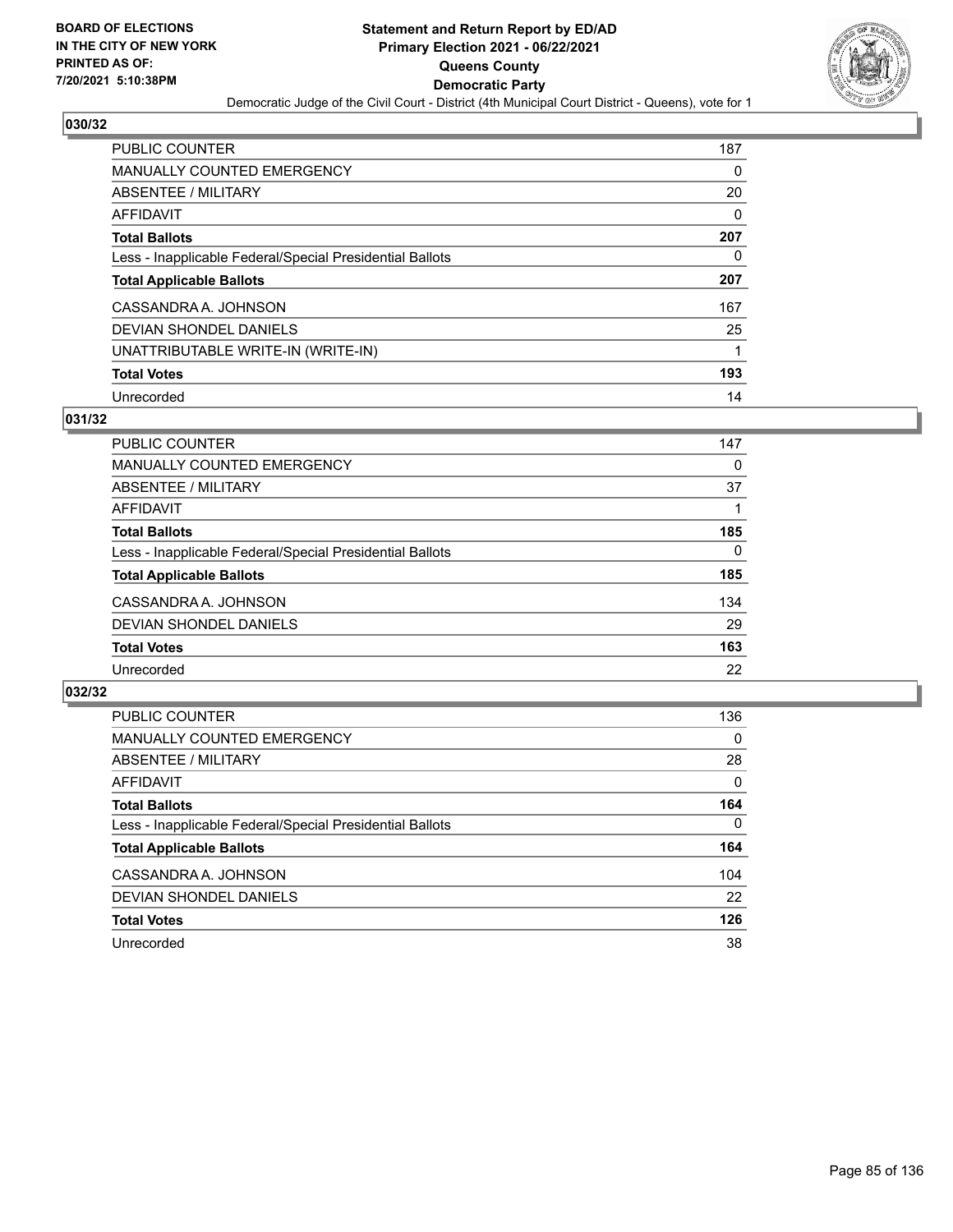

| <b>PUBLIC COUNTER</b>                                    | 187 |
|----------------------------------------------------------|-----|
| <b>MANUALLY COUNTED EMERGENCY</b>                        | 0   |
| ABSENTEE / MILITARY                                      | 20  |
| AFFIDAVIT                                                | 0   |
| <b>Total Ballots</b>                                     | 207 |
| Less - Inapplicable Federal/Special Presidential Ballots | 0   |
| <b>Total Applicable Ballots</b>                          | 207 |
| CASSANDRA A. JOHNSON                                     | 167 |
| DEVIAN SHONDEL DANIELS                                   | 25  |
| UNATTRIBUTABLE WRITE-IN (WRITE-IN)                       |     |
| <b>Total Votes</b>                                       | 193 |
| Unrecorded                                               | 14  |

#### **031/32**

| <b>PUBLIC COUNTER</b>                                    | 147 |
|----------------------------------------------------------|-----|
| <b>MANUALLY COUNTED EMERGENCY</b>                        | 0   |
| ABSENTEE / MILITARY                                      | 37  |
| AFFIDAVIT                                                |     |
| <b>Total Ballots</b>                                     | 185 |
| Less - Inapplicable Federal/Special Presidential Ballots | 0   |
| <b>Total Applicable Ballots</b>                          | 185 |
| CASSANDRA A. JOHNSON                                     | 134 |
| DEVIAN SHONDEL DANIELS                                   | 29  |
| <b>Total Votes</b>                                       | 163 |
| Unrecorded                                               | 22  |

| <b>PUBLIC COUNTER</b>                                    | 136      |
|----------------------------------------------------------|----------|
| <b>MANUALLY COUNTED EMERGENCY</b>                        | $\Omega$ |
| ABSENTEE / MILITARY                                      | 28       |
| AFFIDAVIT                                                | $\Omega$ |
| <b>Total Ballots</b>                                     | 164      |
| Less - Inapplicable Federal/Special Presidential Ballots | $\Omega$ |
| <b>Total Applicable Ballots</b>                          | 164      |
| CASSANDRA A. JOHNSON                                     | 104      |
| DEVIAN SHONDEL DANIELS                                   | 22       |
| <b>Total Votes</b>                                       | 126      |
| Unrecorded                                               | 38       |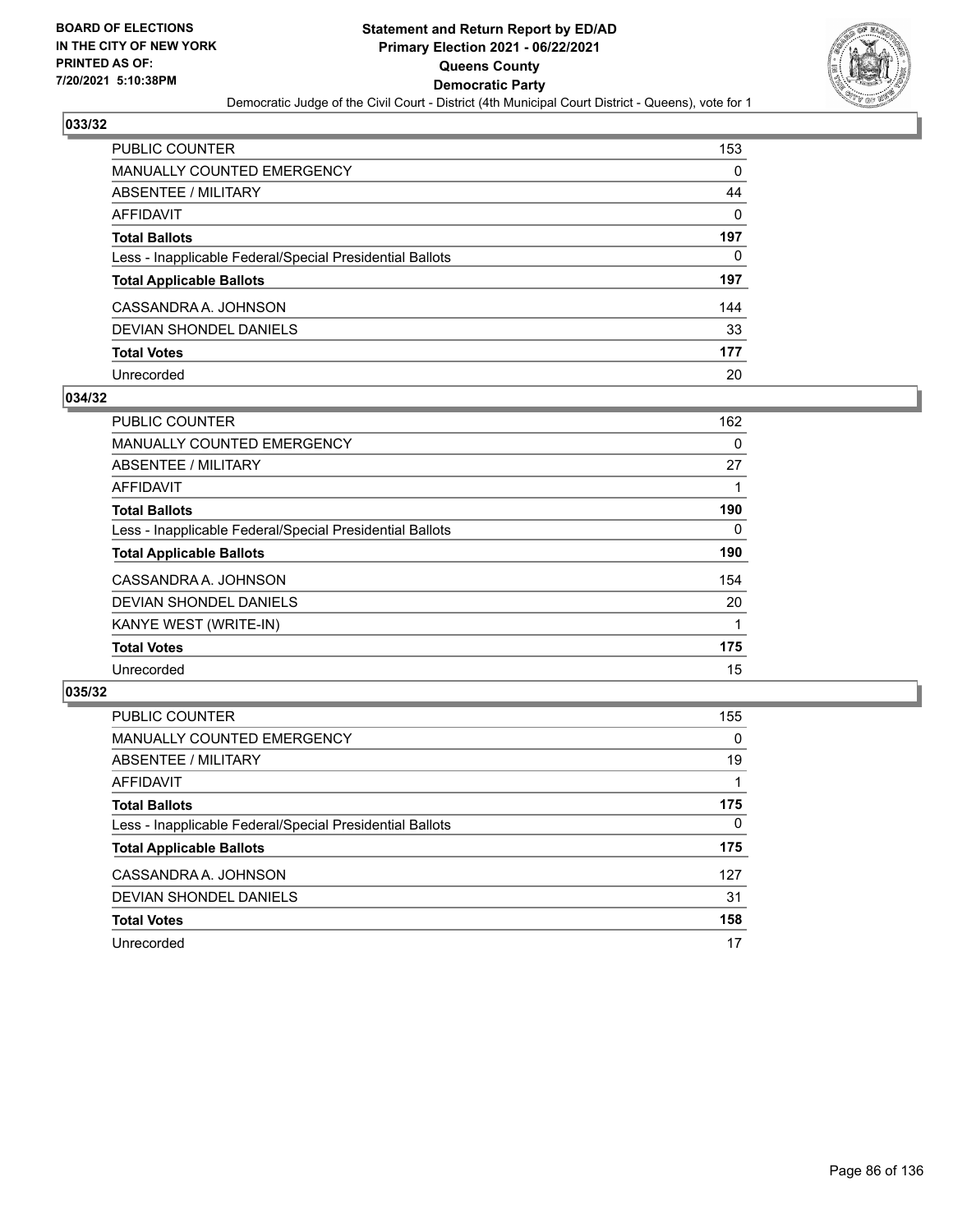

| PUBLIC COUNTER                                           | 153      |
|----------------------------------------------------------|----------|
| <b>MANUALLY COUNTED EMERGENCY</b>                        | 0        |
| ABSENTEE / MILITARY                                      | 44       |
| <b>AFFIDAVIT</b>                                         | $\Omega$ |
| <b>Total Ballots</b>                                     | 197      |
| Less - Inapplicable Federal/Special Presidential Ballots | 0        |
| <b>Total Applicable Ballots</b>                          | 197      |
| CASSANDRA A. JOHNSON                                     | 144      |
| <b>DEVIAN SHONDEL DANIELS</b>                            | 33       |
| <b>Total Votes</b>                                       | 177      |
| Unrecorded                                               | 20       |

#### **034/32**

| <b>PUBLIC COUNTER</b>                                    | 162 |
|----------------------------------------------------------|-----|
| <b>MANUALLY COUNTED EMERGENCY</b>                        | 0   |
| ABSENTEE / MILITARY                                      | 27  |
| AFFIDAVIT                                                |     |
| <b>Total Ballots</b>                                     | 190 |
| Less - Inapplicable Federal/Special Presidential Ballots | 0   |
| <b>Total Applicable Ballots</b>                          | 190 |
| CASSANDRA A. JOHNSON                                     | 154 |
| DEVIAN SHONDEL DANIELS                                   | 20  |
| KANYE WEST (WRITE-IN)                                    |     |
| <b>Total Votes</b>                                       | 175 |
| Unrecorded                                               | 15  |

| <b>PUBLIC COUNTER</b>                                    | 155      |
|----------------------------------------------------------|----------|
| MANUALLY COUNTED EMERGENCY                               | $\Omega$ |
| ABSENTEE / MILITARY                                      | 19       |
| <b>AFFIDAVIT</b>                                         |          |
| <b>Total Ballots</b>                                     | 175      |
| Less - Inapplicable Federal/Special Presidential Ballots | $\Omega$ |
| <b>Total Applicable Ballots</b>                          | 175      |
| CASSANDRA A. JOHNSON                                     | 127      |
| DEVIAN SHONDEL DANIELS                                   | 31       |
| <b>Total Votes</b>                                       | 158      |
| Unrecorded                                               | 17       |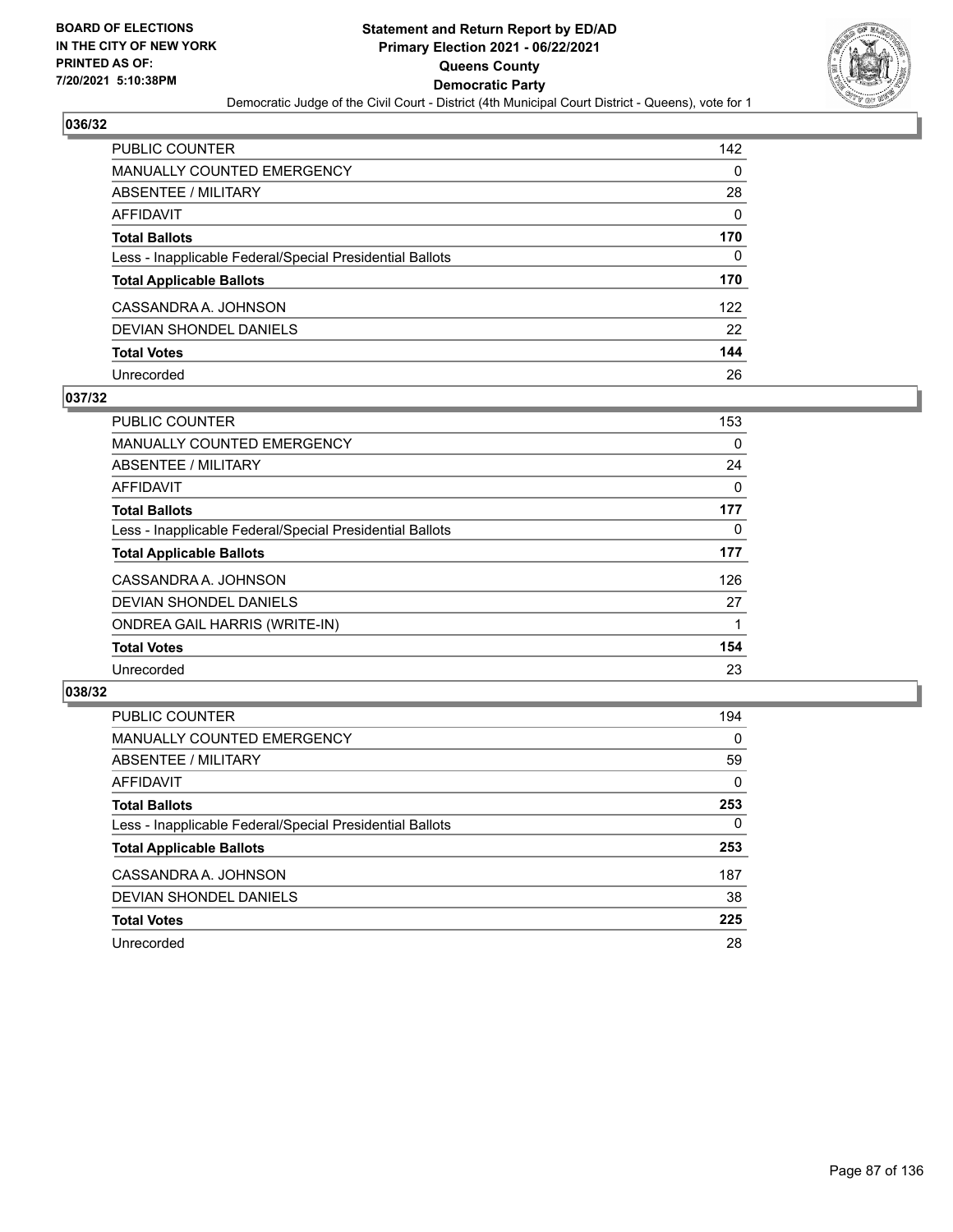

| PUBLIC COUNTER                                           | 142      |
|----------------------------------------------------------|----------|
| <b>MANUALLY COUNTED EMERGENCY</b>                        | 0        |
| ABSENTEE / MILITARY                                      | 28       |
| AFFIDAVIT                                                | $\Omega$ |
| <b>Total Ballots</b>                                     | 170      |
| Less - Inapplicable Federal/Special Presidential Ballots | $\Omega$ |
| <b>Total Applicable Ballots</b>                          | 170      |
| CASSANDRA A. JOHNSON                                     | 122      |
| DEVIAN SHONDEL DANIELS                                   | 22       |
| <b>Total Votes</b>                                       | 144      |
| Unrecorded                                               | 26       |

#### **037/32**

| <b>PUBLIC COUNTER</b>                                    | 153      |
|----------------------------------------------------------|----------|
| <b>MANUALLY COUNTED EMERGENCY</b>                        | 0        |
| ABSENTEE / MILITARY                                      | 24       |
| AFFIDAVIT                                                | $\Omega$ |
| <b>Total Ballots</b>                                     | 177      |
| Less - Inapplicable Federal/Special Presidential Ballots | 0        |
| <b>Total Applicable Ballots</b>                          | 177      |
| CASSANDRA A. JOHNSON                                     | 126      |
| DEVIAN SHONDEL DANIELS                                   | 27       |
| <b>ONDREA GAIL HARRIS (WRITE-IN)</b>                     |          |
| <b>Total Votes</b>                                       | 154      |
| Unrecorded                                               | 23       |

| <b>PUBLIC COUNTER</b>                                    | 194      |
|----------------------------------------------------------|----------|
| MANUALLY COUNTED EMERGENCY                               | $\Omega$ |
| ABSENTEE / MILITARY                                      | 59       |
| AFFIDAVIT                                                | $\Omega$ |
| <b>Total Ballots</b>                                     | 253      |
| Less - Inapplicable Federal/Special Presidential Ballots | $\Omega$ |
| <b>Total Applicable Ballots</b>                          | 253      |
| CASSANDRA A. JOHNSON                                     | 187      |
| DEVIAN SHONDEL DANIELS                                   | 38       |
| <b>Total Votes</b>                                       | 225      |
| Unrecorded                                               | 28       |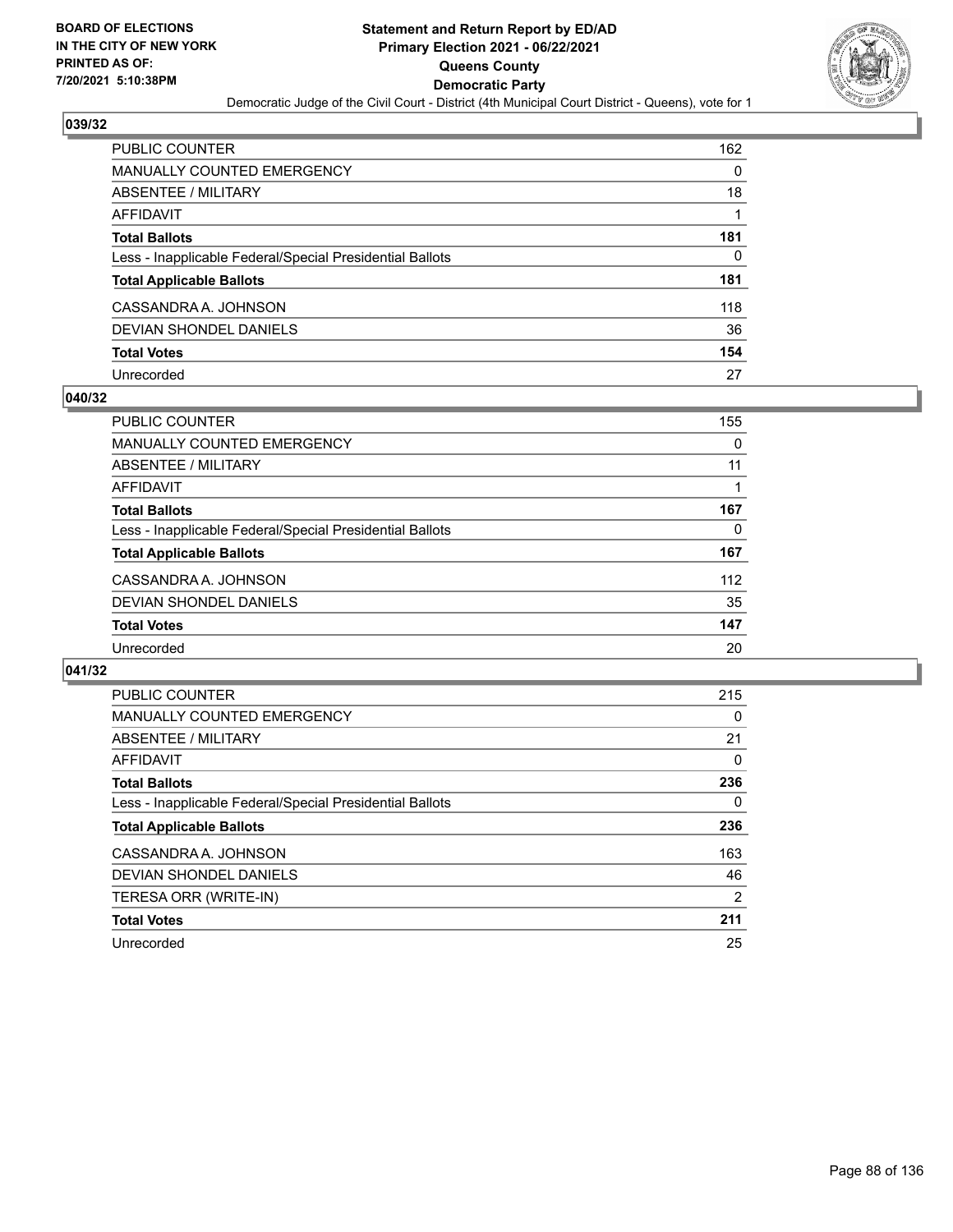

| PUBLIC COUNTER                                           | 162 |
|----------------------------------------------------------|-----|
| <b>MANUALLY COUNTED EMERGENCY</b>                        | 0   |
| ABSENTEE / MILITARY                                      | 18  |
| AFFIDAVIT                                                |     |
| <b>Total Ballots</b>                                     | 181 |
| Less - Inapplicable Federal/Special Presidential Ballots | 0   |
| <b>Total Applicable Ballots</b>                          | 181 |
| CASSANDRA A. JOHNSON                                     | 118 |
| DEVIAN SHONDEL DANIELS                                   | 36  |
| <b>Total Votes</b>                                       | 154 |
| Unrecorded                                               | 27  |

#### **040/32**

| PUBLIC COUNTER                                           | 155 |
|----------------------------------------------------------|-----|
| MANUALLY COUNTED EMERGENCY                               | 0   |
| ABSENTEE / MILITARY                                      | 11  |
| AFFIDAVIT                                                |     |
| <b>Total Ballots</b>                                     | 167 |
| Less - Inapplicable Federal/Special Presidential Ballots | 0   |
| <b>Total Applicable Ballots</b>                          | 167 |
| CASSANDRA A. JOHNSON                                     | 112 |
| DEVIAN SHONDEL DANIELS                                   | 35  |
| <b>Total Votes</b>                                       | 147 |
| Unrecorded                                               | 20  |

| <b>PUBLIC COUNTER</b>                                    | 215 |
|----------------------------------------------------------|-----|
| MANUALLY COUNTED EMERGENCY                               | 0   |
| ABSENTEE / MILITARY                                      | 21  |
| <b>AFFIDAVIT</b>                                         | 0   |
| <b>Total Ballots</b>                                     | 236 |
| Less - Inapplicable Federal/Special Presidential Ballots | 0   |
| <b>Total Applicable Ballots</b>                          | 236 |
| CASSANDRA A. JOHNSON                                     | 163 |
| DEVIAN SHONDEL DANIELS                                   | 46  |
| TERESA ORR (WRITE-IN)                                    | 2   |
| <b>Total Votes</b>                                       | 211 |
| Unrecorded                                               | 25  |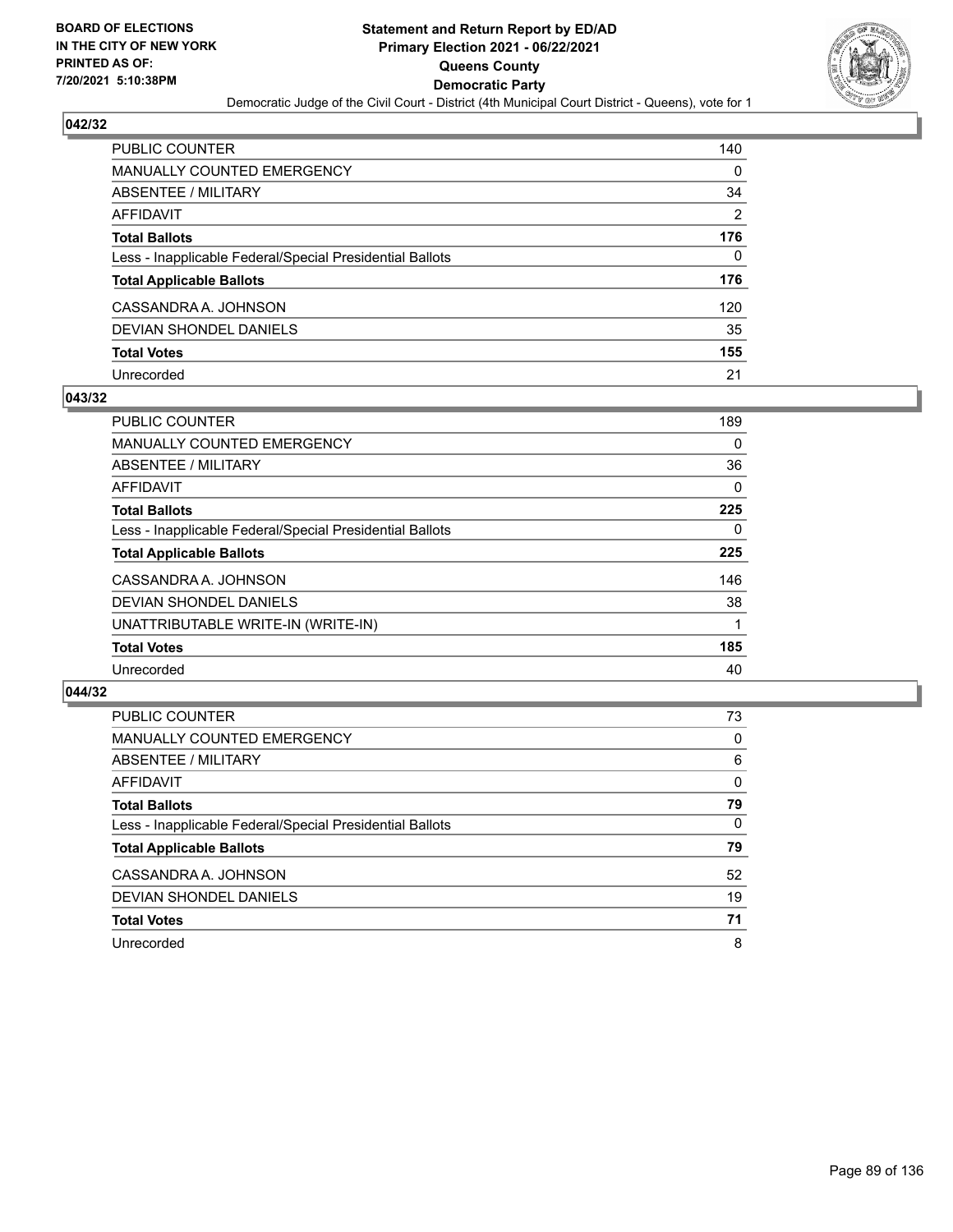

| PUBLIC COUNTER                                           | 140            |
|----------------------------------------------------------|----------------|
| <b>MANUALLY COUNTED EMERGENCY</b>                        | 0              |
| ABSENTEE / MILITARY                                      | 34             |
| <b>AFFIDAVIT</b>                                         | $\overline{2}$ |
| <b>Total Ballots</b>                                     | 176            |
| Less - Inapplicable Federal/Special Presidential Ballots | $\Omega$       |
| <b>Total Applicable Ballots</b>                          | 176            |
| CASSANDRA A. JOHNSON                                     | 120            |
| DEVIAN SHONDEL DANIELS                                   | 35             |
| <b>Total Votes</b>                                       | 155            |
| Unrecorded                                               | 21             |

#### **043/32**

| <b>PUBLIC COUNTER</b>                                    | 189      |
|----------------------------------------------------------|----------|
| MANUALLY COUNTED EMERGENCY                               | 0        |
| ABSENTEE / MILITARY                                      | 36       |
| <b>AFFIDAVIT</b>                                         | 0        |
| <b>Total Ballots</b>                                     | 225      |
| Less - Inapplicable Federal/Special Presidential Ballots | $\Omega$ |
| <b>Total Applicable Ballots</b>                          | 225      |
| CASSANDRA A. JOHNSON                                     | 146      |
| DEVIAN SHONDEL DANIELS                                   | 38       |
| UNATTRIBUTABLE WRITE-IN (WRITE-IN)                       |          |
| <b>Total Votes</b>                                       | 185      |
| Unrecorded                                               | 40       |

| <b>PUBLIC COUNTER</b>                                    | 73       |
|----------------------------------------------------------|----------|
| <b>MANUALLY COUNTED EMERGENCY</b>                        | $\Omega$ |
| ABSENTEE / MILITARY                                      | 6        |
| AFFIDAVIT                                                | $\Omega$ |
| <b>Total Ballots</b>                                     | 79       |
| Less - Inapplicable Federal/Special Presidential Ballots | $\Omega$ |
| <b>Total Applicable Ballots</b>                          | 79       |
| CASSANDRA A. JOHNSON                                     | 52       |
| DEVIAN SHONDEL DANIELS                                   | 19       |
| <b>Total Votes</b>                                       | 71       |
| Unrecorded                                               | 8        |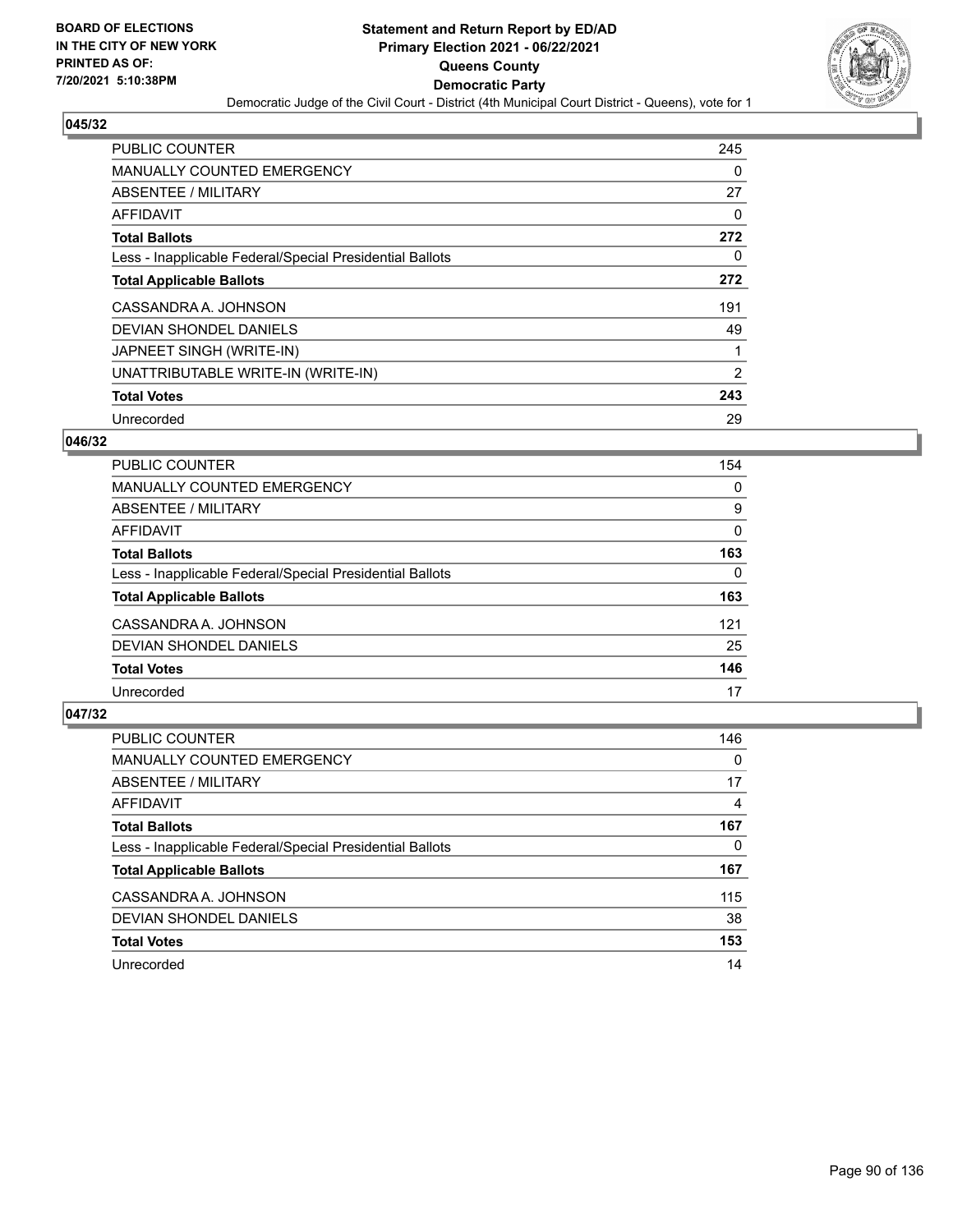

| PUBLIC COUNTER                                           | 245      |
|----------------------------------------------------------|----------|
| <b>MANUALLY COUNTED EMERGENCY</b>                        | $\Omega$ |
| ABSENTEE / MILITARY                                      | 27       |
| AFFIDAVIT                                                | 0        |
| <b>Total Ballots</b>                                     | 272      |
| Less - Inapplicable Federal/Special Presidential Ballots | $\Omega$ |
| <b>Total Applicable Ballots</b>                          | 272      |
| CASSANDRA A. JOHNSON                                     | 191      |
| DEVIAN SHONDEL DANIELS                                   | 49       |
| JAPNEET SINGH (WRITE-IN)                                 | 1        |
| UNATTRIBUTABLE WRITE-IN (WRITE-IN)                       | 2        |
| <b>Total Votes</b>                                       | 243      |
| Unrecorded                                               | 29       |

### **046/32**

| <b>PUBLIC COUNTER</b>                                    | 154 |
|----------------------------------------------------------|-----|
| <b>MANUALLY COUNTED EMERGENCY</b>                        | 0   |
| ABSENTEE / MILITARY                                      | 9   |
| <b>AFFIDAVIT</b>                                         | 0   |
| <b>Total Ballots</b>                                     | 163 |
| Less - Inapplicable Federal/Special Presidential Ballots | 0   |
| <b>Total Applicable Ballots</b>                          | 163 |
| CASSANDRA A. JOHNSON                                     | 121 |
| DEVIAN SHONDEL DANIELS                                   | 25  |
| <b>Total Votes</b>                                       | 146 |
| Unrecorded                                               | 17  |

| <b>PUBLIC COUNTER</b>                                    | 146      |
|----------------------------------------------------------|----------|
| MANUALLY COUNTED EMERGENCY                               | $\Omega$ |
| ABSENTEE / MILITARY                                      | 17       |
| AFFIDAVIT                                                | 4        |
| <b>Total Ballots</b>                                     | 167      |
| Less - Inapplicable Federal/Special Presidential Ballots | 0        |
| <b>Total Applicable Ballots</b>                          | 167      |
| CASSANDRA A. JOHNSON                                     | 115      |
| DEVIAN SHONDEL DANIELS                                   | 38       |
| <b>Total Votes</b>                                       | 153      |
| Unrecorded                                               | 14       |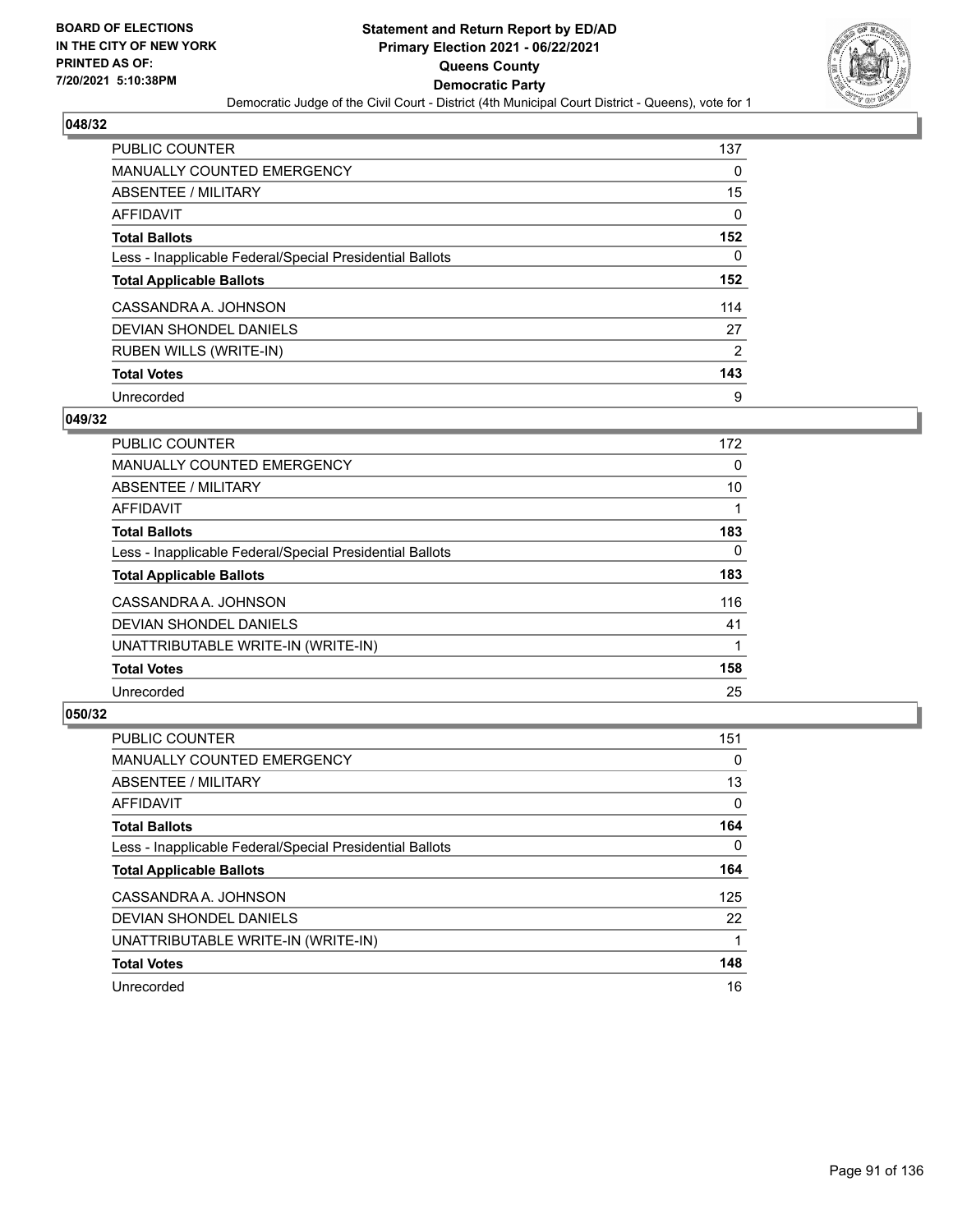

| <b>PUBLIC COUNTER</b>                                    | 137 |
|----------------------------------------------------------|-----|
| <b>MANUALLY COUNTED EMERGENCY</b>                        | 0   |
| ABSENTEE / MILITARY                                      | 15  |
| AFFIDAVIT                                                | 0   |
| <b>Total Ballots</b>                                     | 152 |
| Less - Inapplicable Federal/Special Presidential Ballots | 0   |
| <b>Total Applicable Ballots</b>                          | 152 |
| CASSANDRA A. JOHNSON                                     | 114 |
| DEVIAN SHONDEL DANIELS                                   | 27  |
| <b>RUBEN WILLS (WRITE-IN)</b>                            | 2   |
| <b>Total Votes</b>                                       | 143 |
| Unrecorded                                               | 9   |

#### **049/32**

| <b>PUBLIC COUNTER</b>                                    | 172      |
|----------------------------------------------------------|----------|
| <b>MANUALLY COUNTED EMERGENCY</b>                        | 0        |
| ABSENTEE / MILITARY                                      | 10       |
| <b>AFFIDAVIT</b>                                         |          |
| <b>Total Ballots</b>                                     | 183      |
| Less - Inapplicable Federal/Special Presidential Ballots | $\Omega$ |
| <b>Total Applicable Ballots</b>                          | 183      |
| CASSANDRA A. JOHNSON                                     | 116      |
| <b>DEVIAN SHONDEL DANIELS</b>                            | 41       |
| UNATTRIBUTABLE WRITE-IN (WRITE-IN)                       |          |
| <b>Total Votes</b>                                       | 158      |
| Unrecorded                                               | 25       |

| <b>PUBLIC COUNTER</b>                                    | 151      |
|----------------------------------------------------------|----------|
| <b>MANUALLY COUNTED EMERGENCY</b>                        | $\Omega$ |
| ABSENTEE / MILITARY                                      | 13       |
| <b>AFFIDAVIT</b>                                         | $\Omega$ |
| <b>Total Ballots</b>                                     | 164      |
| Less - Inapplicable Federal/Special Presidential Ballots | $\Omega$ |
| <b>Total Applicable Ballots</b>                          | 164      |
| CASSANDRA A. JOHNSON                                     | 125      |
| DEVIAN SHONDEL DANIELS                                   | 22       |
| UNATTRIBUTABLE WRITE-IN (WRITE-IN)                       |          |
| <b>Total Votes</b>                                       | 148      |
| Unrecorded                                               | 16       |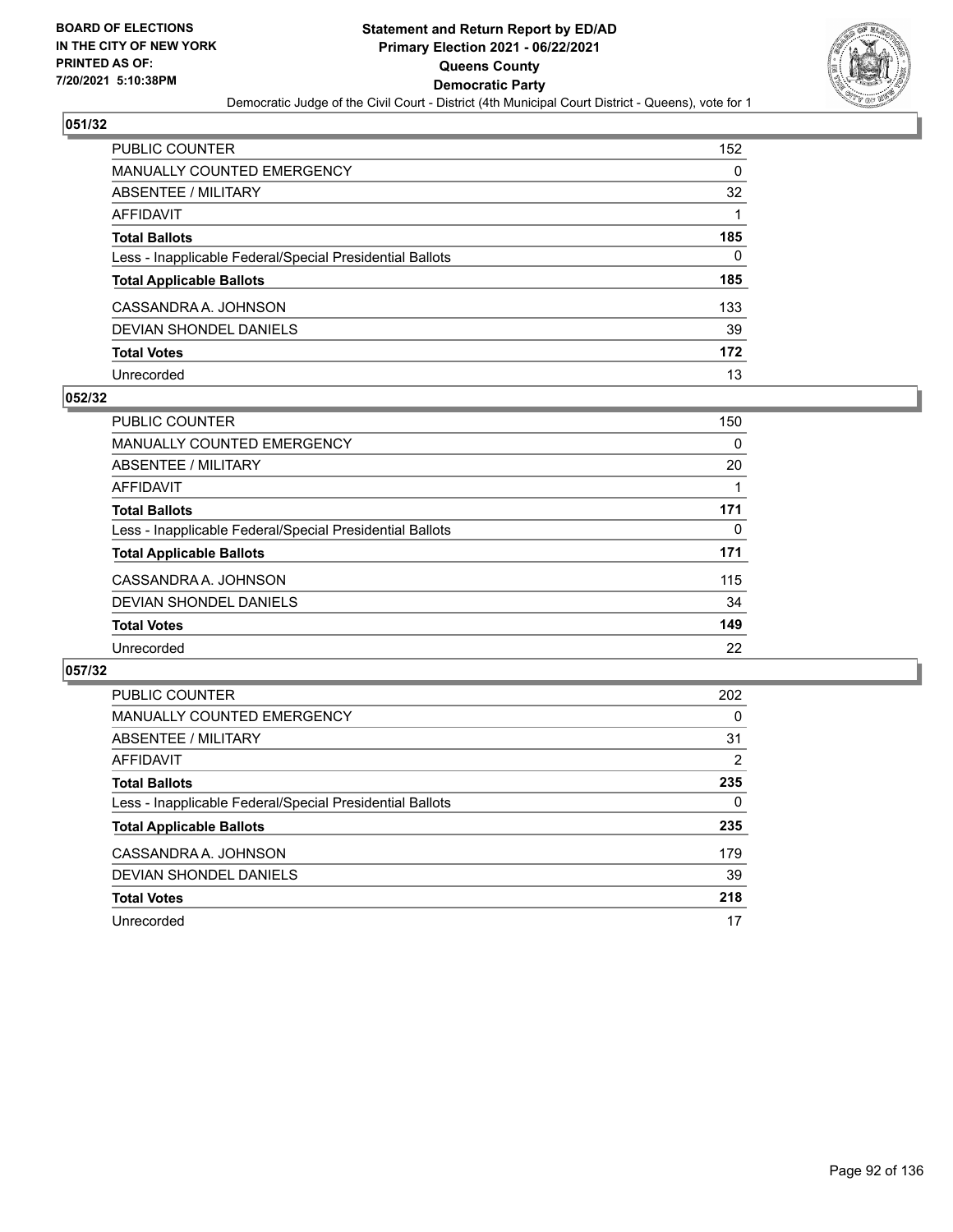

| PUBLIC COUNTER                                           | 152 |
|----------------------------------------------------------|-----|
| <b>MANUALLY COUNTED EMERGENCY</b>                        | 0   |
| <b>ABSENTEE / MILITARY</b>                               | 32  |
| AFFIDAVIT                                                |     |
| <b>Total Ballots</b>                                     | 185 |
| Less - Inapplicable Federal/Special Presidential Ballots | 0   |
| <b>Total Applicable Ballots</b>                          | 185 |
| CASSANDRA A. JOHNSON                                     | 133 |
| <b>DEVIAN SHONDEL DANIELS</b>                            | 39  |
| <b>Total Votes</b>                                       | 172 |
| Unrecorded                                               | 13  |

#### **052/32**

| PUBLIC COUNTER                                           | 150 |
|----------------------------------------------------------|-----|
| MANUALLY COUNTED EMERGENCY                               | 0   |
| ABSENTEE / MILITARY                                      | 20  |
| AFFIDAVIT                                                |     |
| <b>Total Ballots</b>                                     | 171 |
| Less - Inapplicable Federal/Special Presidential Ballots | 0   |
| <b>Total Applicable Ballots</b>                          | 171 |
| CASSANDRA A. JOHNSON                                     | 115 |
| DEVIAN SHONDEL DANIELS                                   | 34  |
| <b>Total Votes</b>                                       | 149 |
| Unrecorded                                               | 22  |

| <b>PUBLIC COUNTER</b>                                    | 202 |
|----------------------------------------------------------|-----|
| <b>MANUALLY COUNTED EMERGENCY</b>                        | 0   |
| ABSENTEE / MILITARY                                      | 31  |
| AFFIDAVIT                                                | 2   |
| <b>Total Ballots</b>                                     | 235 |
| Less - Inapplicable Federal/Special Presidential Ballots | 0   |
| <b>Total Applicable Ballots</b>                          | 235 |
| CASSANDRA A. JOHNSON                                     | 179 |
| DEVIAN SHONDEL DANIELS                                   | 39  |
| <b>Total Votes</b>                                       | 218 |
| Unrecorded                                               | 17  |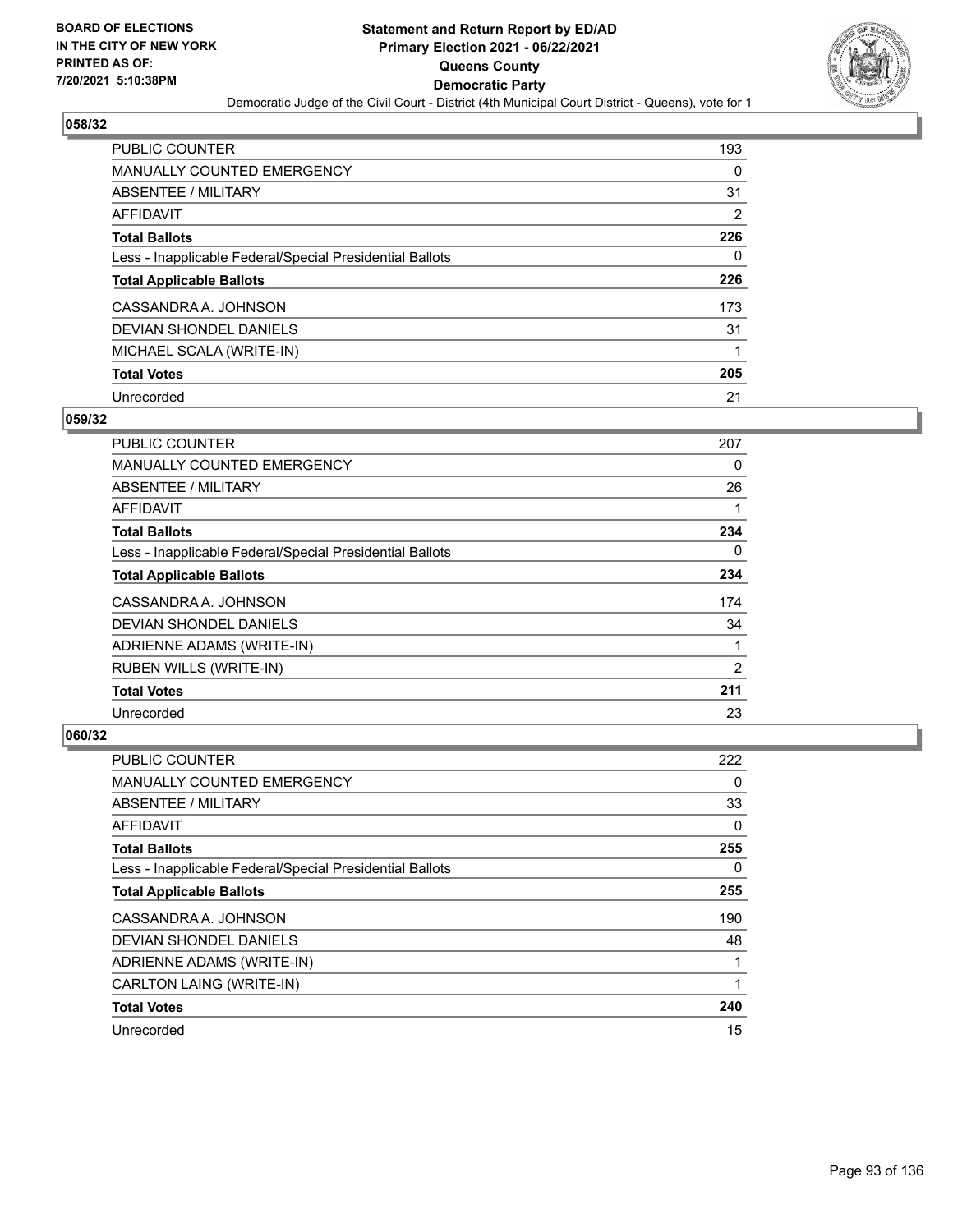

| <b>PUBLIC COUNTER</b>                                    | 193 |
|----------------------------------------------------------|-----|
| <b>MANUALLY COUNTED EMERGENCY</b>                        | 0   |
| ABSENTEE / MILITARY                                      | 31  |
| AFFIDAVIT                                                | 2   |
| <b>Total Ballots</b>                                     | 226 |
| Less - Inapplicable Federal/Special Presidential Ballots | 0   |
| <b>Total Applicable Ballots</b>                          | 226 |
| CASSANDRA A. JOHNSON                                     | 173 |
| DEVIAN SHONDEL DANIELS                                   | 31  |
| MICHAEL SCALA (WRITE-IN)                                 |     |
| <b>Total Votes</b>                                       | 205 |
| Unrecorded                                               | 21  |

#### **059/32**

| <b>PUBLIC COUNTER</b>                                    | 207      |
|----------------------------------------------------------|----------|
| <b>MANUALLY COUNTED EMERGENCY</b>                        | 0        |
| ABSENTEE / MILITARY                                      | 26       |
| <b>AFFIDAVIT</b>                                         |          |
| <b>Total Ballots</b>                                     | 234      |
| Less - Inapplicable Federal/Special Presidential Ballots | $\Omega$ |
| <b>Total Applicable Ballots</b>                          | 234      |
| CASSANDRA A. JOHNSON                                     | 174      |
| <b>DEVIAN SHONDEL DANIELS</b>                            | 34       |
| ADRIENNE ADAMS (WRITE-IN)                                |          |
| RUBEN WILLS (WRITE-IN)                                   | 2        |
| <b>Total Votes</b>                                       | 211      |
| Unrecorded                                               | 23       |

| PUBLIC COUNTER                                           | 222 |
|----------------------------------------------------------|-----|
| MANUALLY COUNTED EMERGENCY                               | 0   |
| ABSENTEE / MILITARY                                      | 33  |
| AFFIDAVIT                                                | 0   |
| <b>Total Ballots</b>                                     | 255 |
| Less - Inapplicable Federal/Special Presidential Ballots | 0   |
| <b>Total Applicable Ballots</b>                          | 255 |
| CASSANDRA A. JOHNSON                                     | 190 |
| DEVIAN SHONDEL DANIELS                                   | 48  |
| ADRIENNE ADAMS (WRITE-IN)                                |     |
| CARLTON LAING (WRITE-IN)                                 |     |
| <b>Total Votes</b>                                       | 240 |
| Unrecorded                                               | 15  |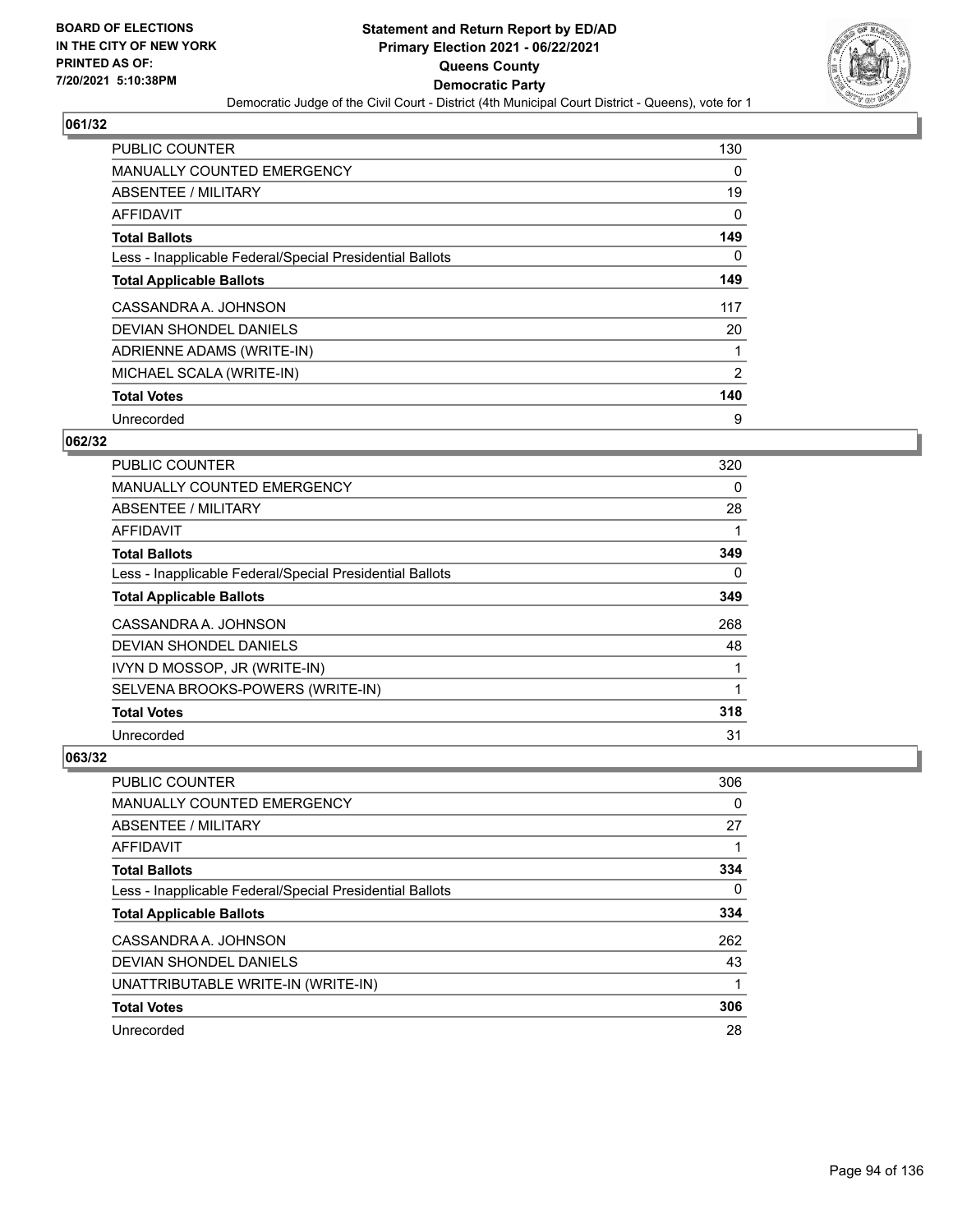

| PUBLIC COUNTER                                           | 130            |
|----------------------------------------------------------|----------------|
| <b>MANUALLY COUNTED EMERGENCY</b>                        | 0              |
| ABSENTEE / MILITARY                                      | 19             |
| AFFIDAVIT                                                | 0              |
| <b>Total Ballots</b>                                     | 149            |
| Less - Inapplicable Federal/Special Presidential Ballots | $\Omega$       |
| <b>Total Applicable Ballots</b>                          | 149            |
| CASSANDRA A. JOHNSON                                     | 117            |
| DEVIAN SHONDEL DANIELS                                   | 20             |
| ADRIENNE ADAMS (WRITE-IN)                                | 1              |
| MICHAEL SCALA (WRITE-IN)                                 | $\overline{2}$ |
| <b>Total Votes</b>                                       | 140            |
| Unrecorded                                               | 9              |

### **062/32**

| PUBLIC COUNTER                                           | 320      |
|----------------------------------------------------------|----------|
| <b>MANUALLY COUNTED EMERGENCY</b>                        | 0        |
| ABSENTEE / MILITARY                                      | 28       |
| <b>AFFIDAVIT</b>                                         |          |
| <b>Total Ballots</b>                                     | 349      |
| Less - Inapplicable Federal/Special Presidential Ballots | $\Omega$ |
| <b>Total Applicable Ballots</b>                          | 349      |
| CASSANDRA A. JOHNSON                                     | 268      |
| <b>DEVIAN SHONDEL DANIELS</b>                            | 48       |
| IVYN D MOSSOP, JR (WRITE-IN)                             |          |
| SELVENA BROOKS-POWERS (WRITE-IN)                         |          |
| <b>Total Votes</b>                                       | 318      |
| Unrecorded                                               | 31       |

| <b>PUBLIC COUNTER</b>                                    | 306 |
|----------------------------------------------------------|-----|
| <b>MANUALLY COUNTED EMERGENCY</b>                        | 0   |
| ABSENTEE / MILITARY                                      | 27  |
| AFFIDAVIT                                                |     |
| <b>Total Ballots</b>                                     | 334 |
| Less - Inapplicable Federal/Special Presidential Ballots | 0   |
| <b>Total Applicable Ballots</b>                          | 334 |
| CASSANDRA A. JOHNSON                                     | 262 |
| DEVIAN SHONDEL DANIELS                                   | 43  |
| UNATTRIBUTABLE WRITE-IN (WRITE-IN)                       |     |
| <b>Total Votes</b>                                       | 306 |
| Unrecorded                                               | 28  |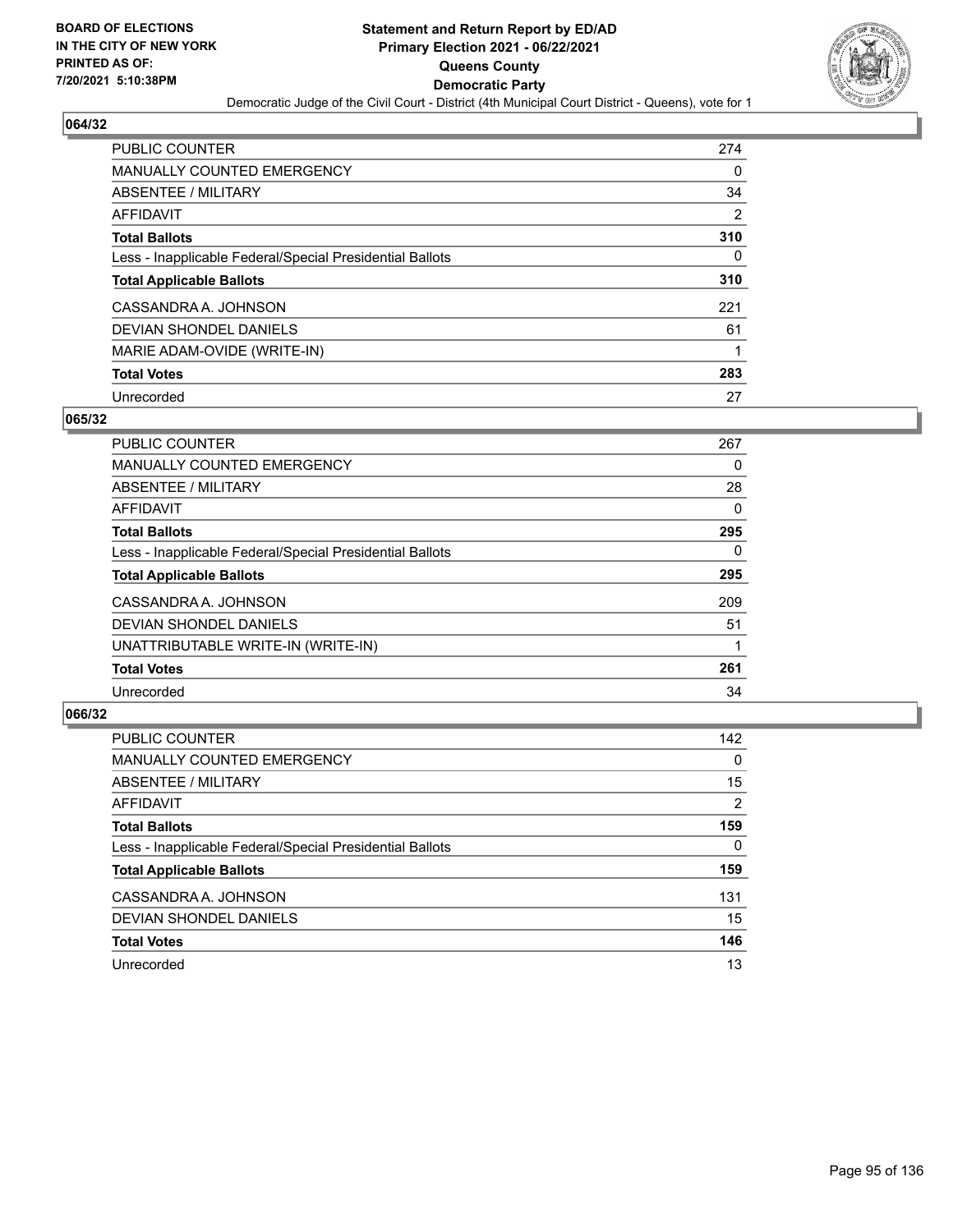

| <b>PUBLIC COUNTER</b>                                    | 274 |
|----------------------------------------------------------|-----|
| <b>MANUALLY COUNTED EMERGENCY</b>                        | 0   |
| <b>ABSENTEE / MILITARY</b>                               | 34  |
| AFFIDAVIT                                                | 2   |
| <b>Total Ballots</b>                                     | 310 |
| Less - Inapplicable Federal/Special Presidential Ballots | 0   |
| <b>Total Applicable Ballots</b>                          | 310 |
| CASSANDRA A. JOHNSON                                     | 221 |
| DEVIAN SHONDEL DANIELS                                   | 61  |
| MARIE ADAM-OVIDE (WRITE-IN)                              |     |
| <b>Total Votes</b>                                       | 283 |
| Unrecorded                                               | 27  |

#### **065/32**

| <b>PUBLIC COUNTER</b>                                    | 267 |
|----------------------------------------------------------|-----|
| <b>MANUALLY COUNTED EMERGENCY</b>                        | 0   |
| ABSENTEE / MILITARY                                      | 28  |
| <b>AFFIDAVIT</b>                                         | 0   |
| <b>Total Ballots</b>                                     | 295 |
| Less - Inapplicable Federal/Special Presidential Ballots | 0   |
| <b>Total Applicable Ballots</b>                          | 295 |
| CASSANDRA A. JOHNSON                                     | 209 |
| <b>DEVIAN SHONDEL DANIELS</b>                            | 51  |
| UNATTRIBUTABLE WRITE-IN (WRITE-IN)                       |     |
| <b>Total Votes</b>                                       | 261 |
| Unrecorded                                               | 34  |

| <b>PUBLIC COUNTER</b>                                    | 142      |
|----------------------------------------------------------|----------|
| MANUALLY COUNTED EMERGENCY                               | $\Omega$ |
| ABSENTEE / MILITARY                                      | 15       |
| AFFIDAVIT                                                | 2        |
| <b>Total Ballots</b>                                     | 159      |
| Less - Inapplicable Federal/Special Presidential Ballots | $\Omega$ |
| <b>Total Applicable Ballots</b>                          | 159      |
| CASSANDRA A. JOHNSON                                     | 131      |
| DEVIAN SHONDEL DANIELS                                   | 15       |
| <b>Total Votes</b>                                       | 146      |
| Unrecorded                                               | 13       |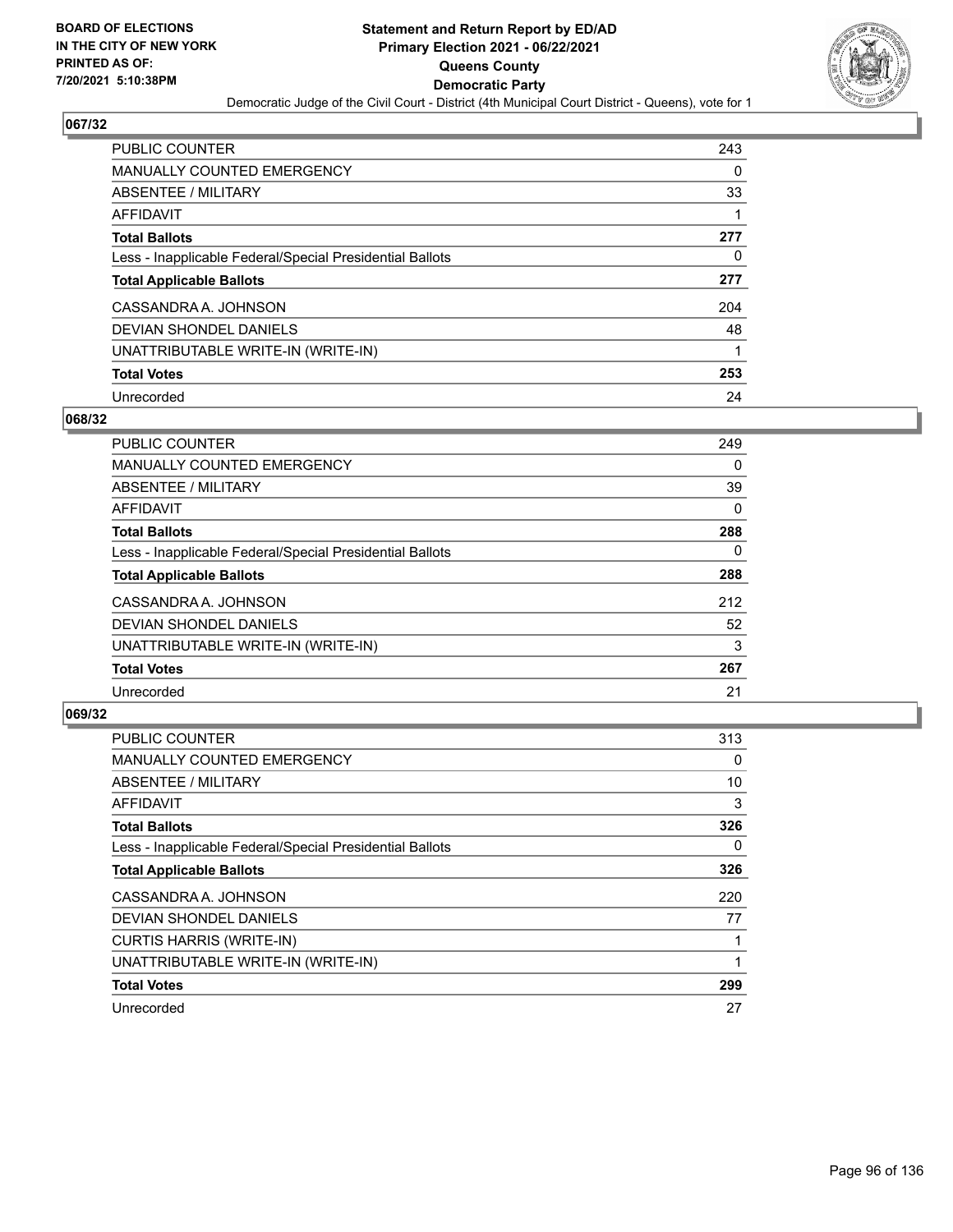

| <b>PUBLIC COUNTER</b>                                    | 243 |
|----------------------------------------------------------|-----|
| <b>MANUALLY COUNTED EMERGENCY</b>                        | 0   |
| ABSENTEE / MILITARY                                      | 33  |
| AFFIDAVIT                                                |     |
| <b>Total Ballots</b>                                     | 277 |
| Less - Inapplicable Federal/Special Presidential Ballots | 0   |
| <b>Total Applicable Ballots</b>                          | 277 |
| CASSANDRA A. JOHNSON                                     | 204 |
| DEVIAN SHONDEL DANIELS                                   | 48  |
| UNATTRIBUTABLE WRITE-IN (WRITE-IN)                       |     |
| <b>Total Votes</b>                                       | 253 |
| Unrecorded                                               | 24  |

#### **068/32**

| <b>PUBLIC COUNTER</b>                                    | 249      |
|----------------------------------------------------------|----------|
| <b>MANUALLY COUNTED EMERGENCY</b>                        | $\Omega$ |
| ABSENTEE / MILITARY                                      | 39       |
| <b>AFFIDAVIT</b>                                         | 0        |
| <b>Total Ballots</b>                                     | 288      |
| Less - Inapplicable Federal/Special Presidential Ballots | $\Omega$ |
| <b>Total Applicable Ballots</b>                          | 288      |
| CASSANDRA A. JOHNSON                                     | 212      |
| <b>DEVIAN SHONDEL DANIELS</b>                            | 52       |
| UNATTRIBUTABLE WRITE-IN (WRITE-IN)                       | 3        |
| <b>Total Votes</b>                                       | 267      |
| Unrecorded                                               | 21       |

| <b>PUBLIC COUNTER</b>                                    | 313 |
|----------------------------------------------------------|-----|
| MANUALLY COUNTED EMERGENCY                               | 0   |
| ABSENTEE / MILITARY                                      | 10  |
| AFFIDAVIT                                                | 3   |
| <b>Total Ballots</b>                                     | 326 |
| Less - Inapplicable Federal/Special Presidential Ballots | 0   |
| <b>Total Applicable Ballots</b>                          | 326 |
| CASSANDRA A. JOHNSON                                     | 220 |
| DEVIAN SHONDEL DANIELS                                   | 77  |
| <b>CURTIS HARRIS (WRITE-IN)</b>                          |     |
| UNATTRIBUTABLE WRITE-IN (WRITE-IN)                       |     |
| <b>Total Votes</b>                                       | 299 |
| Unrecorded                                               | 27  |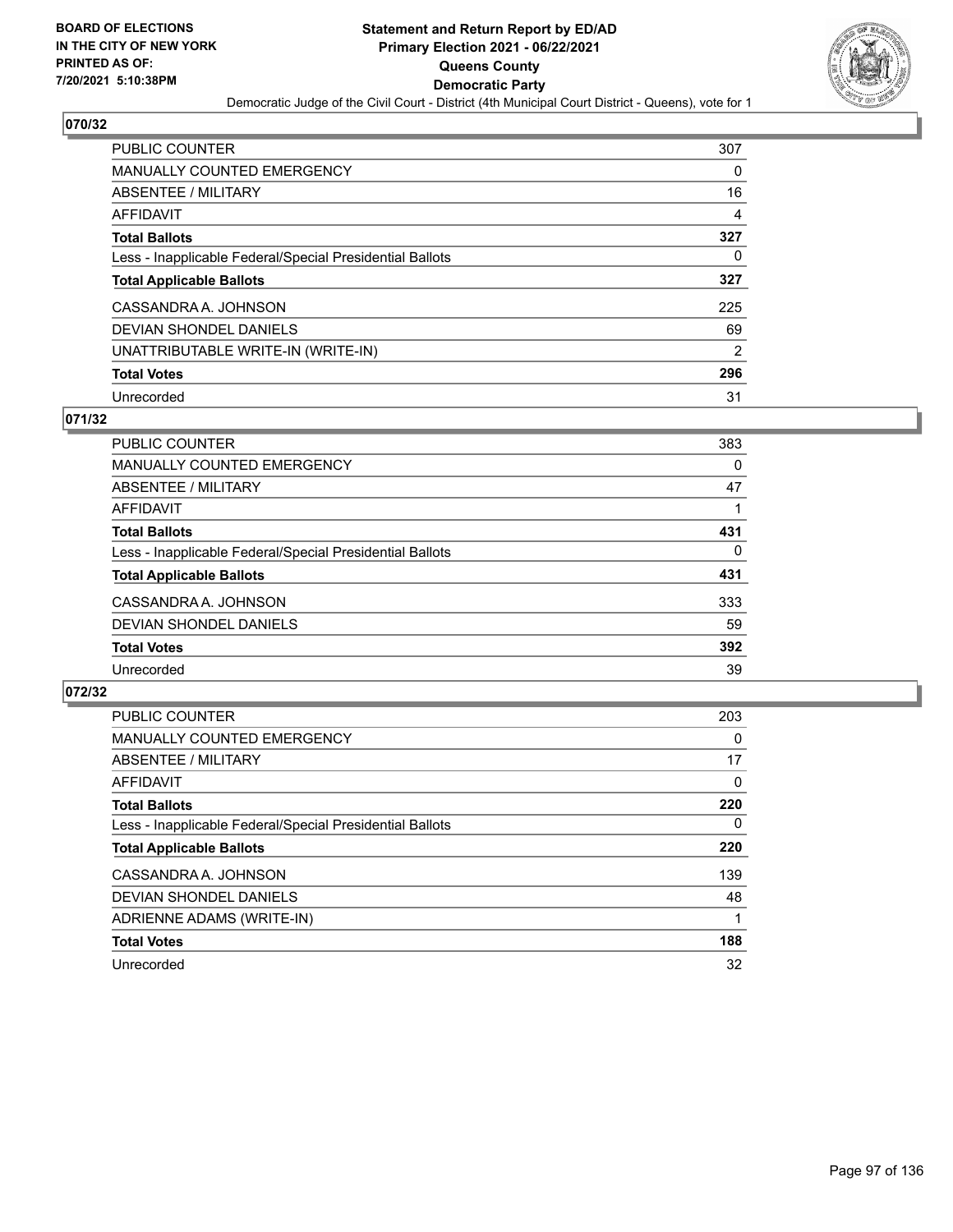

| <b>PUBLIC COUNTER</b>                                    | 307            |
|----------------------------------------------------------|----------------|
| <b>MANUALLY COUNTED EMERGENCY</b>                        | 0              |
| ABSENTEE / MILITARY                                      | 16             |
| AFFIDAVIT                                                | 4              |
| <b>Total Ballots</b>                                     | 327            |
| Less - Inapplicable Federal/Special Presidential Ballots | 0              |
| <b>Total Applicable Ballots</b>                          | 327            |
| CASSANDRA A. JOHNSON                                     | 225            |
| DEVIAN SHONDEL DANIELS                                   | 69             |
| UNATTRIBUTABLE WRITE-IN (WRITE-IN)                       | $\overline{2}$ |
| <b>Total Votes</b>                                       | 296            |
| Unrecorded                                               | 31             |

#### **071/32**

| <b>PUBLIC COUNTER</b>                                    | 383 |
|----------------------------------------------------------|-----|
| <b>MANUALLY COUNTED EMERGENCY</b>                        | 0   |
| ABSENTEE / MILITARY                                      | 47  |
| AFFIDAVIT                                                |     |
| <b>Total Ballots</b>                                     | 431 |
| Less - Inapplicable Federal/Special Presidential Ballots | 0   |
| <b>Total Applicable Ballots</b>                          | 431 |
| CASSANDRA A. JOHNSON                                     | 333 |
| DEVIAN SHONDEL DANIELS                                   | 59  |
| <b>Total Votes</b>                                       | 392 |
| Unrecorded                                               | 39  |

| <b>PUBLIC COUNTER</b>                                    | 203      |
|----------------------------------------------------------|----------|
| MANUALLY COUNTED EMERGENCY                               | $\Omega$ |
| ABSENTEE / MILITARY                                      | 17       |
| AFFIDAVIT                                                | $\Omega$ |
| <b>Total Ballots</b>                                     | 220      |
| Less - Inapplicable Federal/Special Presidential Ballots | 0        |
| <b>Total Applicable Ballots</b>                          | 220      |
| CASSANDRA A. JOHNSON                                     | 139      |
| DEVIAN SHONDEL DANIELS                                   | 48       |
| ADRIENNE ADAMS (WRITE-IN)                                |          |
| <b>Total Votes</b>                                       | 188      |
| Unrecorded                                               | 32       |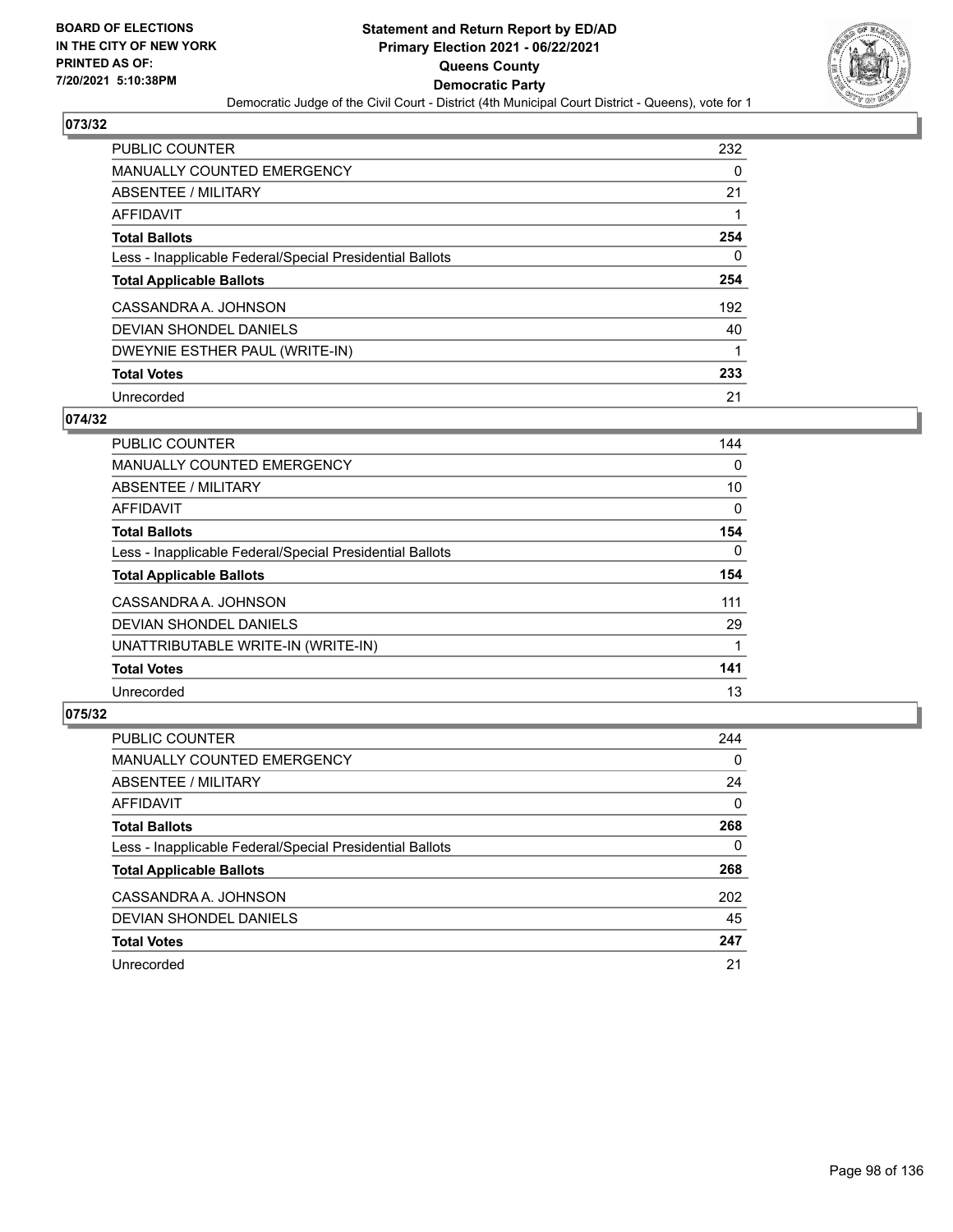

| PUBLIC COUNTER                                           | 232 |
|----------------------------------------------------------|-----|
| MANUALLY COUNTED EMERGENCY                               | 0   |
| ABSENTEE / MILITARY                                      | 21  |
| <b>AFFIDAVIT</b>                                         |     |
| <b>Total Ballots</b>                                     | 254 |
| Less - Inapplicable Federal/Special Presidential Ballots | 0   |
| <b>Total Applicable Ballots</b>                          | 254 |
| CASSANDRA A. JOHNSON                                     | 192 |
| DEVIAN SHONDEL DANIELS                                   | 40  |
| DWEYNIE ESTHER PAUL (WRITE-IN)                           | 1   |
| <b>Total Votes</b>                                       | 233 |
| Unrecorded                                               | 21  |

#### **074/32**

| <b>PUBLIC COUNTER</b>                                    | 144      |
|----------------------------------------------------------|----------|
| <b>MANUALLY COUNTED EMERGENCY</b>                        | 0        |
| ABSENTEE / MILITARY                                      | 10       |
| <b>AFFIDAVIT</b>                                         | $\Omega$ |
| <b>Total Ballots</b>                                     | 154      |
| Less - Inapplicable Federal/Special Presidential Ballots | $\Omega$ |
| <b>Total Applicable Ballots</b>                          | 154      |
| CASSANDRA A. JOHNSON                                     | 111      |
| <b>DEVIAN SHONDEL DANIELS</b>                            | 29       |
| UNATTRIBUTABLE WRITE-IN (WRITE-IN)                       |          |
| <b>Total Votes</b>                                       | 141      |
| Unrecorded                                               | 13       |

| <b>PUBLIC COUNTER</b>                                    | 244      |
|----------------------------------------------------------|----------|
| <b>MANUALLY COUNTED EMERGENCY</b>                        | $\Omega$ |
| ABSENTEE / MILITARY                                      | 24       |
| AFFIDAVIT                                                | $\Omega$ |
| <b>Total Ballots</b>                                     | 268      |
| Less - Inapplicable Federal/Special Presidential Ballots | $\Omega$ |
| <b>Total Applicable Ballots</b>                          | 268      |
| CASSANDRA A. JOHNSON                                     | 202      |
| DEVIAN SHONDEL DANIELS                                   | 45       |
| <b>Total Votes</b>                                       | 247      |
| Unrecorded                                               | 21       |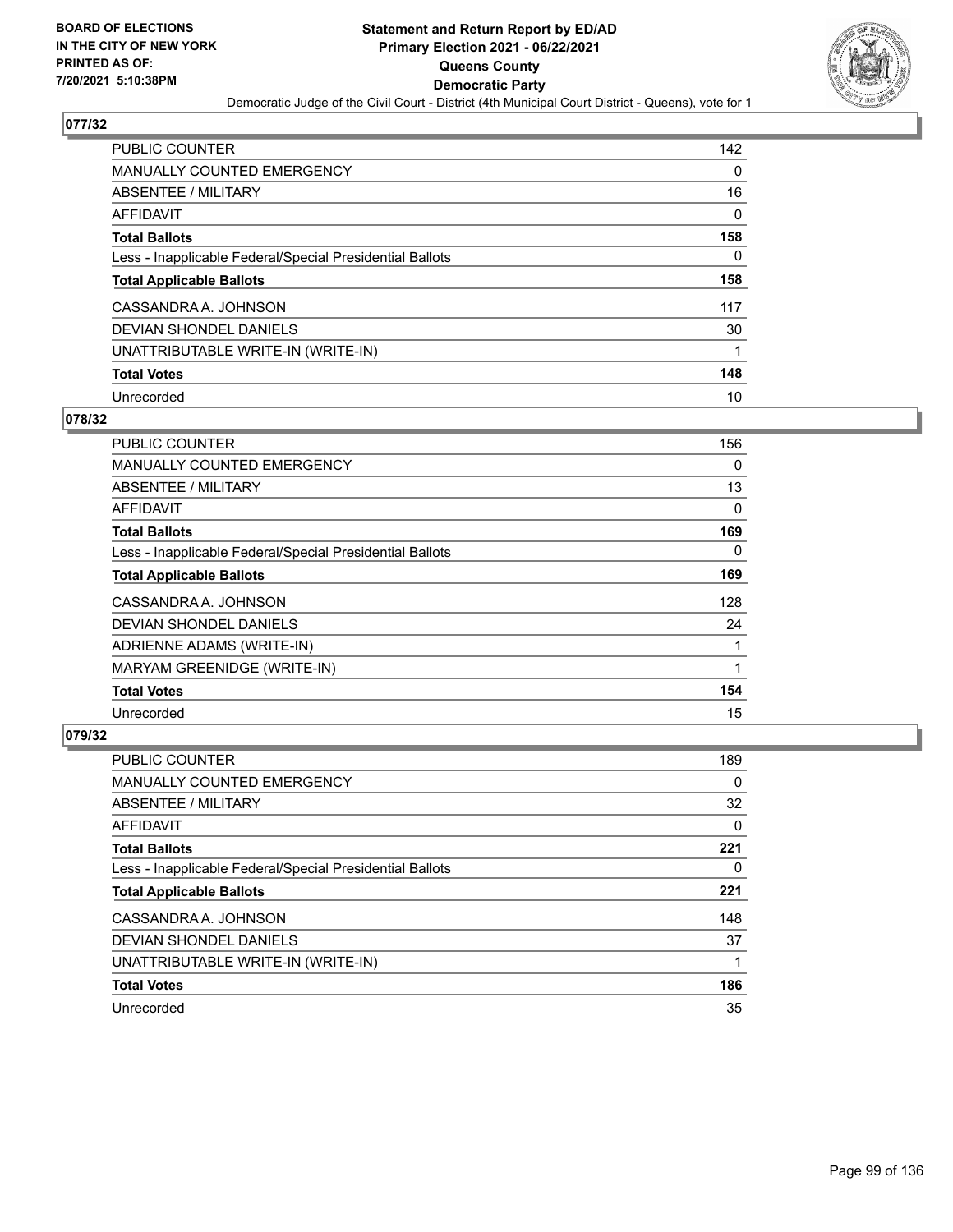

| <b>PUBLIC COUNTER</b>                                    | 142 |
|----------------------------------------------------------|-----|
| <b>MANUALLY COUNTED EMERGENCY</b>                        | 0   |
| ABSENTEE / MILITARY                                      | 16  |
| AFFIDAVIT                                                | 0   |
| <b>Total Ballots</b>                                     | 158 |
| Less - Inapplicable Federal/Special Presidential Ballots | 0   |
| <b>Total Applicable Ballots</b>                          | 158 |
| CASSANDRA A. JOHNSON                                     | 117 |
| DEVIAN SHONDEL DANIELS                                   | 30  |
| UNATTRIBUTABLE WRITE-IN (WRITE-IN)                       |     |
| <b>Total Votes</b>                                       | 148 |
| Unrecorded                                               | 10  |

#### **078/32**

| <b>PUBLIC COUNTER</b>                                    | 156      |
|----------------------------------------------------------|----------|
| <b>MANUALLY COUNTED EMERGENCY</b>                        | $\Omega$ |
| ABSENTEE / MILITARY                                      | 13       |
| <b>AFFIDAVIT</b>                                         | 0        |
| <b>Total Ballots</b>                                     | 169      |
| Less - Inapplicable Federal/Special Presidential Ballots | $\Omega$ |
| <b>Total Applicable Ballots</b>                          | 169      |
| CASSANDRA A. JOHNSON                                     | 128      |
| <b>DEVIAN SHONDEL DANIELS</b>                            | 24       |
| ADRIENNE ADAMS (WRITE-IN)                                |          |
| MARYAM GREENIDGE (WRITE-IN)                              |          |
| <b>Total Votes</b>                                       | 154      |
| Unrecorded                                               | 15       |

| <b>PUBLIC COUNTER</b>                                    | 189 |
|----------------------------------------------------------|-----|
| <b>MANUALLY COUNTED EMERGENCY</b>                        | 0   |
| ABSENTEE / MILITARY                                      | 32  |
| AFFIDAVIT                                                | 0   |
| <b>Total Ballots</b>                                     | 221 |
| Less - Inapplicable Federal/Special Presidential Ballots | 0   |
| <b>Total Applicable Ballots</b>                          | 221 |
| CASSANDRA A. JOHNSON                                     | 148 |
| DEVIAN SHONDEL DANIELS                                   | 37  |
| UNATTRIBUTABLE WRITE-IN (WRITE-IN)                       | 1   |
| <b>Total Votes</b>                                       | 186 |
| Unrecorded                                               | 35  |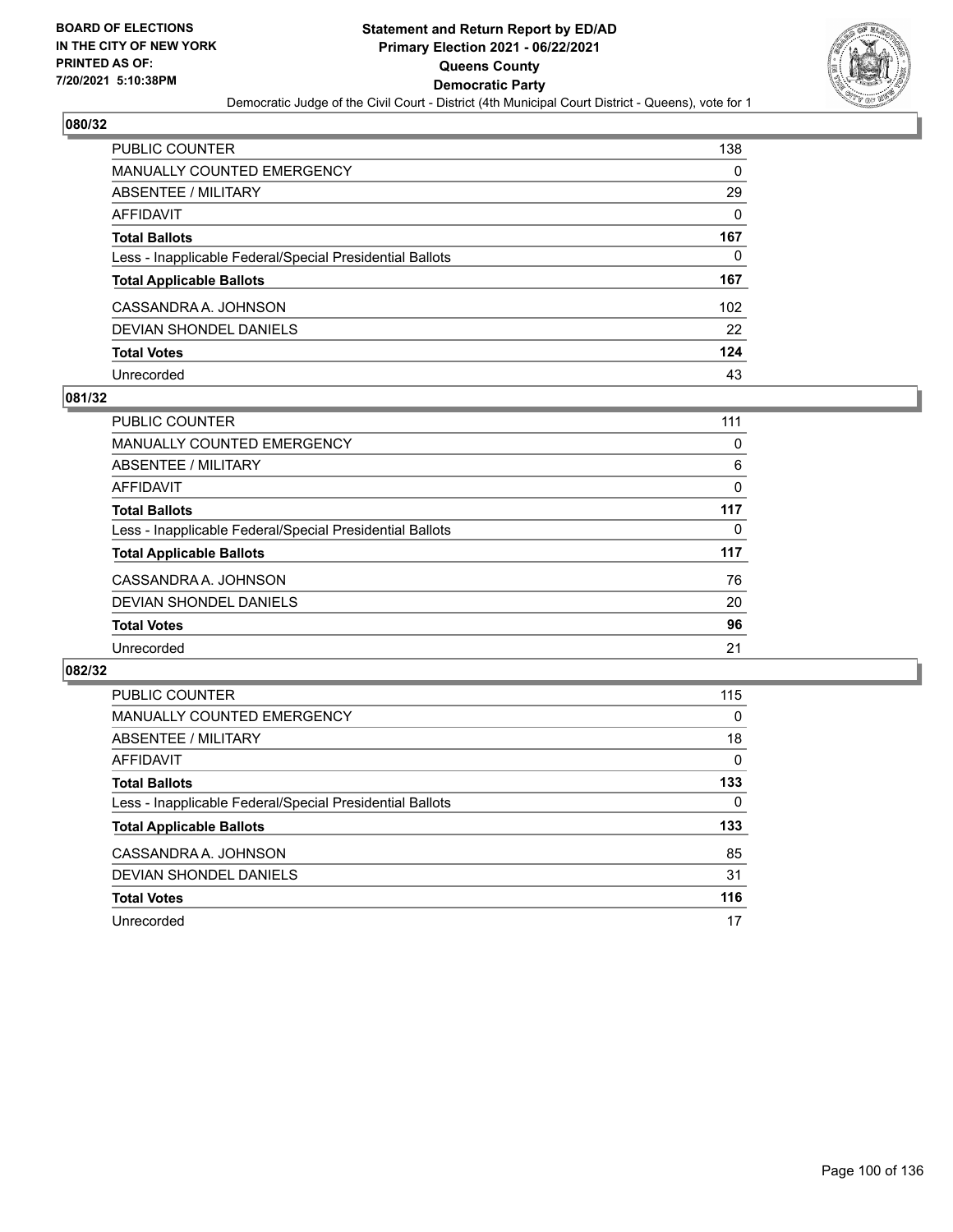

| <b>PUBLIC COUNTER</b>                                    | 138      |
|----------------------------------------------------------|----------|
| <b>MANUALLY COUNTED EMERGENCY</b>                        | $\Omega$ |
| ABSENTEE / MILITARY                                      | 29       |
| <b>AFFIDAVIT</b>                                         | $\Omega$ |
| <b>Total Ballots</b>                                     | 167      |
| Less - Inapplicable Federal/Special Presidential Ballots | 0        |
| <b>Total Applicable Ballots</b>                          | 167      |
| CASSANDRA A. JOHNSON                                     | 102      |
| DEVIAN SHONDEL DANIELS                                   | 22       |
| <b>Total Votes</b>                                       | 124      |
| Unrecorded                                               | 43       |

#### **081/32**

| <b>PUBLIC COUNTER</b>                                    | 111 |
|----------------------------------------------------------|-----|
| MANUALLY COUNTED EMERGENCY                               | 0   |
| ABSENTEE / MILITARY                                      | 6   |
| AFFIDAVIT                                                | 0   |
| <b>Total Ballots</b>                                     | 117 |
| Less - Inapplicable Federal/Special Presidential Ballots | 0   |
| <b>Total Applicable Ballots</b>                          | 117 |
| CASSANDRA A. JOHNSON                                     | 76  |
| DEVIAN SHONDEL DANIELS                                   | 20  |
| <b>Total Votes</b>                                       | 96  |
| Unrecorded                                               | 21  |

| PUBLIC COUNTER                                           | 115 |
|----------------------------------------------------------|-----|
| <b>MANUALLY COUNTED EMERGENCY</b>                        | 0   |
| ABSENTEE / MILITARY                                      | 18  |
| AFFIDAVIT                                                | 0   |
| <b>Total Ballots</b>                                     | 133 |
| Less - Inapplicable Federal/Special Presidential Ballots | 0   |
| <b>Total Applicable Ballots</b>                          | 133 |
| CASSANDRA A. JOHNSON                                     | 85  |
| DEVIAN SHONDEL DANIELS                                   | 31  |
| <b>Total Votes</b>                                       | 116 |
| Unrecorded                                               | 17  |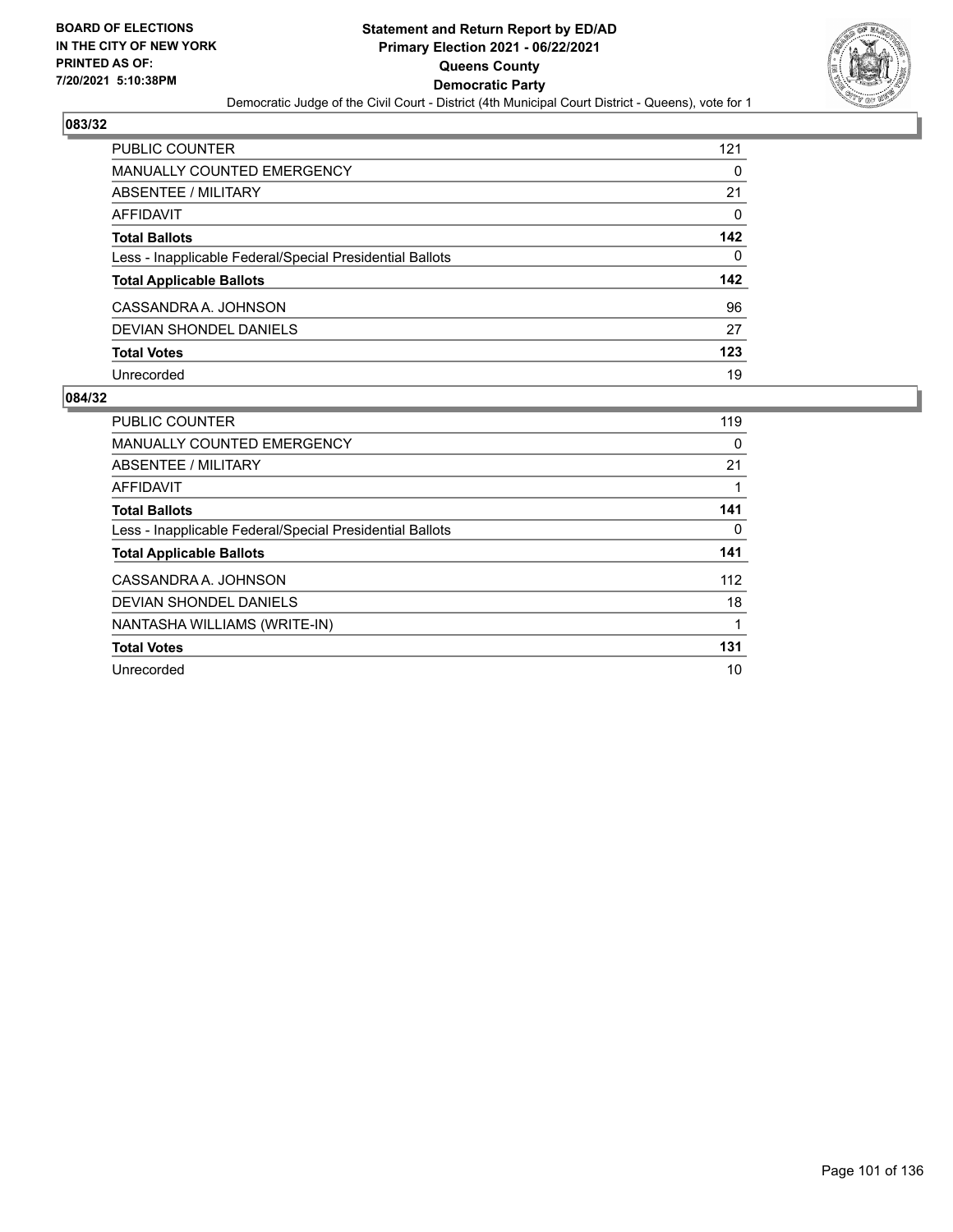

| <b>PUBLIC COUNTER</b>                                    | 121      |
|----------------------------------------------------------|----------|
| <b>MANUALLY COUNTED EMERGENCY</b>                        | 0        |
| ABSENTEE / MILITARY                                      | 21       |
| <b>AFFIDAVIT</b>                                         | $\Omega$ |
| <b>Total Ballots</b>                                     | 142      |
| Less - Inapplicable Federal/Special Presidential Ballots | $\Omega$ |
| <b>Total Applicable Ballots</b>                          | 142      |
| CASSANDRA A. JOHNSON                                     | 96       |
| DEVIAN SHONDEL DANIELS                                   | 27       |
| <b>Total Votes</b>                                       | 123      |
| Unrecorded                                               | 19       |

| PUBLIC COUNTER                                           | 119 |
|----------------------------------------------------------|-----|
| <b>MANUALLY COUNTED EMERGENCY</b>                        | 0   |
| ABSENTEE / MILITARY                                      | 21  |
| AFFIDAVIT                                                |     |
| <b>Total Ballots</b>                                     | 141 |
| Less - Inapplicable Federal/Special Presidential Ballots | 0   |
| <b>Total Applicable Ballots</b>                          | 141 |
| CASSANDRA A. JOHNSON                                     | 112 |
| <b>DEVIAN SHONDEL DANIELS</b>                            | 18  |
| NANTASHA WILLIAMS (WRITE-IN)                             |     |
| <b>Total Votes</b>                                       | 131 |
| Unrecorded                                               | 10  |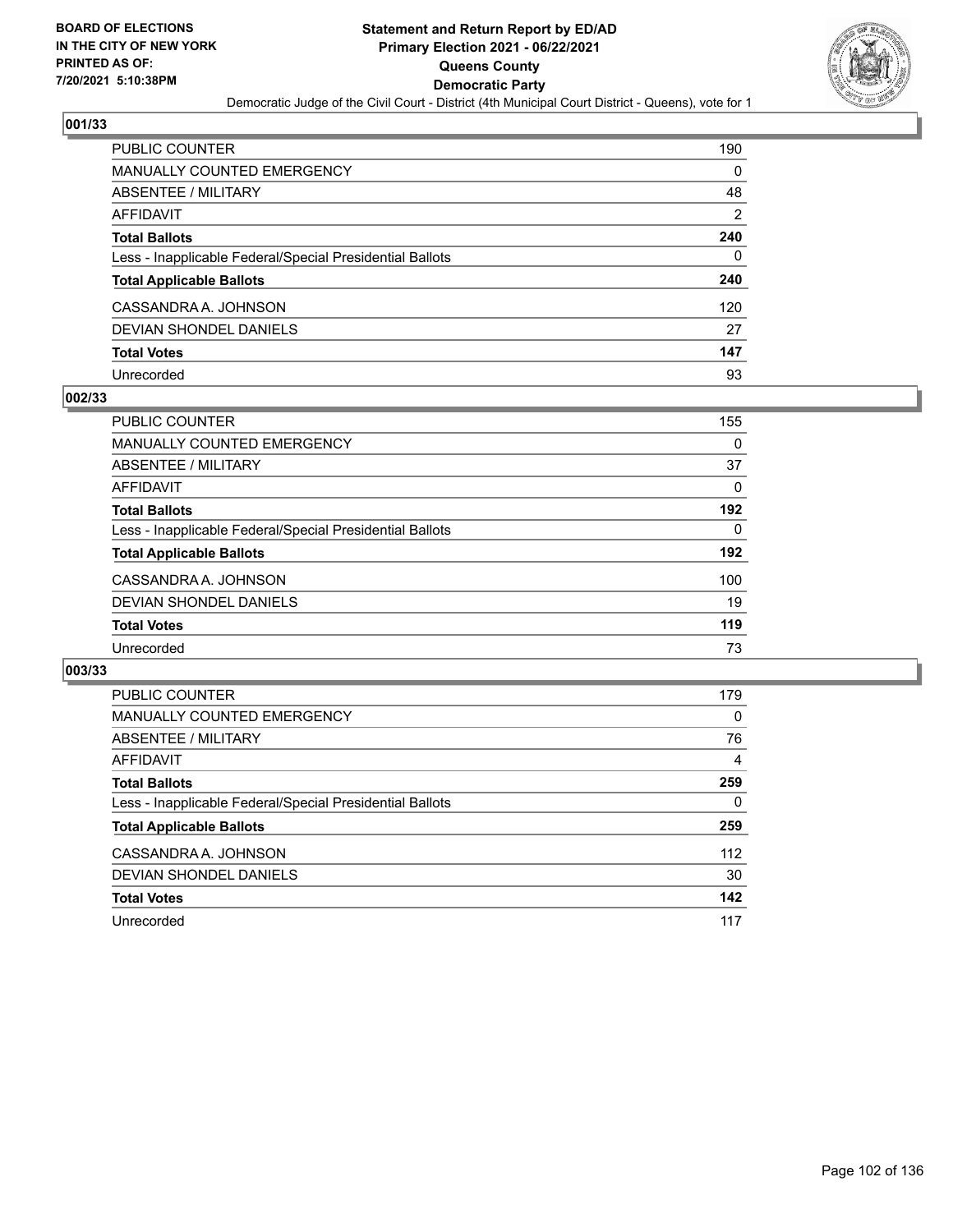

| <b>PUBLIC COUNTER</b>                                    | 190 |
|----------------------------------------------------------|-----|
| <b>MANUALLY COUNTED EMERGENCY</b>                        | 0   |
| <b>ABSENTEE / MILITARY</b>                               | 48  |
| <b>AFFIDAVIT</b>                                         | 2   |
| <b>Total Ballots</b>                                     | 240 |
| Less - Inapplicable Federal/Special Presidential Ballots | 0   |
| <b>Total Applicable Ballots</b>                          | 240 |
| CASSANDRA A. JOHNSON                                     | 120 |
| <b>DEVIAN SHONDEL DANIELS</b>                            | 27  |
| <b>Total Votes</b>                                       | 147 |
| Unrecorded                                               | 93  |

#### **002/33**

| <b>PUBLIC COUNTER</b>                                    | 155 |
|----------------------------------------------------------|-----|
| <b>MANUALLY COUNTED EMERGENCY</b>                        | 0   |
| ABSENTEE / MILITARY                                      | 37  |
| AFFIDAVIT                                                | 0   |
| <b>Total Ballots</b>                                     | 192 |
| Less - Inapplicable Federal/Special Presidential Ballots | 0   |
| <b>Total Applicable Ballots</b>                          | 192 |
| CASSANDRA A. JOHNSON                                     | 100 |
| DEVIAN SHONDEL DANIELS                                   | 19  |
| <b>Total Votes</b>                                       | 119 |
| Unrecorded                                               | 73  |

| <b>PUBLIC COUNTER</b>                                    | 179      |
|----------------------------------------------------------|----------|
| MANUALLY COUNTED EMERGENCY                               | $\Omega$ |
| ABSENTEE / MILITARY                                      | 76       |
| AFFIDAVIT                                                | 4        |
| <b>Total Ballots</b>                                     | 259      |
| Less - Inapplicable Federal/Special Presidential Ballots | 0        |
| <b>Total Applicable Ballots</b>                          | 259      |
| CASSANDRA A. JOHNSON                                     | 112      |
|                                                          |          |
| DEVIAN SHONDEL DANIELS                                   | 30       |
| <b>Total Votes</b>                                       | 142      |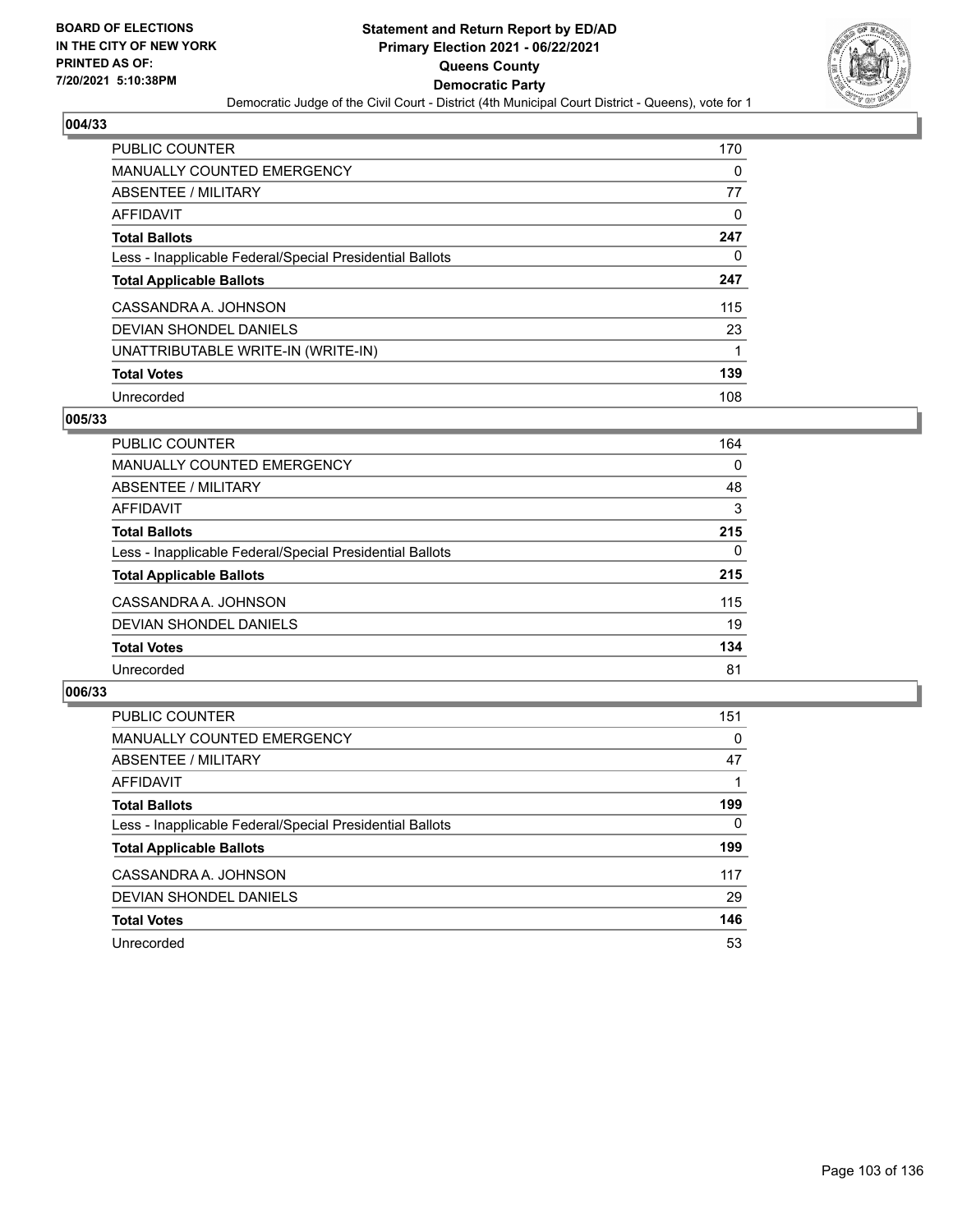

| <b>PUBLIC COUNTER</b>                                    | 170 |
|----------------------------------------------------------|-----|
| <b>MANUALLY COUNTED EMERGENCY</b>                        | 0   |
| ABSENTEE / MILITARY                                      | 77  |
| AFFIDAVIT                                                | 0   |
| <b>Total Ballots</b>                                     | 247 |
| Less - Inapplicable Federal/Special Presidential Ballots | 0   |
| <b>Total Applicable Ballots</b>                          | 247 |
| CASSANDRA A. JOHNSON                                     | 115 |
| DEVIAN SHONDEL DANIELS                                   | 23  |
| UNATTRIBUTABLE WRITE-IN (WRITE-IN)                       |     |
| <b>Total Votes</b>                                       | 139 |
| Unrecorded                                               | 108 |

#### **005/33**

| PUBLIC COUNTER                                           | 164      |
|----------------------------------------------------------|----------|
| MANUALLY COUNTED EMERGENCY                               | $\Omega$ |
| ABSENTEE / MILITARY                                      | 48       |
| AFFIDAVIT                                                | 3        |
| <b>Total Ballots</b>                                     | 215      |
| Less - Inapplicable Federal/Special Presidential Ballots | $\Omega$ |
| <b>Total Applicable Ballots</b>                          | 215      |
| CASSANDRA A. JOHNSON                                     | 115      |
| <b>DEVIAN SHONDEL DANIELS</b>                            | 19       |
| <b>Total Votes</b>                                       | 134      |
| Unrecorded                                               | 81       |

| <b>PUBLIC COUNTER</b>                                    | 151      |
|----------------------------------------------------------|----------|
| MANUALLY COUNTED EMERGENCY                               | $\Omega$ |
| ABSENTEE / MILITARY                                      | 47       |
| AFFIDAVIT                                                |          |
| <b>Total Ballots</b>                                     | 199      |
| Less - Inapplicable Federal/Special Presidential Ballots | $\Omega$ |
| <b>Total Applicable Ballots</b>                          | 199      |
| CASSANDRA A. JOHNSON                                     | 117      |
| DEVIAN SHONDEL DANIELS                                   | 29       |
| <b>Total Votes</b>                                       | 146      |
| Unrecorded                                               | 53       |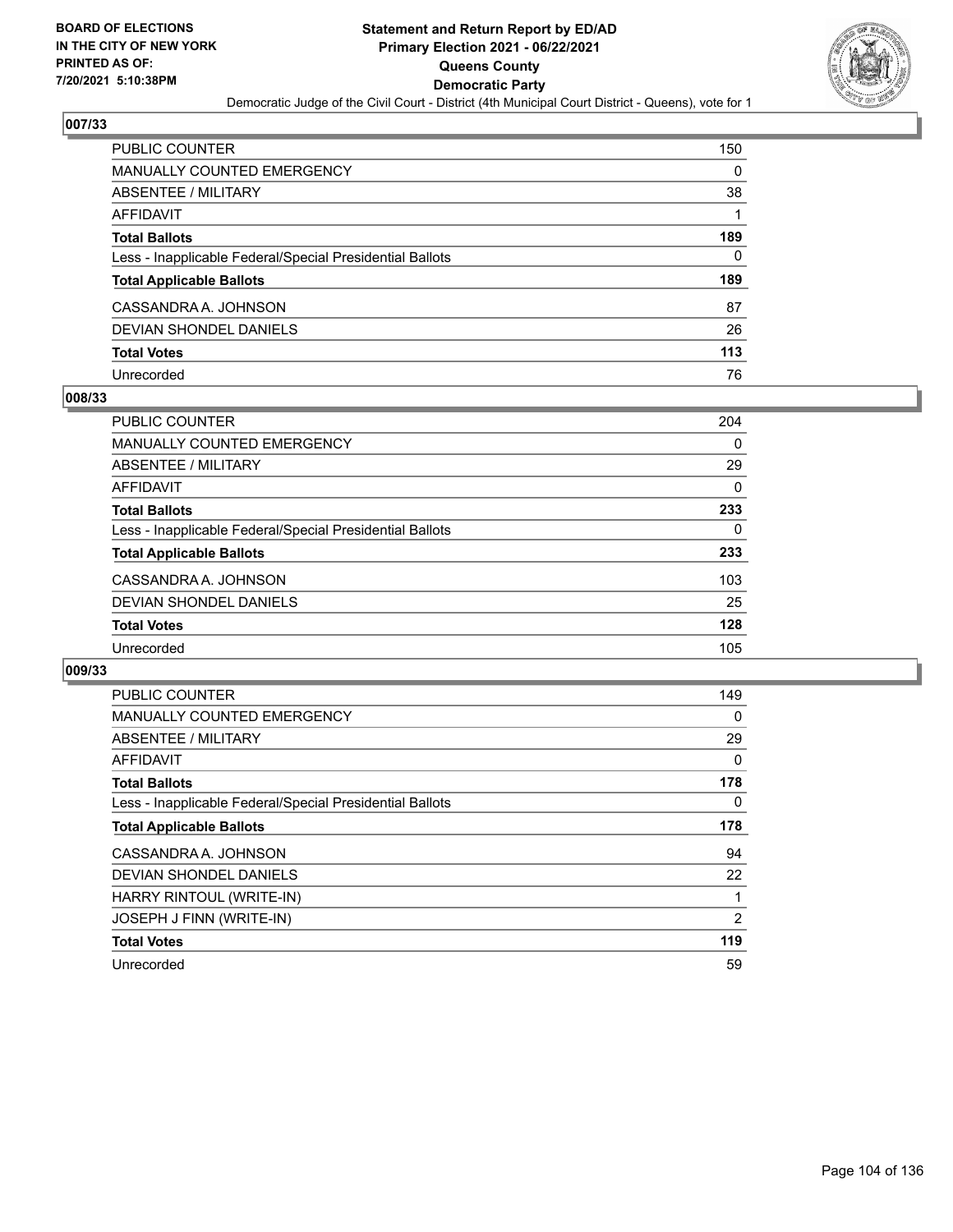

| PUBLIC COUNTER                                           | 150 |
|----------------------------------------------------------|-----|
| <b>MANUALLY COUNTED EMERGENCY</b>                        | 0   |
| <b>ABSENTEE / MILITARY</b>                               | 38  |
| AFFIDAVIT                                                |     |
| <b>Total Ballots</b>                                     | 189 |
| Less - Inapplicable Federal/Special Presidential Ballots | 0   |
| <b>Total Applicable Ballots</b>                          | 189 |
| CASSANDRA A. JOHNSON                                     | 87  |
| <b>DEVIAN SHONDEL DANIELS</b>                            | 26  |
| <b>Total Votes</b>                                       | 113 |
| Unrecorded                                               | 76  |

#### **008/33**

| <b>PUBLIC COUNTER</b>                                    | 204      |
|----------------------------------------------------------|----------|
| MANUALLY COUNTED EMERGENCY                               | $\Omega$ |
| ABSENTEE / MILITARY                                      | 29       |
| <b>AFFIDAVIT</b>                                         | 0        |
| <b>Total Ballots</b>                                     | 233      |
| Less - Inapplicable Federal/Special Presidential Ballots | 0        |
| <b>Total Applicable Ballots</b>                          | 233      |
| CASSANDRA A. JOHNSON                                     | 103      |
| DEVIAN SHONDEL DANIELS                                   | 25       |
| <b>Total Votes</b>                                       | 128      |
| Unrecorded                                               | 105      |

| <b>PUBLIC COUNTER</b>                                    | 149      |
|----------------------------------------------------------|----------|
| <b>MANUALLY COUNTED EMERGENCY</b>                        | 0        |
| ABSENTEE / MILITARY                                      | 29       |
| AFFIDAVIT                                                | $\Omega$ |
| <b>Total Ballots</b>                                     | 178      |
| Less - Inapplicable Federal/Special Presidential Ballots | $\Omega$ |
| <b>Total Applicable Ballots</b>                          | 178      |
| CASSANDRA A. JOHNSON                                     | 94       |
| <b>DEVIAN SHONDEL DANIELS</b>                            | 22       |
| HARRY RINTOUL (WRITE-IN)                                 |          |
| JOSEPH J FINN (WRITE-IN)                                 | 2        |
| <b>Total Votes</b>                                       | 119      |
| Unrecorded                                               | 59       |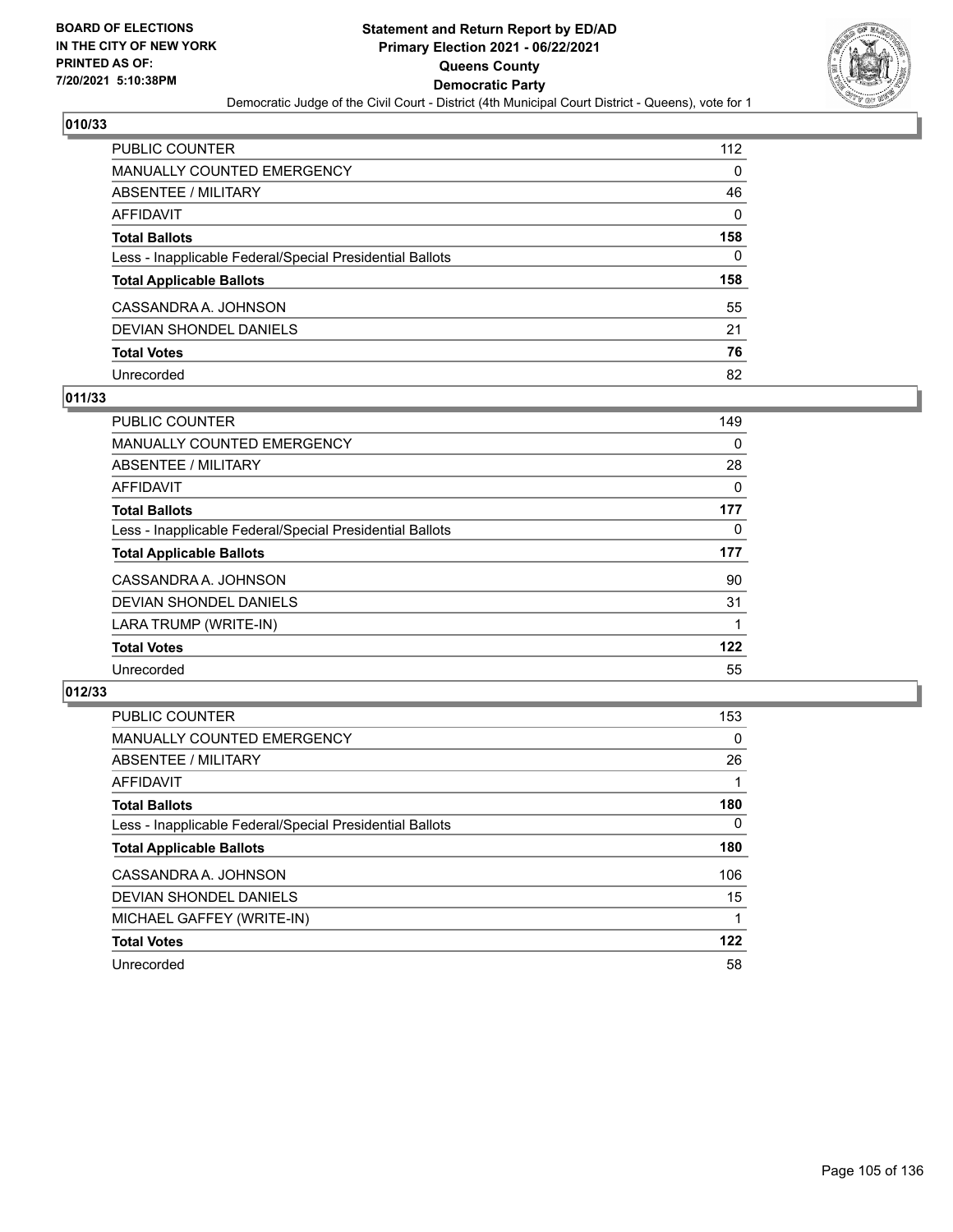

| <b>PUBLIC COUNTER</b>                                    | 112      |
|----------------------------------------------------------|----------|
| <b>MANUALLY COUNTED EMERGENCY</b>                        | $\Omega$ |
| ABSENTEE / MILITARY                                      | 46       |
| AFFIDAVIT                                                | $\Omega$ |
| <b>Total Ballots</b>                                     | 158      |
| Less - Inapplicable Federal/Special Presidential Ballots | 0        |
| <b>Total Applicable Ballots</b>                          | 158      |
| CASSANDRA A. JOHNSON                                     | 55       |
| DEVIAN SHONDEL DANIELS                                   | 21       |
| <b>Total Votes</b>                                       | 76       |
| Unrecorded                                               | 82       |

#### **011/33**

| <b>PUBLIC COUNTER</b>                                    | 149 |
|----------------------------------------------------------|-----|
| <b>MANUALLY COUNTED EMERGENCY</b>                        | 0   |
| ABSENTEE / MILITARY                                      | 28  |
| <b>AFFIDAVIT</b>                                         | 0   |
| <b>Total Ballots</b>                                     | 177 |
| Less - Inapplicable Federal/Special Presidential Ballots | 0   |
| <b>Total Applicable Ballots</b>                          | 177 |
| CASSANDRA A. JOHNSON                                     | 90  |
| DEVIAN SHONDEL DANIELS                                   | 31  |
| LARA TRUMP (WRITE-IN)                                    |     |
| <b>Total Votes</b>                                       | 122 |
| Unrecorded                                               | 55  |

| PUBLIC COUNTER                                           | 153      |
|----------------------------------------------------------|----------|
| MANUALLY COUNTED EMERGENCY                               | 0        |
| ABSENTEE / MILITARY                                      | 26       |
| <b>AFFIDAVIT</b>                                         |          |
| <b>Total Ballots</b>                                     | 180      |
| Less - Inapplicable Federal/Special Presidential Ballots | $\Omega$ |
| <b>Total Applicable Ballots</b>                          | 180      |
| CASSANDRA A. JOHNSON                                     | 106      |
| DEVIAN SHONDEL DANIELS                                   | 15       |
| MICHAEL GAFFEY (WRITE-IN)                                |          |
| <b>Total Votes</b>                                       | 122      |
| Unrecorded                                               | 58       |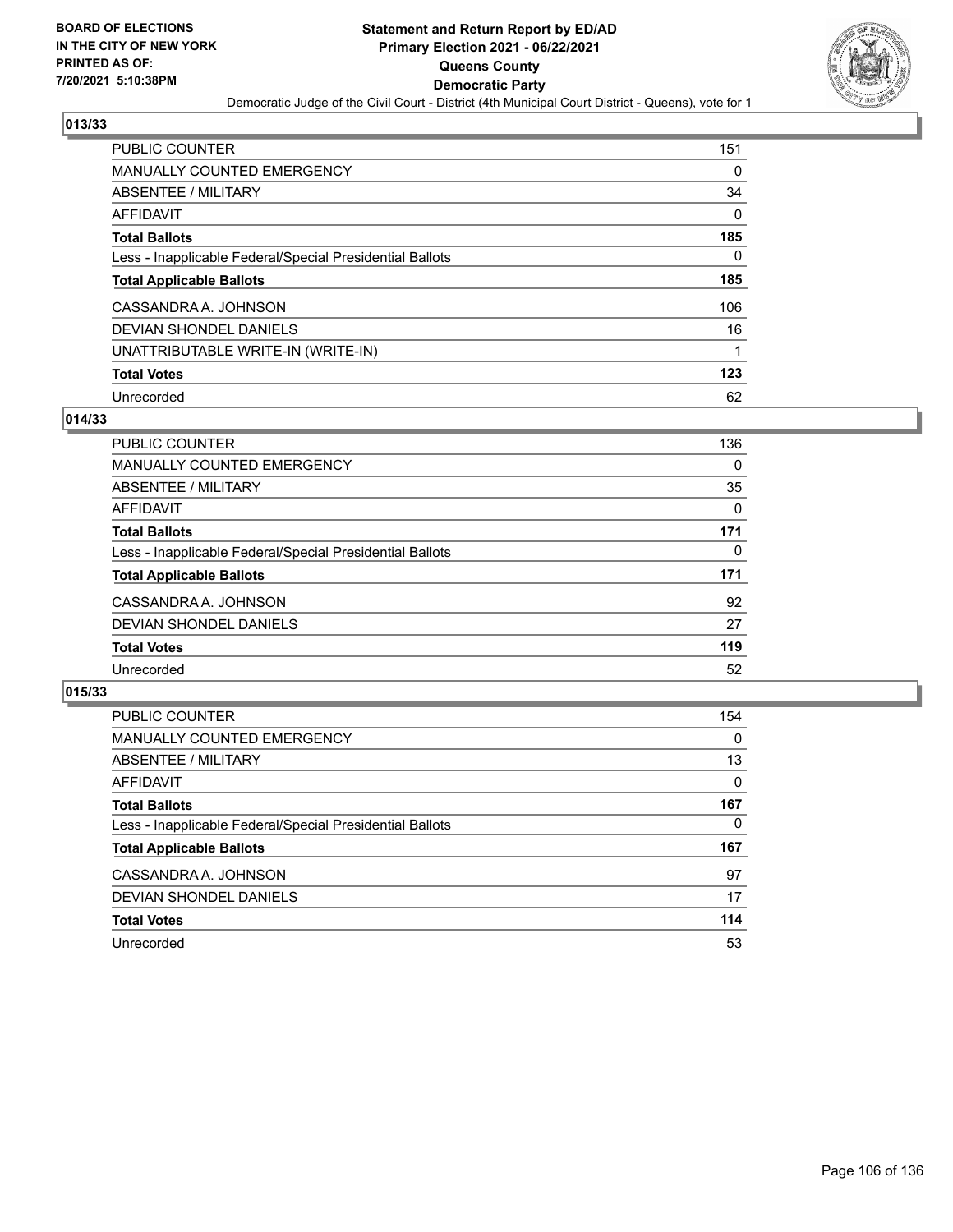

| <b>PUBLIC COUNTER</b>                                    | 151      |
|----------------------------------------------------------|----------|
| MANUALLY COUNTED EMERGENCY                               | 0        |
| ABSENTEE / MILITARY                                      | 34       |
| AFFIDAVIT                                                | $\Omega$ |
| <b>Total Ballots</b>                                     | 185      |
| Less - Inapplicable Federal/Special Presidential Ballots | 0        |
| <b>Total Applicable Ballots</b>                          | 185      |
| CASSANDRA A. JOHNSON                                     | 106      |
| DEVIAN SHONDEL DANIELS                                   | 16       |
| UNATTRIBUTABLE WRITE-IN (WRITE-IN)                       |          |
| <b>Total Votes</b>                                       | 123      |
| Unrecorded                                               | 62       |

#### **014/33**

| PUBLIC COUNTER                                           | 136      |
|----------------------------------------------------------|----------|
| <b>MANUALLY COUNTED EMERGENCY</b>                        | $\Omega$ |
| ABSENTEE / MILITARY                                      | 35       |
| AFFIDAVIT                                                | 0        |
| <b>Total Ballots</b>                                     | 171      |
| Less - Inapplicable Federal/Special Presidential Ballots | $\Omega$ |
| <b>Total Applicable Ballots</b>                          | 171      |
| CASSANDRA A. JOHNSON                                     | 92       |
| DEVIAN SHONDEL DANIELS                                   | 27       |
| <b>Total Votes</b>                                       | 119      |
| Unrecorded                                               | 52       |

| PUBLIC COUNTER                                           | 154      |
|----------------------------------------------------------|----------|
| <b>MANUALLY COUNTED EMERGENCY</b>                        | $\Omega$ |
| ABSENTEE / MILITARY                                      | 13       |
| AFFIDAVIT                                                | 0        |
| <b>Total Ballots</b>                                     | 167      |
| Less - Inapplicable Federal/Special Presidential Ballots | 0        |
| <b>Total Applicable Ballots</b>                          | 167      |
| CASSANDRA A. JOHNSON                                     | 97       |
| DEVIAN SHONDEL DANIELS                                   | 17       |
| <b>Total Votes</b>                                       | 114      |
| Unrecorded                                               | 53       |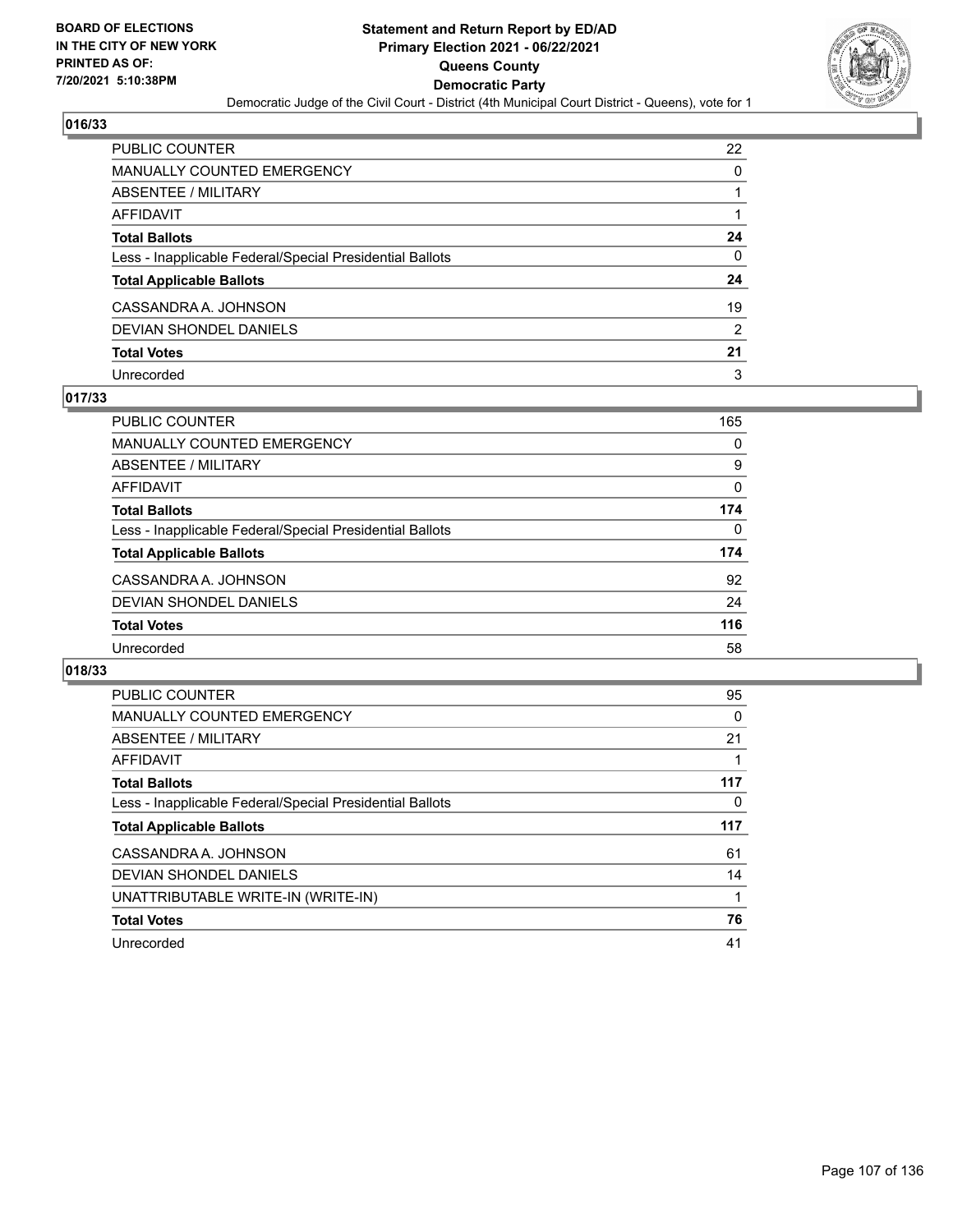

| PUBLIC COUNTER                                           | 22            |
|----------------------------------------------------------|---------------|
| <b>MANUALLY COUNTED EMERGENCY</b>                        | 0             |
| <b>ABSENTEE / MILITARY</b>                               |               |
| AFFIDAVIT                                                |               |
| <b>Total Ballots</b>                                     | 24            |
| Less - Inapplicable Federal/Special Presidential Ballots | $\Omega$      |
| <b>Total Applicable Ballots</b>                          | 24            |
| CASSANDRA A. JOHNSON                                     | 19            |
| <b>DEVIAN SHONDEL DANIELS</b>                            | $\mathcal{P}$ |
| <b>Total Votes</b>                                       | 21            |
| Unrecorded                                               | 3             |

### **017/33**

| PUBLIC COUNTER                                           | 165      |
|----------------------------------------------------------|----------|
| MANUALLY COUNTED EMERGENCY                               | 0        |
| ABSENTEE / MILITARY                                      | 9        |
| AFFIDAVIT                                                | $\Omega$ |
| <b>Total Ballots</b>                                     | 174      |
| Less - Inapplicable Federal/Special Presidential Ballots | 0        |
| <b>Total Applicable Ballots</b>                          | 174      |
| CASSANDRA A. JOHNSON                                     | 92       |
| DEVIAN SHONDEL DANIELS                                   | 24       |
| <b>Total Votes</b>                                       | 116      |
| Unrecorded                                               | 58       |

| <b>PUBLIC COUNTER</b>                                    | 95  |
|----------------------------------------------------------|-----|
| <b>MANUALLY COUNTED EMERGENCY</b>                        | 0   |
| ABSENTEE / MILITARY                                      | 21  |
| AFFIDAVIT                                                |     |
| <b>Total Ballots</b>                                     | 117 |
| Less - Inapplicable Federal/Special Presidential Ballots | 0   |
| <b>Total Applicable Ballots</b>                          | 117 |
| CASSANDRA A. JOHNSON                                     | 61  |
| DEVIAN SHONDEL DANIELS                                   | 14  |
| UNATTRIBUTABLE WRITE-IN (WRITE-IN)                       |     |
| <b>Total Votes</b>                                       | 76  |
| Unrecorded                                               | 41  |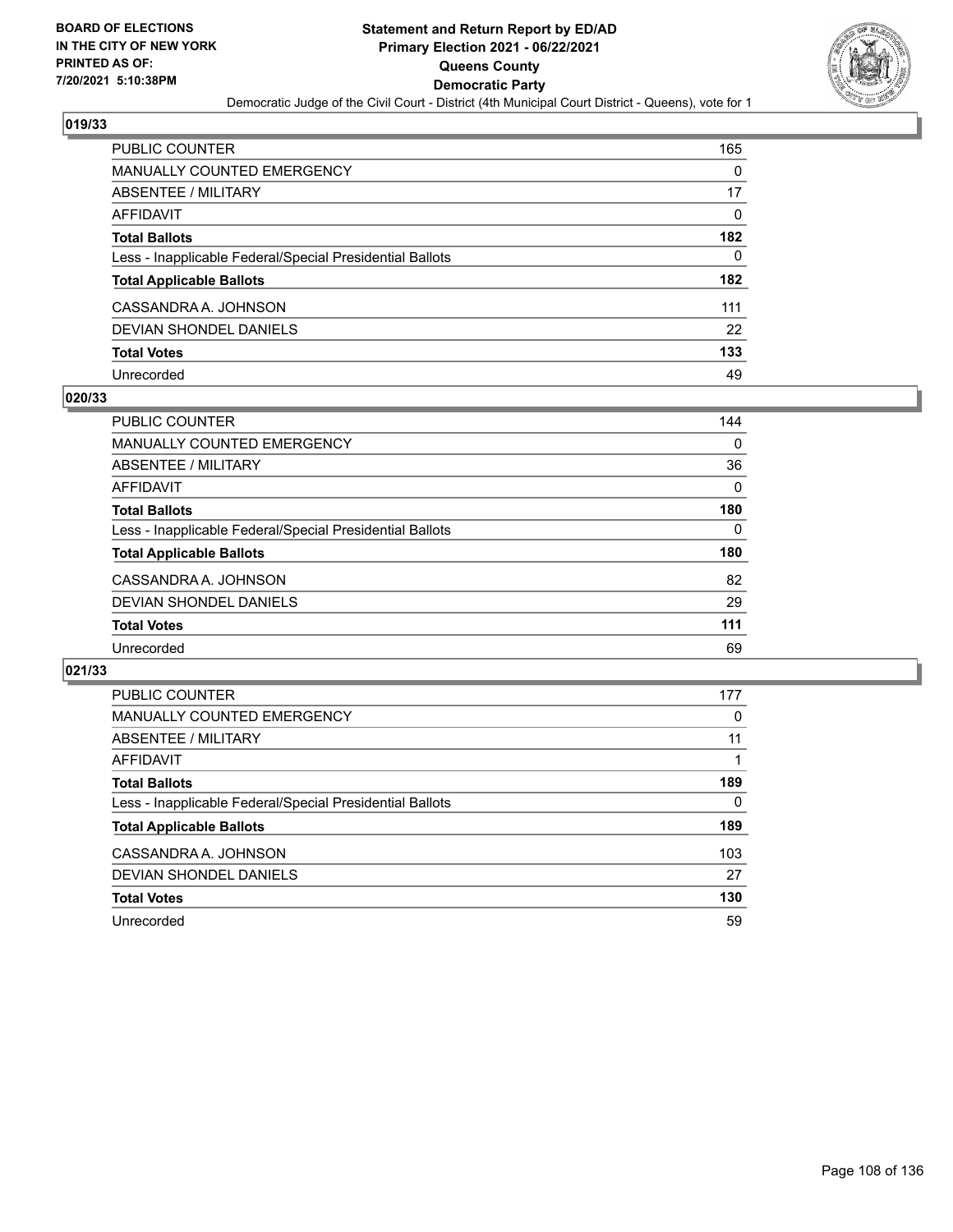

| <b>PUBLIC COUNTER</b>                                    | 165      |
|----------------------------------------------------------|----------|
| <b>MANUALLY COUNTED EMERGENCY</b>                        | 0        |
| ABSENTEE / MILITARY                                      | 17       |
| <b>AFFIDAVIT</b>                                         | $\Omega$ |
| <b>Total Ballots</b>                                     | 182      |
| Less - Inapplicable Federal/Special Presidential Ballots | 0        |
| <b>Total Applicable Ballots</b>                          | 182      |
| CASSANDRA A. JOHNSON                                     | 111      |
| DEVIAN SHONDEL DANIELS                                   | 22       |
| <b>Total Votes</b>                                       | 133      |
| Unrecorded                                               | 49       |

#### **020/33**

| PUBLIC COUNTER                                           | 144      |
|----------------------------------------------------------|----------|
| MANUALLY COUNTED EMERGENCY                               | $\Omega$ |
| ABSENTEE / MILITARY                                      | 36       |
| AFFIDAVIT                                                | $\Omega$ |
| <b>Total Ballots</b>                                     | 180      |
| Less - Inapplicable Federal/Special Presidential Ballots | 0        |
| <b>Total Applicable Ballots</b>                          | 180      |
| CASSANDRA A. JOHNSON                                     | 82       |
| DEVIAN SHONDEL DANIELS                                   | 29       |
| <b>Total Votes</b>                                       | 111      |
| Unrecorded                                               | 69       |

| PUBLIC COUNTER                                           | 177 |
|----------------------------------------------------------|-----|
| <b>MANUALLY COUNTED EMERGENCY</b>                        | 0   |
| ABSENTEE / MILITARY                                      | 11  |
| AFFIDAVIT                                                |     |
| <b>Total Ballots</b>                                     | 189 |
| Less - Inapplicable Federal/Special Presidential Ballots | 0   |
| <b>Total Applicable Ballots</b>                          | 189 |
| CASSANDRA A. JOHNSON                                     | 103 |
| <b>DEVIAN SHONDEL DANIELS</b>                            | 27  |
| <b>Total Votes</b>                                       | 130 |
| Unrecorded                                               | 59  |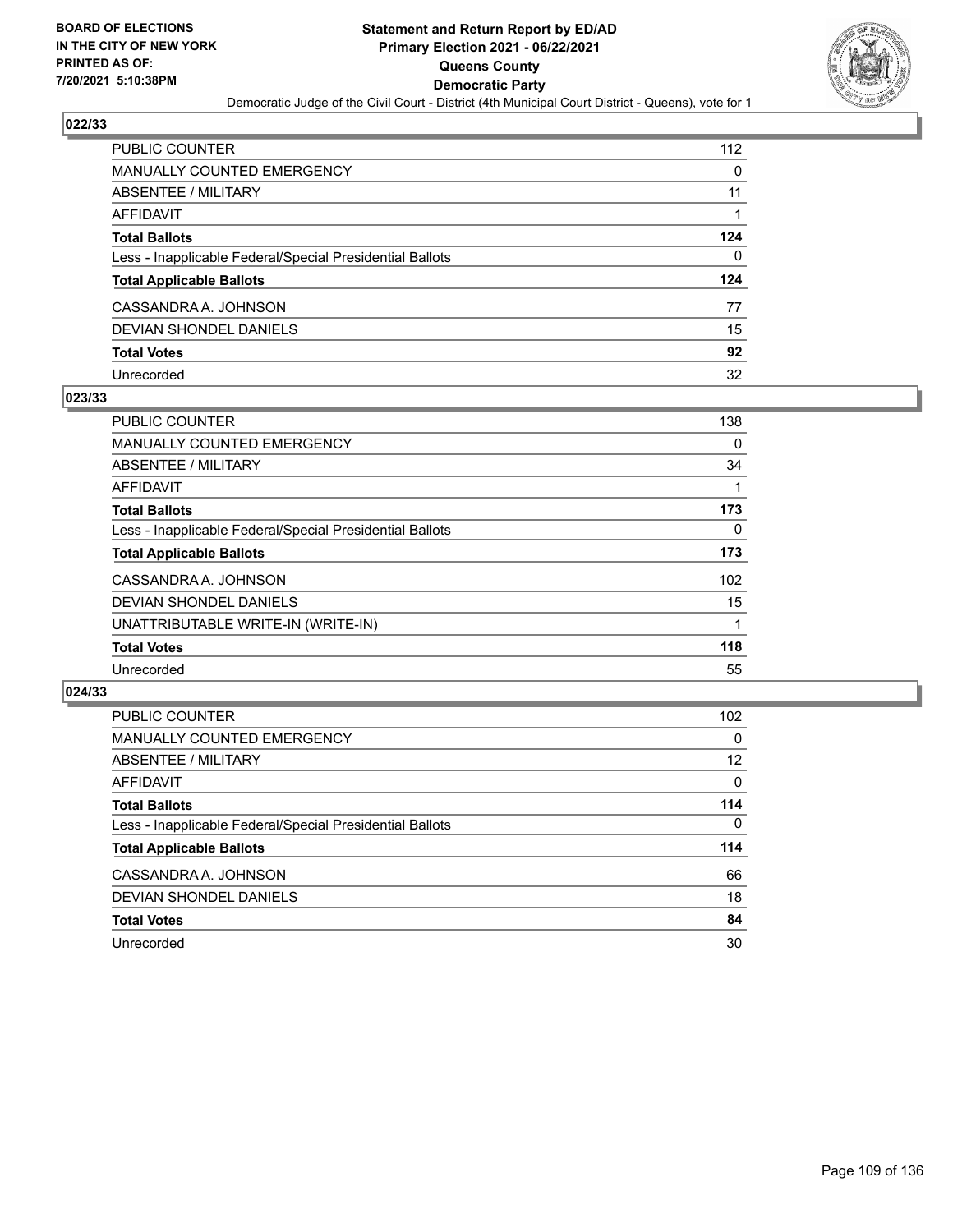

| <b>PUBLIC COUNTER</b>                                    | 112 |
|----------------------------------------------------------|-----|
| <b>MANUALLY COUNTED EMERGENCY</b>                        | 0   |
| ABSENTEE / MILITARY                                      | 11  |
| AFFIDAVIT                                                |     |
| <b>Total Ballots</b>                                     | 124 |
| Less - Inapplicable Federal/Special Presidential Ballots | 0   |
| <b>Total Applicable Ballots</b>                          | 124 |
| CASSANDRA A. JOHNSON                                     | 77  |
| DEVIAN SHONDEL DANIELS                                   | 15  |
| <b>Total Votes</b>                                       | 92  |
| Unrecorded                                               | 32  |

#### **023/33**

| <b>PUBLIC COUNTER</b>                                    | 138      |
|----------------------------------------------------------|----------|
| <b>MANUALLY COUNTED EMERGENCY</b>                        | $\Omega$ |
| ABSENTEE / MILITARY                                      | 34       |
| AFFIDAVIT                                                |          |
| <b>Total Ballots</b>                                     | 173      |
| Less - Inapplicable Federal/Special Presidential Ballots | $\Omega$ |
| <b>Total Applicable Ballots</b>                          | 173      |
| CASSANDRA A. JOHNSON                                     | 102      |
| DEVIAN SHONDEL DANIELS                                   | 15       |
| UNATTRIBUTABLE WRITE-IN (WRITE-IN)                       |          |
| <b>Total Votes</b>                                       | 118      |
| Unrecorded                                               | 55       |

| <b>PUBLIC COUNTER</b>                                    | 102 <sub>2</sub> |
|----------------------------------------------------------|------------------|
| MANUALLY COUNTED EMERGENCY                               | $\Omega$         |
| ABSENTEE / MILITARY                                      | 12               |
| AFFIDAVIT                                                | $\Omega$         |
| <b>Total Ballots</b>                                     | 114              |
| Less - Inapplicable Federal/Special Presidential Ballots | $\Omega$         |
| <b>Total Applicable Ballots</b>                          | 114              |
| CASSANDRA A. JOHNSON                                     | 66               |
| DEVIAN SHONDEL DANIELS                                   | 18               |
| <b>Total Votes</b>                                       | 84               |
| Unrecorded                                               | 30               |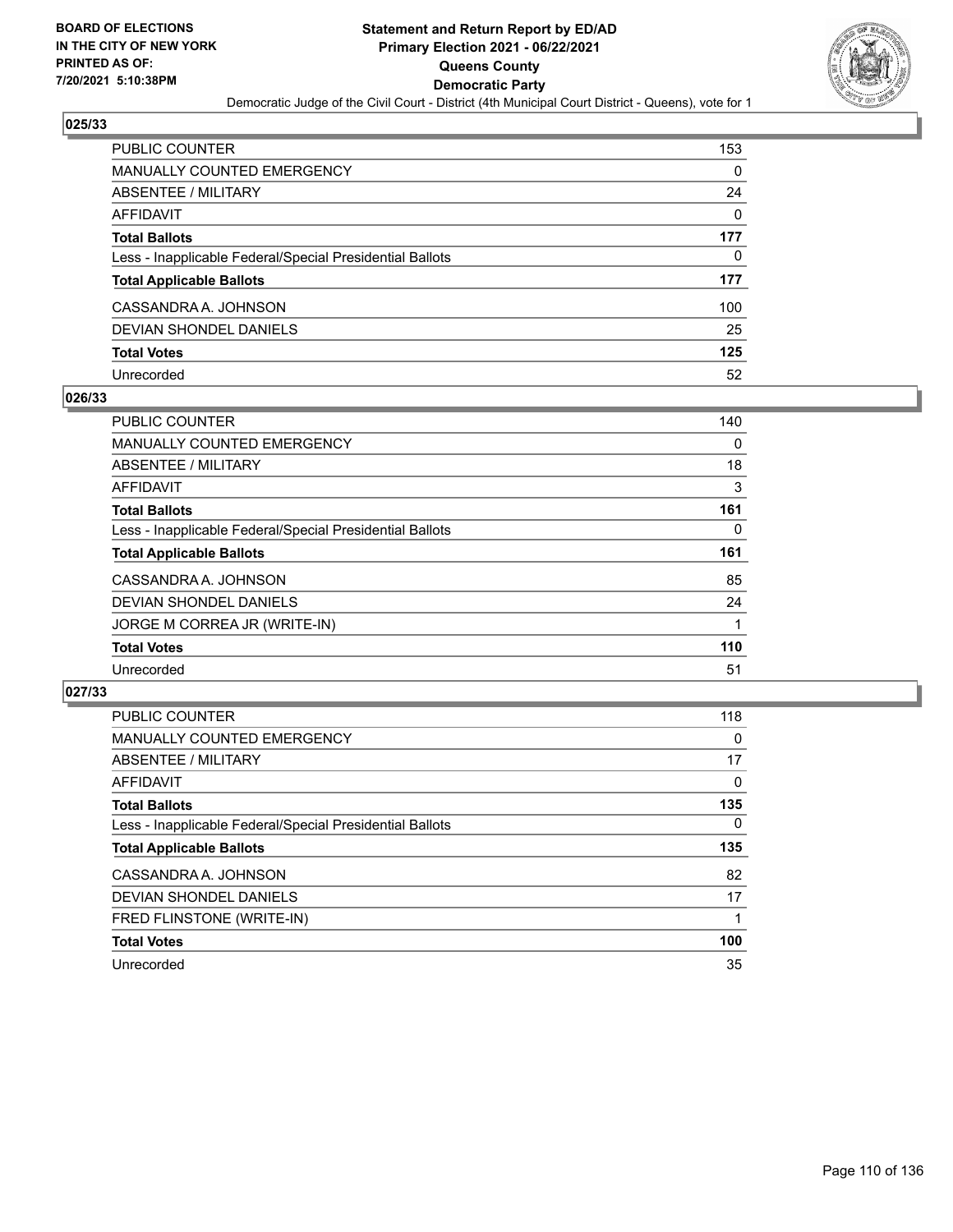

| PUBLIC COUNTER                                           | 153      |
|----------------------------------------------------------|----------|
| <b>MANUALLY COUNTED EMERGENCY</b>                        | 0        |
| ABSENTEE / MILITARY                                      | 24       |
| AFFIDAVIT                                                | $\Omega$ |
| <b>Total Ballots</b>                                     | 177      |
| Less - Inapplicable Federal/Special Presidential Ballots | 0        |
| <b>Total Applicable Ballots</b>                          | 177      |
| CASSANDRA A. JOHNSON                                     | 100      |
| DEVIAN SHONDEL DANIELS                                   | 25       |
| <b>Total Votes</b>                                       | 125      |
| Unrecorded                                               | 52       |

### **026/33**

| <b>PUBLIC COUNTER</b>                                    | 140 |
|----------------------------------------------------------|-----|
| <b>MANUALLY COUNTED EMERGENCY</b>                        | 0   |
| ABSENTEE / MILITARY                                      | 18  |
| AFFIDAVIT                                                | 3   |
| <b>Total Ballots</b>                                     | 161 |
| Less - Inapplicable Federal/Special Presidential Ballots | 0   |
| <b>Total Applicable Ballots</b>                          | 161 |
| CASSANDRA A. JOHNSON                                     | 85  |
| DEVIAN SHONDEL DANIELS                                   | 24  |
| JORGE M CORREA JR (WRITE-IN)                             |     |
| <b>Total Votes</b>                                       | 110 |
| Unrecorded                                               | 51  |

| <b>PUBLIC COUNTER</b>                                    | 118      |
|----------------------------------------------------------|----------|
| MANUALLY COUNTED EMERGENCY                               | 0        |
| ABSENTEE / MILITARY                                      | 17       |
| <b>AFFIDAVIT</b>                                         | $\Omega$ |
| <b>Total Ballots</b>                                     | 135      |
| Less - Inapplicable Federal/Special Presidential Ballots | $\Omega$ |
| <b>Total Applicable Ballots</b>                          | 135      |
| CASSANDRA A. JOHNSON                                     | 82       |
| DEVIAN SHONDEL DANIELS                                   | 17       |
| FRED FLINSTONE (WRITE-IN)                                |          |
| <b>Total Votes</b>                                       | 100      |
| Unrecorded                                               | 35       |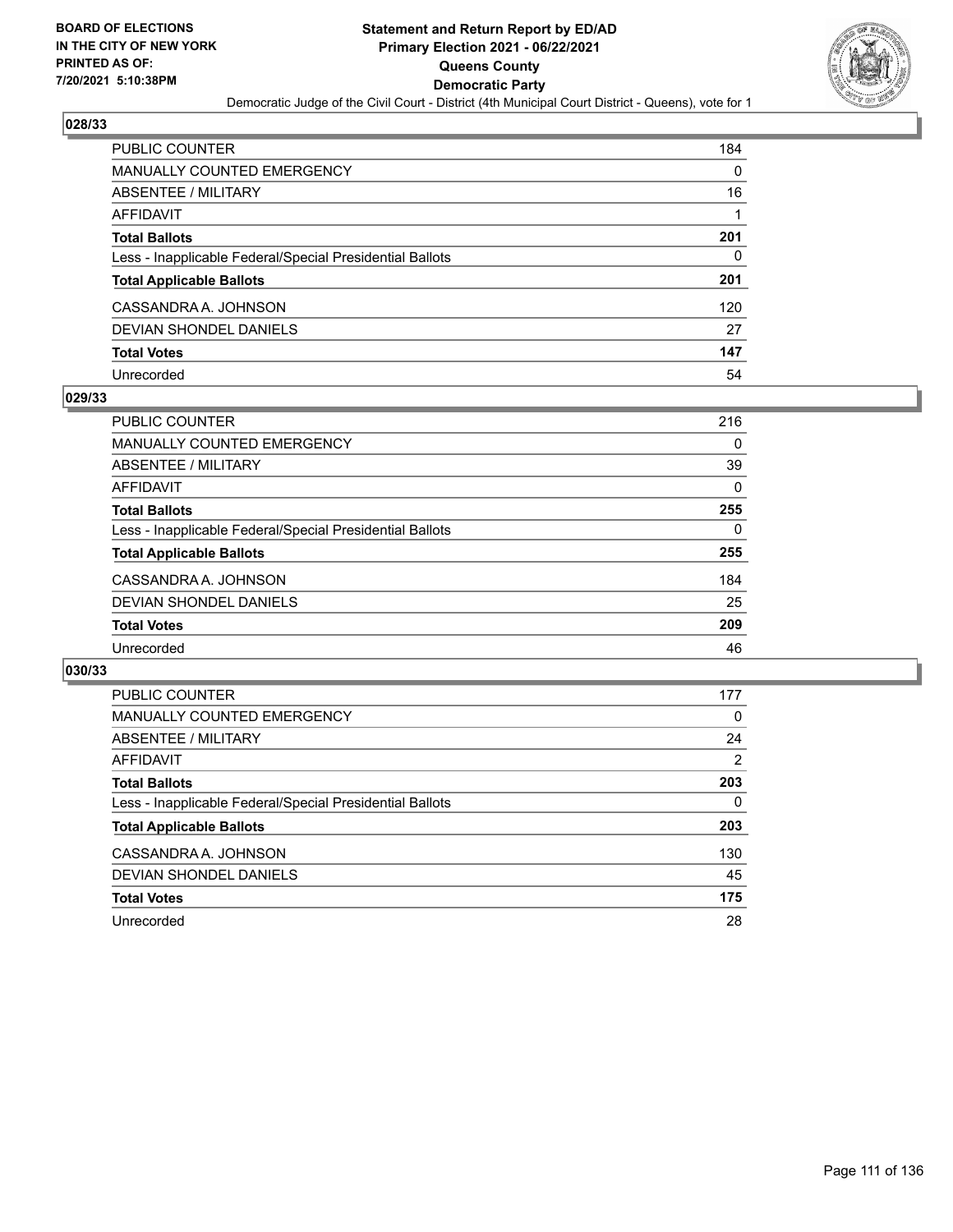

| PUBLIC COUNTER                                           | 184 |
|----------------------------------------------------------|-----|
| <b>MANUALLY COUNTED EMERGENCY</b>                        | 0   |
| ABSENTEE / MILITARY                                      | 16  |
| AFFIDAVIT                                                |     |
| <b>Total Ballots</b>                                     | 201 |
| Less - Inapplicable Federal/Special Presidential Ballots | 0   |
| <b>Total Applicable Ballots</b>                          | 201 |
| CASSANDRA A. JOHNSON                                     | 120 |
| DEVIAN SHONDEL DANIELS                                   | 27  |
| <b>Total Votes</b>                                       | 147 |
| Unrecorded                                               | 54  |

### **029/33**

| PUBLIC COUNTER                                           | 216      |
|----------------------------------------------------------|----------|
| <b>MANUALLY COUNTED EMERGENCY</b>                        | $\Omega$ |
| ABSENTEE / MILITARY                                      | 39       |
| AFFIDAVIT                                                | 0        |
| <b>Total Ballots</b>                                     | 255      |
| Less - Inapplicable Federal/Special Presidential Ballots | 0        |
| <b>Total Applicable Ballots</b>                          | 255      |
| CASSANDRA A. JOHNSON                                     | 184      |
| DEVIAN SHONDEL DANIELS                                   | 25       |
| <b>Total Votes</b>                                       | 209      |
| Unrecorded                                               | 46       |

| <b>PUBLIC COUNTER</b>                                    | 177 |
|----------------------------------------------------------|-----|
| <b>MANUALLY COUNTED EMERGENCY</b>                        | 0   |
| ABSENTEE / MILITARY                                      | 24  |
| <b>AFFIDAVIT</b>                                         | 2   |
| <b>Total Ballots</b>                                     | 203 |
| Less - Inapplicable Federal/Special Presidential Ballots | 0   |
| <b>Total Applicable Ballots</b>                          | 203 |
| CASSANDRA A. JOHNSON                                     | 130 |
| DEVIAN SHONDEL DANIELS                                   | 45  |
| <b>Total Votes</b>                                       | 175 |
| Unrecorded                                               | 28  |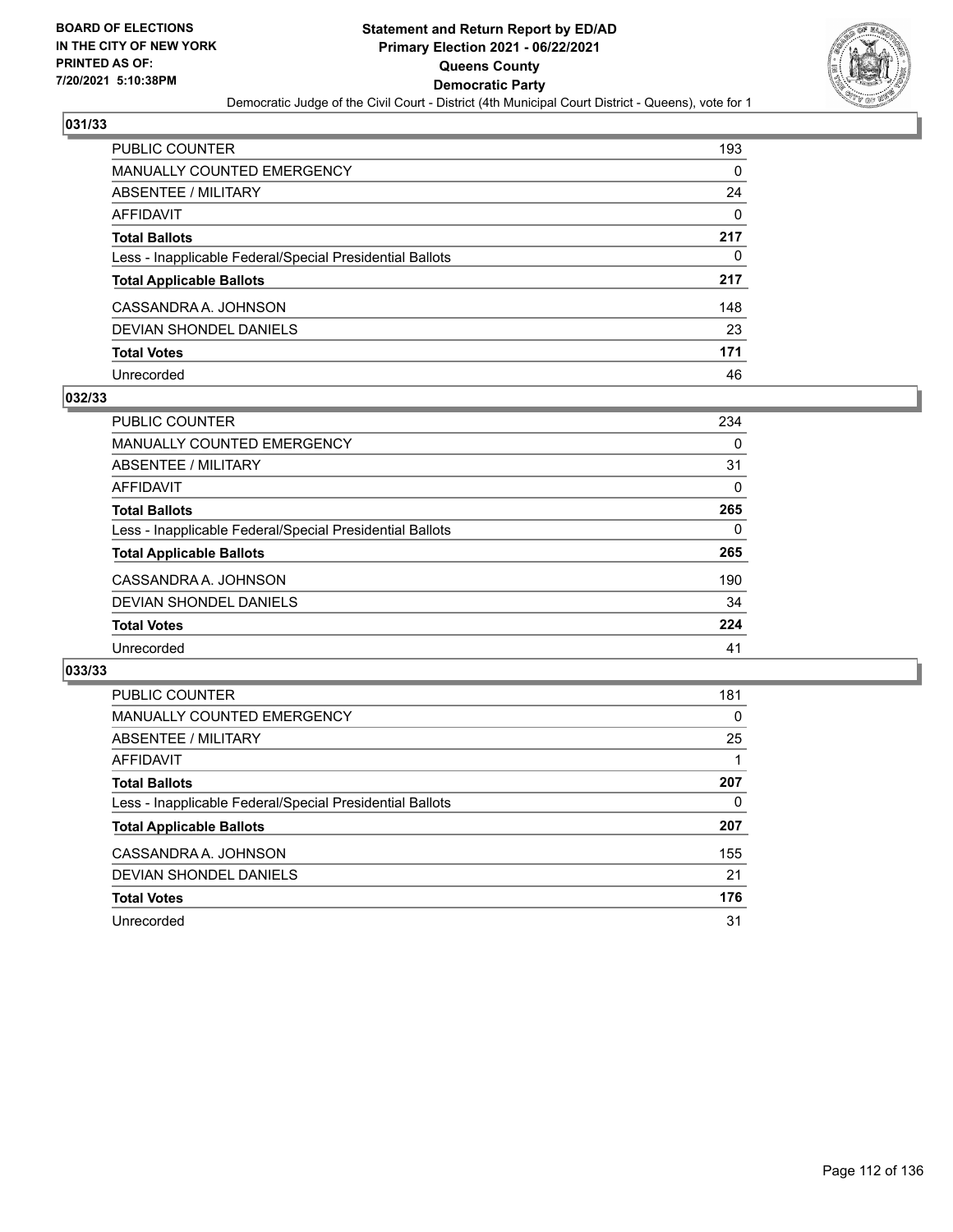

| PUBLIC COUNTER                                           | 193      |
|----------------------------------------------------------|----------|
| <b>MANUALLY COUNTED EMERGENCY</b>                        | $\Omega$ |
| <b>ABSENTEE / MILITARY</b>                               | 24       |
| <b>AFFIDAVIT</b>                                         | $\Omega$ |
| <b>Total Ballots</b>                                     | 217      |
| Less - Inapplicable Federal/Special Presidential Ballots | 0        |
| <b>Total Applicable Ballots</b>                          | 217      |
| CASSANDRA A. JOHNSON                                     | 148      |
| <b>DEVIAN SHONDEL DANIELS</b>                            | 23       |
| <b>Total Votes</b>                                       | 171      |
| Unrecorded                                               | 46       |

### **032/33**

| <b>PUBLIC COUNTER</b>                                    | 234 |
|----------------------------------------------------------|-----|
| MANUALLY COUNTED EMERGENCY                               | 0   |
| ABSENTEE / MILITARY                                      | 31  |
| AFFIDAVIT                                                | 0   |
| <b>Total Ballots</b>                                     | 265 |
| Less - Inapplicable Federal/Special Presidential Ballots | 0   |
| <b>Total Applicable Ballots</b>                          | 265 |
| CASSANDRA A. JOHNSON                                     | 190 |
| DEVIAN SHONDEL DANIELS                                   | 34  |
| <b>Total Votes</b>                                       | 224 |
| Unrecorded                                               | 41  |

| PUBLIC COUNTER                                           | 181 |
|----------------------------------------------------------|-----|
| <b>MANUALLY COUNTED EMERGENCY</b>                        | 0   |
| ABSENTEE / MILITARY                                      | 25  |
| AFFIDAVIT                                                |     |
| <b>Total Ballots</b>                                     | 207 |
| Less - Inapplicable Federal/Special Presidential Ballots | 0   |
| <b>Total Applicable Ballots</b>                          | 207 |
| CASSANDRA A. JOHNSON                                     | 155 |
| DEVIAN SHONDEL DANIELS                                   | 21  |
| <b>Total Votes</b>                                       | 176 |
| Unrecorded                                               | 31  |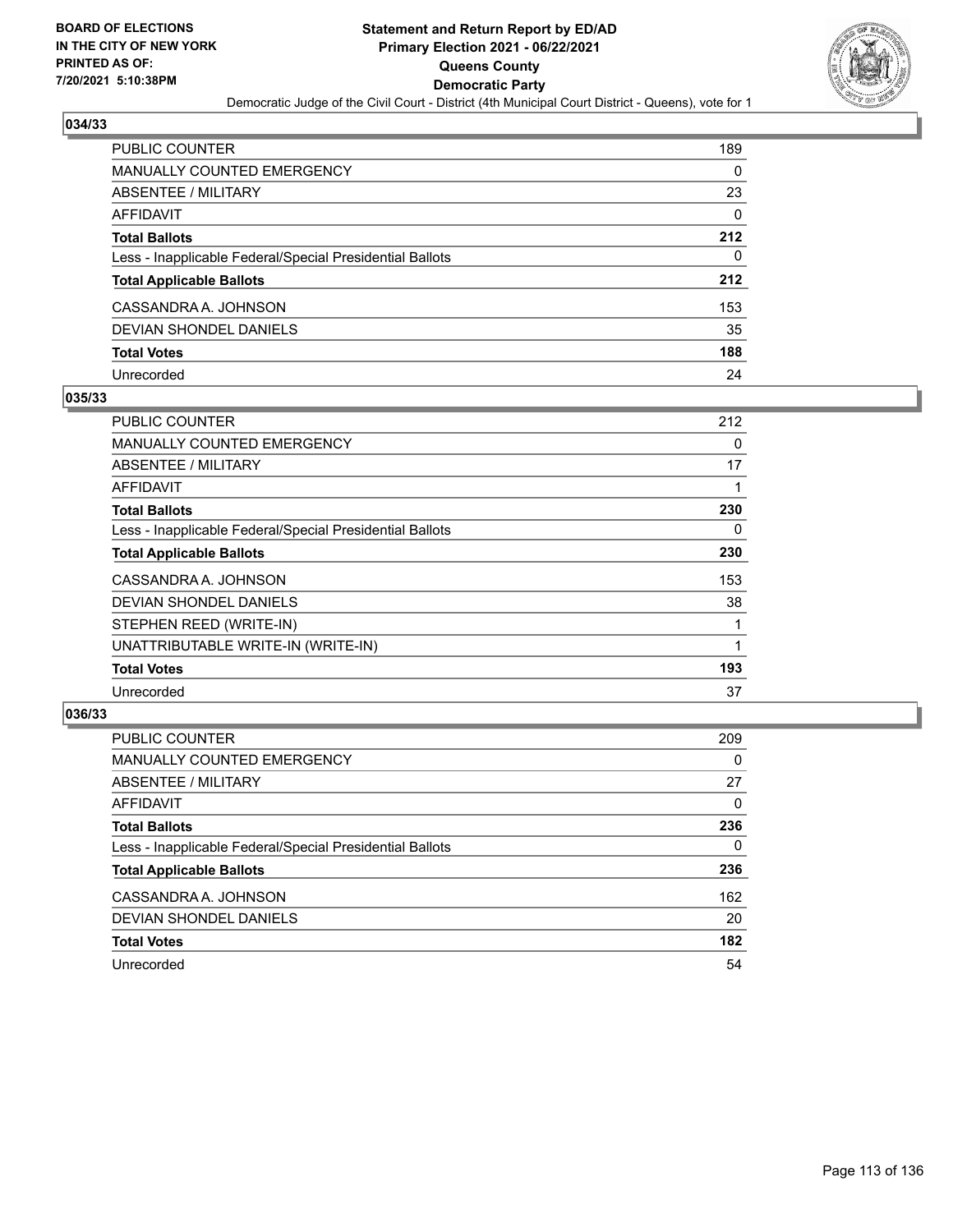

| <b>PUBLIC COUNTER</b>                                    | 189 |
|----------------------------------------------------------|-----|
| <b>MANUALLY COUNTED EMERGENCY</b>                        | 0   |
| ABSENTEE / MILITARY                                      | 23  |
| <b>AFFIDAVIT</b>                                         | 0   |
| <b>Total Ballots</b>                                     | 212 |
| Less - Inapplicable Federal/Special Presidential Ballots | 0   |
| <b>Total Applicable Ballots</b>                          | 212 |
| CASSANDRA A. JOHNSON                                     | 153 |
| DEVIAN SHONDEL DANIELS                                   | 35  |
| <b>Total Votes</b>                                       | 188 |
| Unrecorded                                               | 24  |

### **035/33**

| <b>PUBLIC COUNTER</b>                                    | 212      |
|----------------------------------------------------------|----------|
| <b>MANUALLY COUNTED EMERGENCY</b>                        | $\Omega$ |
| ABSENTEE / MILITARY                                      | 17       |
| AFFIDAVIT                                                |          |
| <b>Total Ballots</b>                                     | 230      |
| Less - Inapplicable Federal/Special Presidential Ballots | 0        |
| <b>Total Applicable Ballots</b>                          | 230      |
| CASSANDRA A. JOHNSON                                     | 153      |
| <b>DEVIAN SHONDEL DANIELS</b>                            | 38       |
| STEPHEN REED (WRITE-IN)                                  |          |
| UNATTRIBUTABLE WRITE-IN (WRITE-IN)                       |          |
| <b>Total Votes</b>                                       | 193      |
| Unrecorded                                               | 37       |

| <b>PUBLIC COUNTER</b>                                    | 209 |
|----------------------------------------------------------|-----|
| MANUALLY COUNTED EMERGENCY                               | 0   |
| ABSENTEE / MILITARY                                      | 27  |
| AFFIDAVIT                                                | 0   |
| <b>Total Ballots</b>                                     | 236 |
| Less - Inapplicable Federal/Special Presidential Ballots | 0   |
| <b>Total Applicable Ballots</b>                          | 236 |
| CASSANDRA A. JOHNSON                                     | 162 |
| DEVIAN SHONDEL DANIELS                                   | 20  |
| <b>Total Votes</b>                                       | 182 |
| Unrecorded                                               | 54  |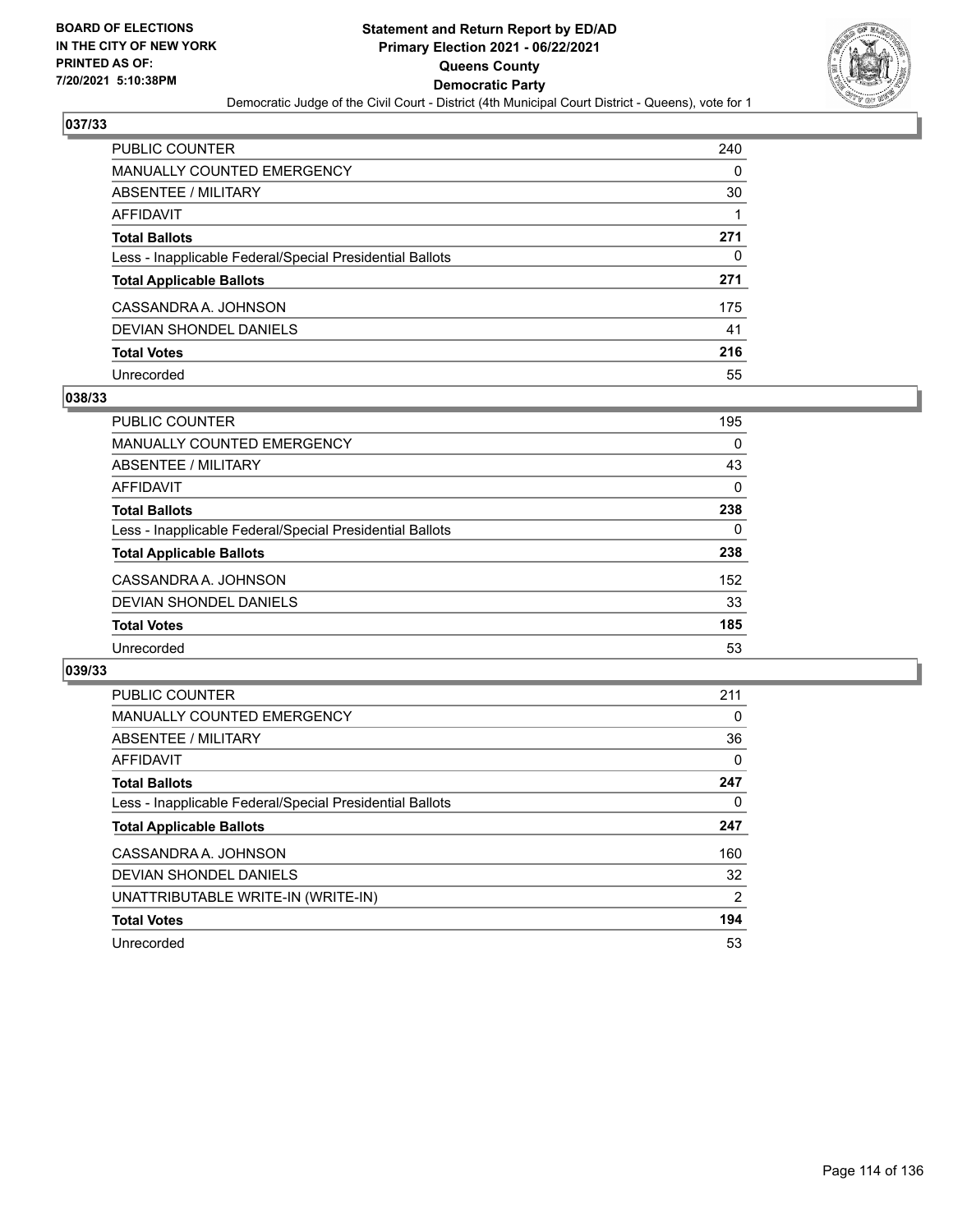

| <b>PUBLIC COUNTER</b>                                    | 240 |
|----------------------------------------------------------|-----|
| <b>MANUALLY COUNTED EMERGENCY</b>                        | 0   |
| ABSENTEE / MILITARY                                      | 30  |
| <b>AFFIDAVIT</b>                                         |     |
| <b>Total Ballots</b>                                     | 271 |
| Less - Inapplicable Federal/Special Presidential Ballots | 0   |
| <b>Total Applicable Ballots</b>                          | 271 |
| CASSANDRA A. JOHNSON                                     | 175 |
| DEVIAN SHONDEL DANIELS                                   | 41  |
| <b>Total Votes</b>                                       | 216 |
| Unrecorded                                               | 55  |

### **038/33**

| PUBLIC COUNTER                                           | 195 |
|----------------------------------------------------------|-----|
| MANUALLY COUNTED EMERGENCY                               | 0   |
| ABSENTEE / MILITARY                                      | 43  |
| AFFIDAVIT                                                | 0   |
| <b>Total Ballots</b>                                     | 238 |
| Less - Inapplicable Federal/Special Presidential Ballots | 0   |
| <b>Total Applicable Ballots</b>                          | 238 |
| CASSANDRA A. JOHNSON                                     | 152 |
| DEVIAN SHONDEL DANIELS                                   | 33  |
| <b>Total Votes</b>                                       | 185 |
| Unrecorded                                               | 53  |

| PUBLIC COUNTER                                           | 211 |
|----------------------------------------------------------|-----|
| <b>MANUALLY COUNTED EMERGENCY</b>                        | 0   |
| ABSENTEE / MILITARY                                      | 36  |
| AFFIDAVIT                                                | 0   |
| <b>Total Ballots</b>                                     | 247 |
| Less - Inapplicable Federal/Special Presidential Ballots | 0   |
| <b>Total Applicable Ballots</b>                          | 247 |
| CASSANDRA A. JOHNSON                                     | 160 |
| DEVIAN SHONDEL DANIELS                                   | 32  |
| UNATTRIBUTABLE WRITE-IN (WRITE-IN)                       | 2   |
| <b>Total Votes</b>                                       | 194 |
| Unrecorded                                               | 53  |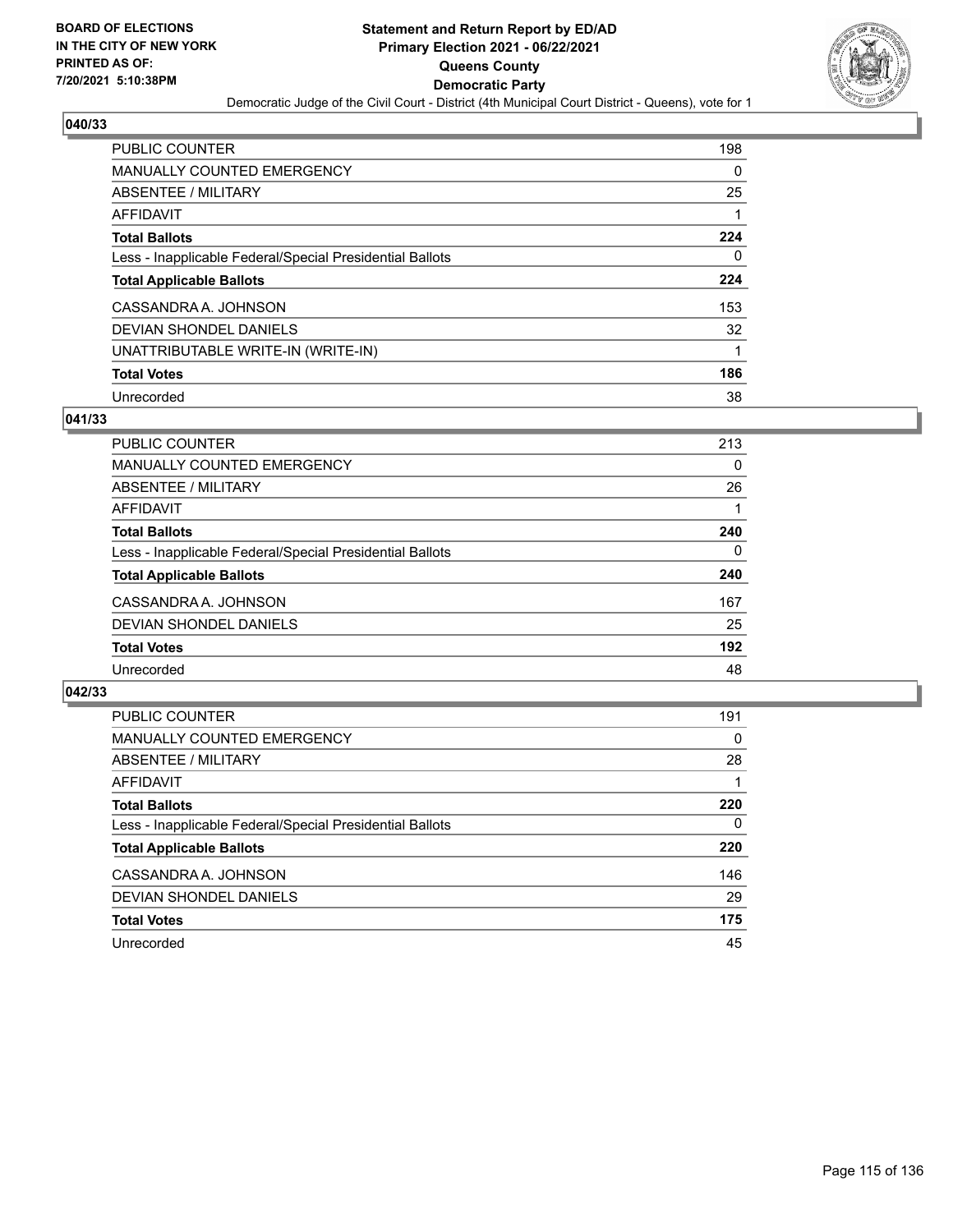

| <b>PUBLIC COUNTER</b>                                    | 198 |
|----------------------------------------------------------|-----|
| <b>MANUALLY COUNTED EMERGENCY</b>                        | 0   |
| ABSENTEE / MILITARY                                      | 25  |
| AFFIDAVIT                                                |     |
| <b>Total Ballots</b>                                     | 224 |
| Less - Inapplicable Federal/Special Presidential Ballots | 0   |
| <b>Total Applicable Ballots</b>                          | 224 |
| CASSANDRA A. JOHNSON                                     | 153 |
| DEVIAN SHONDEL DANIELS                                   | 32  |
| UNATTRIBUTABLE WRITE-IN (WRITE-IN)                       |     |
| <b>Total Votes</b>                                       | 186 |
| Unrecorded                                               | 38  |

#### **041/33**

| <b>PUBLIC COUNTER</b>                                    | 213      |
|----------------------------------------------------------|----------|
| MANUALLY COUNTED EMERGENCY                               | $\Omega$ |
| ABSENTEE / MILITARY                                      | 26       |
| AFFIDAVIT                                                |          |
| <b>Total Ballots</b>                                     | 240      |
| Less - Inapplicable Federal/Special Presidential Ballots | $\Omega$ |
| <b>Total Applicable Ballots</b>                          | 240      |
| CASSANDRA A. JOHNSON                                     | 167      |
| DEVIAN SHONDEL DANIELS                                   | 25       |
| <b>Total Votes</b>                                       | 192      |
| Unrecorded                                               | 48       |

| <b>PUBLIC COUNTER</b>                                    | 191      |
|----------------------------------------------------------|----------|
| <b>MANUALLY COUNTED EMERGENCY</b>                        | $\Omega$ |
| ABSENTEE / MILITARY                                      | 28       |
| AFFIDAVIT                                                |          |
| <b>Total Ballots</b>                                     | 220      |
| Less - Inapplicable Federal/Special Presidential Ballots | $\Omega$ |
| <b>Total Applicable Ballots</b>                          | 220      |
| CASSANDRA A. JOHNSON                                     | 146      |
| DEVIAN SHONDEL DANIELS                                   | 29       |
| <b>Total Votes</b>                                       | 175      |
| Unrecorded                                               | 45       |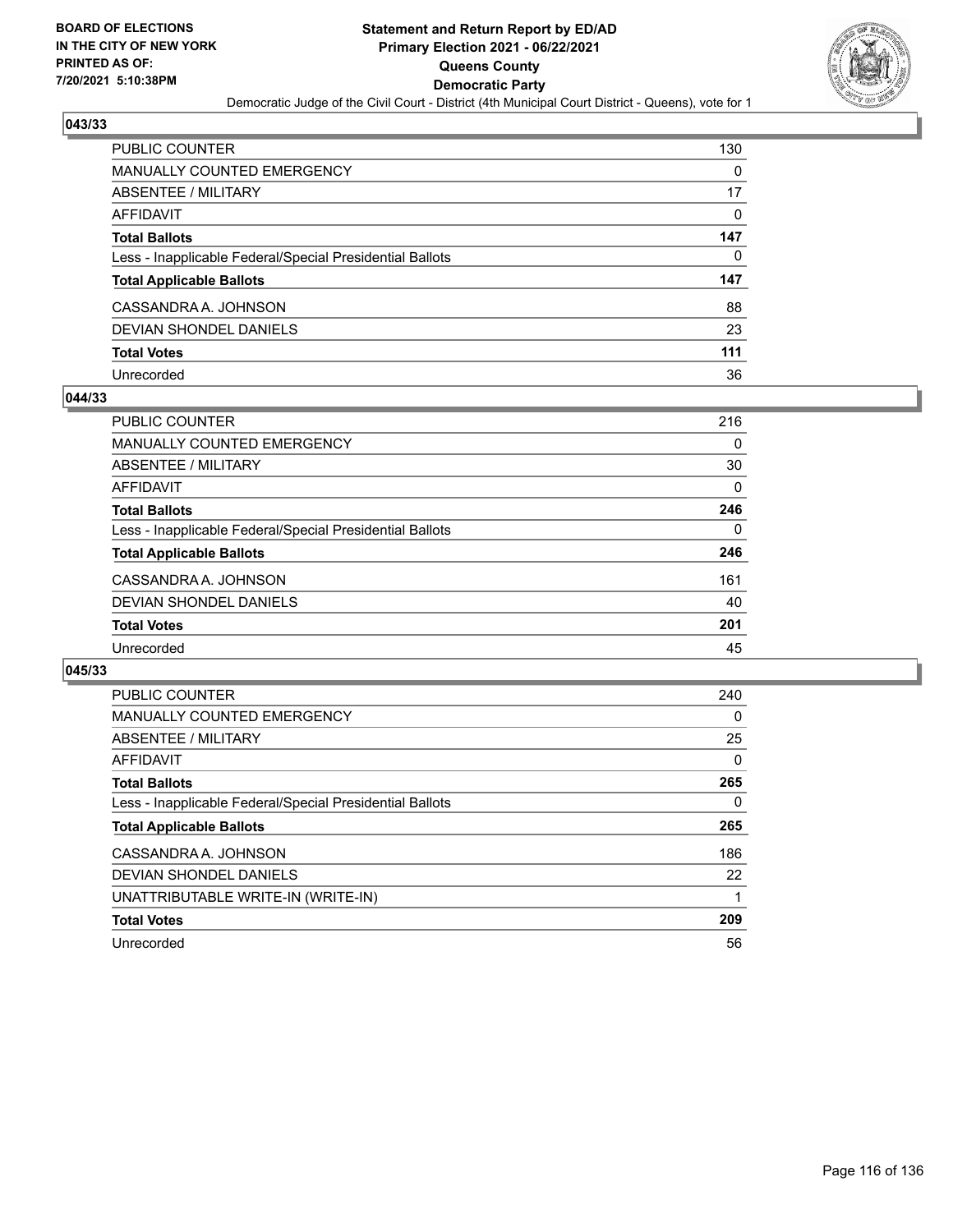

| PUBLIC COUNTER                                           | 130      |
|----------------------------------------------------------|----------|
| <b>MANUALLY COUNTED EMERGENCY</b>                        | 0        |
| <b>ABSENTEE / MILITARY</b>                               | 17       |
| <b>AFFIDAVIT</b>                                         | $\Omega$ |
| <b>Total Ballots</b>                                     | 147      |
| Less - Inapplicable Federal/Special Presidential Ballots | 0        |
| <b>Total Applicable Ballots</b>                          | 147      |
| CASSANDRA A. JOHNSON                                     | 88       |
| <b>DEVIAN SHONDEL DANIELS</b>                            | 23       |
| <b>Total Votes</b>                                       | 111      |
| Unrecorded                                               | 36       |

### **044/33**

| PUBLIC COUNTER                                           | 216      |
|----------------------------------------------------------|----------|
| MANUALLY COUNTED EMERGENCY                               | $\Omega$ |
| ABSENTEE / MILITARY                                      | 30       |
| AFFIDAVIT                                                | 0        |
| <b>Total Ballots</b>                                     | 246      |
| Less - Inapplicable Federal/Special Presidential Ballots | 0        |
| <b>Total Applicable Ballots</b>                          | 246      |
| CASSANDRA A. JOHNSON                                     | 161      |
| DEVIAN SHONDEL DANIELS                                   | 40       |
| <b>Total Votes</b>                                       | 201      |
| Unrecorded                                               | 45       |

| PUBLIC COUNTER                                           | 240      |
|----------------------------------------------------------|----------|
| <b>MANUALLY COUNTED EMERGENCY</b>                        | 0        |
| ABSENTEE / MILITARY                                      | 25       |
| AFFIDAVIT                                                | 0        |
| <b>Total Ballots</b>                                     | 265      |
| Less - Inapplicable Federal/Special Presidential Ballots | $\Omega$ |
| <b>Total Applicable Ballots</b>                          | 265      |
| CASSANDRA A. JOHNSON                                     | 186      |
| DEVIAN SHONDEL DANIELS                                   | 22       |
| UNATTRIBUTABLE WRITE-IN (WRITE-IN)                       |          |
| <b>Total Votes</b>                                       | 209      |
| Unrecorded                                               | 56       |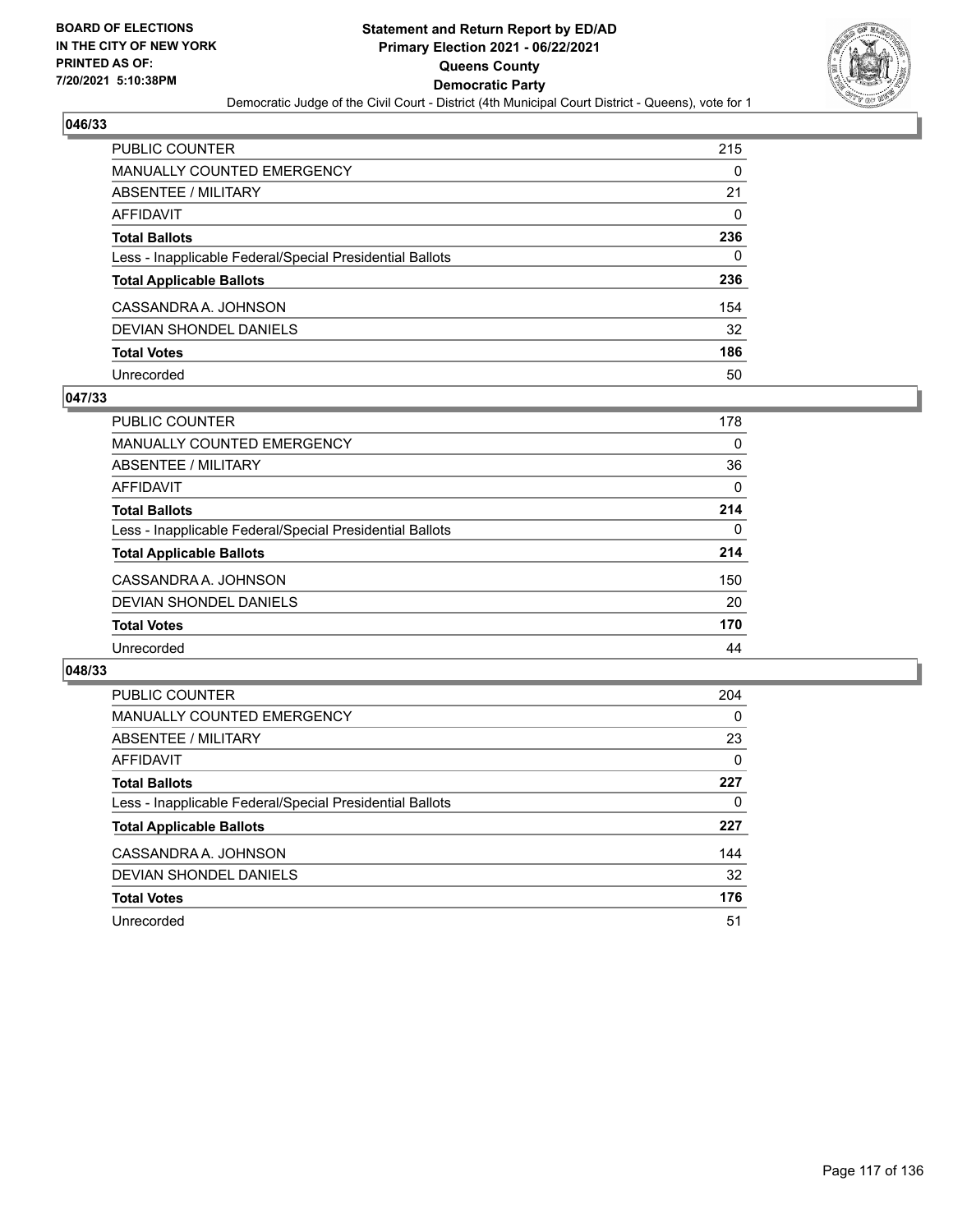

| PUBLIC COUNTER                                           | 215      |
|----------------------------------------------------------|----------|
| <b>MANUALLY COUNTED EMERGENCY</b>                        | 0        |
| <b>ABSENTEE / MILITARY</b>                               | 21       |
| <b>AFFIDAVIT</b>                                         | $\Omega$ |
| <b>Total Ballots</b>                                     | 236      |
| Less - Inapplicable Federal/Special Presidential Ballots | $\Omega$ |
| <b>Total Applicable Ballots</b>                          | 236      |
| CASSANDRA A. JOHNSON                                     | 154      |
| <b>DEVIAN SHONDEL DANIELS</b>                            | 32       |
| <b>Total Votes</b>                                       | 186      |
| Unrecorded                                               | 50       |

### **047/33**

| PUBLIC COUNTER                                           | 178      |
|----------------------------------------------------------|----------|
| <b>MANUALLY COUNTED EMERGENCY</b>                        | 0        |
| ABSENTEE / MILITARY                                      | 36       |
| AFFIDAVIT                                                | $\Omega$ |
| <b>Total Ballots</b>                                     | 214      |
| Less - Inapplicable Federal/Special Presidential Ballots | $\Omega$ |
| <b>Total Applicable Ballots</b>                          | 214      |
| CASSANDRA A. JOHNSON                                     | 150      |
| DEVIAN SHONDEL DANIELS                                   | 20       |
| <b>Total Votes</b>                                       | 170      |
| Unrecorded                                               | 44       |

| <b>PUBLIC COUNTER</b>                                    | 204      |
|----------------------------------------------------------|----------|
| <b>MANUALLY COUNTED EMERGENCY</b>                        | $\Omega$ |
| ABSENTEE / MILITARY                                      | 23       |
| <b>AFFIDAVIT</b>                                         | 0        |
| <b>Total Ballots</b>                                     | 227      |
| Less - Inapplicable Federal/Special Presidential Ballots | 0        |
| <b>Total Applicable Ballots</b>                          | 227      |
| CASSANDRA A. JOHNSON                                     | 144      |
| DEVIAN SHONDEL DANIELS                                   | 32       |
| <b>Total Votes</b>                                       | 176      |
| Unrecorded                                               | 51       |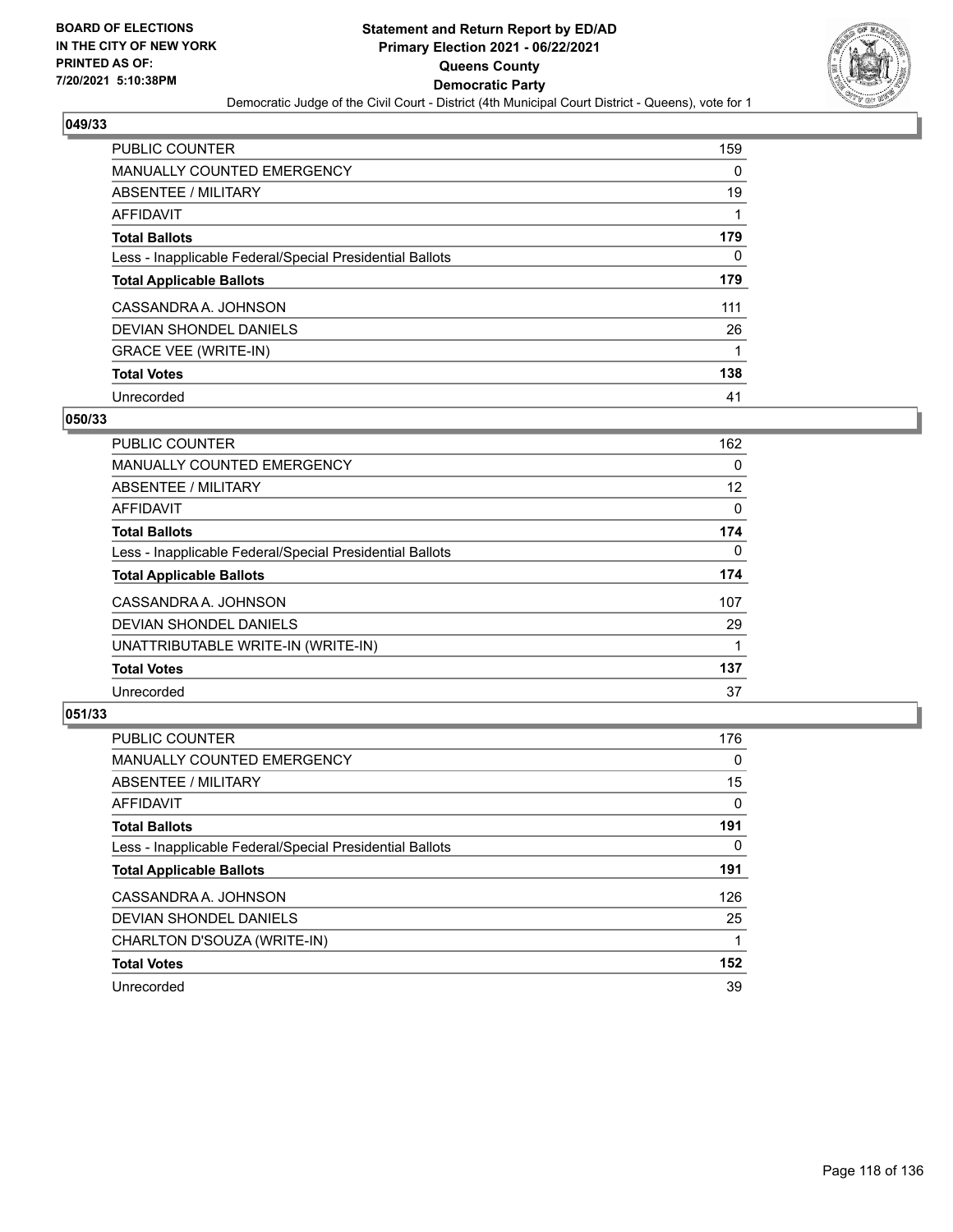

| <b>PUBLIC COUNTER</b>                                    | 159 |
|----------------------------------------------------------|-----|
| <b>MANUALLY COUNTED EMERGENCY</b>                        | 0   |
| ABSENTEE / MILITARY                                      | 19  |
| AFFIDAVIT                                                |     |
| <b>Total Ballots</b>                                     | 179 |
| Less - Inapplicable Federal/Special Presidential Ballots | 0   |
| <b>Total Applicable Ballots</b>                          | 179 |
| CASSANDRA A. JOHNSON                                     | 111 |
| DEVIAN SHONDEL DANIELS                                   | 26  |
| <b>GRACE VEE (WRITE-IN)</b>                              | 1   |
| <b>Total Votes</b>                                       | 138 |
| Unrecorded                                               | 41  |

#### **050/33**

| <b>PUBLIC COUNTER</b>                                    | 162      |
|----------------------------------------------------------|----------|
| <b>MANUALLY COUNTED EMERGENCY</b>                        | 0        |
| ABSENTEE / MILITARY                                      | 12       |
| <b>AFFIDAVIT</b>                                         | $\Omega$ |
| <b>Total Ballots</b>                                     | 174      |
| Less - Inapplicable Federal/Special Presidential Ballots | $\Omega$ |
| <b>Total Applicable Ballots</b>                          | 174      |
| CASSANDRA A. JOHNSON                                     | 107      |
| <b>DEVIAN SHONDEL DANIELS</b>                            | 29       |
| UNATTRIBUTABLE WRITE-IN (WRITE-IN)                       |          |
| <b>Total Votes</b>                                       | 137      |
| Unrecorded                                               | 37       |

| <b>PUBLIC COUNTER</b>                                    | 176      |
|----------------------------------------------------------|----------|
| <b>MANUALLY COUNTED EMERGENCY</b>                        | $\Omega$ |
| ABSENTEE / MILITARY                                      | 15       |
| <b>AFFIDAVIT</b>                                         | $\Omega$ |
| <b>Total Ballots</b>                                     | 191      |
| Less - Inapplicable Federal/Special Presidential Ballots | $\Omega$ |
| <b>Total Applicable Ballots</b>                          | 191      |
| CASSANDRA A. JOHNSON                                     | 126      |
| DEVIAN SHONDEL DANIELS                                   | 25       |
| CHARLTON D'SOUZA (WRITE-IN)                              |          |
| <b>Total Votes</b>                                       | 152      |
| Unrecorded                                               | 39       |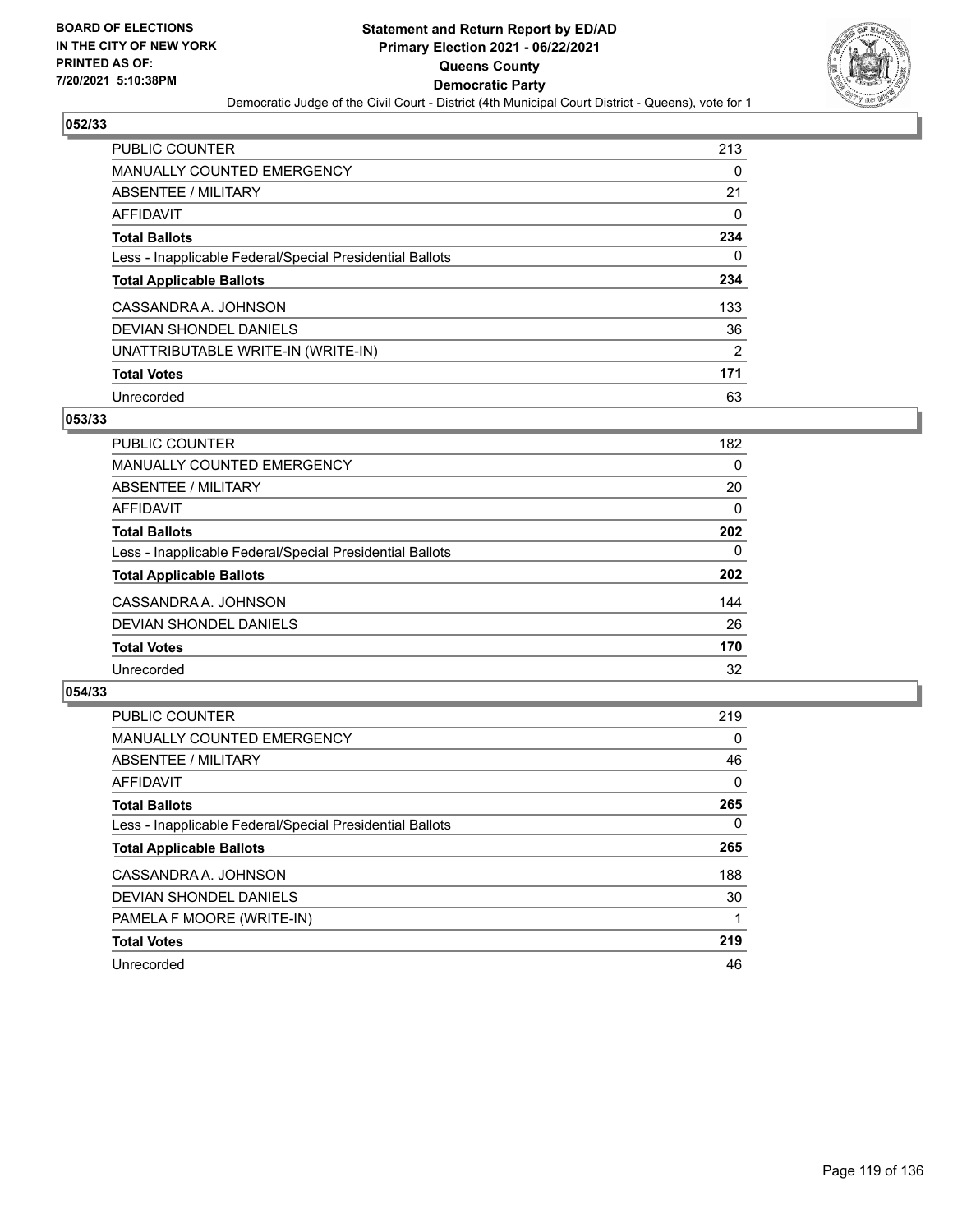

| <b>PUBLIC COUNTER</b>                                    | 213            |
|----------------------------------------------------------|----------------|
| <b>MANUALLY COUNTED EMERGENCY</b>                        | 0              |
| ABSENTEE / MILITARY                                      | 21             |
| AFFIDAVIT                                                | 0              |
| <b>Total Ballots</b>                                     | 234            |
| Less - Inapplicable Federal/Special Presidential Ballots | 0              |
| <b>Total Applicable Ballots</b>                          | 234            |
| CASSANDRA A. JOHNSON                                     | 133            |
| DEVIAN SHONDEL DANIELS                                   | 36             |
| UNATTRIBUTABLE WRITE-IN (WRITE-IN)                       | $\overline{2}$ |
| <b>Total Votes</b>                                       | 171            |
| Unrecorded                                               | 63             |

#### **053/33**

| <b>PUBLIC COUNTER</b>                                    | 182      |
|----------------------------------------------------------|----------|
| <b>MANUALLY COUNTED EMERGENCY</b>                        | $\Omega$ |
| ABSENTEE / MILITARY                                      | 20       |
| AFFIDAVIT                                                | 0        |
| <b>Total Ballots</b>                                     | 202      |
| Less - Inapplicable Federal/Special Presidential Ballots | $\Omega$ |
| <b>Total Applicable Ballots</b>                          | 202      |
| CASSANDRA A. JOHNSON                                     | 144      |
| DEVIAN SHONDEL DANIELS                                   | 26       |
| <b>Total Votes</b>                                       | 170      |
| Unrecorded                                               | 32       |

| <b>PUBLIC COUNTER</b>                                    | 219      |
|----------------------------------------------------------|----------|
| MANUALLY COUNTED EMERGENCY                               | 0        |
| ABSENTEE / MILITARY                                      | 46       |
| <b>AFFIDAVIT</b>                                         | $\Omega$ |
| <b>Total Ballots</b>                                     | 265      |
| Less - Inapplicable Federal/Special Presidential Ballots | $\Omega$ |
| <b>Total Applicable Ballots</b>                          | 265      |
| CASSANDRA A. JOHNSON                                     | 188      |
| DEVIAN SHONDEL DANIELS                                   | 30       |
| PAMELA F MOORE (WRITE-IN)                                |          |
| <b>Total Votes</b>                                       | 219      |
| Unrecorded                                               | 46       |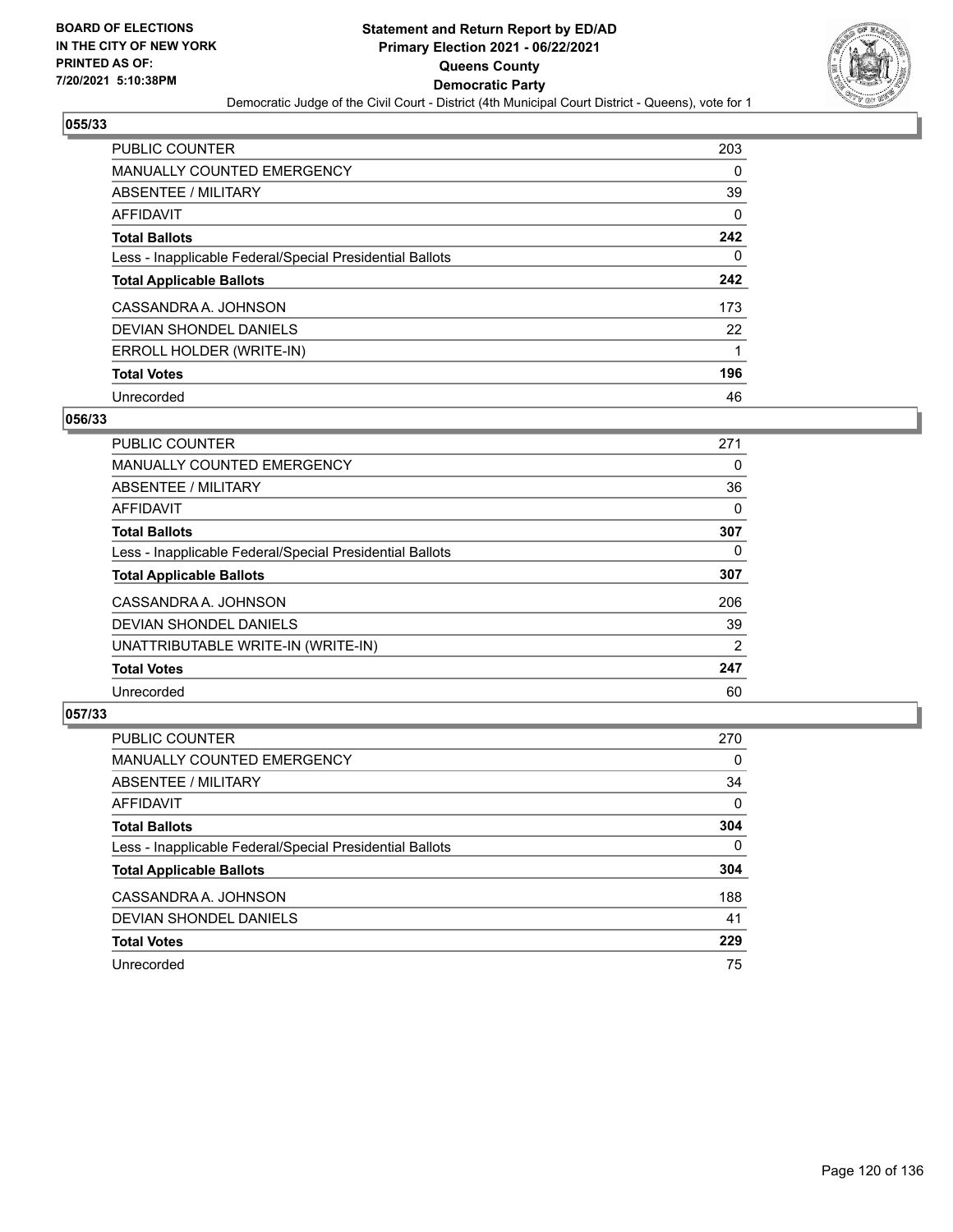

| <b>PUBLIC COUNTER</b>                                    | 203 |
|----------------------------------------------------------|-----|
| <b>MANUALLY COUNTED EMERGENCY</b>                        | 0   |
| ABSENTEE / MILITARY                                      | 39  |
| AFFIDAVIT                                                | 0   |
| <b>Total Ballots</b>                                     | 242 |
| Less - Inapplicable Federal/Special Presidential Ballots | 0   |
| <b>Total Applicable Ballots</b>                          | 242 |
| CASSANDRA A. JOHNSON                                     | 173 |
| DEVIAN SHONDEL DANIELS                                   | 22  |
| ERROLL HOLDER (WRITE-IN)                                 | 1   |
| <b>Total Votes</b>                                       | 196 |
| Unrecorded                                               | 46  |

#### **056/33**

| <b>PUBLIC COUNTER</b>                                    | 271      |
|----------------------------------------------------------|----------|
| <b>MANUALLY COUNTED EMERGENCY</b>                        | 0        |
| ABSENTEE / MILITARY                                      | 36       |
| <b>AFFIDAVIT</b>                                         | 0        |
| <b>Total Ballots</b>                                     | 307      |
| Less - Inapplicable Federal/Special Presidential Ballots | $\Omega$ |
| <b>Total Applicable Ballots</b>                          | 307      |
| CASSANDRA A. JOHNSON                                     | 206      |
| DEVIAN SHONDEL DANIELS                                   | 39       |
| UNATTRIBUTABLE WRITE-IN (WRITE-IN)                       | 2        |
| <b>Total Votes</b>                                       | 247      |
| Unrecorded                                               | 60       |

| <b>PUBLIC COUNTER</b>                                    | 270      |
|----------------------------------------------------------|----------|
| <b>MANUALLY COUNTED EMERGENCY</b>                        | $\Omega$ |
| ABSENTEE / MILITARY                                      | 34       |
| AFFIDAVIT                                                | $\Omega$ |
| <b>Total Ballots</b>                                     | 304      |
| Less - Inapplicable Federal/Special Presidential Ballots | $\Omega$ |
| <b>Total Applicable Ballots</b>                          | 304      |
| CASSANDRA A. JOHNSON                                     | 188      |
| DEVIAN SHONDEL DANIELS                                   | 41       |
| <b>Total Votes</b>                                       | 229      |
| Unrecorded                                               | 75       |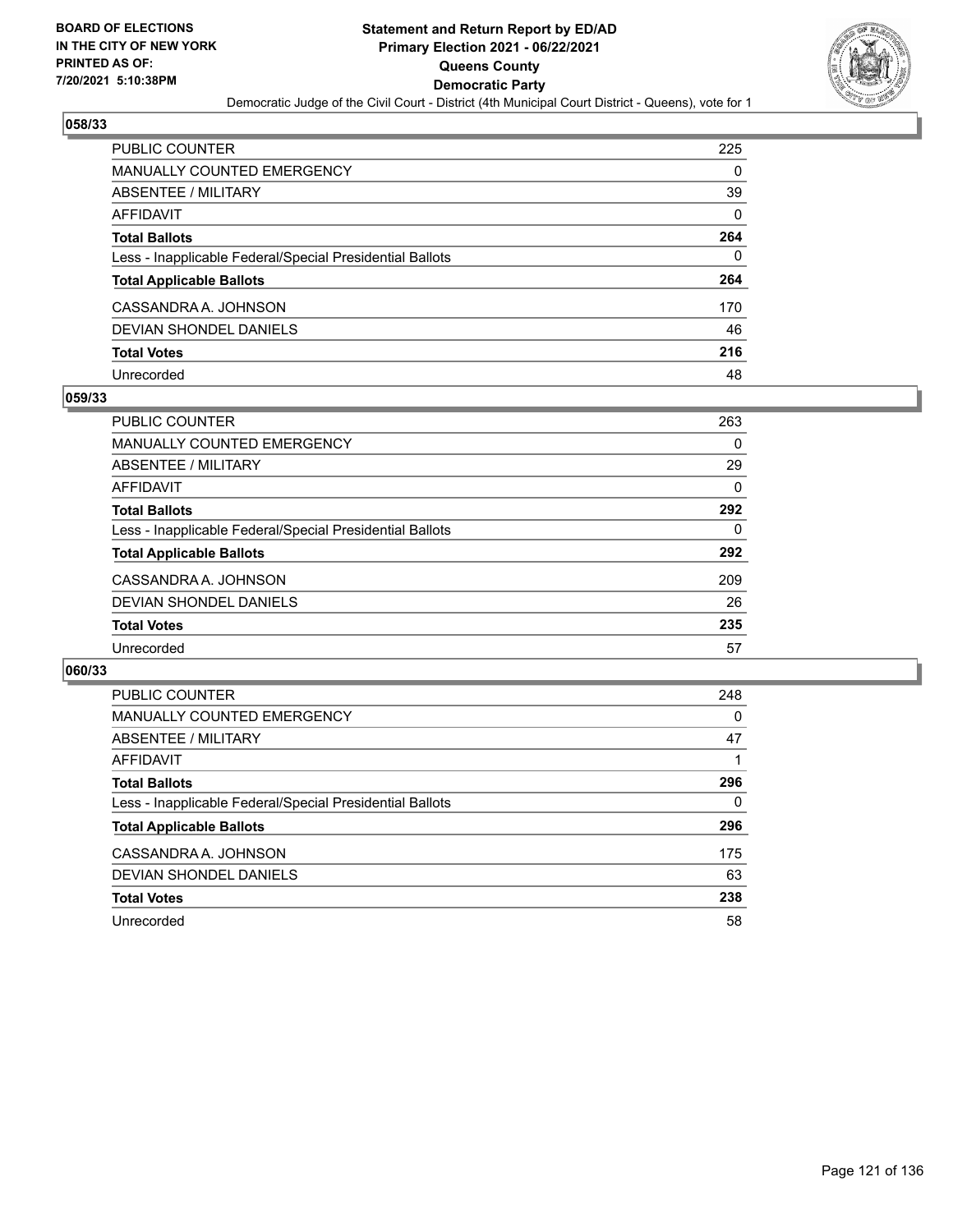

| <b>PUBLIC COUNTER</b>                                    | 225      |
|----------------------------------------------------------|----------|
| <b>MANUALLY COUNTED EMERGENCY</b>                        | 0        |
| ABSENTEE / MILITARY                                      | 39       |
| AFFIDAVIT                                                | $\Omega$ |
| <b>Total Ballots</b>                                     | 264      |
| Less - Inapplicable Federal/Special Presidential Ballots | 0        |
| <b>Total Applicable Ballots</b>                          | 264      |
| CASSANDRA A. JOHNSON                                     | 170      |
| DEVIAN SHONDEL DANIELS                                   | 46       |
| <b>Total Votes</b>                                       | 216      |
| Unrecorded                                               | 48       |

### **059/33**

| PUBLIC COUNTER                                           | 263 |
|----------------------------------------------------------|-----|
| <b>MANUALLY COUNTED EMERGENCY</b>                        | 0   |
| ABSENTEE / MILITARY                                      | 29  |
| AFFIDAVIT                                                | 0   |
| <b>Total Ballots</b>                                     | 292 |
| Less - Inapplicable Federal/Special Presidential Ballots | 0   |
| <b>Total Applicable Ballots</b>                          | 292 |
| CASSANDRA A. JOHNSON                                     | 209 |
| <b>DEVIAN SHONDEL DANIELS</b>                            | 26  |
| <b>Total Votes</b>                                       | 235 |
| Unrecorded                                               | 57  |

| PUBLIC COUNTER                                           | 248 |
|----------------------------------------------------------|-----|
| <b>MANUALLY COUNTED EMERGENCY</b>                        | 0   |
| ABSENTEE / MILITARY                                      | 47  |
| AFFIDAVIT                                                |     |
| <b>Total Ballots</b>                                     | 296 |
| Less - Inapplicable Federal/Special Presidential Ballots | 0   |
| <b>Total Applicable Ballots</b>                          | 296 |
| CASSANDRA A. JOHNSON                                     | 175 |
| DEVIAN SHONDEL DANIELS                                   | 63  |
| <b>Total Votes</b>                                       | 238 |
| Unrecorded                                               | 58  |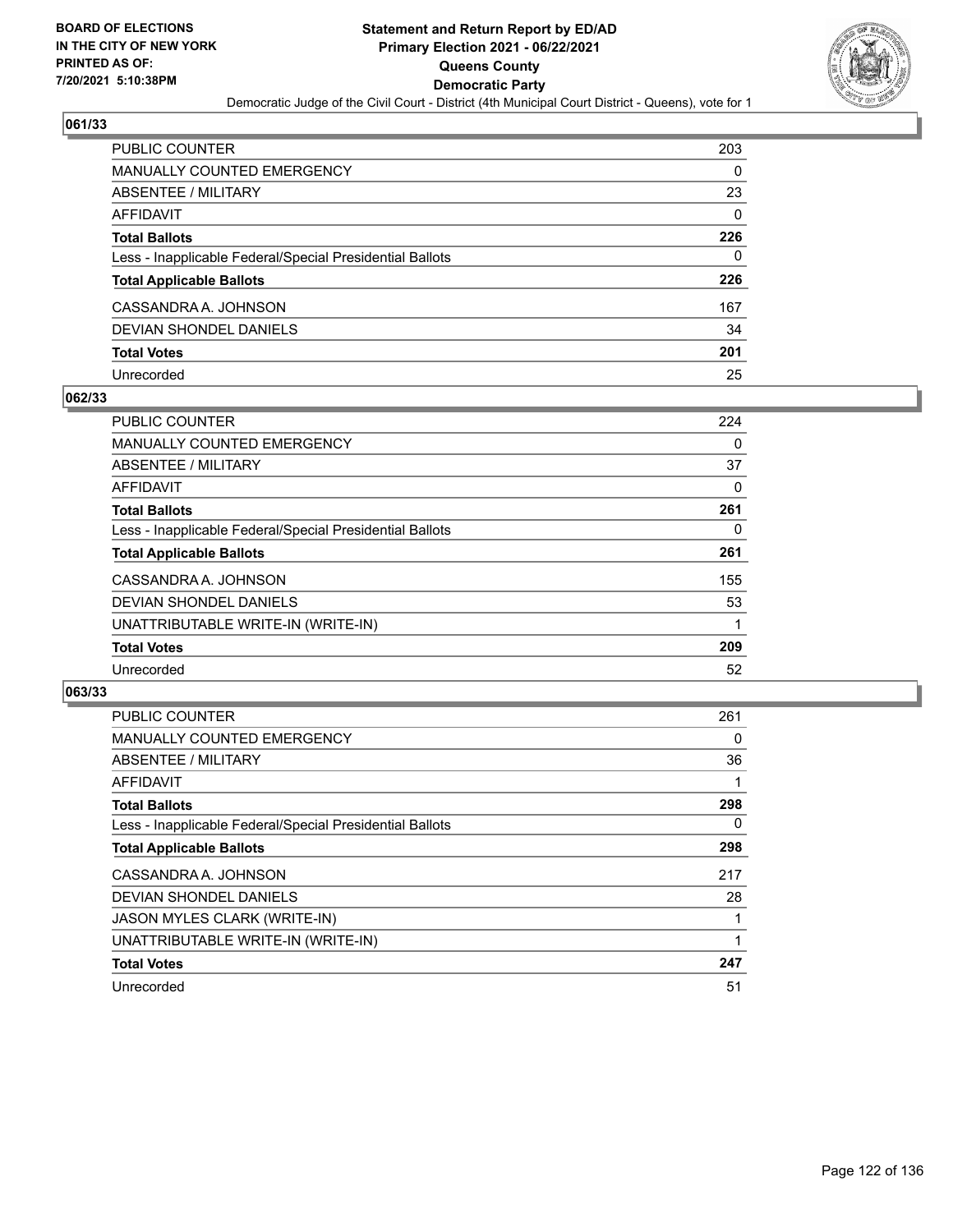

| <b>PUBLIC COUNTER</b>                                    | 203      |
|----------------------------------------------------------|----------|
| <b>MANUALLY COUNTED EMERGENCY</b>                        | 0        |
| ABSENTEE / MILITARY                                      | 23       |
| <b>AFFIDAVIT</b>                                         | $\Omega$ |
| <b>Total Ballots</b>                                     | 226      |
| Less - Inapplicable Federal/Special Presidential Ballots | 0        |
| <b>Total Applicable Ballots</b>                          | 226      |
| CASSANDRA A. JOHNSON                                     | 167      |
| DEVIAN SHONDEL DANIELS                                   | 34       |
| <b>Total Votes</b>                                       | 201      |
| Unrecorded                                               | 25       |

### **062/33**

| <b>PUBLIC COUNTER</b>                                    | 224 |
|----------------------------------------------------------|-----|
| <b>MANUALLY COUNTED EMERGENCY</b>                        | 0   |
| ABSENTEE / MILITARY                                      | 37  |
| AFFIDAVIT                                                | 0   |
| <b>Total Ballots</b>                                     | 261 |
| Less - Inapplicable Federal/Special Presidential Ballots | 0   |
| <b>Total Applicable Ballots</b>                          | 261 |
| CASSANDRA A. JOHNSON                                     | 155 |
| DEVIAN SHONDEL DANIELS                                   | 53  |
| UNATTRIBUTABLE WRITE-IN (WRITE-IN)                       |     |
| <b>Total Votes</b>                                       | 209 |
| Unrecorded                                               | 52  |

| <b>PUBLIC COUNTER</b>                                    | 261 |
|----------------------------------------------------------|-----|
| <b>MANUALLY COUNTED EMERGENCY</b>                        | 0   |
| ABSENTEE / MILITARY                                      | 36  |
| <b>AFFIDAVIT</b>                                         |     |
| <b>Total Ballots</b>                                     | 298 |
| Less - Inapplicable Federal/Special Presidential Ballots | 0   |
| <b>Total Applicable Ballots</b>                          | 298 |
| CASSANDRA A. JOHNSON                                     | 217 |
| <b>DEVIAN SHONDEL DANIELS</b>                            | 28  |
| <b>JASON MYLES CLARK (WRITE-IN)</b>                      |     |
| UNATTRIBUTABLE WRITE-IN (WRITE-IN)                       |     |
| <b>Total Votes</b>                                       | 247 |
| Unrecorded                                               | 51  |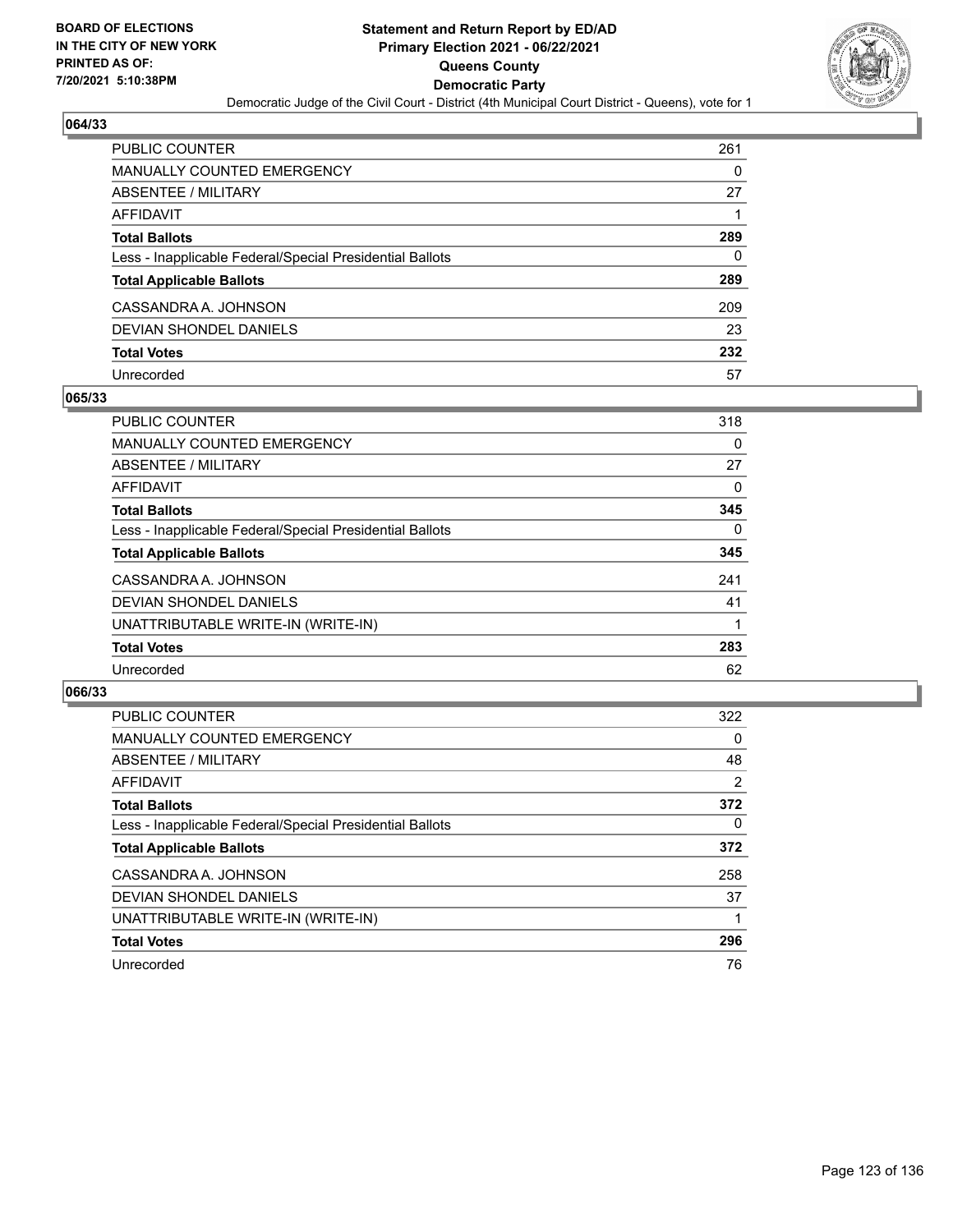

| <b>PUBLIC COUNTER</b>                                    | 261 |
|----------------------------------------------------------|-----|
| <b>MANUALLY COUNTED EMERGENCY</b>                        | 0   |
| ABSENTEE / MILITARY                                      | 27  |
| AFFIDAVIT                                                |     |
| <b>Total Ballots</b>                                     | 289 |
| Less - Inapplicable Federal/Special Presidential Ballots | 0   |
| <b>Total Applicable Ballots</b>                          | 289 |
| CASSANDRA A. JOHNSON                                     | 209 |
| DEVIAN SHONDEL DANIELS                                   | 23  |
| <b>Total Votes</b>                                       | 232 |
| Unrecorded                                               | 57  |

### **065/33**

| <b>PUBLIC COUNTER</b>                                    | 318      |
|----------------------------------------------------------|----------|
| <b>MANUALLY COUNTED EMERGENCY</b>                        | 0        |
| ABSENTEE / MILITARY                                      | 27       |
| AFFIDAVIT                                                | 0        |
| <b>Total Ballots</b>                                     | 345      |
| Less - Inapplicable Federal/Special Presidential Ballots | $\Omega$ |
| <b>Total Applicable Ballots</b>                          | 345      |
| CASSANDRA A. JOHNSON                                     | 241      |
| DEVIAN SHONDEL DANIELS                                   | 41       |
| UNATTRIBUTABLE WRITE-IN (WRITE-IN)                       |          |
| <b>Total Votes</b>                                       | 283      |
| Unrecorded                                               | 62       |

| <b>PUBLIC COUNTER</b>                                    | 322      |
|----------------------------------------------------------|----------|
| <b>MANUALLY COUNTED EMERGENCY</b>                        | $\Omega$ |
| ABSENTEE / MILITARY                                      | 48       |
| AFFIDAVIT                                                | 2        |
| <b>Total Ballots</b>                                     | 372      |
| Less - Inapplicable Federal/Special Presidential Ballots | $\Omega$ |
| <b>Total Applicable Ballots</b>                          | 372      |
| CASSANDRA A. JOHNSON                                     | 258      |
| <b>DEVIAN SHONDEL DANIELS</b>                            | 37       |
| UNATTRIBUTABLE WRITE-IN (WRITE-IN)                       |          |
| <b>Total Votes</b>                                       | 296      |
| Unrecorded                                               | 76       |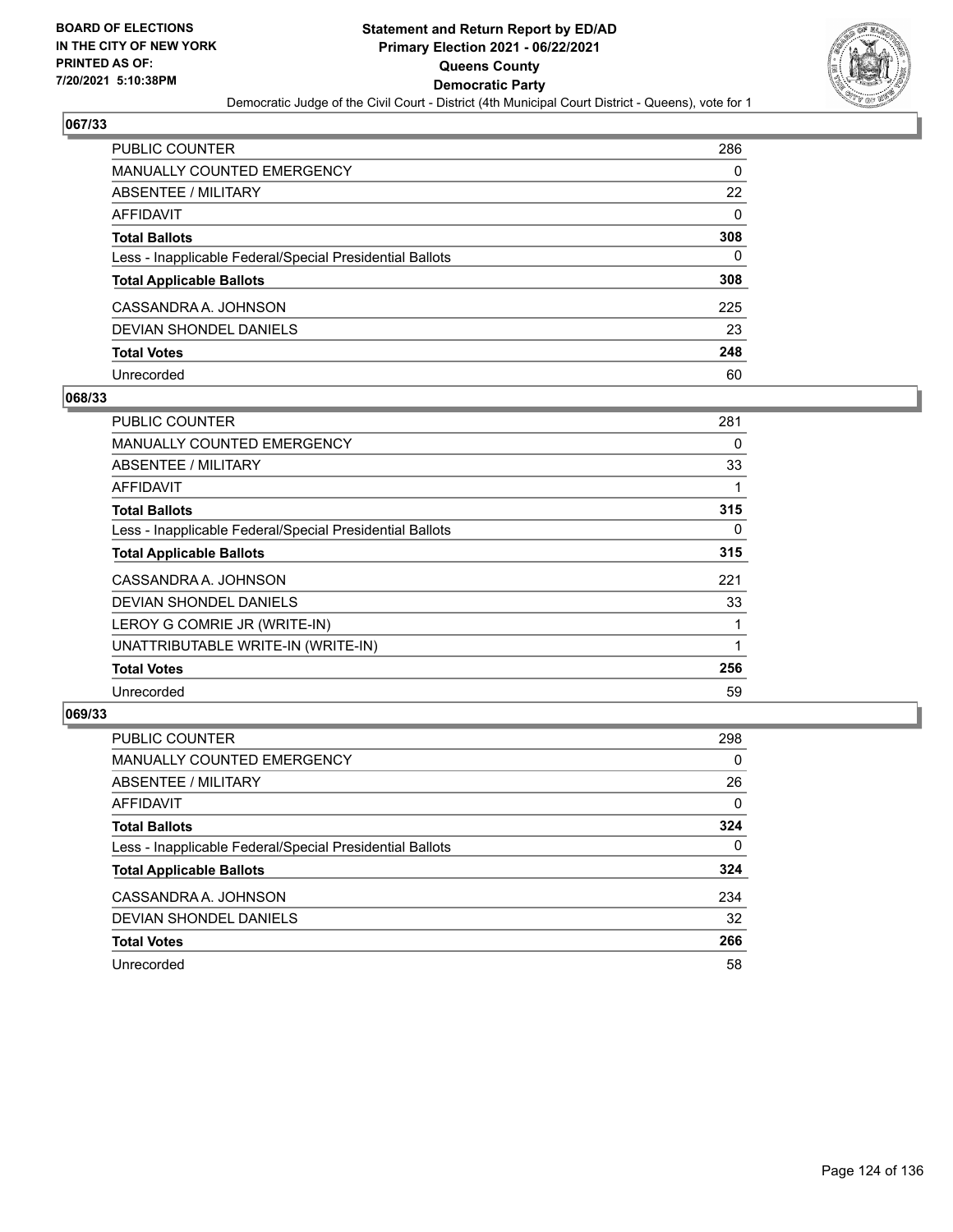

| PUBLIC COUNTER                                           | 286      |
|----------------------------------------------------------|----------|
| <b>MANUALLY COUNTED EMERGENCY</b>                        | 0        |
| <b>ABSENTEE / MILITARY</b>                               | 22       |
| <b>AFFIDAVIT</b>                                         | $\Omega$ |
| <b>Total Ballots</b>                                     | 308      |
| Less - Inapplicable Federal/Special Presidential Ballots | $\Omega$ |
| <b>Total Applicable Ballots</b>                          | 308      |
| CASSANDRA A. JOHNSON                                     | 225      |
| <b>DEVIAN SHONDEL DANIELS</b>                            | 23       |
| <b>Total Votes</b>                                       | 248      |
| Unrecorded                                               | 60       |

#### **068/33**

| <b>PUBLIC COUNTER</b>                                    | 281 |
|----------------------------------------------------------|-----|
| <b>MANUALLY COUNTED EMERGENCY</b>                        | 0   |
| ABSENTEE / MILITARY                                      | 33  |
| AFFIDAVIT                                                |     |
| <b>Total Ballots</b>                                     | 315 |
| Less - Inapplicable Federal/Special Presidential Ballots | 0   |
| <b>Total Applicable Ballots</b>                          | 315 |
| CASSANDRA A. JOHNSON                                     | 221 |
| <b>DEVIAN SHONDEL DANIELS</b>                            | 33  |
| LEROY G COMRIE JR (WRITE-IN)                             |     |
| UNATTRIBUTABLE WRITE-IN (WRITE-IN)                       |     |
| <b>Total Votes</b>                                       | 256 |
| Unrecorded                                               | 59  |

| <b>PUBLIC COUNTER</b>                                    | 298      |
|----------------------------------------------------------|----------|
| <b>MANUALLY COUNTED EMERGENCY</b>                        | 0        |
| ABSENTEE / MILITARY                                      | 26       |
| AFFIDAVIT                                                | $\Omega$ |
| <b>Total Ballots</b>                                     | 324      |
| Less - Inapplicable Federal/Special Presidential Ballots | 0        |
| <b>Total Applicable Ballots</b>                          | 324      |
| CASSANDRA A. JOHNSON                                     | 234      |
| DEVIAN SHONDEL DANIELS                                   | 32       |
| <b>Total Votes</b>                                       | 266      |
| Unrecorded                                               | 58       |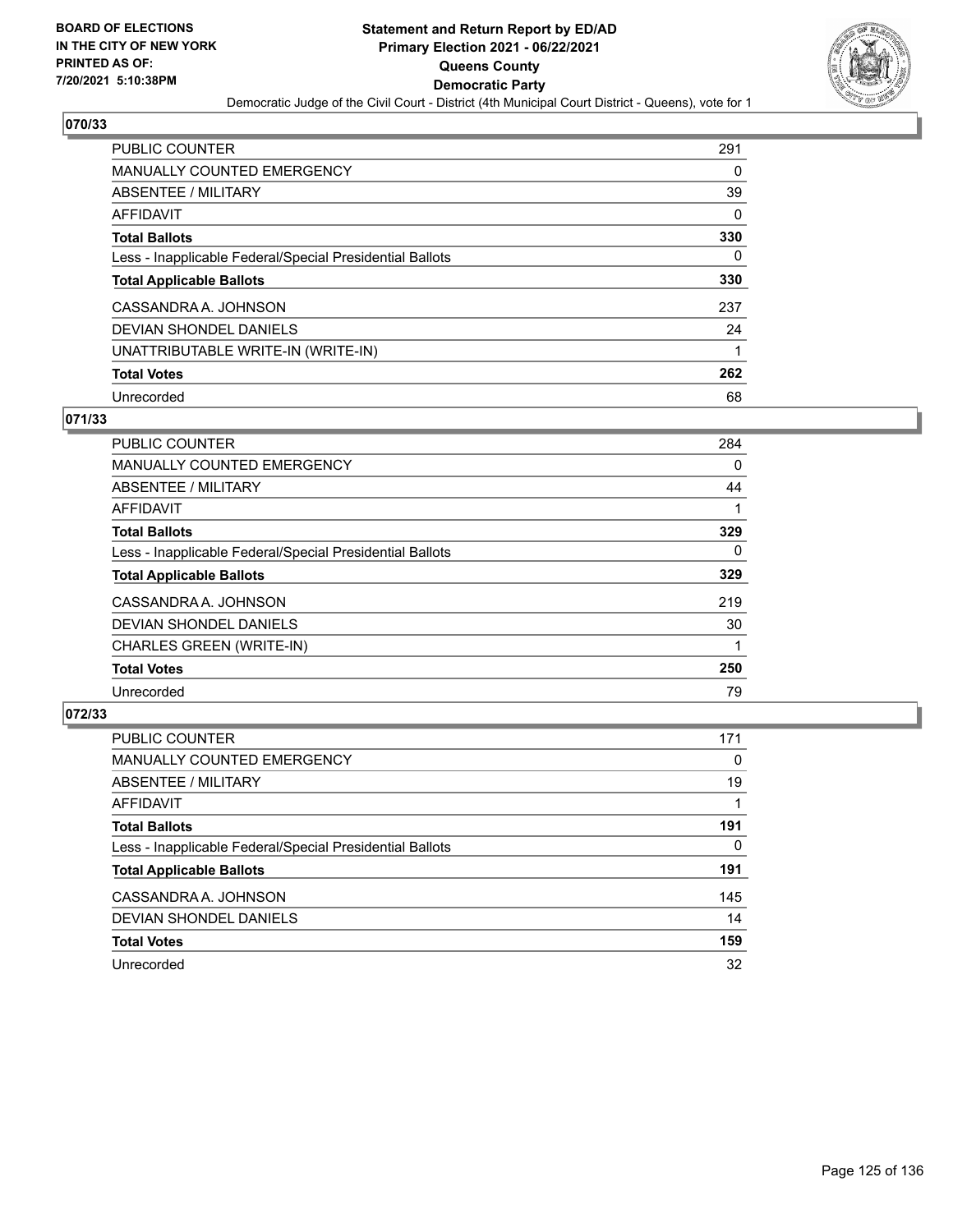

| <b>PUBLIC COUNTER</b>                                    | 291      |
|----------------------------------------------------------|----------|
| MANUALLY COUNTED EMERGENCY                               | 0        |
| ABSENTEE / MILITARY                                      | 39       |
| AFFIDAVIT                                                | $\Omega$ |
| <b>Total Ballots</b>                                     | 330      |
| Less - Inapplicable Federal/Special Presidential Ballots | 0        |
| <b>Total Applicable Ballots</b>                          | 330      |
| CASSANDRA A. JOHNSON                                     | 237      |
| DEVIAN SHONDEL DANIELS                                   | 24       |
| UNATTRIBUTABLE WRITE-IN (WRITE-IN)                       |          |
| <b>Total Votes</b>                                       | 262      |
| Unrecorded                                               | 68       |

### **071/33**

| <b>PUBLIC COUNTER</b>                                    | 284      |
|----------------------------------------------------------|----------|
| <b>MANUALLY COUNTED EMERGENCY</b>                        | 0        |
| ABSENTEE / MILITARY                                      | 44       |
| AFFIDAVIT                                                |          |
| <b>Total Ballots</b>                                     | 329      |
| Less - Inapplicable Federal/Special Presidential Ballots | $\Omega$ |
| <b>Total Applicable Ballots</b>                          | 329      |
| CASSANDRA A. JOHNSON                                     | 219      |
| <b>DEVIAN SHONDEL DANIELS</b>                            | 30       |
| CHARLES GREEN (WRITE-IN)                                 |          |
| <b>Total Votes</b>                                       | 250      |
| Unrecorded                                               | 79       |

| <b>PUBLIC COUNTER</b>                                    | 171 |
|----------------------------------------------------------|-----|
| <b>MANUALLY COUNTED EMERGENCY</b>                        | 0   |
| ABSENTEE / MILITARY                                      | 19  |
| AFFIDAVIT                                                |     |
| <b>Total Ballots</b>                                     | 191 |
| Less - Inapplicable Federal/Special Presidential Ballots | 0   |
| <b>Total Applicable Ballots</b>                          | 191 |
| CASSANDRA A. JOHNSON                                     | 145 |
| DEVIAN SHONDEL DANIELS                                   | 14  |
| <b>Total Votes</b>                                       | 159 |
| Unrecorded                                               | 32  |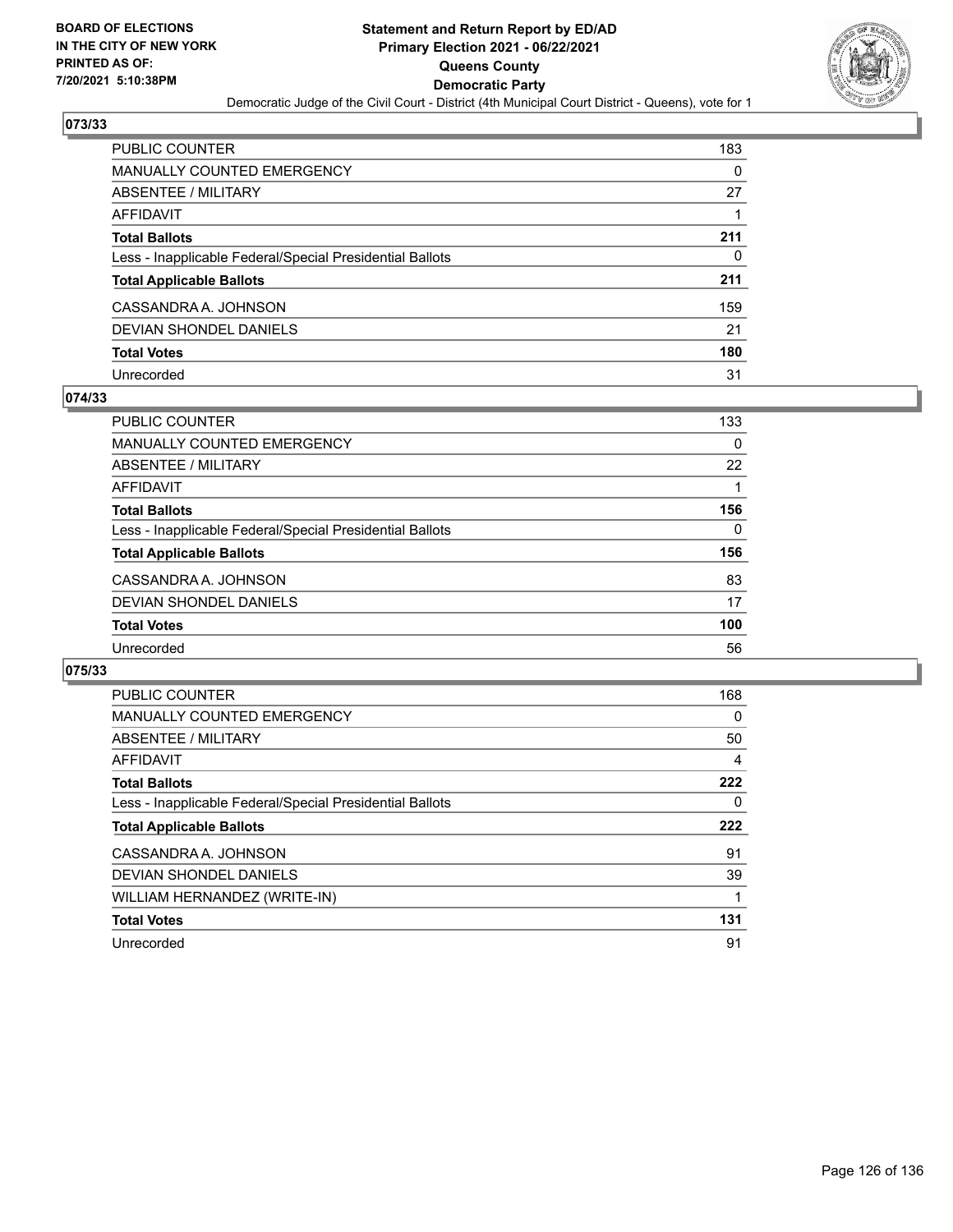

| <b>PUBLIC COUNTER</b>                                    | 183      |
|----------------------------------------------------------|----------|
| <b>MANUALLY COUNTED EMERGENCY</b>                        | $\Omega$ |
| ABSENTEE / MILITARY                                      | 27       |
| AFFIDAVIT                                                |          |
| <b>Total Ballots</b>                                     | 211      |
| Less - Inapplicable Federal/Special Presidential Ballots | 0        |
| <b>Total Applicable Ballots</b>                          | 211      |
| CASSANDRA A. JOHNSON                                     | 159      |
| DEVIAN SHONDEL DANIELS                                   | 21       |
| <b>Total Votes</b>                                       | 180      |
| Unrecorded                                               | 31       |

### **074/33**

| <b>PUBLIC COUNTER</b>                                    | 133 |
|----------------------------------------------------------|-----|
| MANUALLY COUNTED EMERGENCY                               | 0   |
| ABSENTEE / MILITARY                                      | 22  |
| AFFIDAVIT                                                |     |
| <b>Total Ballots</b>                                     | 156 |
| Less - Inapplicable Federal/Special Presidential Ballots | 0   |
| <b>Total Applicable Ballots</b>                          | 156 |
| CASSANDRA A. JOHNSON                                     | 83  |
| DEVIAN SHONDEL DANIELS                                   | 17  |
| <b>Total Votes</b>                                       | 100 |
| Unrecorded                                               | 56  |

| <b>PUBLIC COUNTER</b>                                    | 168 |
|----------------------------------------------------------|-----|
| MANUALLY COUNTED EMERGENCY                               | 0   |
| ABSENTEE / MILITARY                                      | 50  |
| AFFIDAVIT                                                | 4   |
| <b>Total Ballots</b>                                     | 222 |
| Less - Inapplicable Federal/Special Presidential Ballots | 0   |
|                                                          |     |
| <b>Total Applicable Ballots</b>                          | 222 |
| CASSANDRA A. JOHNSON                                     | 91  |
| DEVIAN SHONDEL DANIELS                                   | 39  |
| WILLIAM HERNANDEZ (WRITE-IN)                             |     |
| <b>Total Votes</b>                                       | 131 |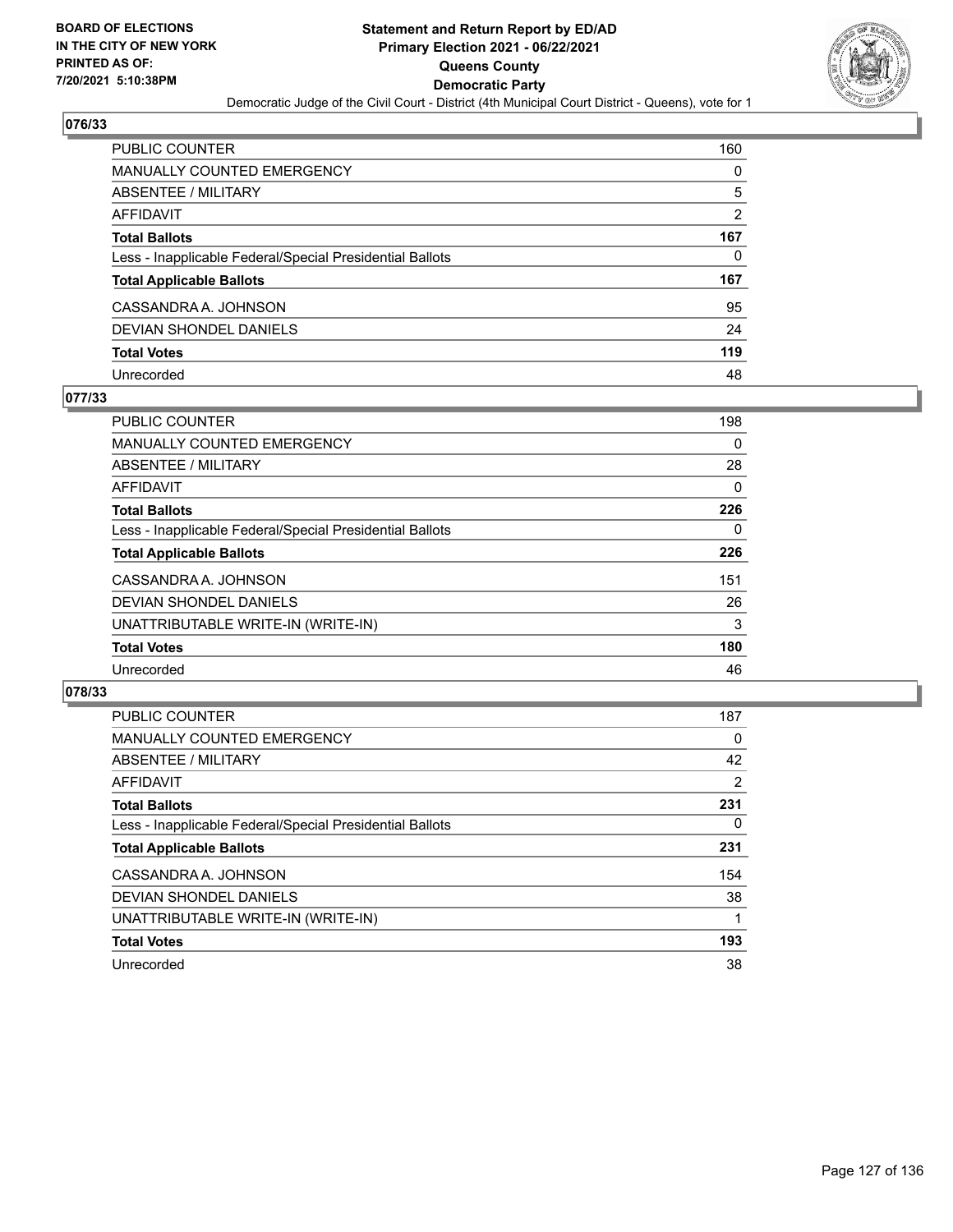

| <b>PUBLIC COUNTER</b>                                    | 160            |
|----------------------------------------------------------|----------------|
| <b>MANUALLY COUNTED EMERGENCY</b>                        | 0              |
| ABSENTEE / MILITARY                                      | 5              |
| AFFIDAVIT                                                | $\overline{2}$ |
| <b>Total Ballots</b>                                     | 167            |
| Less - Inapplicable Federal/Special Presidential Ballots | 0              |
| <b>Total Applicable Ballots</b>                          | 167            |
| CASSANDRA A. JOHNSON                                     | 95             |
| DEVIAN SHONDEL DANIELS                                   | 24             |
| <b>Total Votes</b>                                       | 119            |
| Unrecorded                                               | 48             |

### **077/33**

| <b>PUBLIC COUNTER</b>                                    | 198      |
|----------------------------------------------------------|----------|
| <b>MANUALLY COUNTED EMERGENCY</b>                        | $\Omega$ |
| ABSENTEE / MILITARY                                      | 28       |
| AFFIDAVIT                                                | $\Omega$ |
| <b>Total Ballots</b>                                     | 226      |
| Less - Inapplicable Federal/Special Presidential Ballots | 0        |
| <b>Total Applicable Ballots</b>                          | 226      |
| CASSANDRA A. JOHNSON                                     | 151      |
| DEVIAN SHONDEL DANIELS                                   | 26       |
| UNATTRIBUTABLE WRITE-IN (WRITE-IN)                       | 3        |
| <b>Total Votes</b>                                       | 180      |
| Unrecorded                                               | 46       |

| <b>PUBLIC COUNTER</b>                                    | 187      |
|----------------------------------------------------------|----------|
| <b>MANUALLY COUNTED EMERGENCY</b>                        | $\Omega$ |
| ABSENTEE / MILITARY                                      | 42       |
| AFFIDAVIT                                                | 2        |
| <b>Total Ballots</b>                                     | 231      |
| Less - Inapplicable Federal/Special Presidential Ballots | $\Omega$ |
| <b>Total Applicable Ballots</b>                          | 231      |
| CASSANDRA A. JOHNSON                                     | 154      |
| DEVIAN SHONDEL DANIELS                                   | 38       |
| UNATTRIBUTABLE WRITE-IN (WRITE-IN)                       |          |
| <b>Total Votes</b>                                       | 193      |
| Unrecorded                                               | 38       |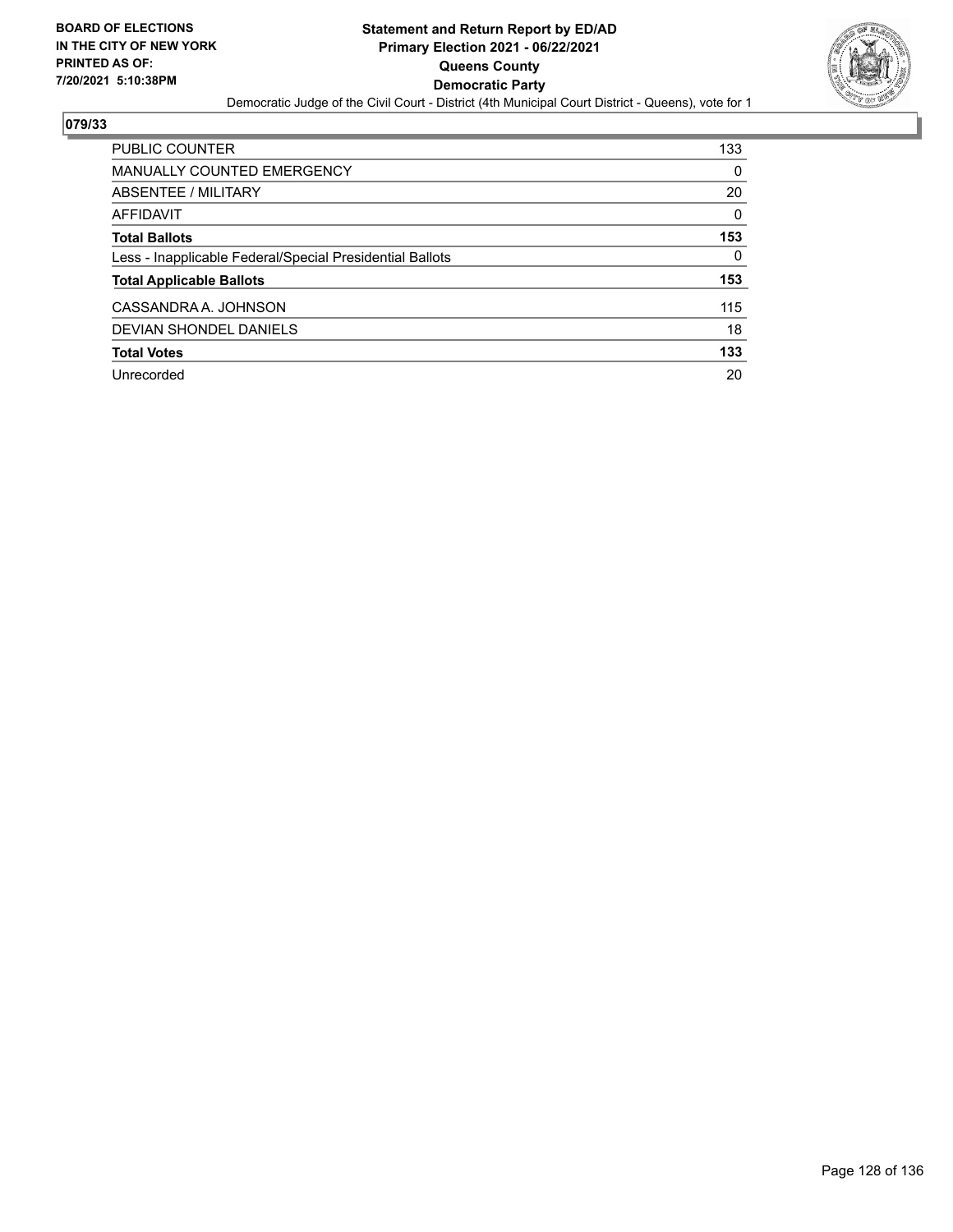

| PUBLIC COUNTER                                           | 133      |
|----------------------------------------------------------|----------|
| <b>MANUALLY COUNTED EMERGENCY</b>                        | 0        |
| ABSENTEE / MILITARY                                      | 20       |
| AFFIDAVIT                                                | $\Omega$ |
| <b>Total Ballots</b>                                     | 153      |
| Less - Inapplicable Federal/Special Presidential Ballots | 0        |
| <b>Total Applicable Ballots</b>                          | 153      |
| CASSANDRA A. JOHNSON                                     | 115      |
| DEVIAN SHONDEL DANIELS                                   | 18       |
| <b>Total Votes</b>                                       | 133      |
| Unrecorded                                               | 20       |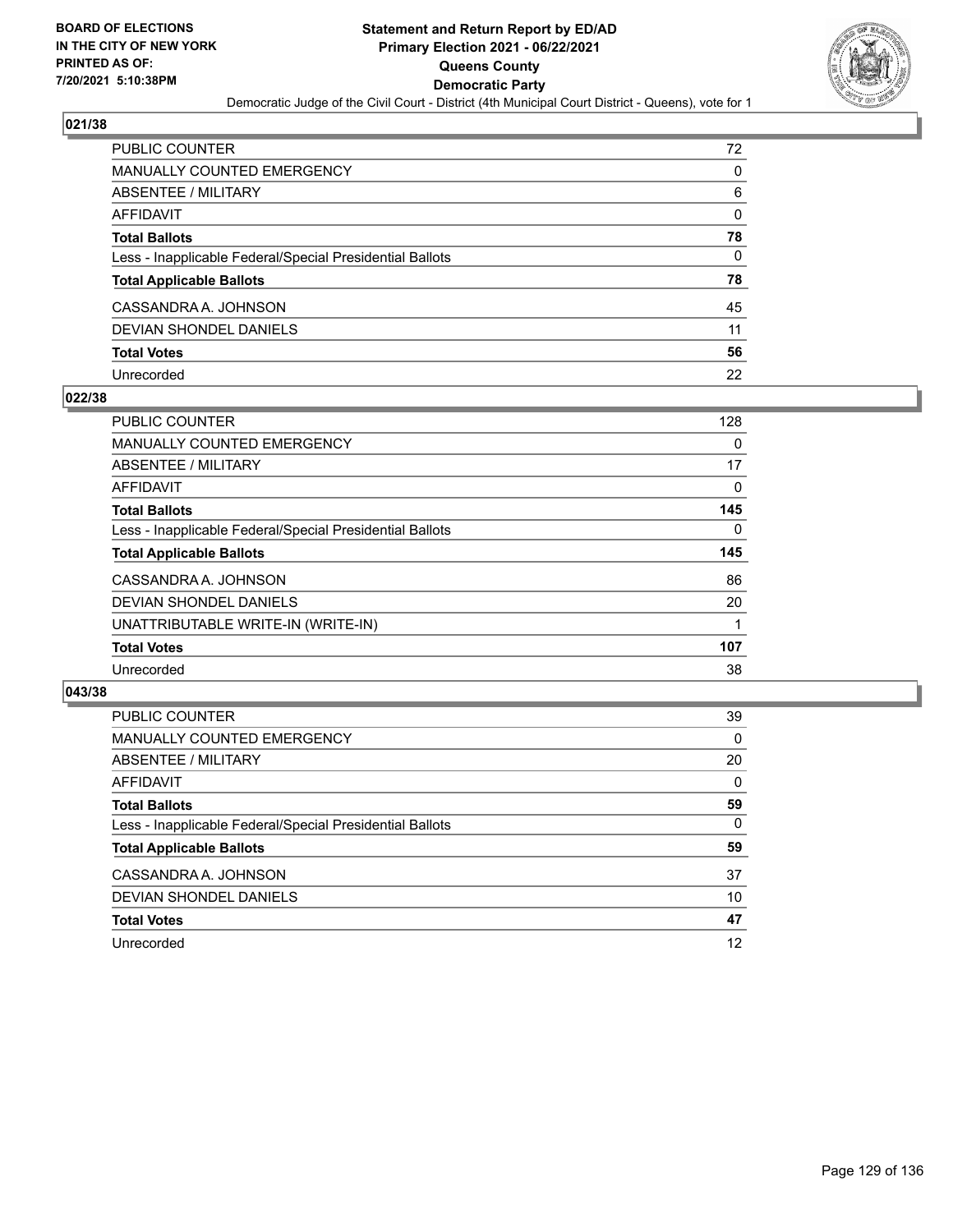

| PUBLIC COUNTER                                           | 72       |
|----------------------------------------------------------|----------|
| MANUALLY COUNTED EMERGENCY                               | 0        |
| <b>ABSENTEE / MILITARY</b>                               | 6        |
| <b>AFFIDAVIT</b>                                         | 0        |
| <b>Total Ballots</b>                                     | 78       |
| Less - Inapplicable Federal/Special Presidential Ballots | $\Omega$ |
| <b>Total Applicable Ballots</b>                          | 78       |
| CASSANDRA A. JOHNSON                                     | 45       |
| <b>DEVIAN SHONDEL DANIELS</b>                            | 11       |
| <b>Total Votes</b>                                       | 56       |
| Unrecorded                                               | 22       |

### **022/38**

| <b>PUBLIC COUNTER</b>                                    | 128      |
|----------------------------------------------------------|----------|
| <b>MANUALLY COUNTED EMERGENCY</b>                        | 0        |
| ABSENTEE / MILITARY                                      | 17       |
| AFFIDAVIT                                                | $\Omega$ |
| <b>Total Ballots</b>                                     | 145      |
| Less - Inapplicable Federal/Special Presidential Ballots | 0        |
| <b>Total Applicable Ballots</b>                          | 145      |
| CASSANDRA A. JOHNSON                                     | 86       |
| DEVIAN SHONDEL DANIELS                                   | 20       |
| UNATTRIBUTABLE WRITE-IN (WRITE-IN)                       |          |
| <b>Total Votes</b>                                       | 107      |
| Unrecorded                                               | 38       |

| <b>PUBLIC COUNTER</b>                                    | 39       |
|----------------------------------------------------------|----------|
| MANUALLY COUNTED EMERGENCY                               | $\Omega$ |
| ABSENTEE / MILITARY                                      | 20       |
| AFFIDAVIT                                                | $\Omega$ |
| <b>Total Ballots</b>                                     | 59       |
| Less - Inapplicable Federal/Special Presidential Ballots | $\Omega$ |
| <b>Total Applicable Ballots</b>                          | 59       |
| CASSANDRA A. JOHNSON                                     | 37       |
| DEVIAN SHONDEL DANIELS                                   | 10       |
| <b>Total Votes</b>                                       | 47       |
| Unrecorded                                               | 12       |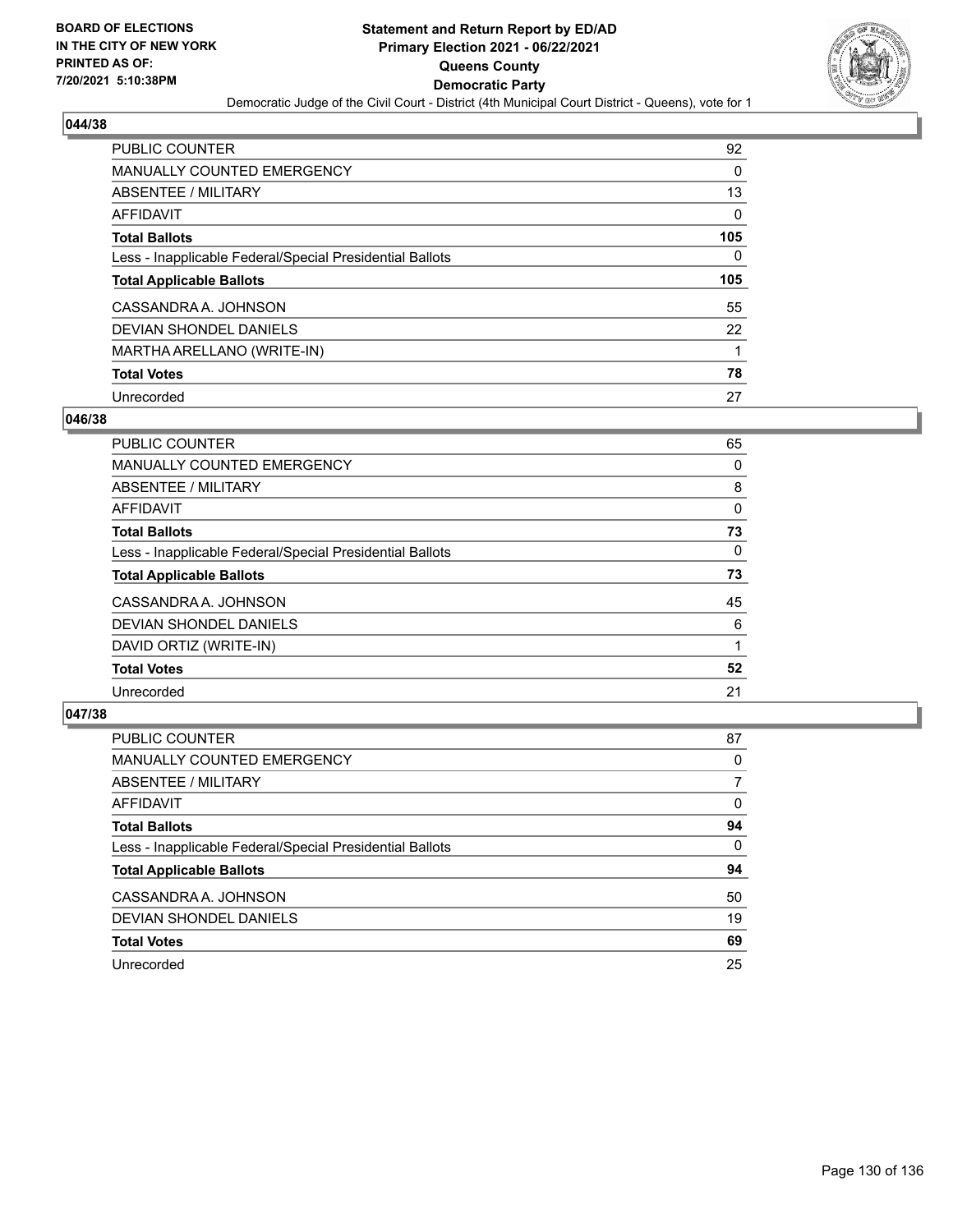

| <b>PUBLIC COUNTER</b>                                    | 92  |
|----------------------------------------------------------|-----|
| <b>MANUALLY COUNTED EMERGENCY</b>                        | 0   |
| ABSENTEE / MILITARY                                      | 13  |
| AFFIDAVIT                                                | 0   |
| <b>Total Ballots</b>                                     | 105 |
| Less - Inapplicable Federal/Special Presidential Ballots | 0   |
|                                                          |     |
| <b>Total Applicable Ballots</b>                          | 105 |
| CASSANDRA A. JOHNSON                                     | 55  |
| DEVIAN SHONDEL DANIELS                                   | 22  |
| MARTHA ARELLANO (WRITE-IN)                               |     |
| <b>Total Votes</b>                                       | 78  |

#### **046/38**

| PUBLIC COUNTER                                           | 65       |
|----------------------------------------------------------|----------|
| MANUALLY COUNTED EMERGENCY                               | 0        |
| ABSENTEE / MILITARY                                      | 8        |
| <b>AFFIDAVIT</b>                                         | $\Omega$ |
| <b>Total Ballots</b>                                     | 73       |
| Less - Inapplicable Federal/Special Presidential Ballots | $\Omega$ |
| <b>Total Applicable Ballots</b>                          | 73       |
| CASSANDRA A. JOHNSON                                     | 45       |
| DEVIAN SHONDEL DANIELS                                   | 6        |
| DAVID ORTIZ (WRITE-IN)                                   |          |
| <b>Total Votes</b>                                       | 52       |
| Unrecorded                                               | 21       |

| <b>PUBLIC COUNTER</b>                                    | 87       |
|----------------------------------------------------------|----------|
| <b>MANUALLY COUNTED EMERGENCY</b>                        | 0        |
| ABSENTEE / MILITARY                                      |          |
| AFFIDAVIT                                                | 0        |
| <b>Total Ballots</b>                                     | 94       |
| Less - Inapplicable Federal/Special Presidential Ballots | $\Omega$ |
| <b>Total Applicable Ballots</b>                          | 94       |
| CASSANDRA A. JOHNSON                                     | 50       |
| DEVIAN SHONDEL DANIELS                                   | 19       |
| <b>Total Votes</b>                                       | 69       |
| Unrecorded                                               | 25       |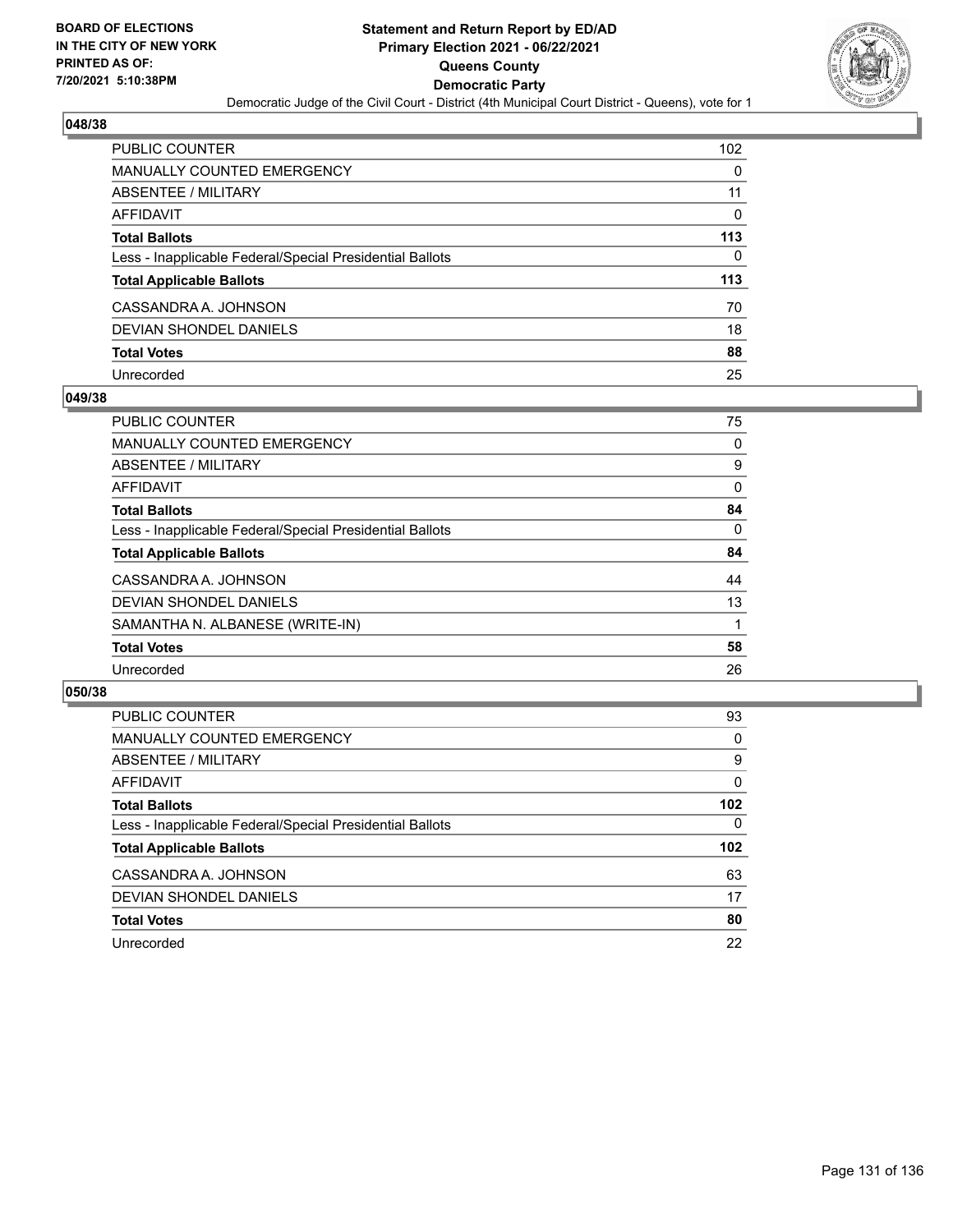

| PUBLIC COUNTER                                           | 102      |
|----------------------------------------------------------|----------|
| MANUALLY COUNTED EMERGENCY                               | 0        |
| <b>ABSENTEE / MILITARY</b>                               | 11       |
| <b>AFFIDAVIT</b>                                         | $\Omega$ |
| <b>Total Ballots</b>                                     | 113      |
| Less - Inapplicable Federal/Special Presidential Ballots | 0        |
| <b>Total Applicable Ballots</b>                          | 113      |
| CASSANDRA A. JOHNSON                                     | 70       |
| <b>DEVIAN SHONDEL DANIELS</b>                            | 18       |
| <b>Total Votes</b>                                       | 88       |
| Unrecorded                                               | 25       |

#### **049/38**

| <b>PUBLIC COUNTER</b>                                    | 75       |
|----------------------------------------------------------|----------|
| <b>MANUALLY COUNTED EMERGENCY</b>                        | 0        |
| ABSENTEE / MILITARY                                      | 9        |
| AFFIDAVIT                                                | $\Omega$ |
| <b>Total Ballots</b>                                     | 84       |
| Less - Inapplicable Federal/Special Presidential Ballots | 0        |
| <b>Total Applicable Ballots</b>                          | 84       |
| CASSANDRA A. JOHNSON                                     | 44       |
| DEVIAN SHONDEL DANIELS                                   | 13       |
| SAMANTHA N. ALBANESE (WRITE-IN)                          |          |
| <b>Total Votes</b>                                       | 58       |
| Unrecorded                                               | 26       |
|                                                          |          |

| <b>PUBLIC COUNTER</b>                                    | 93               |
|----------------------------------------------------------|------------------|
| MANUALLY COUNTED EMERGENCY                               | $\Omega$         |
| ABSENTEE / MILITARY                                      | 9                |
| AFFIDAVIT                                                | $\Omega$         |
| <b>Total Ballots</b>                                     | 102              |
| Less - Inapplicable Federal/Special Presidential Ballots | $\Omega$         |
| <b>Total Applicable Ballots</b>                          | 102 <sub>2</sub> |
| CASSANDRA A. JOHNSON                                     | 63               |
| DEVIAN SHONDEL DANIELS                                   | 17               |
| <b>Total Votes</b>                                       | 80               |
| Unrecorded                                               | 22               |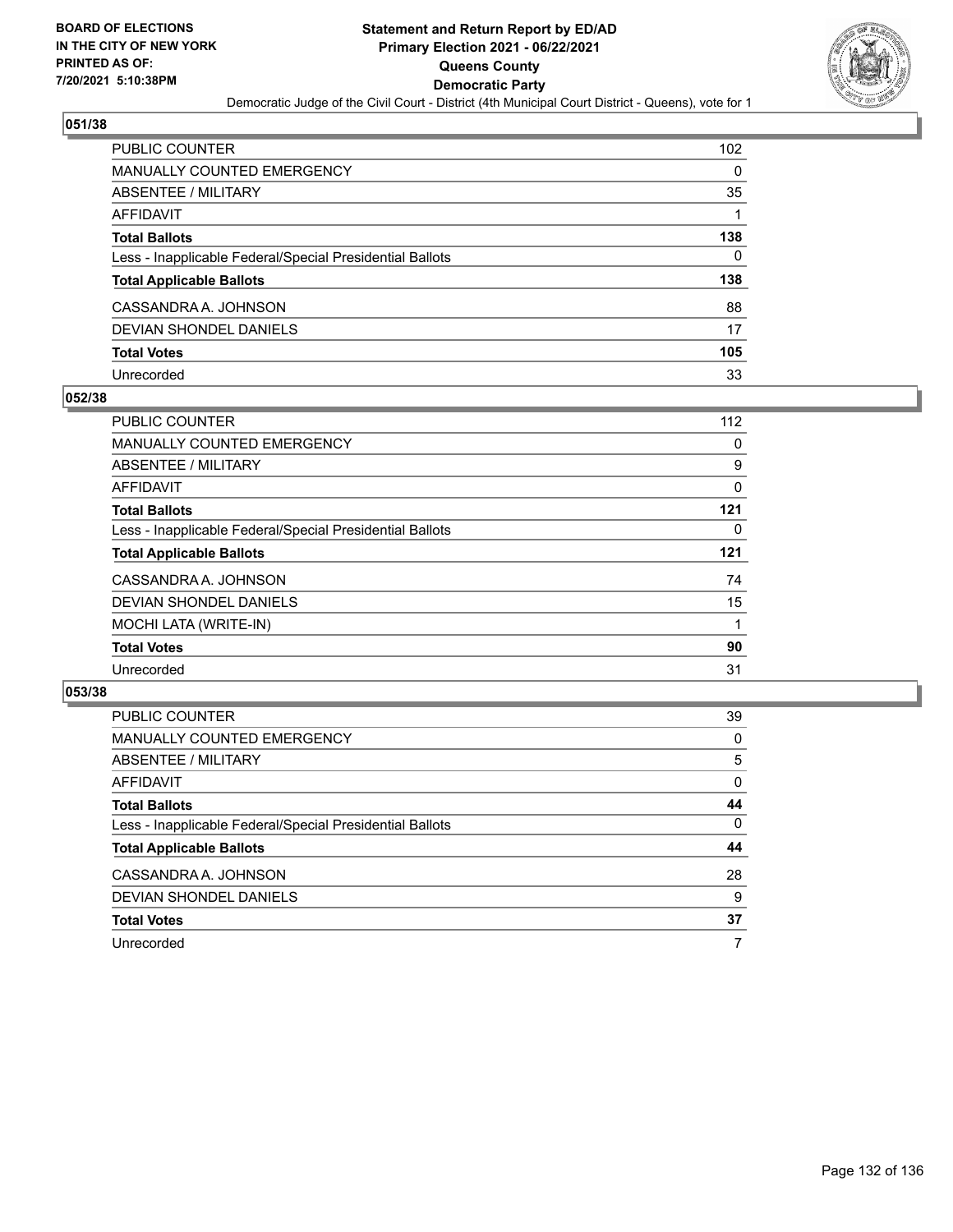

| <b>PUBLIC COUNTER</b>                                    | 102 |
|----------------------------------------------------------|-----|
| <b>MANUALLY COUNTED EMERGENCY</b>                        | 0   |
| ABSENTEE / MILITARY                                      | 35  |
| AFFIDAVIT                                                |     |
| <b>Total Ballots</b>                                     | 138 |
| Less - Inapplicable Federal/Special Presidential Ballots | 0   |
| <b>Total Applicable Ballots</b>                          | 138 |
| CASSANDRA A. JOHNSON                                     | 88  |
| DEVIAN SHONDEL DANIELS                                   | 17  |
| <b>Total Votes</b>                                       | 105 |
| Unrecorded                                               | 33  |

### **052/38**

| <b>PUBLIC COUNTER</b>                                    | 112 |
|----------------------------------------------------------|-----|
| MANUALLY COUNTED EMERGENCY                               | 0   |
| ABSENTEE / MILITARY                                      | 9   |
| AFFIDAVIT                                                | 0   |
| <b>Total Ballots</b>                                     | 121 |
| Less - Inapplicable Federal/Special Presidential Ballots | 0   |
| <b>Total Applicable Ballots</b>                          | 121 |
| CASSANDRA A. JOHNSON                                     | 74  |
| DEVIAN SHONDEL DANIELS                                   | 15  |
| <b>MOCHI LATA (WRITE-IN)</b>                             |     |
| <b>Total Votes</b>                                       | 90  |
| Unrecorded                                               | 31  |

| PUBLIC COUNTER                                           | 39       |
|----------------------------------------------------------|----------|
| MANUALLY COUNTED EMERGENCY                               | $\Omega$ |
| ABSENTEE / MILITARY                                      | 5        |
| AFFIDAVIT                                                | $\Omega$ |
| <b>Total Ballots</b>                                     | 44       |
| Less - Inapplicable Federal/Special Presidential Ballots | $\Omega$ |
| <b>Total Applicable Ballots</b>                          | 44       |
| CASSANDRA A. JOHNSON                                     | 28       |
| DEVIAN SHONDEL DANIELS                                   | 9        |
| <b>Total Votes</b>                                       | 37       |
| Unrecorded                                               |          |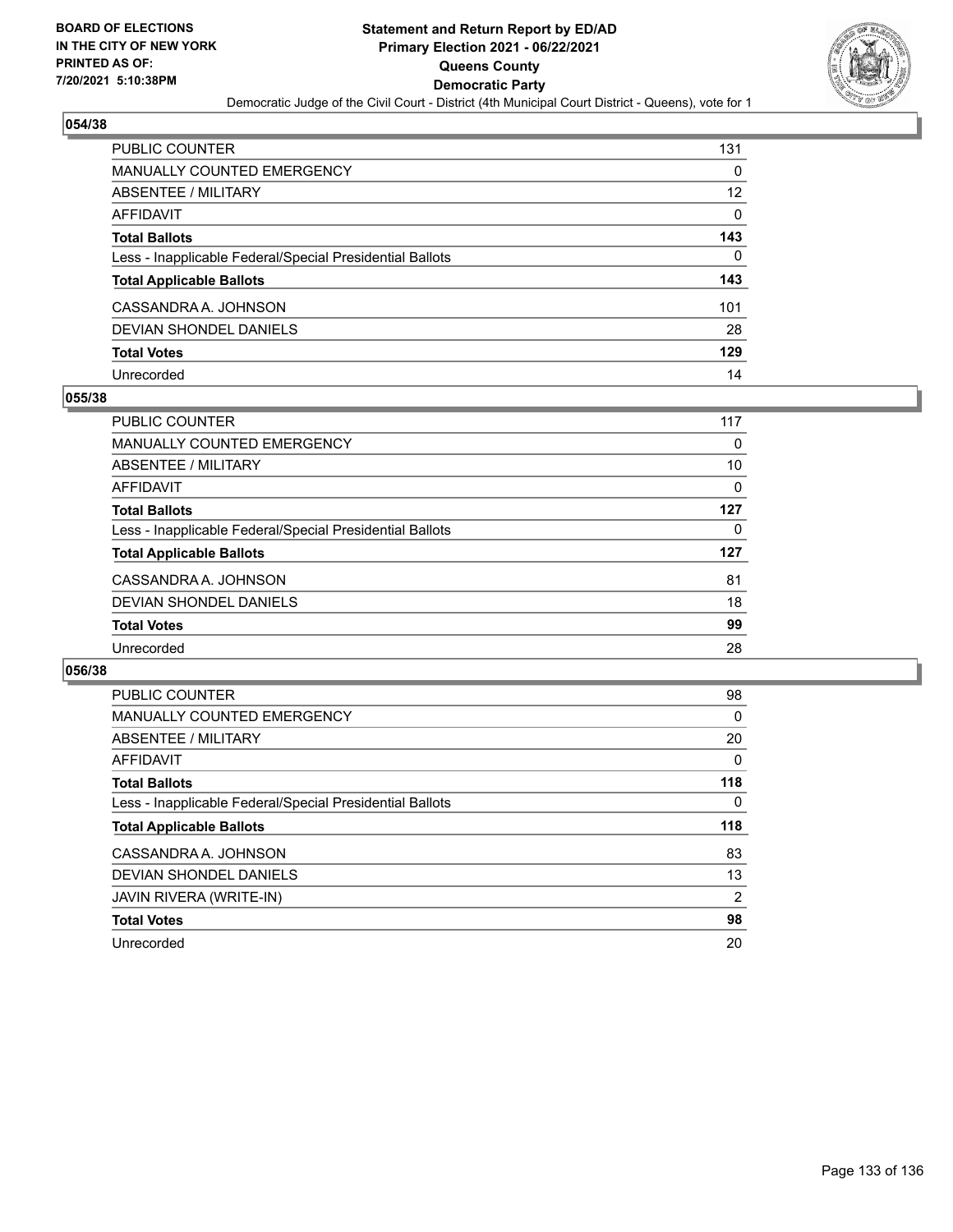

| PUBLIC COUNTER                                           | 131               |
|----------------------------------------------------------|-------------------|
| MANUALLY COUNTED EMERGENCY                               | 0                 |
| <b>ABSENTEE / MILITARY</b>                               | $12 \overline{ }$ |
| <b>AFFIDAVIT</b>                                         | $\Omega$          |
| <b>Total Ballots</b>                                     | 143               |
| Less - Inapplicable Federal/Special Presidential Ballots | $\Omega$          |
| <b>Total Applicable Ballots</b>                          | 143               |
| CASSANDRA A. JOHNSON                                     | 101               |
| <b>DEVIAN SHONDEL DANIELS</b>                            | 28                |
| <b>Total Votes</b>                                       | 129               |
| Unrecorded                                               | 14                |

### **055/38**

| <b>PUBLIC COUNTER</b>                                    | 117 |
|----------------------------------------------------------|-----|
| MANUALLY COUNTED EMERGENCY                               | 0   |
| ABSENTEE / MILITARY                                      | 10  |
| AFFIDAVIT                                                | 0   |
| <b>Total Ballots</b>                                     | 127 |
| Less - Inapplicable Federal/Special Presidential Ballots | 0   |
| <b>Total Applicable Ballots</b>                          | 127 |
| CASSANDRA A. JOHNSON                                     | 81  |
| DEVIAN SHONDEL DANIELS                                   | 18  |
| <b>Total Votes</b>                                       | 99  |
| Unrecorded                                               | 28  |

| <b>PUBLIC COUNTER</b>                                    | 98  |
|----------------------------------------------------------|-----|
| MANUALLY COUNTED EMERGENCY                               | 0   |
| ABSENTEE / MILITARY                                      | 20  |
| AFFIDAVIT                                                | 0   |
| <b>Total Ballots</b>                                     | 118 |
| Less - Inapplicable Federal/Special Presidential Ballots | 0   |
|                                                          |     |
| <b>Total Applicable Ballots</b>                          | 118 |
| CASSANDRA A. JOHNSON                                     | 83  |
| DEVIAN SHONDEL DANIELS                                   | 13  |
| JAVIN RIVERA (WRITE-IN)                                  | 2   |
| <b>Total Votes</b>                                       | 98  |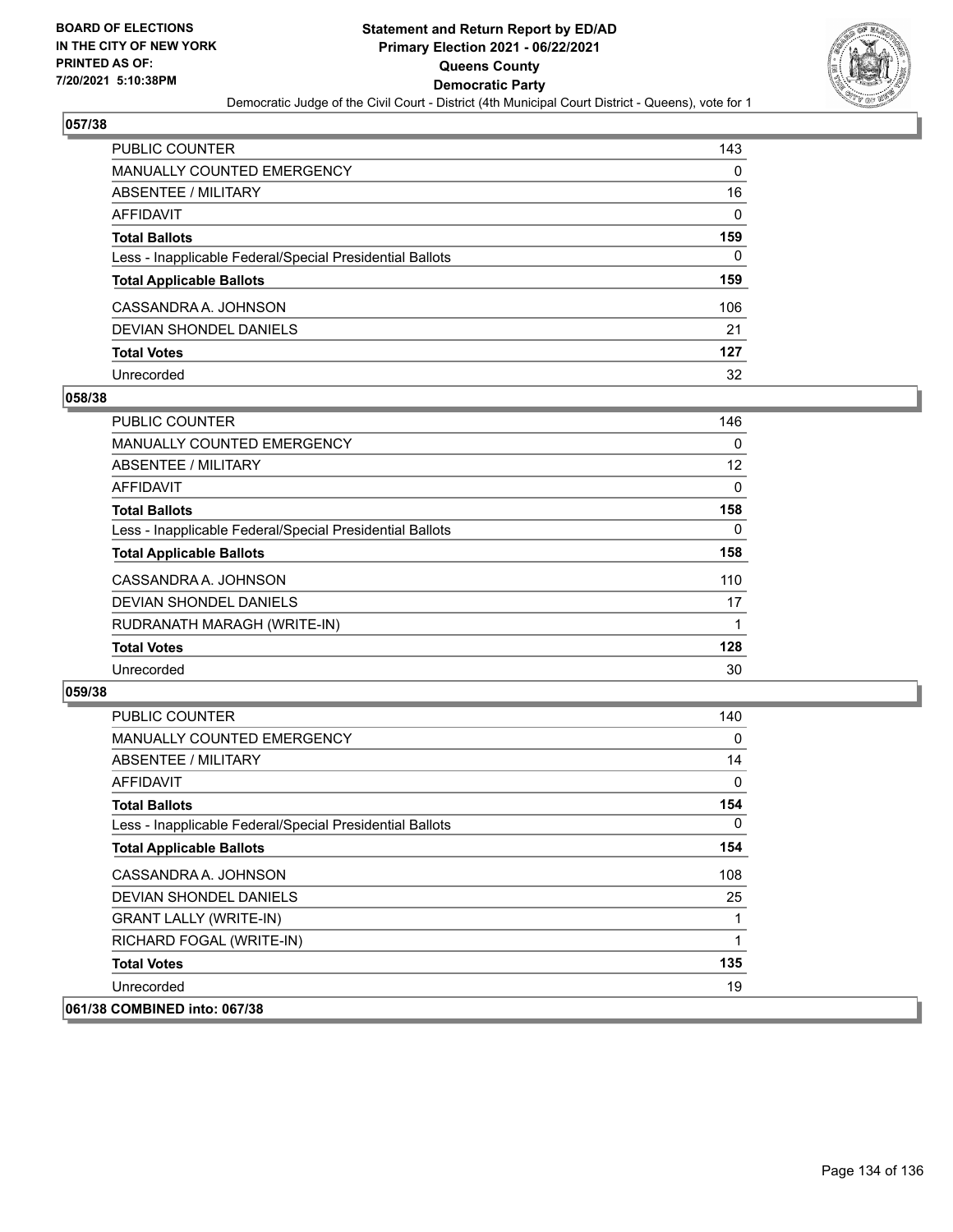

| PUBLIC COUNTER                                           | 143      |
|----------------------------------------------------------|----------|
| <b>MANUALLY COUNTED EMERGENCY</b>                        | 0        |
| ABSENTEE / MILITARY                                      | 16       |
| AFFIDAVIT                                                | $\Omega$ |
| <b>Total Ballots</b>                                     | 159      |
| Less - Inapplicable Federal/Special Presidential Ballots | 0        |
| <b>Total Applicable Ballots</b>                          | 159      |
| CASSANDRA A. JOHNSON                                     | 106      |
| DEVIAN SHONDEL DANIELS                                   | 21       |
| <b>Total Votes</b>                                       | 127      |
| Unrecorded                                               | 32       |

### **058/38**

| <b>PUBLIC COUNTER</b>                                    | 146      |
|----------------------------------------------------------|----------|
| <b>MANUALLY COUNTED EMERGENCY</b>                        | $\Omega$ |
| ABSENTEE / MILITARY                                      | 12       |
| <b>AFFIDAVIT</b>                                         | $\Omega$ |
| <b>Total Ballots</b>                                     | 158      |
| Less - Inapplicable Federal/Special Presidential Ballots | 0        |
| <b>Total Applicable Ballots</b>                          | 158      |
| CASSANDRA A. JOHNSON                                     | 110      |
| <b>DEVIAN SHONDEL DANIELS</b>                            | 17       |
| RUDRANATH MARAGH (WRITE-IN)                              |          |
| <b>Total Votes</b>                                       | 128      |
| Unrecorded                                               | 30       |

| <b>PUBLIC COUNTER</b>                                    | 140 |
|----------------------------------------------------------|-----|
| <b>MANUALLY COUNTED EMERGENCY</b>                        | 0   |
| ABSENTEE / MILITARY                                      | 14  |
| <b>AFFIDAVIT</b>                                         | 0   |
| <b>Total Ballots</b>                                     | 154 |
| Less - Inapplicable Federal/Special Presidential Ballots | 0   |
| <b>Total Applicable Ballots</b>                          | 154 |
| CASSANDRA A. JOHNSON                                     | 108 |
| DEVIAN SHONDEL DANIELS                                   | 25  |
| <b>GRANT LALLY (WRITE-IN)</b>                            | 1   |
| RICHARD FOGAL (WRITE-IN)                                 | 1   |
| <b>Total Votes</b>                                       | 135 |
| Unrecorded                                               | 19  |
| 061/38 COMBINED into: 067/38                             |     |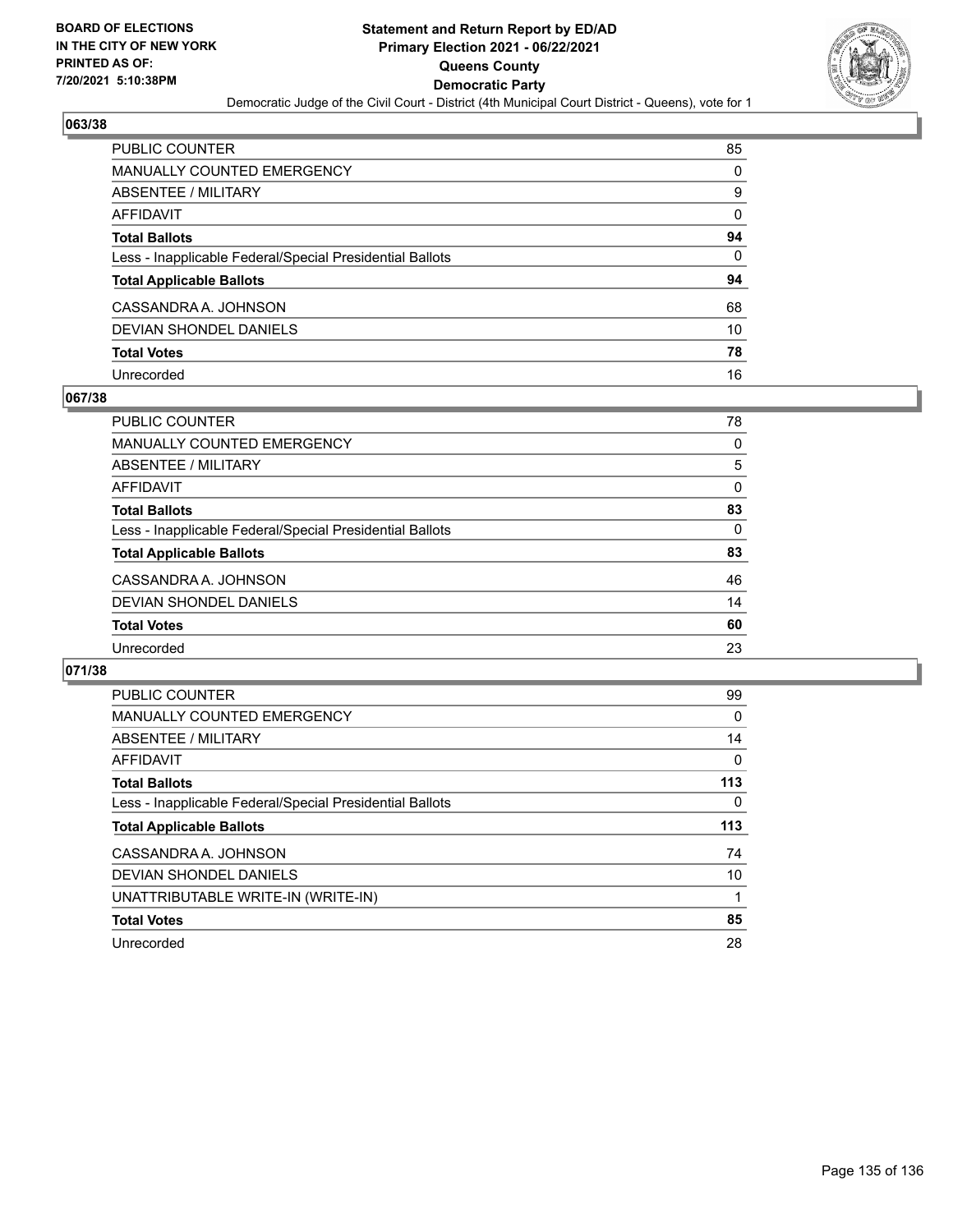

| PUBLIC COUNTER                                           | 85 |
|----------------------------------------------------------|----|
| <b>MANUALLY COUNTED EMERGENCY</b>                        | 0  |
| <b>ABSENTEE / MILITARY</b>                               | 9  |
| <b>AFFIDAVIT</b>                                         | 0  |
| <b>Total Ballots</b>                                     | 94 |
| Less - Inapplicable Federal/Special Presidential Ballots | 0  |
| <b>Total Applicable Ballots</b>                          | 94 |
| CASSANDRA A. JOHNSON                                     | 68 |
| <b>DEVIAN SHONDEL DANIELS</b>                            | 10 |
| <b>Total Votes</b>                                       | 78 |
| Unrecorded                                               | 16 |

### **067/38**

| PUBLIC COUNTER                                           | 78       |
|----------------------------------------------------------|----------|
| <b>MANUALLY COUNTED EMERGENCY</b>                        | 0        |
| ABSENTEE / MILITARY                                      | 5        |
| AFFIDAVIT                                                | $\Omega$ |
| <b>Total Ballots</b>                                     | 83       |
| Less - Inapplicable Federal/Special Presidential Ballots | 0        |
| <b>Total Applicable Ballots</b>                          | 83       |
| CASSANDRA A. JOHNSON                                     | 46       |
| DEVIAN SHONDEL DANIELS                                   | 14       |
| <b>Total Votes</b>                                       | 60       |
| Unrecorded                                               | 23       |

| PUBLIC COUNTER                                           | 99       |
|----------------------------------------------------------|----------|
| <b>MANUALLY COUNTED EMERGENCY</b>                        | 0        |
| ABSENTEE / MILITARY                                      | 14       |
| AFFIDAVIT                                                | $\Omega$ |
| <b>Total Ballots</b>                                     | 113      |
| Less - Inapplicable Federal/Special Presidential Ballots | 0        |
| <b>Total Applicable Ballots</b>                          | 113      |
|                                                          |          |
| CASSANDRA A. JOHNSON                                     | 74       |
| DEVIAN SHONDEL DANIELS                                   | 10       |
| UNATTRIBUTABLE WRITE-IN (WRITE-IN)                       |          |
| <b>Total Votes</b>                                       | 85       |